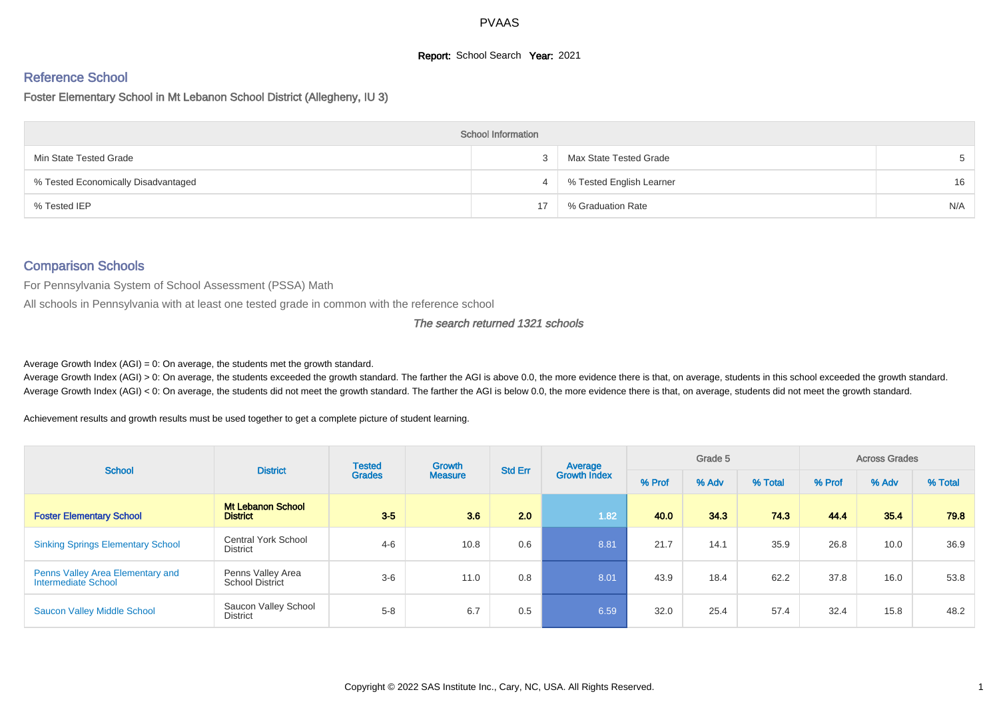# **Report:** School Search **Year:** 2021

# Reference School

Foster Elementary School in Mt Lebanon School District (Allegheny, IU 3)

|                                     | <b>School Information</b> |                          |     |
|-------------------------------------|---------------------------|--------------------------|-----|
| Min State Tested Grade              |                           | Max State Tested Grade   |     |
| % Tested Economically Disadvantaged | 4                         | % Tested English Learner | 16  |
| % Tested IEP                        |                           | % Graduation Rate        | N/A |

#### Comparison Schools

For Pennsylvania System of School Assessment (PSSA) Math

All schools in Pennsylvania with at least one tested grade in common with the reference school

#### The search returned 1321 schools

Average Growth Index  $(AGI) = 0$ : On average, the students met the growth standard.

Average Growth Index (AGI) > 0: On average, the students exceeded the growth standard. The farther the AGI is above 0.0, the more evidence there is that, on average, students in this school exceeded the growth standard. Average Growth Index (AGI) < 0: On average, the students did not meet the growth standard. The farther the AGI is below 0.0, the more evidence there is that, on average, students did not meet the growth standard.

Achievement results and growth results must be used together to get a complete picture of student learning.

| <b>School</b>                                           | <b>District</b>                               | <b>Tested</b> | Growth         | <b>Std Err</b> | Average             |        | Grade 5 |         |        | <b>Across Grades</b> |         |
|---------------------------------------------------------|-----------------------------------------------|---------------|----------------|----------------|---------------------|--------|---------|---------|--------|----------------------|---------|
|                                                         |                                               | <b>Grades</b> | <b>Measure</b> |                | <b>Growth Index</b> | % Prof | % Adv   | % Total | % Prof | % Adv                | % Total |
| <b>Foster Elementary School</b>                         | <b>Mt Lebanon School</b><br><b>District</b>   | $3-5$         | 3.6            | 2.0            | 1.82                | 40.0   | 343     | 74.3    | 44.4   | 35.4                 | 79.8    |
| <b>Sinking Springs Elementary School</b>                | <b>Central York School</b><br><b>District</b> | $4 - 6$       | 10.8           | 0.6            | 8.81                | 21.7   | 14.1    | 35.9    | 26.8   | 10.0                 | 36.9    |
| Penns Valley Area Elementary and<br>Intermediate School | Penns Valley Area<br><b>School District</b>   | $3-6$         | 11.0           | 0.8            | 8.01                | 43.9   | 18.4    | 62.2    | 37.8   | 16.0                 | 53.8    |
| <b>Saucon Valley Middle School</b>                      | Saucon Valley School<br>District              | $5 - 8$       | 6.7            | 0.5            | 6.59                | 32.0   | 25.4    | 57.4    | 32.4   | 15.8                 | 48.2    |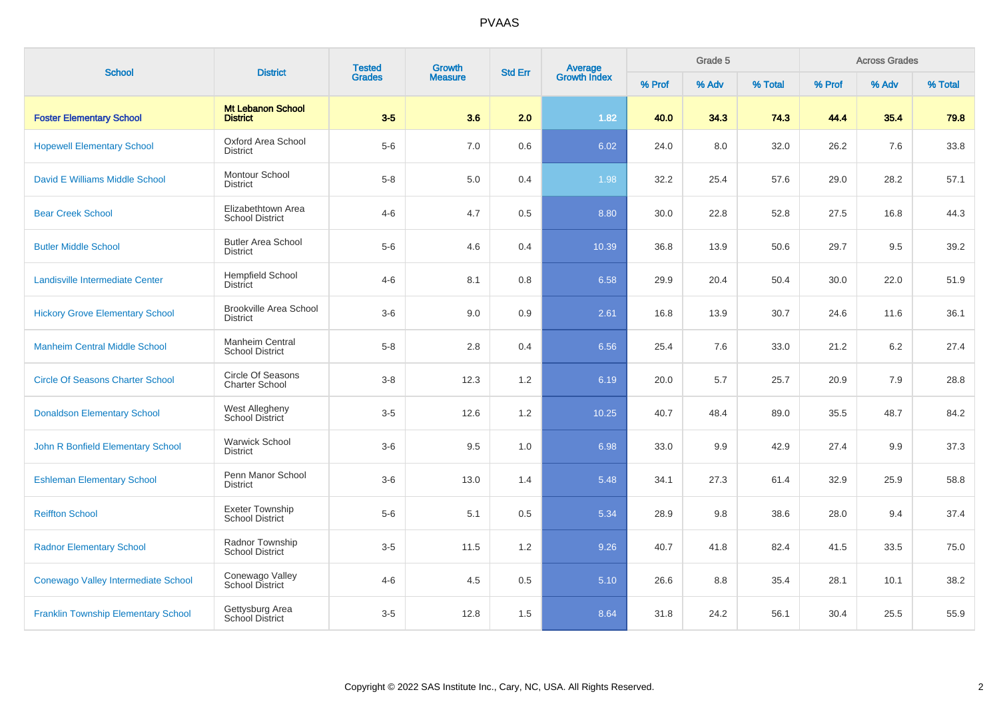| <b>School</b>                              | <b>District</b>                                  | <b>Tested</b> | Growth         | <b>Std Err</b> | <b>Average</b><br>Growth Index |        | Grade 5 |         |        | <b>Across Grades</b> |         |
|--------------------------------------------|--------------------------------------------------|---------------|----------------|----------------|--------------------------------|--------|---------|---------|--------|----------------------|---------|
|                                            |                                                  | <b>Grades</b> | <b>Measure</b> |                |                                | % Prof | % Adv   | % Total | % Prof | % Adv                | % Total |
| <b>Foster Elementary School</b>            | <b>Mt Lebanon School</b><br><b>District</b>      | $3-5$         | 3.6            | 2.0            | 1.82                           | 40.0   | 34.3    | 74.3    | 44.4   | 35.4                 | 79.8    |
| <b>Hopewell Elementary School</b>          | Oxford Area School<br><b>District</b>            | $5-6$         | 7.0            | $0.6\,$        | 6.02                           | 24.0   | 8.0     | 32.0    | 26.2   | 7.6                  | 33.8    |
| David E Williams Middle School             | Montour School<br><b>District</b>                | $5 - 8$       | 5.0            | 0.4            | 1.98                           | 32.2   | 25.4    | 57.6    | 29.0   | 28.2                 | 57.1    |
| <b>Bear Creek School</b>                   | Elizabethtown Area<br><b>School District</b>     | $4 - 6$       | 4.7            | 0.5            | 8.80                           | 30.0   | 22.8    | 52.8    | 27.5   | 16.8                 | 44.3    |
| <b>Butler Middle School</b>                | <b>Butler Area School</b><br><b>District</b>     | $5-6$         | 4.6            | 0.4            | 10.39                          | 36.8   | 13.9    | 50.6    | 29.7   | 9.5                  | 39.2    |
| Landisville Intermediate Center            | <b>Hempfield School</b><br><b>District</b>       | $4 - 6$       | 8.1            | 0.8            | 6.58                           | 29.9   | 20.4    | 50.4    | 30.0   | 22.0                 | 51.9    |
| <b>Hickory Grove Elementary School</b>     | <b>Brookville Area School</b><br><b>District</b> | $3-6$         | 9.0            | 0.9            | 2.61                           | 16.8   | 13.9    | 30.7    | 24.6   | 11.6                 | 36.1    |
| <b>Manheim Central Middle School</b>       | <b>Manheim Central</b><br><b>School District</b> | $5 - 8$       | 2.8            | 0.4            | 6.56                           | 25.4   | 7.6     | 33.0    | 21.2   | 6.2                  | 27.4    |
| <b>Circle Of Seasons Charter School</b>    | Circle Of Seasons<br><b>Charter School</b>       | $3-8$         | 12.3           | 1.2            | 6.19                           | 20.0   | 5.7     | 25.7    | 20.9   | 7.9                  | 28.8    |
| <b>Donaldson Elementary School</b>         | West Allegheny<br>School District                | $3-5$         | 12.6           | 1.2            | 10.25                          | 40.7   | 48.4    | 89.0    | 35.5   | 48.7                 | 84.2    |
| John R Bonfield Elementary School          | <b>Warwick School</b><br><b>District</b>         | $3-6$         | 9.5            | 1.0            | 6.98                           | 33.0   | 9.9     | 42.9    | 27.4   | 9.9                  | 37.3    |
| <b>Eshleman Elementary School</b>          | Penn Manor School<br><b>District</b>             | $3-6$         | 13.0           | 1.4            | 5.48                           | 34.1   | 27.3    | 61.4    | 32.9   | 25.9                 | 58.8    |
| <b>Reiffton School</b>                     | Exeter Township<br><b>School District</b>        | $5-6$         | 5.1            | 0.5            | 5.34                           | 28.9   | 9.8     | 38.6    | 28.0   | 9.4                  | 37.4    |
| <b>Radnor Elementary School</b>            | Radnor Township<br><b>School District</b>        | $3-5$         | 11.5           | 1.2            | 9.26                           | 40.7   | 41.8    | 82.4    | 41.5   | 33.5                 | 75.0    |
| Conewago Valley Intermediate School        | Conewago Valley<br>School District               | $4 - 6$       | 4.5            | $0.5\,$        | 5.10                           | 26.6   | 8.8     | 35.4    | 28.1   | 10.1                 | 38.2    |
| <b>Franklin Township Elementary School</b> | Gettysburg Area<br>School District               | $3-5$         | 12.8           | 1.5            | 8.64                           | 31.8   | 24.2    | 56.1    | 30.4   | 25.5                 | 55.9    |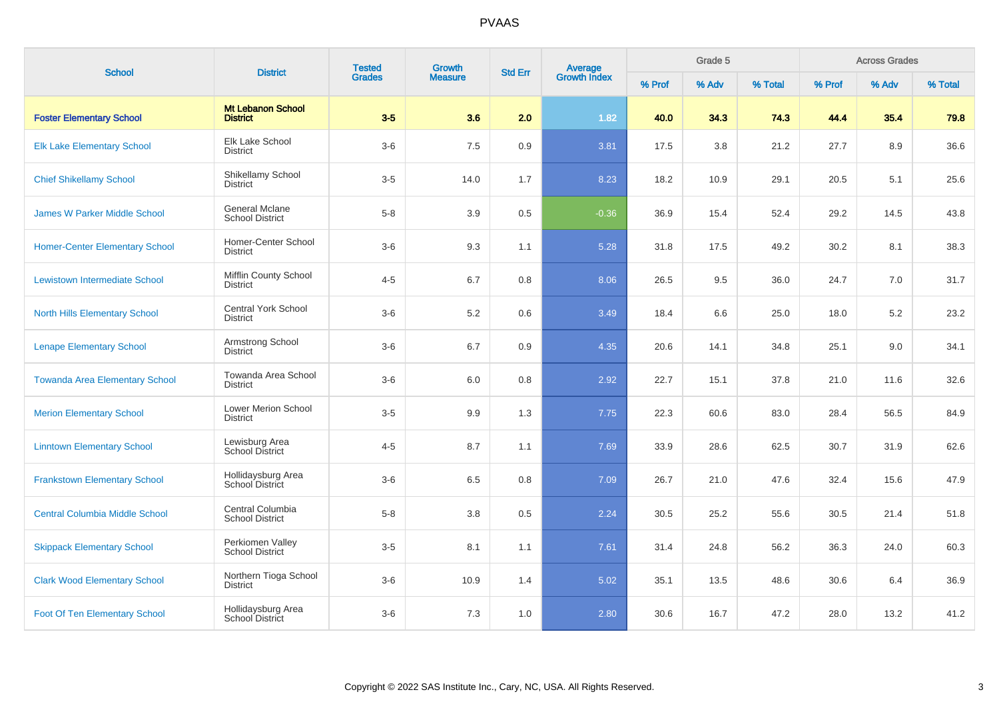| <b>School</b>                         | <b>District</b>                                 | <b>Tested</b> | Growth         | <b>Std Err</b> |                                |        | Grade 5 |         |        | <b>Across Grades</b> |         |
|---------------------------------------|-------------------------------------------------|---------------|----------------|----------------|--------------------------------|--------|---------|---------|--------|----------------------|---------|
|                                       |                                                 | <b>Grades</b> | <b>Measure</b> |                | <b>Average</b><br>Growth Index | % Prof | % Adv   | % Total | % Prof | % Adv                | % Total |
| <b>Foster Elementary School</b>       | <b>Mt Lebanon School</b><br><b>District</b>     | $3-5$         | 3.6            | 2.0            | 1.82                           | 40.0   | 34.3    | 74.3    | 44.4   | 35.4                 | 79.8    |
| <b>Elk Lake Elementary School</b>     | Elk Lake School<br><b>District</b>              | $3-6$         | 7.5            | $0.9\,$        | 3.81                           | 17.5   | 3.8     | 21.2    | 27.7   | 8.9                  | 36.6    |
| <b>Chief Shikellamy School</b>        | Shikellamy School<br><b>District</b>            | $3-5$         | 14.0           | 1.7            | 8.23                           | 18.2   | 10.9    | 29.1    | 20.5   | 5.1                  | 25.6    |
| <b>James W Parker Middle School</b>   | <b>General Mclane</b><br><b>School District</b> | $5-8$         | 3.9            | 0.5            | $-0.36$                        | 36.9   | 15.4    | 52.4    | 29.2   | 14.5                 | 43.8    |
| <b>Homer-Center Elementary School</b> | Homer-Center School<br><b>District</b>          | $3-6$         | 9.3            | 1.1            | 5.28                           | 31.8   | 17.5    | 49.2    | 30.2   | 8.1                  | 38.3    |
| Lewistown Intermediate School         | <b>Mifflin County School</b><br><b>District</b> | $4 - 5$       | 6.7            | 0.8            | 8.06                           | 26.5   | 9.5     | 36.0    | 24.7   | 7.0                  | 31.7    |
| <b>North Hills Elementary School</b>  | <b>Central York School</b><br><b>District</b>   | $3-6$         | 5.2            | 0.6            | 3.49                           | 18.4   | 6.6     | 25.0    | 18.0   | 5.2                  | 23.2    |
| <b>Lenape Elementary School</b>       | Armstrong School<br><b>District</b>             | $3-6$         | 6.7            | 0.9            | 4.35                           | 20.6   | 14.1    | 34.8    | 25.1   | 9.0                  | 34.1    |
| <b>Towanda Area Elementary School</b> | Towanda Area School<br><b>District</b>          | $3-6$         | 6.0            | 0.8            | 2.92                           | 22.7   | 15.1    | 37.8    | 21.0   | 11.6                 | 32.6    |
| <b>Merion Elementary School</b>       | Lower Merion School<br><b>District</b>          | $3-5$         | 9.9            | 1.3            | 7.75                           | 22.3   | 60.6    | 83.0    | 28.4   | 56.5                 | 84.9    |
| <b>Linntown Elementary School</b>     | Lewisburg Area<br>School District               | $4 - 5$       | 8.7            | 1.1            | 7.69                           | 33.9   | 28.6    | 62.5    | 30.7   | 31.9                 | 62.6    |
| <b>Frankstown Elementary School</b>   | Hollidaysburg Area<br>School District           | $3-6$         | 6.5            | 0.8            | 7.09                           | 26.7   | 21.0    | 47.6    | 32.4   | 15.6                 | 47.9    |
| <b>Central Columbia Middle School</b> | Central Columbia<br><b>School District</b>      | $5-8$         | 3.8            | 0.5            | 2.24                           | 30.5   | 25.2    | 55.6    | 30.5   | 21.4                 | 51.8    |
| <b>Skippack Elementary School</b>     | Perkiomen Valley<br><b>School District</b>      | $3-5$         | 8.1            | 1.1            | 7.61                           | 31.4   | 24.8    | 56.2    | 36.3   | 24.0                 | 60.3    |
| <b>Clark Wood Elementary School</b>   | Northern Tioga School<br><b>District</b>        | $3-6$         | 10.9           | 1.4            | 5.02                           | 35.1   | 13.5    | 48.6    | 30.6   | 6.4                  | 36.9    |
| <b>Foot Of Ten Elementary School</b>  | Hollidaysburg Area<br>School District           | $3-6$         | 7.3            | 1.0            | 2.80                           | 30.6   | 16.7    | 47.2    | 28.0   | 13.2                 | 41.2    |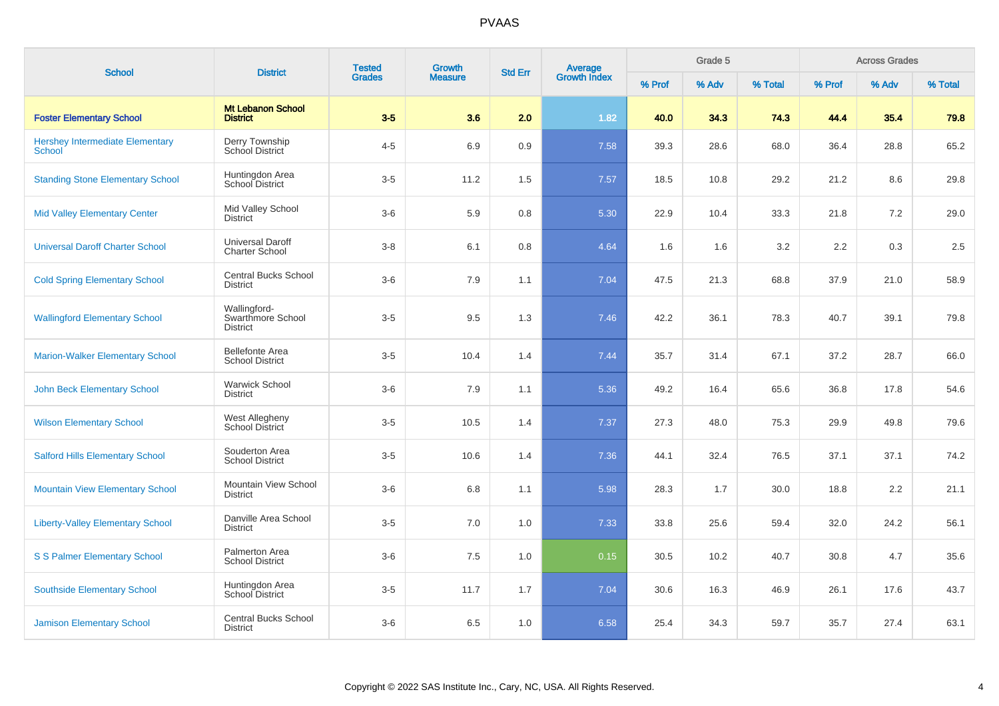| <b>School</b>                                           | <b>District</b>                                      | <b>Tested</b> | <b>Growth</b>  | <b>Std Err</b> |                                |        | Grade 5 |         |        | <b>Across Grades</b> |         |
|---------------------------------------------------------|------------------------------------------------------|---------------|----------------|----------------|--------------------------------|--------|---------|---------|--------|----------------------|---------|
|                                                         |                                                      | <b>Grades</b> | <b>Measure</b> |                | <b>Average</b><br>Growth Index | % Prof | % Adv   | % Total | % Prof | % Adv                | % Total |
| <b>Foster Elementary School</b>                         | <b>Mt Lebanon School</b><br><b>District</b>          | $3-5$         | 3.6            | 2.0            | 1.82                           | 40.0   | 34.3    | 74.3    | 44.4   | 35.4                 | 79.8    |
| <b>Hershey Intermediate Elementary</b><br><b>School</b> | Derry Township<br>School District                    | $4 - 5$       | 6.9            | 0.9            | 7.58                           | 39.3   | 28.6    | 68.0    | 36.4   | 28.8                 | 65.2    |
| <b>Standing Stone Elementary School</b>                 | Huntingdon Area<br>School District                   | $3-5$         | 11.2           | 1.5            | 7.57                           | 18.5   | 10.8    | 29.2    | 21.2   | 8.6                  | 29.8    |
| <b>Mid Valley Elementary Center</b>                     | Mid Valley School<br><b>District</b>                 | $3-6$         | 5.9            | 0.8            | 5.30                           | 22.9   | 10.4    | 33.3    | 21.8   | $7.2\,$              | 29.0    |
| <b>Universal Daroff Charter School</b>                  | <b>Universal Daroff</b><br><b>Charter School</b>     | $3-8$         | 6.1            | 0.8            | 4.64                           | 1.6    | 1.6     | 3.2     | 2.2    | 0.3                  | 2.5     |
| <b>Cold Spring Elementary School</b>                    | <b>Central Bucks School</b><br><b>District</b>       | $3-6$         | 7.9            | 1.1            | 7.04                           | 47.5   | 21.3    | 68.8    | 37.9   | 21.0                 | 58.9    |
| <b>Wallingford Elementary School</b>                    | Wallingford-<br>Swarthmore School<br><b>District</b> | $3-5$         | 9.5            | 1.3            | 7.46                           | 42.2   | 36.1    | 78.3    | 40.7   | 39.1                 | 79.8    |
| <b>Marion-Walker Elementary School</b>                  | <b>Bellefonte Area</b><br><b>School District</b>     | $3-5$         | 10.4           | 1.4            | 7.44                           | 35.7   | 31.4    | 67.1    | 37.2   | 28.7                 | 66.0    |
| <b>John Beck Elementary School</b>                      | <b>Warwick School</b><br><b>District</b>             | $3-6$         | 7.9            | 1.1            | 5.36                           | 49.2   | 16.4    | 65.6    | 36.8   | 17.8                 | 54.6    |
| <b>Wilson Elementary School</b>                         | West Allegheny<br>School District                    | $3-5$         | 10.5           | 1.4            | 7.37                           | 27.3   | 48.0    | 75.3    | 29.9   | 49.8                 | 79.6    |
| <b>Salford Hills Elementary School</b>                  | Souderton Area<br><b>School District</b>             | $3-5$         | 10.6           | 1.4            | 7.36                           | 44.1   | 32.4    | 76.5    | 37.1   | 37.1                 | 74.2    |
| <b>Mountain View Elementary School</b>                  | Mountain View School<br><b>District</b>              | $3-6$         | 6.8            | 1.1            | 5.98                           | 28.3   | 1.7     | 30.0    | 18.8   | 2.2                  | 21.1    |
| <b>Liberty-Valley Elementary School</b>                 | Danville Area School<br><b>District</b>              | $3-5$         | 7.0            | 1.0            | 7.33                           | 33.8   | 25.6    | 59.4    | 32.0   | 24.2                 | 56.1    |
| <b>S S Palmer Elementary School</b>                     | Palmerton Area<br><b>School District</b>             | $3-6$         | 7.5            | 1.0            | 0.15                           | 30.5   | 10.2    | 40.7    | 30.8   | 4.7                  | 35.6    |
| <b>Southside Elementary School</b>                      | Huntingdon Area<br><b>School District</b>            | $3-5$         | 11.7           | 1.7            | 7.04                           | 30.6   | 16.3    | 46.9    | 26.1   | 17.6                 | 43.7    |
| <b>Jamison Elementary School</b>                        | <b>Central Bucks School</b><br><b>District</b>       | $3-6$         | 6.5            | 1.0            | 6.58                           | 25.4   | 34.3    | 59.7    | 35.7   | 27.4                 | 63.1    |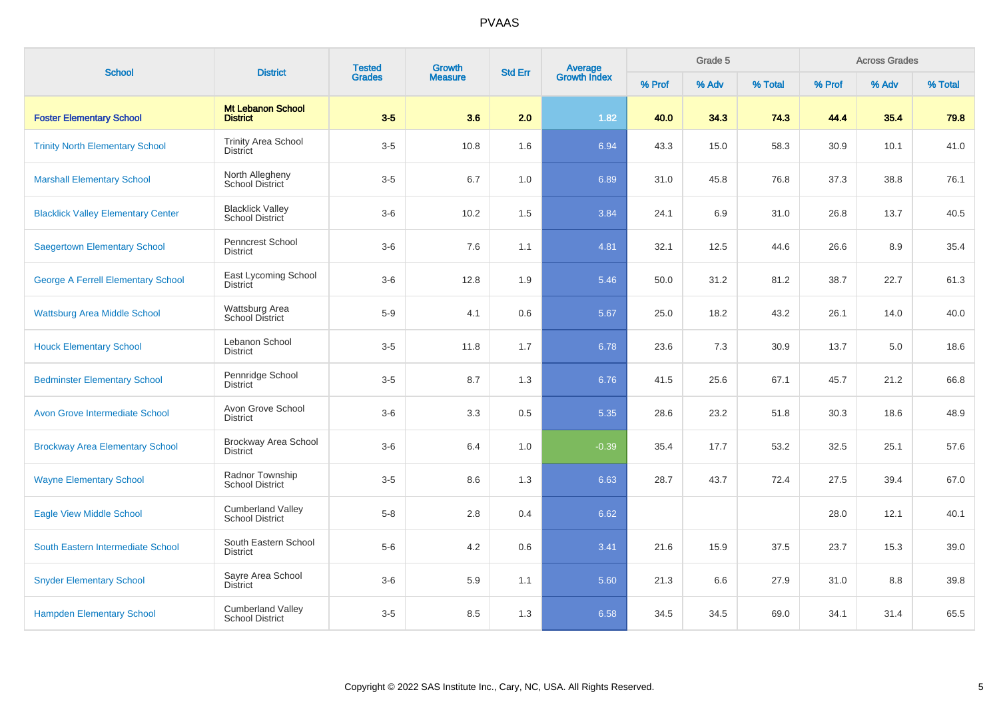| <b>School</b>                             | <b>District</b>                                    | <b>Tested</b> | Growth         | <b>Std Err</b> | <b>Average</b><br>Growth Index |        | Grade 5 |         |        | <b>Across Grades</b> |         |
|-------------------------------------------|----------------------------------------------------|---------------|----------------|----------------|--------------------------------|--------|---------|---------|--------|----------------------|---------|
|                                           |                                                    | <b>Grades</b> | <b>Measure</b> |                |                                | % Prof | % Adv   | % Total | % Prof | % Adv                | % Total |
| <b>Foster Elementary School</b>           | <b>Mt Lebanon School</b><br><b>District</b>        | $3-5$         | 3.6            | 2.0            | 1.82                           | 40.0   | 34.3    | 74.3    | 44.4   | 35.4                 | 79.8    |
| <b>Trinity North Elementary School</b>    | <b>Trinity Area School</b><br><b>District</b>      | $3-5$         | 10.8           | 1.6            | 6.94                           | 43.3   | 15.0    | 58.3    | 30.9   | 10.1                 | 41.0    |
| <b>Marshall Elementary School</b>         | North Allegheny<br><b>School District</b>          | $3-5$         | 6.7            | 1.0            | 6.89                           | 31.0   | 45.8    | 76.8    | 37.3   | 38.8                 | 76.1    |
| <b>Blacklick Valley Elementary Center</b> | <b>Blacklick Valley</b><br><b>School District</b>  | $3-6$         | 10.2           | 1.5            | 3.84                           | 24.1   | 6.9     | 31.0    | 26.8   | 13.7                 | 40.5    |
| <b>Saegertown Elementary School</b>       | Penncrest School<br>District                       | $3-6$         | 7.6            | 1.1            | 4.81                           | 32.1   | 12.5    | 44.6    | 26.6   | 8.9                  | 35.4    |
| <b>George A Ferrell Elementary School</b> | East Lycoming School<br><b>District</b>            | $3-6$         | 12.8           | 1.9            | 5.46                           | 50.0   | 31.2    | 81.2    | 38.7   | 22.7                 | 61.3    |
| <b>Wattsburg Area Middle School</b>       | Wattsburg Area<br><b>School District</b>           | $5-9$         | 4.1            | 0.6            | 5.67                           | 25.0   | 18.2    | 43.2    | 26.1   | 14.0                 | 40.0    |
| <b>Houck Elementary School</b>            | Lebanon School<br><b>District</b>                  | $3-5$         | 11.8           | 1.7            | 6.78                           | 23.6   | 7.3     | 30.9    | 13.7   | 5.0                  | 18.6    |
| <b>Bedminster Elementary School</b>       | Pennridge School<br><b>District</b>                | $3-5$         | 8.7            | 1.3            | 6.76                           | 41.5   | 25.6    | 67.1    | 45.7   | 21.2                 | 66.8    |
| <b>Avon Grove Intermediate School</b>     | Avon Grove School<br><b>District</b>               | $3-6$         | 3.3            | 0.5            | 5.35                           | 28.6   | 23.2    | 51.8    | 30.3   | 18.6                 | 48.9    |
| <b>Brockway Area Elementary School</b>    | Brockway Area School<br><b>District</b>            | $3-6$         | 6.4            | 1.0            | $-0.39$                        | 35.4   | 17.7    | 53.2    | 32.5   | 25.1                 | 57.6    |
| <b>Wayne Elementary School</b>            | Radnor Township<br><b>School District</b>          | $3-5$         | 8.6            | 1.3            | 6.63                           | 28.7   | 43.7    | 72.4    | 27.5   | 39.4                 | 67.0    |
| <b>Eagle View Middle School</b>           | <b>Cumberland Valley</b><br><b>School District</b> | $5-8$         | 2.8            | 0.4            | 6.62                           |        |         |         | 28.0   | 12.1                 | 40.1    |
| South Eastern Intermediate School         | South Eastern School<br><b>District</b>            | $5-6$         | 4.2            | 0.6            | 3.41                           | 21.6   | 15.9    | 37.5    | 23.7   | 15.3                 | 39.0    |
| <b>Snyder Elementary School</b>           | Sayre Area School<br><b>District</b>               | $3-6$         | 5.9            | 1.1            | 5.60                           | 21.3   | 6.6     | 27.9    | 31.0   | 8.8                  | 39.8    |
| <b>Hampden Elementary School</b>          | <b>Cumberland Valley</b><br><b>School District</b> | $3-5$         | 8.5            | 1.3            | 6.58                           | 34.5   | 34.5    | 69.0    | 34.1   | 31.4                 | 65.5    |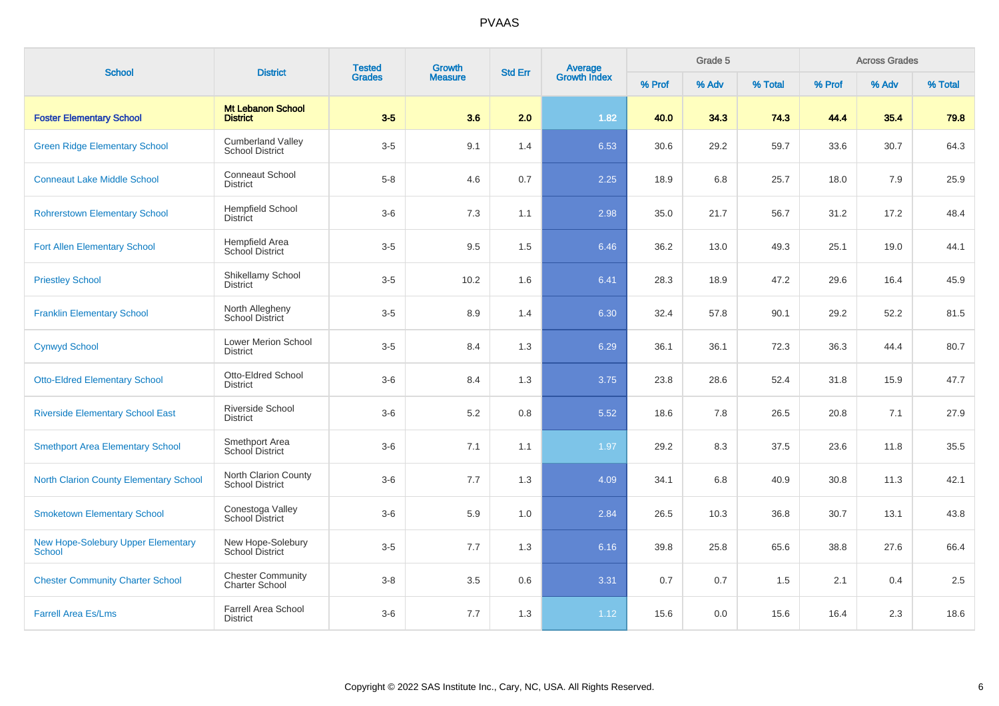| <b>School</b>                                              | <b>District</b>                                    | <b>Tested</b> | Growth         | <b>Std Err</b> | <b>Average</b><br>Growth Index |        | Grade 5 |         |        | <b>Across Grades</b> |         |
|------------------------------------------------------------|----------------------------------------------------|---------------|----------------|----------------|--------------------------------|--------|---------|---------|--------|----------------------|---------|
|                                                            |                                                    | <b>Grades</b> | <b>Measure</b> |                |                                | % Prof | % Adv   | % Total | % Prof | % Adv                | % Total |
| <b>Foster Elementary School</b>                            | <b>Mt Lebanon School</b><br><b>District</b>        | $3-5$         | 3.6            | 2.0            | 1.82                           | 40.0   | 34.3    | 74.3    | 44.4   | 35.4                 | 79.8    |
| <b>Green Ridge Elementary School</b>                       | <b>Cumberland Valley</b><br><b>School District</b> | $3-5$         | 9.1            | 1.4            | 6.53                           | 30.6   | 29.2    | 59.7    | 33.6   | 30.7                 | 64.3    |
| <b>Conneaut Lake Middle School</b>                         | <b>Conneaut School</b><br><b>District</b>          | $5 - 8$       | 4.6            | 0.7            | 2.25                           | 18.9   | 6.8     | 25.7    | 18.0   | 7.9                  | 25.9    |
| <b>Rohrerstown Elementary School</b>                       | <b>Hempfield School</b><br><b>District</b>         | $3-6$         | 7.3            | 1.1            | 2.98                           | 35.0   | 21.7    | 56.7    | 31.2   | 17.2                 | 48.4    |
| <b>Fort Allen Elementary School</b>                        | Hempfield Area<br>School District                  | $3-5$         | 9.5            | 1.5            | 6.46                           | 36.2   | 13.0    | 49.3    | 25.1   | 19.0                 | 44.1    |
| <b>Priestley School</b>                                    | Shikellamy School<br><b>District</b>               | $3-5$         | 10.2           | 1.6            | 6.41                           | 28.3   | 18.9    | 47.2    | 29.6   | 16.4                 | 45.9    |
| <b>Franklin Elementary School</b>                          | North Allegheny<br>School District                 | $3-5$         | 8.9            | 1.4            | 6.30                           | 32.4   | 57.8    | 90.1    | 29.2   | 52.2                 | 81.5    |
| <b>Cynwyd School</b>                                       | <b>Lower Merion School</b><br><b>District</b>      | $3-5$         | 8.4            | 1.3            | 6.29                           | 36.1   | 36.1    | 72.3    | 36.3   | 44.4                 | 80.7    |
| <b>Otto-Eldred Elementary School</b>                       | Otto-Eldred School<br><b>District</b>              | $3-6$         | 8.4            | 1.3            | 3.75                           | 23.8   | 28.6    | 52.4    | 31.8   | 15.9                 | 47.7    |
| <b>Riverside Elementary School East</b>                    | Riverside School<br><b>District</b>                | $3-6$         | $5.2\,$        | 0.8            | 5.52                           | 18.6   | 7.8     | 26.5    | 20.8   | 7.1                  | 27.9    |
| <b>Smethport Area Elementary School</b>                    | Smethport Area<br>School District                  | $3-6$         | 7.1            | 1.1            | 1.97                           | 29.2   | 8.3     | 37.5    | 23.6   | 11.8                 | 35.5    |
| <b>North Clarion County Elementary School</b>              | North Clarion County<br><b>School District</b>     | $3-6$         | 7.7            | 1.3            | 4.09                           | 34.1   | 6.8     | 40.9    | 30.8   | 11.3                 | 42.1    |
| <b>Smoketown Elementary School</b>                         | Conestoga Valley<br>School District                | $3-6$         | 5.9            | 1.0            | 2.84                           | 26.5   | 10.3    | 36.8    | 30.7   | 13.1                 | 43.8    |
| <b>New Hope-Solebury Upper Elementary</b><br><b>School</b> | New Hope-Solebury<br>School District               | $3-5$         | 7.7            | 1.3            | 6.16                           | 39.8   | 25.8    | 65.6    | 38.8   | 27.6                 | 66.4    |
| <b>Chester Community Charter School</b>                    | <b>Chester Community</b><br><b>Charter School</b>  | $3-8$         | 3.5            | 0.6            | 3.31                           | 0.7    | 0.7     | 1.5     | 2.1    | 0.4                  | 2.5     |
| <b>Farrell Area Es/Lms</b>                                 | Farrell Area School<br><b>District</b>             | $3-6$         | 7.7            | 1.3            | 1.12                           | 15.6   | 0.0     | 15.6    | 16.4   | 2.3                  | 18.6    |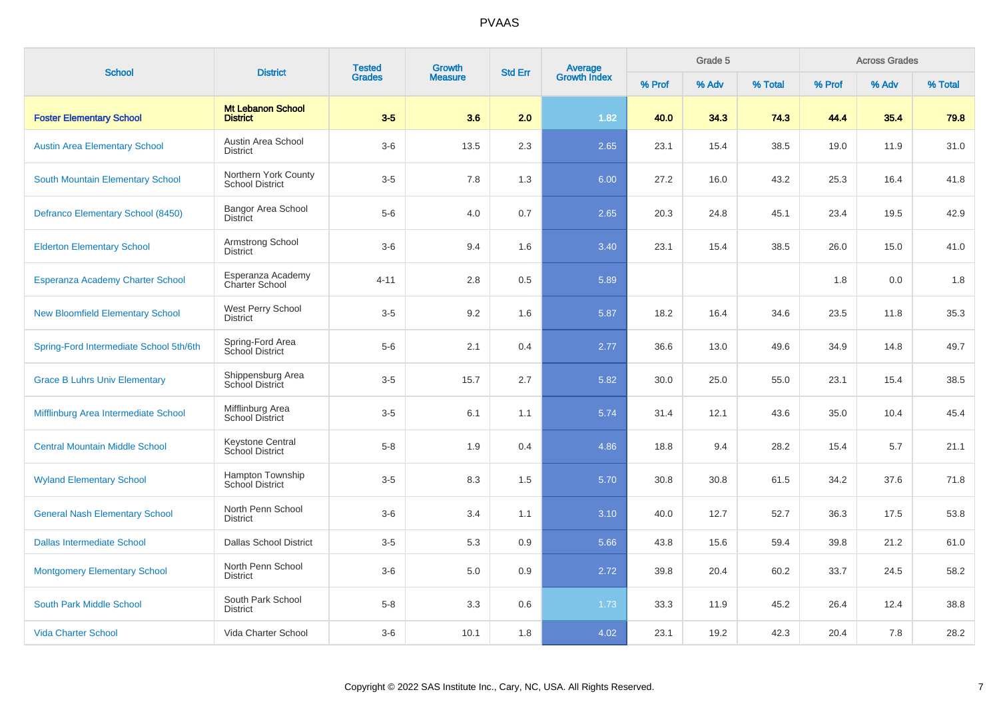|                                         |                                                | <b>Tested</b> | Growth         |                |                         |        | Grade 5 |         |        | <b>Across Grades</b> |         |
|-----------------------------------------|------------------------------------------------|---------------|----------------|----------------|-------------------------|--------|---------|---------|--------|----------------------|---------|
| <b>School</b>                           | <b>District</b>                                | <b>Grades</b> | <b>Measure</b> | <b>Std Err</b> | Average<br>Growth Index | % Prof | % Adv   | % Total | % Prof | % Adv                | % Total |
| <b>Foster Elementary School</b>         | <b>Mt Lebanon School</b><br><b>District</b>    | $3-5$         | 3.6            | 2.0            | 1.82                    | 40.0   | 34.3    | 74.3    | 44.4   | 35.4                 | 79.8    |
| <b>Austin Area Elementary School</b>    | Austin Area School<br><b>District</b>          | $3-6$         | 13.5           | 2.3            | 2.65                    | 23.1   | 15.4    | 38.5    | 19.0   | 11.9                 | 31.0    |
| <b>South Mountain Elementary School</b> | Northern York County<br><b>School District</b> | $3-5$         | 7.8            | 1.3            | 6.00                    | 27.2   | 16.0    | 43.2    | 25.3   | 16.4                 | 41.8    |
| Defranco Elementary School (8450)       | Bangor Area School<br><b>District</b>          | $5-6$         | 4.0            | 0.7            | 2.65                    | 20.3   | 24.8    | 45.1    | 23.4   | 19.5                 | 42.9    |
| <b>Elderton Elementary School</b>       | Armstrong School<br><b>District</b>            | $3-6$         | 9.4            | 1.6            | 3.40                    | 23.1   | 15.4    | 38.5    | 26.0   | 15.0                 | 41.0    |
| Esperanza Academy Charter School        | Esperanza Academy<br><b>Charter School</b>     | $4 - 11$      | 2.8            | 0.5            | 5.89                    |        |         |         | 1.8    | 0.0                  | 1.8     |
| <b>New Bloomfield Elementary School</b> | <b>West Perry School</b><br><b>District</b>    | $3-5$         | 9.2            | 1.6            | 5.87                    | 18.2   | 16.4    | 34.6    | 23.5   | 11.8                 | 35.3    |
| Spring-Ford Intermediate School 5th/6th | Spring-Ford Area<br>School District            | $5-6$         | 2.1            | 0.4            | 2.77                    | 36.6   | 13.0    | 49.6    | 34.9   | 14.8                 | 49.7    |
| <b>Grace B Luhrs Univ Elementary</b>    | Shippensburg Area<br>School District           | $3-5$         | 15.7           | 2.7            | 5.82                    | 30.0   | 25.0    | 55.0    | 23.1   | 15.4                 | 38.5    |
| Mifflinburg Area Intermediate School    | Mifflinburg Area<br>School District            | $3-5$         | 6.1            | 1.1            | 5.74                    | 31.4   | 12.1    | 43.6    | 35.0   | 10.4                 | 45.4    |
| <b>Central Mountain Middle School</b>   | Keystone Central<br>School District            | $5 - 8$       | 1.9            | 0.4            | 4.86                    | 18.8   | 9.4     | 28.2    | 15.4   | 5.7                  | 21.1    |
| <b>Wyland Elementary School</b>         | Hampton Township<br>School District            | $3-5$         | 8.3            | 1.5            | 5.70                    | 30.8   | 30.8    | 61.5    | 34.2   | 37.6                 | 71.8    |
| <b>General Nash Elementary School</b>   | North Penn School<br><b>District</b>           | $3-6$         | 3.4            | 1.1            | 3.10                    | 40.0   | 12.7    | 52.7    | 36.3   | 17.5                 | 53.8    |
| <b>Dallas Intermediate School</b>       | <b>Dallas School District</b>                  | $3-5$         | 5.3            | 0.9            | 5.66                    | 43.8   | 15.6    | 59.4    | 39.8   | 21.2                 | 61.0    |
| <b>Montgomery Elementary School</b>     | North Penn School<br><b>District</b>           | $3-6$         | 5.0            | 0.9            | 2.72                    | 39.8   | 20.4    | 60.2    | 33.7   | 24.5                 | 58.2    |
| South Park Middle School                | South Park School<br><b>District</b>           | $5-8$         | 3.3            | 0.6            | 1.73                    | 33.3   | 11.9    | 45.2    | 26.4   | 12.4                 | 38.8    |
| <b>Vida Charter School</b>              | Vida Charter School                            | $3-6$         | 10.1           | 1.8            | 4.02                    | 23.1   | 19.2    | 42.3    | 20.4   | 7.8                  | 28.2    |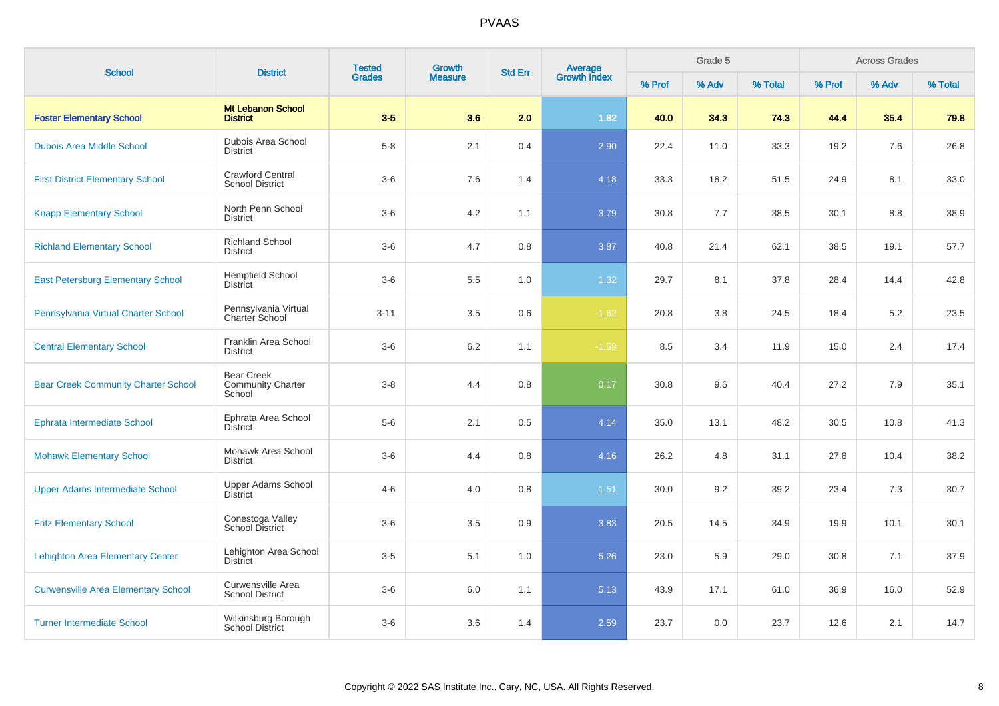| <b>School</b>                              | <b>District</b>                                         | <b>Tested</b> | <b>Growth</b>  | <b>Std Err</b> | Average<br>Growth Index |        | Grade 5 |         |        | <b>Across Grades</b> |         |
|--------------------------------------------|---------------------------------------------------------|---------------|----------------|----------------|-------------------------|--------|---------|---------|--------|----------------------|---------|
|                                            |                                                         | <b>Grades</b> | <b>Measure</b> |                |                         | % Prof | % Adv   | % Total | % Prof | % Adv                | % Total |
| <b>Foster Elementary School</b>            | <b>Mt Lebanon School</b><br><b>District</b>             | $3-5$         | 3.6            | 2.0            | 1.82                    | 40.0   | 34.3    | 74.3    | 44.4   | 35.4                 | 79.8    |
| <b>Dubois Area Middle School</b>           | Dubois Area School<br><b>District</b>                   | $5-8$         | 2.1            | 0.4            | 2.90                    | 22.4   | 11.0    | 33.3    | 19.2   | 7.6                  | 26.8    |
| <b>First District Elementary School</b>    | <b>Crawford Central</b><br><b>School District</b>       | $3-6$         | 7.6            | 1.4            | 4.18                    | 33.3   | 18.2    | 51.5    | 24.9   | 8.1                  | 33.0    |
| <b>Knapp Elementary School</b>             | North Penn School<br><b>District</b>                    | $3-6$         | 4.2            | 1.1            | 3.79                    | 30.8   | 7.7     | 38.5    | 30.1   | 8.8                  | 38.9    |
| <b>Richland Elementary School</b>          | <b>Richland School</b><br><b>District</b>               | $3-6$         | 4.7            | 0.8            | 3.87                    | 40.8   | 21.4    | 62.1    | 38.5   | 19.1                 | 57.7    |
| <b>East Petersburg Elementary School</b>   | <b>Hempfield School</b><br><b>District</b>              | $3-6$         | 5.5            | 1.0            | 1.32                    | 29.7   | 8.1     | 37.8    | 28.4   | 14.4                 | 42.8    |
| Pennsylvania Virtual Charter School        | Pennsylvania Virtual<br>Charter School                  | $3 - 11$      | 3.5            | 0.6            | $-1.62$                 | 20.8   | 3.8     | 24.5    | 18.4   | 5.2                  | 23.5    |
| <b>Central Elementary School</b>           | Franklin Area School<br><b>District</b>                 | $3-6$         | 6.2            | 1.1            | $-1.59$                 | 8.5    | 3.4     | 11.9    | 15.0   | 2.4                  | 17.4    |
| <b>Bear Creek Community Charter School</b> | <b>Bear Creek</b><br><b>Community Charter</b><br>School | $3-8$         | 4.4            | 0.8            | 0.17                    | 30.8   | 9.6     | 40.4    | 27.2   | 7.9                  | 35.1    |
| <b>Ephrata Intermediate School</b>         | Ephrata Area School<br>District                         | $5-6$         | 2.1            | 0.5            | 4.14                    | 35.0   | 13.1    | 48.2    | 30.5   | 10.8                 | 41.3    |
| <b>Mohawk Elementary School</b>            | Mohawk Area School<br><b>District</b>                   | $3-6$         | 4.4            | 0.8            | 4.16                    | 26.2   | 4.8     | 31.1    | 27.8   | 10.4                 | 38.2    |
| <b>Upper Adams Intermediate School</b>     | <b>Upper Adams School</b><br>District                   | $4 - 6$       | 4.0            | 0.8            | 1.51                    | 30.0   | 9.2     | 39.2    | 23.4   | 7.3                  | 30.7    |
| <b>Fritz Elementary School</b>             | Conestoga Valley<br><b>School District</b>              | $3-6$         | 3.5            | 0.9            | 3.83                    | 20.5   | 14.5    | 34.9    | 19.9   | 10.1                 | 30.1    |
| <b>Lehighton Area Elementary Center</b>    | Lehighton Area School<br><b>District</b>                | $3-5$         | 5.1            | 1.0            | 5.26                    | 23.0   | 5.9     | 29.0    | 30.8   | 7.1                  | 37.9    |
| <b>Curwensville Area Elementary School</b> | Curwensville Area<br><b>School District</b>             | $3-6$         | 6.0            | 1.1            | 5.13                    | 43.9   | 17.1    | 61.0    | 36.9   | 16.0                 | 52.9    |
| <b>Turner Intermediate School</b>          | Wilkinsburg Borough<br><b>School District</b>           | $3-6$         | 3.6            | 1.4            | 2.59                    | 23.7   | 0.0     | 23.7    | 12.6   | 2.1                  | 14.7    |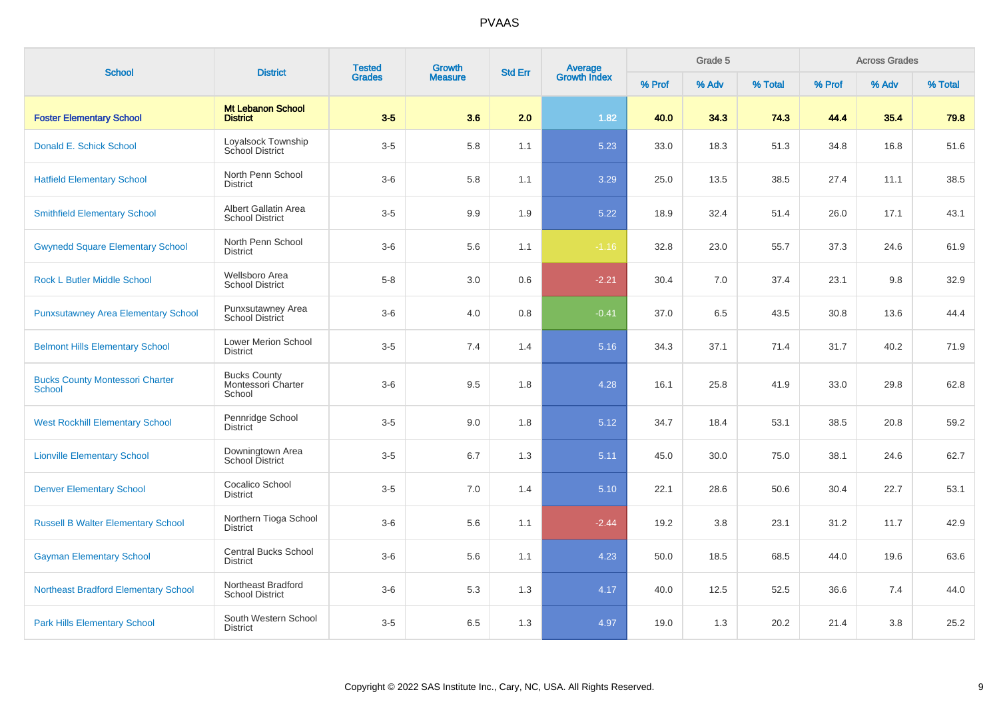| <b>School</b>                                           | <b>District</b>                                     | <b>Tested</b> | <b>Growth</b>  | <b>Std Err</b> | Average<br>Growth Index |        | Grade 5 |         |        | <b>Across Grades</b> |         |
|---------------------------------------------------------|-----------------------------------------------------|---------------|----------------|----------------|-------------------------|--------|---------|---------|--------|----------------------|---------|
|                                                         |                                                     | <b>Grades</b> | <b>Measure</b> |                |                         | % Prof | % Adv   | % Total | % Prof | % Adv                | % Total |
| <b>Foster Elementary School</b>                         | <b>Mt Lebanon School</b><br><b>District</b>         | $3-5$         | 3.6            | 2.0            | 1.82                    | 40.0   | 34.3    | 74.3    | 44.4   | 35.4                 | 79.8    |
| Donald E. Schick School                                 | Loyalsock Township<br><b>School District</b>        | $3-5$         | 5.8            | 1.1            | 5.23                    | 33.0   | 18.3    | 51.3    | 34.8   | 16.8                 | 51.6    |
| <b>Hatfield Elementary School</b>                       | North Penn School<br><b>District</b>                | $3-6$         | 5.8            | 1.1            | 3.29                    | 25.0   | 13.5    | 38.5    | 27.4   | 11.1                 | 38.5    |
| <b>Smithfield Elementary School</b>                     | Albert Gallatin Area<br><b>School District</b>      | $3-5$         | 9.9            | 1.9            | 5.22                    | 18.9   | 32.4    | 51.4    | 26.0   | 17.1                 | 43.1    |
| <b>Gwynedd Square Elementary School</b>                 | North Penn School<br><b>District</b>                | $3-6$         | 5.6            | 1.1            | $-1.16$                 | 32.8   | 23.0    | 55.7    | 37.3   | 24.6                 | 61.9    |
| <b>Rock L Butler Middle School</b>                      | Wellsboro Area<br><b>School District</b>            | $5-8$         | 3.0            | 0.6            | $-2.21$                 | 30.4   | 7.0     | 37.4    | 23.1   | 9.8                  | 32.9    |
| <b>Punxsutawney Area Elementary School</b>              | Punxsutawney Area<br><b>School District</b>         | $3-6$         | 4.0            | 0.8            | $-0.41$                 | 37.0   | 6.5     | 43.5    | 30.8   | 13.6                 | 44.4    |
| <b>Belmont Hills Elementary School</b>                  | <b>Lower Merion School</b><br><b>District</b>       | $3-5$         | 7.4            | 1.4            | 5.16                    | 34.3   | 37.1    | 71.4    | 31.7   | 40.2                 | 71.9    |
| <b>Bucks County Montessori Charter</b><br><b>School</b> | <b>Bucks County</b><br>Montessori Charter<br>School | $3-6$         | 9.5            | 1.8            | 4.28                    | 16.1   | 25.8    | 41.9    | 33.0   | 29.8                 | 62.8    |
| <b>West Rockhill Elementary School</b>                  | Pennridge School<br><b>District</b>                 | $3-5$         | 9.0            | 1.8            | 5.12                    | 34.7   | 18.4    | 53.1    | 38.5   | 20.8                 | 59.2    |
| <b>Lionville Elementary School</b>                      | Downingtown Area<br>School District                 | $3-5$         | 6.7            | 1.3            | 5.11                    | 45.0   | 30.0    | 75.0    | 38.1   | 24.6                 | 62.7    |
| <b>Denver Elementary School</b>                         | Cocalico School<br><b>District</b>                  | $3-5$         | 7.0            | 1.4            | 5.10                    | 22.1   | 28.6    | 50.6    | 30.4   | 22.7                 | 53.1    |
| <b>Russell B Walter Elementary School</b>               | Northern Tioga School<br><b>District</b>            | $3-6$         | 5.6            | 1.1            | $-2.44$                 | 19.2   | 3.8     | 23.1    | 31.2   | 11.7                 | 42.9    |
| <b>Gayman Elementary School</b>                         | <b>Central Bucks School</b><br><b>District</b>      | $3-6$         | 5.6            | 1.1            | 4.23                    | 50.0   | 18.5    | 68.5    | 44.0   | 19.6                 | 63.6    |
| <b>Northeast Bradford Elementary School</b>             | Northeast Bradford<br><b>School District</b>        | $3-6$         | 5.3            | 1.3            | 4.17                    | 40.0   | 12.5    | 52.5    | 36.6   | 7.4                  | 44.0    |
| <b>Park Hills Elementary School</b>                     | South Western School<br><b>District</b>             | $3-5$         | 6.5            | 1.3            | 4.97                    | 19.0   | 1.3     | 20.2    | 21.4   | 3.8                  | 25.2    |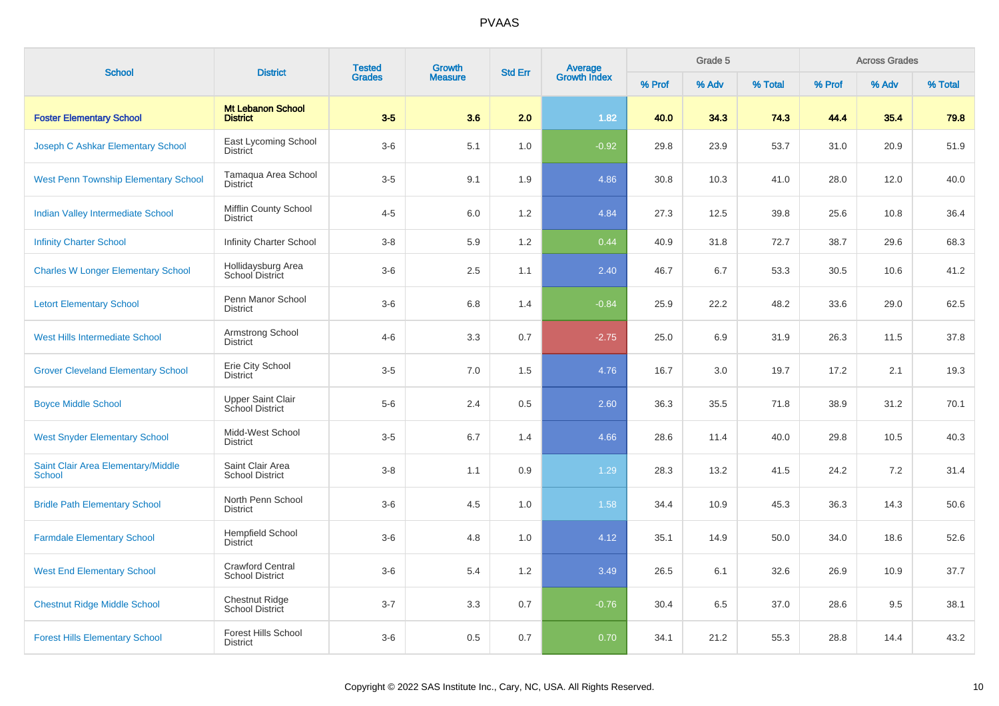| <b>School</b>                                       | <b>District</b>                                   | <b>Tested</b> | <b>Growth</b>  | <b>Std Err</b> |                                |        | Grade 5 |         |        | <b>Across Grades</b> |         |
|-----------------------------------------------------|---------------------------------------------------|---------------|----------------|----------------|--------------------------------|--------|---------|---------|--------|----------------------|---------|
|                                                     |                                                   | <b>Grades</b> | <b>Measure</b> |                | <b>Average</b><br>Growth Index | % Prof | % Adv   | % Total | % Prof | % Adv                | % Total |
| <b>Foster Elementary School</b>                     | <b>Mt Lebanon School</b><br><b>District</b>       | $3-5$         | 3.6            | 2.0            | 1.82                           | 40.0   | 34.3    | 74.3    | 44.4   | 35.4                 | 79.8    |
| Joseph C Ashkar Elementary School                   | East Lycoming School<br><b>District</b>           | $3-6$         | 5.1            | 1.0            | $-0.92$                        | 29.8   | 23.9    | 53.7    | 31.0   | 20.9                 | 51.9    |
| <b>West Penn Township Elementary School</b>         | Tamaqua Area School<br><b>District</b>            | $3-5$         | 9.1            | 1.9            | 4.86                           | 30.8   | 10.3    | 41.0    | 28.0   | 12.0                 | 40.0    |
| <b>Indian Valley Intermediate School</b>            | Mifflin County School<br><b>District</b>          | $4 - 5$       | 6.0            | 1.2            | 4.84                           | 27.3   | 12.5    | 39.8    | 25.6   | 10.8                 | 36.4    |
| <b>Infinity Charter School</b>                      | <b>Infinity Charter School</b>                    | $3-8$         | 5.9            | 1.2            | 0.44                           | 40.9   | 31.8    | 72.7    | 38.7   | 29.6                 | 68.3    |
| <b>Charles W Longer Elementary School</b>           | Hollidaysburg Area<br>School District             | $3-6$         | 2.5            | 1.1            | 2.40                           | 46.7   | 6.7     | 53.3    | 30.5   | 10.6                 | 41.2    |
| <b>Letort Elementary School</b>                     | Penn Manor School<br><b>District</b>              | $3-6$         | 6.8            | 1.4            | $-0.84$                        | 25.9   | 22.2    | 48.2    | 33.6   | 29.0                 | 62.5    |
| <b>West Hills Intermediate School</b>               | Armstrong School<br><b>District</b>               | $4 - 6$       | 3.3            | 0.7            | $-2.75$                        | 25.0   | 6.9     | 31.9    | 26.3   | 11.5                 | 37.8    |
| <b>Grover Cleveland Elementary School</b>           | Erie City School<br><b>District</b>               | $3-5$         | 7.0            | 1.5            | 4.76                           | 16.7   | 3.0     | 19.7    | 17.2   | 2.1                  | 19.3    |
| <b>Boyce Middle School</b>                          | <b>Upper Saint Clair</b><br>School District       | $5-6$         | 2.4            | 0.5            | 2.60                           | 36.3   | 35.5    | 71.8    | 38.9   | 31.2                 | 70.1    |
| <b>West Snyder Elementary School</b>                | Midd-West School<br><b>District</b>               | $3-5$         | 6.7            | 1.4            | 4.66                           | 28.6   | 11.4    | 40.0    | 29.8   | 10.5                 | 40.3    |
| Saint Clair Area Elementary/Middle<br><b>School</b> | Saint Clair Area<br><b>School District</b>        | $3-8$         | 1.1            | 0.9            | 1.29                           | 28.3   | 13.2    | 41.5    | 24.2   | 7.2                  | 31.4    |
| <b>Bridle Path Elementary School</b>                | North Penn School<br><b>District</b>              | $3-6$         | 4.5            | 1.0            | 1.58                           | 34.4   | 10.9    | 45.3    | 36.3   | 14.3                 | 50.6    |
| <b>Farmdale Elementary School</b>                   | <b>Hempfield School</b><br>District               | $3-6$         | 4.8            | 1.0            | 4.12                           | 35.1   | 14.9    | 50.0    | 34.0   | 18.6                 | 52.6    |
| <b>West End Elementary School</b>                   | <b>Crawford Central</b><br><b>School District</b> | $3-6$         | 5.4            | 1.2            | 3.49                           | 26.5   | 6.1     | 32.6    | 26.9   | 10.9                 | 37.7    |
| <b>Chestnut Ridge Middle School</b>                 | <b>Chestnut Ridge</b><br>School District          | $3 - 7$       | 3.3            | 0.7            | $-0.76$                        | 30.4   | 6.5     | 37.0    | 28.6   | 9.5                  | 38.1    |
| <b>Forest Hills Elementary School</b>               | <b>Forest Hills School</b><br><b>District</b>     | $3-6$         | 0.5            | 0.7            | 0.70                           | 34.1   | 21.2    | 55.3    | 28.8   | 14.4                 | 43.2    |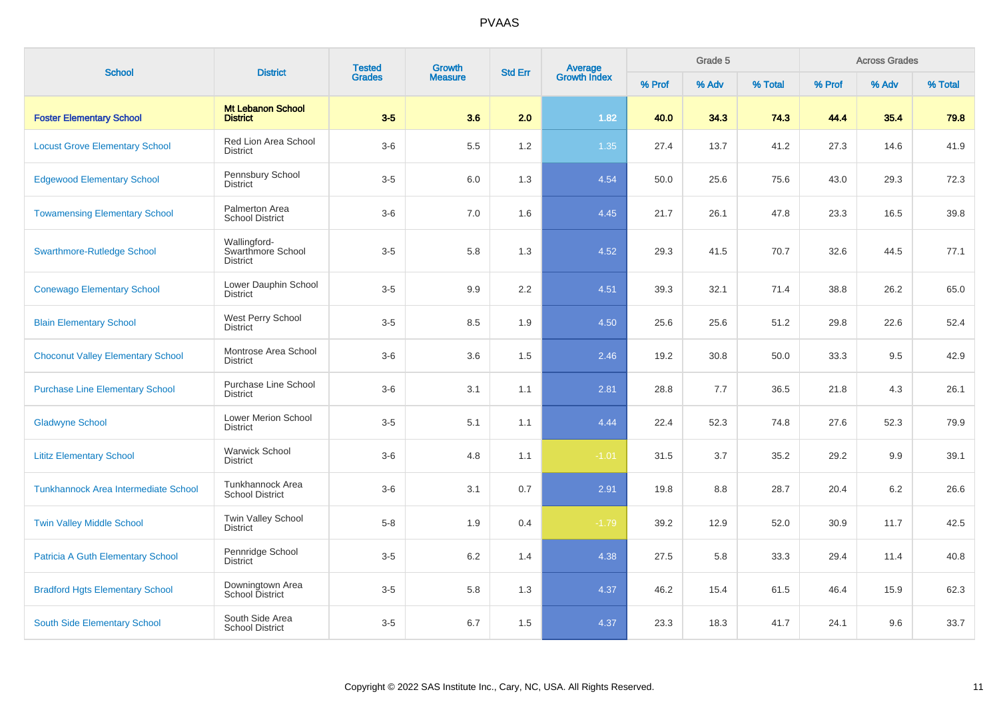| <b>School</b>                            | <b>District</b>                                      | <b>Tested</b> | <b>Growth</b>  | <b>Std Err</b> | Average<br>Growth Index |        | Grade 5 |         |        | <b>Across Grades</b> |         |
|------------------------------------------|------------------------------------------------------|---------------|----------------|----------------|-------------------------|--------|---------|---------|--------|----------------------|---------|
|                                          |                                                      | <b>Grades</b> | <b>Measure</b> |                |                         | % Prof | % Adv   | % Total | % Prof | % Adv                | % Total |
| <b>Foster Elementary School</b>          | <b>Mt Lebanon School</b><br><b>District</b>          | $3-5$         | 3.6            | 2.0            | 1.82                    | 40.0   | 34.3    | 74.3    | 44.4   | 35.4                 | 79.8    |
| <b>Locust Grove Elementary School</b>    | Red Lion Area School<br><b>District</b>              | $3-6$         | 5.5            | 1.2            | 1.35                    | 27.4   | 13.7    | 41.2    | 27.3   | 14.6                 | 41.9    |
| <b>Edgewood Elementary School</b>        | Pennsbury School<br>District                         | $3-5$         | 6.0            | 1.3            | 4.54                    | 50.0   | 25.6    | 75.6    | 43.0   | 29.3                 | 72.3    |
| <b>Towamensing Elementary School</b>     | Palmerton Area<br><b>School District</b>             | $3-6$         | 7.0            | 1.6            | 4.45                    | 21.7   | 26.1    | 47.8    | 23.3   | 16.5                 | 39.8    |
| <b>Swarthmore-Rutledge School</b>        | Wallingford-<br>Swarthmore School<br><b>District</b> | $3-5$         | 5.8            | 1.3            | 4.52                    | 29.3   | 41.5    | 70.7    | 32.6   | 44.5                 | 77.1    |
| <b>Conewago Elementary School</b>        | Lower Dauphin School<br><b>District</b>              | $3-5$         | 9.9            | 2.2            | 4.51                    | 39.3   | 32.1    | 71.4    | 38.8   | 26.2                 | 65.0    |
| <b>Blain Elementary School</b>           | West Perry School<br>District                        | $3-5$         | 8.5            | 1.9            | 4.50                    | 25.6   | 25.6    | 51.2    | 29.8   | 22.6                 | 52.4    |
| <b>Choconut Valley Elementary School</b> | Montrose Area School<br><b>District</b>              | $3-6$         | 3.6            | 1.5            | 2.46                    | 19.2   | 30.8    | 50.0    | 33.3   | 9.5                  | 42.9    |
| <b>Purchase Line Elementary School</b>   | <b>Purchase Line School</b><br><b>District</b>       | $3-6$         | 3.1            | 1.1            | 2.81                    | 28.8   | 7.7     | 36.5    | 21.8   | 4.3                  | 26.1    |
| <b>Gladwyne School</b>                   | Lower Merion School<br><b>District</b>               | $3-5$         | 5.1            | 1.1            | 4.44                    | 22.4   | 52.3    | 74.8    | 27.6   | 52.3                 | 79.9    |
| <b>Lititz Elementary School</b>          | <b>Warwick School</b><br><b>District</b>             | $3-6$         | 4.8            | 1.1            | $-1.01$                 | 31.5   | 3.7     | 35.2    | 29.2   | 9.9                  | 39.1    |
| Tunkhannock Area Intermediate School     | Tunkhannock Area<br><b>School District</b>           | $3-6$         | 3.1            | 0.7            | 2.91                    | 19.8   | 8.8     | 28.7    | 20.4   | 6.2                  | 26.6    |
| <b>Twin Valley Middle School</b>         | Twin Valley School<br><b>District</b>                | $5-8$         | 1.9            | 0.4            | $-1.79$                 | 39.2   | 12.9    | 52.0    | 30.9   | 11.7                 | 42.5    |
| <b>Patricia A Guth Elementary School</b> | Pennridge School<br><b>District</b>                  | $3-5$         | 6.2            | 1.4            | 4.38                    | 27.5   | 5.8     | 33.3    | 29.4   | 11.4                 | 40.8    |
| <b>Bradford Hgts Elementary School</b>   | Downingtown Area<br><b>School District</b>           | $3-5$         | 5.8            | 1.3            | 4.37                    | 46.2   | 15.4    | 61.5    | 46.4   | 15.9                 | 62.3    |
| South Side Elementary School             | South Side Area<br><b>School District</b>            | $3-5$         | 6.7            | 1.5            | 4.37                    | 23.3   | 18.3    | 41.7    | 24.1   | 9.6                  | 33.7    |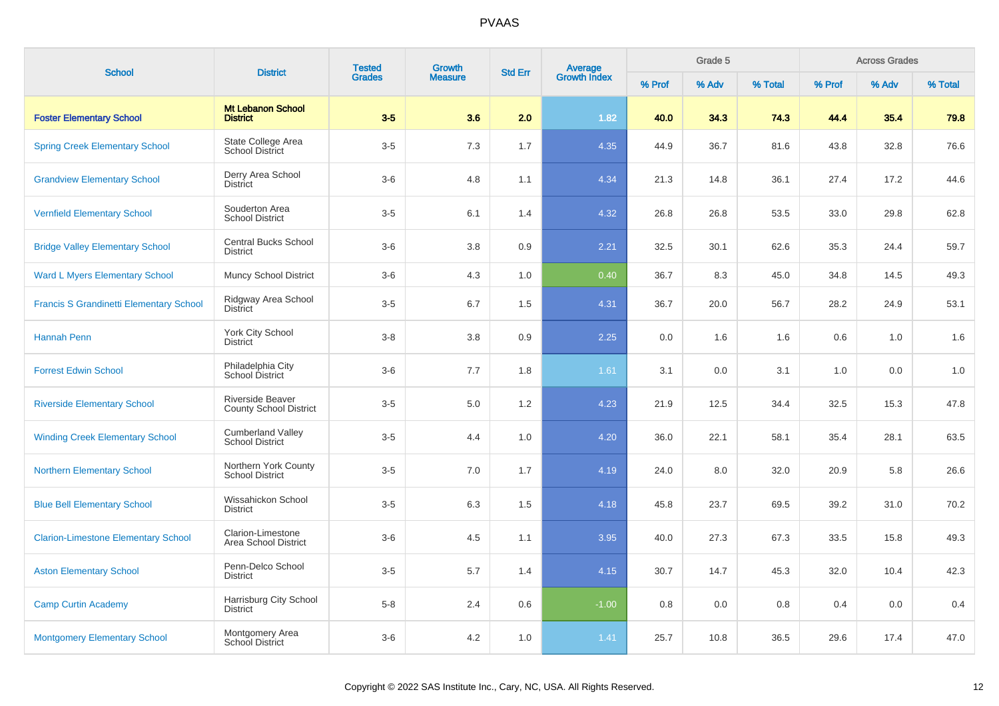| <b>School</b>                                  | <b>District</b>                                          | <b>Tested</b> | <b>Growth</b> | <b>Average</b><br>Growth Index<br><b>Std Err</b><br><b>Measure</b> | Grade 5 |        |       | <b>Across Grades</b> |        |       |         |
|------------------------------------------------|----------------------------------------------------------|---------------|---------------|--------------------------------------------------------------------|---------|--------|-------|----------------------|--------|-------|---------|
|                                                |                                                          | <b>Grades</b> |               |                                                                    |         | % Prof | % Adv | % Total              | % Prof | % Adv | % Total |
| <b>Foster Elementary School</b>                | <b>Mt Lebanon School</b><br><b>District</b>              | $3-5$         | 3.6           | 2.0                                                                | 1.82    | 40.0   | 34.3  | 74.3                 | 44.4   | 35.4  | 79.8    |
| <b>Spring Creek Elementary School</b>          | State College Area<br><b>School District</b>             | $3-5$         | 7.3           | 1.7                                                                | 4.35    | 44.9   | 36.7  | 81.6                 | 43.8   | 32.8  | 76.6    |
| <b>Grandview Elementary School</b>             | Derry Area School<br><b>District</b>                     | $3-6$         | 4.8           | 1.1                                                                | 4.34    | 21.3   | 14.8  | 36.1                 | 27.4   | 17.2  | 44.6    |
| <b>Vernfield Elementary School</b>             | Souderton Area<br><b>School District</b>                 | $3-5$         | 6.1           | 1.4                                                                | 4.32    | 26.8   | 26.8  | 53.5                 | 33.0   | 29.8  | 62.8    |
| <b>Bridge Valley Elementary School</b>         | <b>Central Bucks School</b><br><b>District</b>           | $3-6$         | 3.8           | 0.9                                                                | 2.21    | 32.5   | 30.1  | 62.6                 | 35.3   | 24.4  | 59.7    |
| <b>Ward L Myers Elementary School</b>          | <b>Muncy School District</b>                             | $3-6$         | 4.3           | 1.0                                                                | 0.40    | 36.7   | 8.3   | 45.0                 | 34.8   | 14.5  | 49.3    |
| <b>Francis S Grandinetti Elementary School</b> | Ridgway Area School<br><b>District</b>                   | $3-5$         | 6.7           | 1.5                                                                | 4.31    | 36.7   | 20.0  | 56.7                 | 28.2   | 24.9  | 53.1    |
| <b>Hannah Penn</b>                             | York City School<br><b>District</b>                      | $3-8$         | 3.8           | 0.9                                                                | 2.25    | 0.0    | 1.6   | 1.6                  | 0.6    | 1.0   | 1.6     |
| <b>Forrest Edwin School</b>                    | Philadelphia City<br>School District                     | $3-6$         | 7.7           | 1.8                                                                | 1.61    | 3.1    | 0.0   | 3.1                  | 1.0    | 0.0   | 1.0     |
| <b>Riverside Elementary School</b>             | <b>Riverside Beaver</b><br><b>County School District</b> | $3-5$         | 5.0           | 1.2                                                                | 4.23    | 21.9   | 12.5  | 34.4                 | 32.5   | 15.3  | 47.8    |
| <b>Winding Creek Elementary School</b>         | <b>Cumberland Valley</b><br><b>School District</b>       | $3-5$         | 4.4           | 1.0                                                                | 4.20    | 36.0   | 22.1  | 58.1                 | 35.4   | 28.1  | 63.5    |
| <b>Northern Elementary School</b>              | Northern York County<br><b>School District</b>           | $3-5$         | 7.0           | 1.7                                                                | 4.19    | 24.0   | 8.0   | 32.0                 | 20.9   | 5.8   | 26.6    |
| <b>Blue Bell Elementary School</b>             | Wissahickon School<br><b>District</b>                    | $3-5$         | 6.3           | 1.5                                                                | 4.18    | 45.8   | 23.7  | 69.5                 | 39.2   | 31.0  | 70.2    |
| <b>Clarion-Limestone Elementary School</b>     | Clarion-Limestone<br>Area School District                | $3-6$         | 4.5           | 1.1                                                                | 3.95    | 40.0   | 27.3  | 67.3                 | 33.5   | 15.8  | 49.3    |
| <b>Aston Elementary School</b>                 | Penn-Delco School<br><b>District</b>                     | $3-5$         | 5.7           | 1.4                                                                | 4.15    | 30.7   | 14.7  | 45.3                 | 32.0   | 10.4  | 42.3    |
| <b>Camp Curtin Academy</b>                     | Harrisburg City School<br><b>District</b>                | $5-8$         | 2.4           | 0.6                                                                | $-1.00$ | 0.8    | 0.0   | 0.8                  | 0.4    | 0.0   | 0.4     |
| <b>Montgomery Elementary School</b>            | Montgomery Area<br>School District                       | $3-6$         | 4.2           | 1.0                                                                | 1.41    | 25.7   | 10.8  | 36.5                 | 29.6   | 17.4  | 47.0    |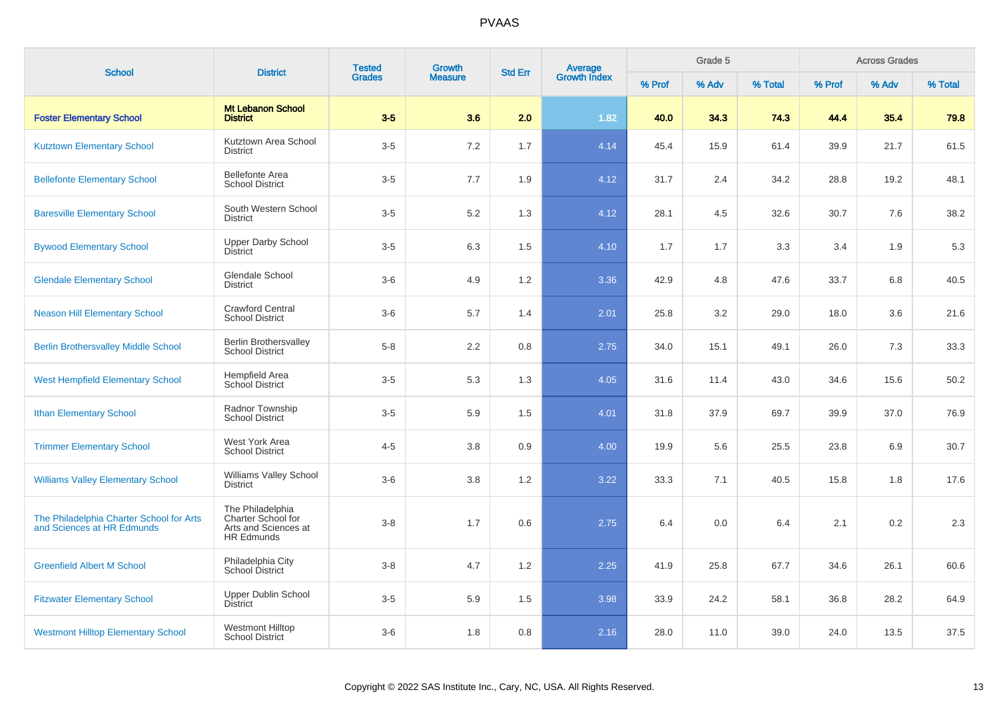| <b>School</b>                                                          | <b>District</b>                                                                     | <b>Tested</b> | <b>Growth</b>  | <b>Std Err</b> | Average<br>Growth Index |        | Grade 5 |         |        | <b>Across Grades</b> |         |
|------------------------------------------------------------------------|-------------------------------------------------------------------------------------|---------------|----------------|----------------|-------------------------|--------|---------|---------|--------|----------------------|---------|
|                                                                        |                                                                                     | <b>Grades</b> | <b>Measure</b> |                |                         | % Prof | % Adv   | % Total | % Prof | % Adv                | % Total |
| <b>Foster Elementary School</b>                                        | <b>Mt Lebanon School</b><br><b>District</b>                                         | $3-5$         | 3.6            | 2.0            | 1.82                    | 40.0   | 34.3    | 74.3    | 44.4   | 35.4                 | 79.8    |
| <b>Kutztown Elementary School</b>                                      | Kutztown Area School<br><b>District</b>                                             | $3-5$         | 7.2            | 1.7            | 4.14                    | 45.4   | 15.9    | 61.4    | 39.9   | 21.7                 | 61.5    |
| <b>Bellefonte Elementary School</b>                                    | <b>Bellefonte Area</b><br><b>School District</b>                                    | $3-5$         | 7.7            | 1.9            | 4.12                    | 31.7   | 2.4     | 34.2    | 28.8   | 19.2                 | 48.1    |
| <b>Baresville Elementary School</b>                                    | South Western School<br><b>District</b>                                             | $3-5$         | 5.2            | 1.3            | 4.12                    | 28.1   | 4.5     | 32.6    | 30.7   | 7.6                  | 38.2    |
| <b>Bywood Elementary School</b>                                        | <b>Upper Darby School</b><br><b>District</b>                                        | $3-5$         | 6.3            | 1.5            | 4.10                    | 1.7    | 1.7     | 3.3     | 3.4    | 1.9                  | 5.3     |
| <b>Glendale Elementary School</b>                                      | <b>Glendale School</b><br><b>District</b>                                           | $3-6$         | 4.9            | 1.2            | 3.36                    | 42.9   | 4.8     | 47.6    | 33.7   | 6.8                  | 40.5    |
| <b>Neason Hill Elementary School</b>                                   | <b>Crawford Central</b><br><b>School District</b>                                   | $3-6$         | 5.7            | 1.4            | 2.01                    | 25.8   | 3.2     | 29.0    | 18.0   | 3.6                  | 21.6    |
| <b>Berlin Brothersvalley Middle School</b>                             | <b>Berlin Brothersvalley</b><br><b>School District</b>                              | $5-8$         | 2.2            | 0.8            | 2.75                    | 34.0   | 15.1    | 49.1    | 26.0   | 7.3                  | 33.3    |
| <b>West Hempfield Elementary School</b>                                | Hempfield Area<br>School District                                                   | $3-5$         | 5.3            | 1.3            | 4.05                    | 31.6   | 11.4    | 43.0    | 34.6   | 15.6                 | 50.2    |
| <b>Ithan Elementary School</b>                                         | Radnor Township<br><b>School District</b>                                           | $3-5$         | 5.9            | 1.5            | 4.01                    | 31.8   | 37.9    | 69.7    | 39.9   | 37.0                 | 76.9    |
| <b>Trimmer Elementary School</b>                                       | West York Area<br><b>School District</b>                                            | $4 - 5$       | 3.8            | 0.9            | 4.00                    | 19.9   | 5.6     | 25.5    | 23.8   | 6.9                  | 30.7    |
| <b>Williams Valley Elementary School</b>                               | Williams Valley School<br><b>District</b>                                           | $3-6$         | 3.8            | 1.2            | 3.22                    | 33.3   | 7.1     | 40.5    | 15.8   | 1.8                  | 17.6    |
| The Philadelphia Charter School for Arts<br>and Sciences at HR Edmunds | The Philadelphia<br>Charter School for<br>Arts and Sciences at<br><b>HR Edmunds</b> | $3 - 8$       | 1.7            | 0.6            | 2.75                    | 6.4    | 0.0     | 6.4     | 2.1    | 0.2                  | 2.3     |
| <b>Greenfield Albert M School</b>                                      | Philadelphia City<br>School District                                                | $3 - 8$       | 4.7            | 1.2            | 2.25                    | 41.9   | 25.8    | 67.7    | 34.6   | 26.1                 | 60.6    |
| <b>Fitzwater Elementary School</b>                                     | <b>Upper Dublin School</b><br>District                                              | $3-5$         | 5.9            | 1.5            | 3.98                    | 33.9   | 24.2    | 58.1    | 36.8   | 28.2                 | 64.9    |
| <b>Westmont Hilltop Elementary School</b>                              | <b>Westmont Hilltop</b><br><b>School District</b>                                   | $3-6$         | 1.8            | 0.8            | 2.16                    | 28.0   | 11.0    | 39.0    | 24.0   | 13.5                 | 37.5    |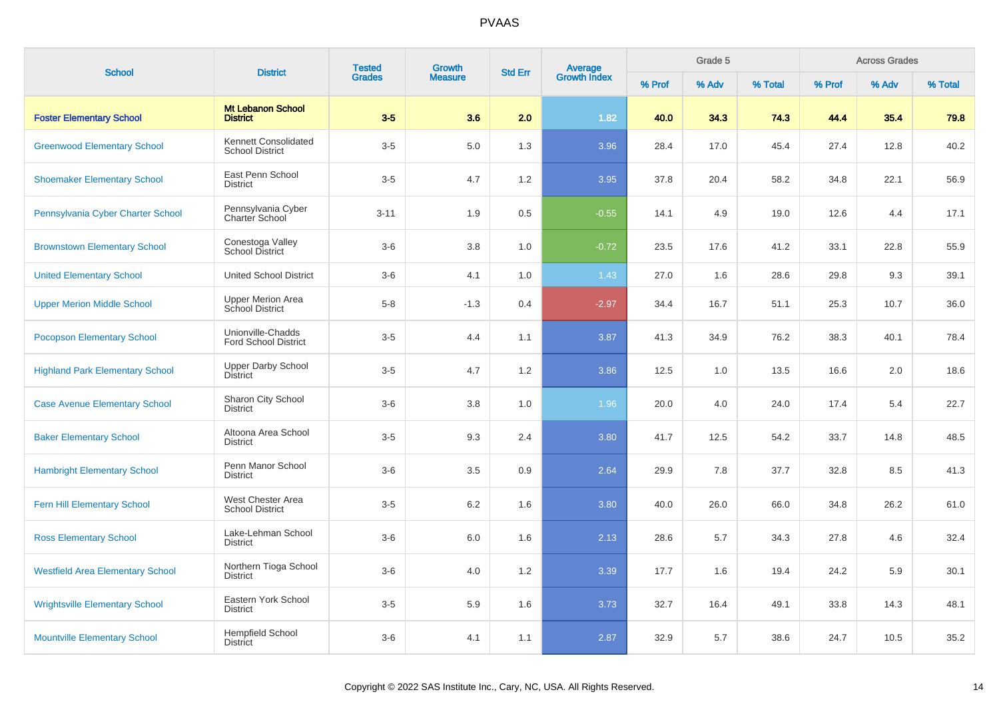| <b>School</b>                           | <b>District</b>                                    | <b>Tested</b> | <b>Growth</b>  | <b>Std Err</b> |                                |        | Grade 5 |         |        | <b>Across Grades</b><br>% Adv |         |  |
|-----------------------------------------|----------------------------------------------------|---------------|----------------|----------------|--------------------------------|--------|---------|---------|--------|-------------------------------|---------|--|
|                                         |                                                    | <b>Grades</b> | <b>Measure</b> |                | <b>Average</b><br>Growth Index | % Prof | % Adv   | % Total | % Prof |                               | % Total |  |
| <b>Foster Elementary School</b>         | Mt Lebanon School<br><b>District</b>               | $3-5$         | 3.6            | 2.0            | 1.82                           | 40.0   | 34.3    | 74.3    | 44.4   | 35.4                          | 79.8    |  |
| <b>Greenwood Elementary School</b>      | Kennett Consolidated<br><b>School District</b>     | $3-5$         | 5.0            | 1.3            | 3.96                           | 28.4   | 17.0    | 45.4    | 27.4   | 12.8                          | 40.2    |  |
| <b>Shoemaker Elementary School</b>      | East Penn School<br><b>District</b>                | $3-5$         | 4.7            | 1.2            | 3.95                           | 37.8   | 20.4    | 58.2    | 34.8   | 22.1                          | 56.9    |  |
| Pennsylvania Cyber Charter School       | Pennsylvania Cyber<br><b>Charter School</b>        | $3 - 11$      | 1.9            | 0.5            | $-0.55$                        | 14.1   | 4.9     | 19.0    | 12.6   | 4.4                           | 17.1    |  |
| <b>Brownstown Elementary School</b>     | Conestoga Valley<br><b>School District</b>         | $3-6$         | 3.8            | 1.0            | $-0.72$                        | 23.5   | 17.6    | 41.2    | 33.1   | 22.8                          | 55.9    |  |
| <b>United Elementary School</b>         | <b>United School District</b>                      | $3-6$         | 4.1            | 1.0            | 1.43                           | 27.0   | 1.6     | 28.6    | 29.8   | 9.3                           | 39.1    |  |
| <b>Upper Merion Middle School</b>       | <b>Upper Merion Area</b><br><b>School District</b> | $5-8$         | $-1.3$         | 0.4            | $-2.97$                        | 34.4   | 16.7    | 51.1    | 25.3   | 10.7                          | 36.0    |  |
| <b>Pocopson Elementary School</b>       | Unionville-Chadds<br><b>Ford School District</b>   | $3-5$         | 4.4            | 1.1            | 3.87                           | 41.3   | 34.9    | 76.2    | 38.3   | 40.1                          | 78.4    |  |
| <b>Highland Park Elementary School</b>  | <b>Upper Darby School</b><br>District              | $3-5$         | 4.7            | 1.2            | 3.86                           | 12.5   | 1.0     | 13.5    | 16.6   | 2.0                           | 18.6    |  |
| <b>Case Avenue Elementary School</b>    | Sharon City School<br><b>District</b>              | $3-6$         | 3.8            | 1.0            | 1.96                           | 20.0   | 4.0     | 24.0    | 17.4   | 5.4                           | 22.7    |  |
| <b>Baker Elementary School</b>          | Altoona Area School<br><b>District</b>             | $3-5$         | 9.3            | 2.4            | 3.80                           | 41.7   | 12.5    | 54.2    | 33.7   | 14.8                          | 48.5    |  |
| <b>Hambright Elementary School</b>      | Penn Manor School<br><b>District</b>               | $3-6$         | 3.5            | 0.9            | 2.64                           | 29.9   | 7.8     | 37.7    | 32.8   | 8.5                           | 41.3    |  |
| <b>Fern Hill Elementary School</b>      | West Chester Area<br><b>School District</b>        | $3-5$         | 6.2            | 1.6            | 3.80                           | 40.0   | 26.0    | 66.0    | 34.8   | 26.2                          | 61.0    |  |
| <b>Ross Elementary School</b>           | Lake-Lehman School<br><b>District</b>              | $3-6$         | 6.0            | 1.6            | 2.13                           | 28.6   | 5.7     | 34.3    | 27.8   | 4.6                           | 32.4    |  |
| <b>Westfield Area Elementary School</b> | Northern Tioga School<br><b>District</b>           | $3-6$         | 4.0            | 1.2            | 3.39                           | 17.7   | 1.6     | 19.4    | 24.2   | 5.9                           | 30.1    |  |
| <b>Wrightsville Elementary School</b>   | Eastern York School<br><b>District</b>             | $3-5$         | 5.9            | 1.6            | 3.73                           | 32.7   | 16.4    | 49.1    | 33.8   | 14.3                          | 48.1    |  |
| <b>Mountville Elementary School</b>     | <b>Hempfield School</b><br><b>District</b>         | $3-6$         | 4.1            | 1.1            | 2.87                           | 32.9   | 5.7     | 38.6    | 24.7   | 10.5                          | 35.2    |  |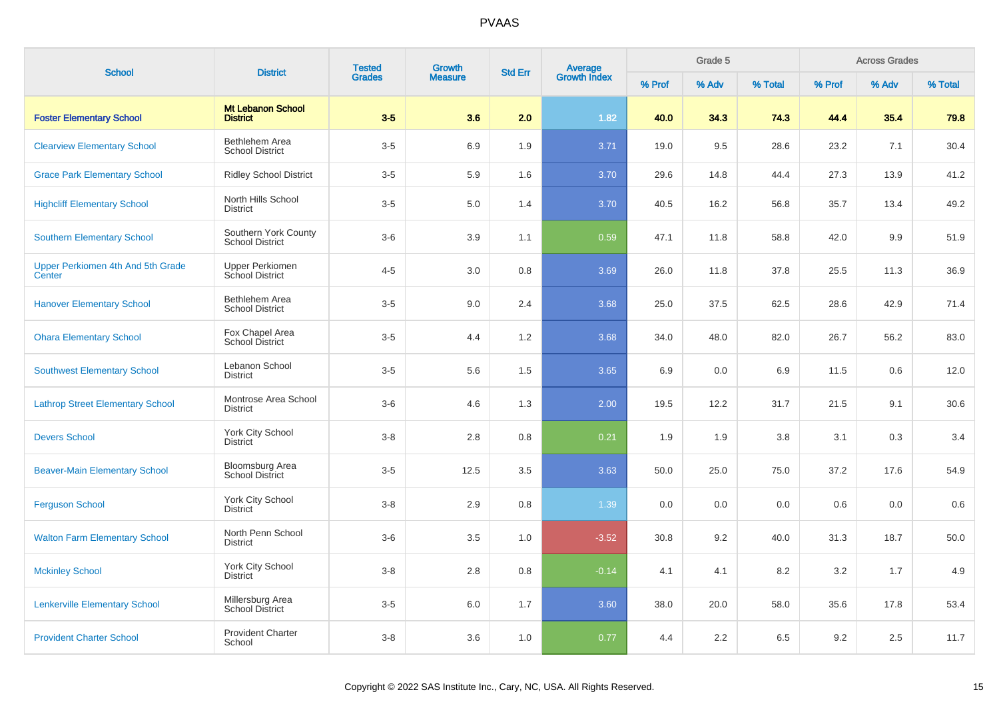| <b>School</b>                               | <b>District</b>                                | <b>Tested</b> | <b>Growth</b>  | <b>Std Err</b> |                                |        | Grade 5<br><b>Across Grades</b> |         |        |       |         |
|---------------------------------------------|------------------------------------------------|---------------|----------------|----------------|--------------------------------|--------|---------------------------------|---------|--------|-------|---------|
|                                             |                                                | <b>Grades</b> | <b>Measure</b> |                | <b>Average</b><br>Growth Index | % Prof | % Adv                           | % Total | % Prof | % Adv | % Total |
| <b>Foster Elementary School</b>             | <b>Mt Lebanon School</b><br><b>District</b>    | $3-5$         | 3.6            | 2.0            | 1.82                           | 40.0   | 34.3                            | 74.3    | 44.4   | 35.4  | 79.8    |
| <b>Clearview Elementary School</b>          | Bethlehem Area<br><b>School District</b>       | $3-5$         | 6.9            | 1.9            | 3.71                           | 19.0   | 9.5                             | 28.6    | 23.2   | 7.1   | 30.4    |
| <b>Grace Park Elementary School</b>         | <b>Ridley School District</b>                  | $3-5$         | 5.9            | 1.6            | 3.70                           | 29.6   | 14.8                            | 44.4    | 27.3   | 13.9  | 41.2    |
| <b>Highcliff Elementary School</b>          | North Hills School<br><b>District</b>          | $3-5$         | 5.0            | 1.4            | 3.70                           | 40.5   | 16.2                            | 56.8    | 35.7   | 13.4  | 49.2    |
| <b>Southern Elementary School</b>           | Southern York County<br><b>School District</b> | $3-6$         | 3.9            | 1.1            | 0.59                           | 47.1   | 11.8                            | 58.8    | 42.0   | 9.9   | 51.9    |
| Upper Perkiomen 4th And 5th Grade<br>Center | <b>Upper Perkiomen</b><br>School District      | $4 - 5$       | 3.0            | 0.8            | 3.69                           | 26.0   | 11.8                            | 37.8    | 25.5   | 11.3  | 36.9    |
| <b>Hanover Elementary School</b>            | Bethlehem Area<br><b>School District</b>       | $3-5$         | 9.0            | 2.4            | 3.68                           | 25.0   | 37.5                            | 62.5    | 28.6   | 42.9  | 71.4    |
| <b>Ohara Elementary School</b>              | Fox Chapel Area<br>School District             | $3-5$         | 4.4            | 1.2            | 3.68                           | 34.0   | 48.0                            | 82.0    | 26.7   | 56.2  | 83.0    |
| <b>Southwest Elementary School</b>          | Lebanon School<br><b>District</b>              | $3-5$         | 5.6            | 1.5            | 3.65                           | 6.9    | 0.0                             | 6.9     | 11.5   | 0.6   | 12.0    |
| <b>Lathrop Street Elementary School</b>     | Montrose Area School<br><b>District</b>        | $3-6$         | 4.6            | 1.3            | 2.00                           | 19.5   | 12.2                            | 31.7    | 21.5   | 9.1   | 30.6    |
| <b>Devers School</b>                        | York City School<br><b>District</b>            | $3-8$         | 2.8            | 0.8            | 0.21                           | 1.9    | 1.9                             | 3.8     | 3.1    | 0.3   | 3.4     |
| <b>Beaver-Main Elementary School</b>        | <b>Bloomsburg Area</b><br>School District      | $3-5$         | 12.5           | 3.5            | 3.63                           | 50.0   | 25.0                            | 75.0    | 37.2   | 17.6  | 54.9    |
| <b>Ferguson School</b>                      | York City School<br><b>District</b>            | $3-8$         | 2.9            | 0.8            | 1.39                           | 0.0    | 0.0                             | 0.0     | 0.6    | 0.0   | 0.6     |
| <b>Walton Farm Elementary School</b>        | North Penn School<br><b>District</b>           | $3-6$         | 3.5            | 1.0            | $-3.52$                        | 30.8   | 9.2                             | 40.0    | 31.3   | 18.7  | 50.0    |
| <b>Mckinley School</b>                      | York City School<br><b>District</b>            | $3-8$         | 2.8            | 0.8            | $-0.14$                        | 4.1    | 4.1                             | 8.2     | 3.2    | 1.7   | 4.9     |
| <b>Lenkerville Elementary School</b>        | Millersburg Area<br>School District            | $3-5$         | 6.0            | 1.7            | 3.60                           | 38.0   | 20.0                            | 58.0    | 35.6   | 17.8  | 53.4    |
| <b>Provident Charter School</b>             | <b>Provident Charter</b><br>School             | $3-8$         | 3.6            | 1.0            | 0.77                           | 4.4    | 2.2                             | 6.5     | 9.2    | 2.5   | 11.7    |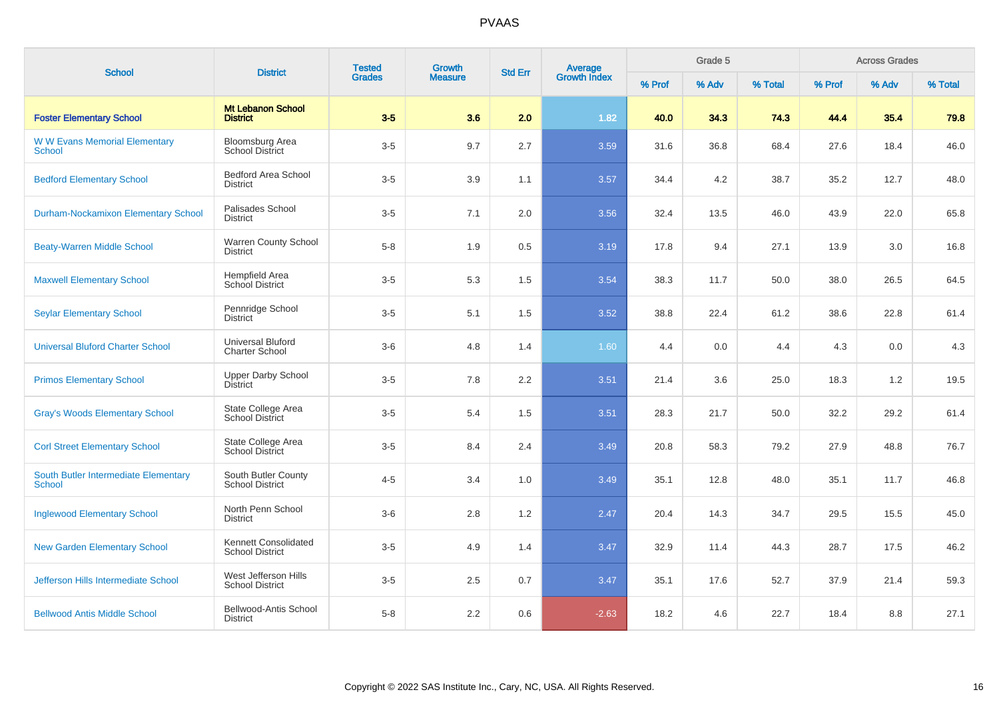| <b>School</b>                                         | <b>District</b>                                   | <b>Tested</b><br><b>Grades</b> | Growth         | <b>Std Err</b> | Average<br>Growth Index |        | Grade 5 |         |        | <b>Across Grades</b> |         |
|-------------------------------------------------------|---------------------------------------------------|--------------------------------|----------------|----------------|-------------------------|--------|---------|---------|--------|----------------------|---------|
|                                                       |                                                   |                                | <b>Measure</b> |                |                         | % Prof | % Adv   | % Total | % Prof | % Adv                | % Total |
| <b>Foster Elementary School</b>                       | <b>Mt Lebanon School</b><br><b>District</b>       | $3-5$                          | 3.6            | 2.0            | 1.82                    | 40.0   | 34.3    | 74.3    | 44.4   | 35.4                 | 79.8    |
| <b>WW Evans Memorial Elementary</b><br>School         | <b>Bloomsburg Area</b><br><b>School District</b>  | $3-5$                          | 9.7            | 2.7            | 3.59                    | 31.6   | 36.8    | 68.4    | 27.6   | 18.4                 | 46.0    |
| <b>Bedford Elementary School</b>                      | <b>Bedford Area School</b><br><b>District</b>     | $3-5$                          | 3.9            | 1.1            | 3.57                    | 34.4   | 4.2     | 38.7    | 35.2   | 12.7                 | 48.0    |
| <b>Durham-Nockamixon Elementary School</b>            | Palisades School<br><b>District</b>               | $3-5$                          | 7.1            | 2.0            | 3.56                    | 32.4   | 13.5    | 46.0    | 43.9   | 22.0                 | 65.8    |
| <b>Beaty-Warren Middle School</b>                     | Warren County School<br><b>District</b>           | $5-8$                          | 1.9            | 0.5            | 3.19                    | 17.8   | 9.4     | 27.1    | 13.9   | 3.0                  | 16.8    |
| <b>Maxwell Elementary School</b>                      | Hempfield Area<br><b>School District</b>          | $3-5$                          | 5.3            | 1.5            | 3.54                    | 38.3   | 11.7    | 50.0    | 38.0   | 26.5                 | 64.5    |
| <b>Seylar Elementary School</b>                       | Pennridge School<br><b>District</b>               | $3-5$                          | 5.1            | 1.5            | 3.52                    | 38.8   | 22.4    | 61.2    | 38.6   | 22.8                 | 61.4    |
| <b>Universal Bluford Charter School</b>               | <b>Universal Bluford</b><br><b>Charter School</b> | $3-6$                          | 4.8            | 1.4            | 1.60                    | 4.4    | 0.0     | 4.4     | 4.3    | 0.0                  | 4.3     |
| <b>Primos Elementary School</b>                       | <b>Upper Darby School</b><br><b>District</b>      | $3-5$                          | 7.8            | 2.2            | 3.51                    | 21.4   | 3.6     | 25.0    | 18.3   | 1.2                  | 19.5    |
| <b>Gray's Woods Elementary School</b>                 | State College Area<br><b>School District</b>      | $3-5$                          | 5.4            | 1.5            | 3.51                    | 28.3   | 21.7    | 50.0    | 32.2   | 29.2                 | 61.4    |
| <b>Corl Street Elementary School</b>                  | State College Area<br><b>School District</b>      | $3-5$                          | 8.4            | 2.4            | 3.49                    | 20.8   | 58.3    | 79.2    | 27.9   | 48.8                 | 76.7    |
| South Butler Intermediate Elementary<br><b>School</b> | South Butler County<br><b>School District</b>     | $4 - 5$                        | 3.4            | 1.0            | 3.49                    | 35.1   | 12.8    | 48.0    | 35.1   | 11.7                 | 46.8    |
| <b>Inglewood Elementary School</b>                    | North Penn School<br>District                     | $3-6$                          | 2.8            | 1.2            | 2.47                    | 20.4   | 14.3    | 34.7    | 29.5   | 15.5                 | 45.0    |
| <b>New Garden Elementary School</b>                   | Kennett Consolidated<br><b>School District</b>    | $3-5$                          | 4.9            | 1.4            | 3.47                    | 32.9   | 11.4    | 44.3    | 28.7   | 17.5                 | 46.2    |
| Jefferson Hills Intermediate School                   | West Jefferson Hills<br><b>School District</b>    | $3-5$                          | 2.5            | 0.7            | 3.47                    | 35.1   | 17.6    | 52.7    | 37.9   | 21.4                 | 59.3    |
| <b>Bellwood Antis Middle School</b>                   | <b>Bellwood-Antis School</b><br><b>District</b>   | $5 - 8$                        | 2.2            | 0.6            | $-2.63$                 | 18.2   | 4.6     | 22.7    | 18.4   | 8.8                  | 27.1    |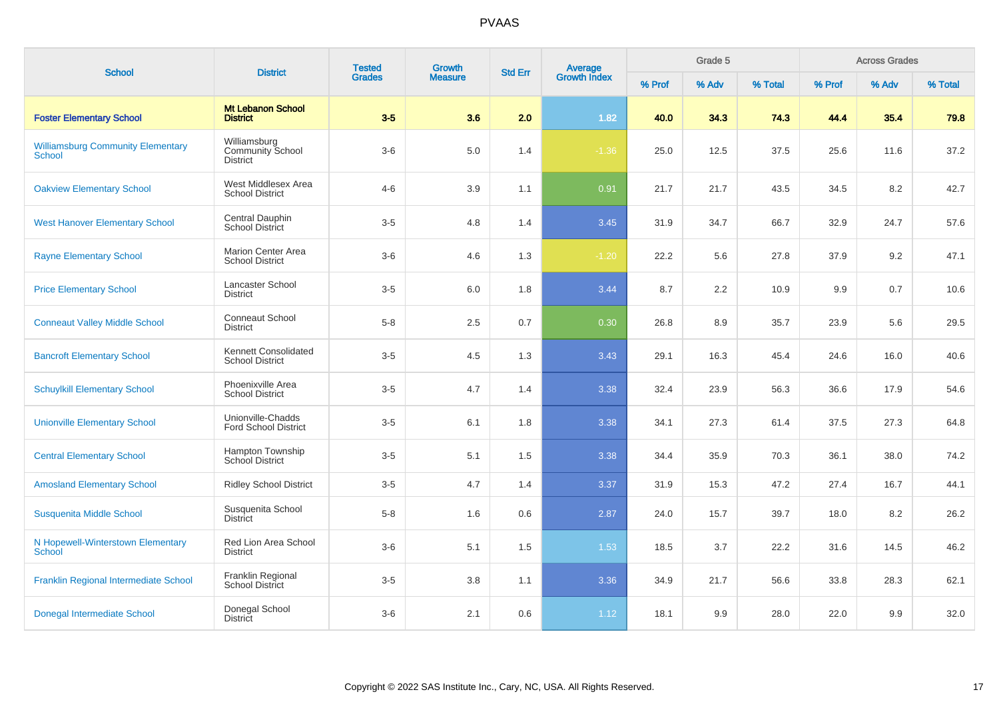| <b>School</b>                                             | <b>District</b>                                            | <b>Tested</b> | Growth         | <b>Std Err</b> |                                |        | Grade 5 |         |        | <b>Across Grades</b> |         |
|-----------------------------------------------------------|------------------------------------------------------------|---------------|----------------|----------------|--------------------------------|--------|---------|---------|--------|----------------------|---------|
|                                                           |                                                            | <b>Grades</b> | <b>Measure</b> |                | <b>Average</b><br>Growth Index | % Prof | % Adv   | % Total | % Prof | % Adv                | % Total |
| <b>Foster Elementary School</b>                           | <b>Mt Lebanon School</b><br><b>District</b>                | $3-5$         | 3.6            | 2.0            | 1.82                           | 40.0   | 34.3    | 74.3    | 44.4   | 35.4                 | 79.8    |
| <b>Williamsburg Community Elementary</b><br><b>School</b> | Williamsburg<br><b>Community School</b><br><b>District</b> | $3-6$         | $5.0\,$        | 1.4            | $-1.36$                        | 25.0   | 12.5    | 37.5    | 25.6   | 11.6                 | 37.2    |
| <b>Oakview Elementary School</b>                          | West Middlesex Area<br><b>School District</b>              | $4 - 6$       | 3.9            | 1.1            | 0.91                           | 21.7   | 21.7    | 43.5    | 34.5   | 8.2                  | 42.7    |
| <b>West Hanover Elementary School</b>                     | Central Dauphin<br><b>School District</b>                  | $3-5$         | 4.8            | 1.4            | 3.45                           | 31.9   | 34.7    | 66.7    | 32.9   | 24.7                 | 57.6    |
| <b>Rayne Elementary School</b>                            | <b>Marion Center Area</b><br><b>School District</b>        | $3-6$         | 4.6            | 1.3            | $-1.20$                        | 22.2   | 5.6     | 27.8    | 37.9   | 9.2                  | 47.1    |
| <b>Price Elementary School</b>                            | Lancaster School<br><b>District</b>                        | $3-5$         | 6.0            | 1.8            | 3.44                           | 8.7    | 2.2     | 10.9    | 9.9    | 0.7                  | 10.6    |
| <b>Conneaut Valley Middle School</b>                      | Conneaut School<br><b>District</b>                         | $5-8$         | 2.5            | 0.7            | 0.30                           | 26.8   | 8.9     | 35.7    | 23.9   | 5.6                  | 29.5    |
| <b>Bancroft Elementary School</b>                         | Kennett Consolidated<br><b>School District</b>             | $3-5$         | 4.5            | 1.3            | 3.43                           | 29.1   | 16.3    | 45.4    | 24.6   | 16.0                 | 40.6    |
| <b>Schuylkill Elementary School</b>                       | Phoenixville Area<br><b>School District</b>                | $3-5$         | 4.7            | 1.4            | 3.38                           | 32.4   | 23.9    | 56.3    | 36.6   | 17.9                 | 54.6    |
| <b>Unionville Elementary School</b>                       | Unionville-Chadds<br><b>Ford School District</b>           | $3-5$         | 6.1            | 1.8            | 3.38                           | 34.1   | 27.3    | 61.4    | 37.5   | 27.3                 | 64.8    |
| <b>Central Elementary School</b>                          | <b>Hampton Township</b><br><b>School District</b>          | $3-5$         | 5.1            | 1.5            | 3.38                           | 34.4   | 35.9    | 70.3    | 36.1   | 38.0                 | 74.2    |
| <b>Amosland Elementary School</b>                         | <b>Ridley School District</b>                              | $3-5$         | 4.7            | 1.4            | 3.37                           | 31.9   | 15.3    | 47.2    | 27.4   | 16.7                 | 44.1    |
| Susquenita Middle School                                  | Susquenita School<br><b>District</b>                       | $5-8$         | 1.6            | 0.6            | 2.87                           | 24.0   | 15.7    | 39.7    | 18.0   | 8.2                  | 26.2    |
| N Hopewell-Winterstown Elementary<br><b>School</b>        | Red Lion Area School<br><b>District</b>                    | $3-6$         | 5.1            | 1.5            | 1.53                           | 18.5   | 3.7     | 22.2    | 31.6   | 14.5                 | 46.2    |
| Franklin Regional Intermediate School                     | Franklin Regional<br>School District                       | $3-5$         | 3.8            | 1.1            | 3.36                           | 34.9   | 21.7    | 56.6    | 33.8   | 28.3                 | 62.1    |
| Donegal Intermediate School                               | Donegal School<br><b>District</b>                          | $3-6$         | 2.1            | 0.6            | 1.12                           | 18.1   | 9.9     | 28.0    | 22.0   | 9.9                  | 32.0    |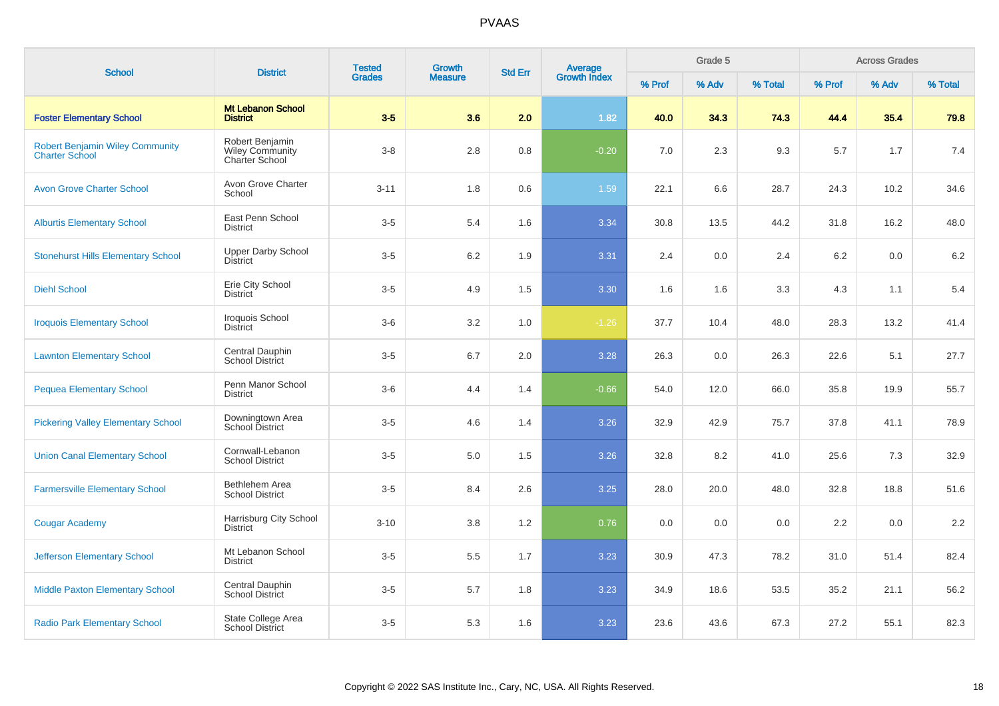| <b>School</b>                                                   | <b>District</b>                                             | <b>Tested</b> | <b>Growth</b>  | <b>Std Err</b> |                         |        | Grade 5 |         |        | <b>Across Grades</b><br>% Adv |         |  |
|-----------------------------------------------------------------|-------------------------------------------------------------|---------------|----------------|----------------|-------------------------|--------|---------|---------|--------|-------------------------------|---------|--|
|                                                                 |                                                             | <b>Grades</b> | <b>Measure</b> |                | Average<br>Growth Index | % Prof | % Adv   | % Total | % Prof |                               | % Total |  |
| <b>Foster Elementary School</b>                                 | <b>Mt Lebanon School</b><br><b>District</b>                 | $3-5$         | 3.6            | 2.0            | 1.82                    | 40.0   | 34.3    | 74.3    | 44.4   | 35.4                          | 79.8    |  |
| <b>Robert Benjamin Wiley Community</b><br><b>Charter School</b> | Robert Benjamin<br><b>Wiley Community</b><br>Charter School | $3 - 8$       | 2.8            | 0.8            | $-0.20$                 | 7.0    | 2.3     | 9.3     | 5.7    | 1.7                           | 7.4     |  |
| <b>Avon Grove Charter School</b>                                | Avon Grove Charter<br>School                                | $3 - 11$      | 1.8            | 0.6            | 1.59                    | 22.1   | 6.6     | 28.7    | 24.3   | 10.2                          | 34.6    |  |
| <b>Alburtis Elementary School</b>                               | East Penn School<br><b>District</b>                         | $3-5$         | 5.4            | 1.6            | 3.34                    | 30.8   | 13.5    | 44.2    | 31.8   | 16.2                          | 48.0    |  |
| <b>Stonehurst Hills Elementary School</b>                       | Upper Darby School<br><b>District</b>                       | $3-5$         | $6.2\,$        | 1.9            | 3.31                    | 2.4    | 0.0     | 2.4     | 6.2    | 0.0                           | $6.2\,$ |  |
| <b>Diehl School</b>                                             | Erie City School<br><b>District</b>                         | $3-5$         | 4.9            | 1.5            | 3.30                    | 1.6    | 1.6     | 3.3     | 4.3    | 1.1                           | 5.4     |  |
| <b>Iroquois Elementary School</b>                               | Iroquois School<br><b>District</b>                          | $3-6$         | 3.2            | 1.0            | $-1.26$                 | 37.7   | 10.4    | 48.0    | 28.3   | 13.2                          | 41.4    |  |
| <b>Lawnton Elementary School</b>                                | Central Dauphin<br>School District                          | $3-5$         | 6.7            | 2.0            | 3.28                    | 26.3   | 0.0     | 26.3    | 22.6   | 5.1                           | 27.7    |  |
| <b>Pequea Elementary School</b>                                 | Penn Manor School<br><b>District</b>                        | $3-6$         | 4.4            | 1.4            | $-0.66$                 | 54.0   | 12.0    | 66.0    | 35.8   | 19.9                          | 55.7    |  |
| <b>Pickering Valley Elementary School</b>                       | Downingtown Area<br>School District                         | $3-5$         | 4.6            | 1.4            | 3.26                    | 32.9   | 42.9    | 75.7    | 37.8   | 41.1                          | 78.9    |  |
| <b>Union Canal Elementary School</b>                            | Cornwall-Lebanon<br><b>School District</b>                  | $3-5$         | 5.0            | 1.5            | 3.26                    | 32.8   | 8.2     | 41.0    | 25.6   | 7.3                           | 32.9    |  |
| <b>Farmersville Elementary School</b>                           | Bethlehem Area<br><b>School District</b>                    | $3-5$         | 8.4            | 2.6            | 3.25                    | 28.0   | 20.0    | 48.0    | 32.8   | 18.8                          | 51.6    |  |
| <b>Cougar Academy</b>                                           | Harrisburg City School<br><b>District</b>                   | $3 - 10$      | 3.8            | 1.2            | 0.76                    | 0.0    | 0.0     | 0.0     | 2.2    | 0.0                           | 2.2     |  |
| <b>Jefferson Elementary School</b>                              | Mt Lebanon School<br><b>District</b>                        | $3-5$         | 5.5            | 1.7            | 3.23                    | 30.9   | 47.3    | 78.2    | 31.0   | 51.4                          | 82.4    |  |
| <b>Middle Paxton Elementary School</b>                          | Central Dauphin<br><b>School District</b>                   | $3-5$         | 5.7            | 1.8            | 3.23                    | 34.9   | 18.6    | 53.5    | 35.2   | 21.1                          | 56.2    |  |
| <b>Radio Park Elementary School</b>                             | State College Area<br><b>School District</b>                | $3-5$         | 5.3            | 1.6            | 3.23                    | 23.6   | 43.6    | 67.3    | 27.2   | 55.1                          | 82.3    |  |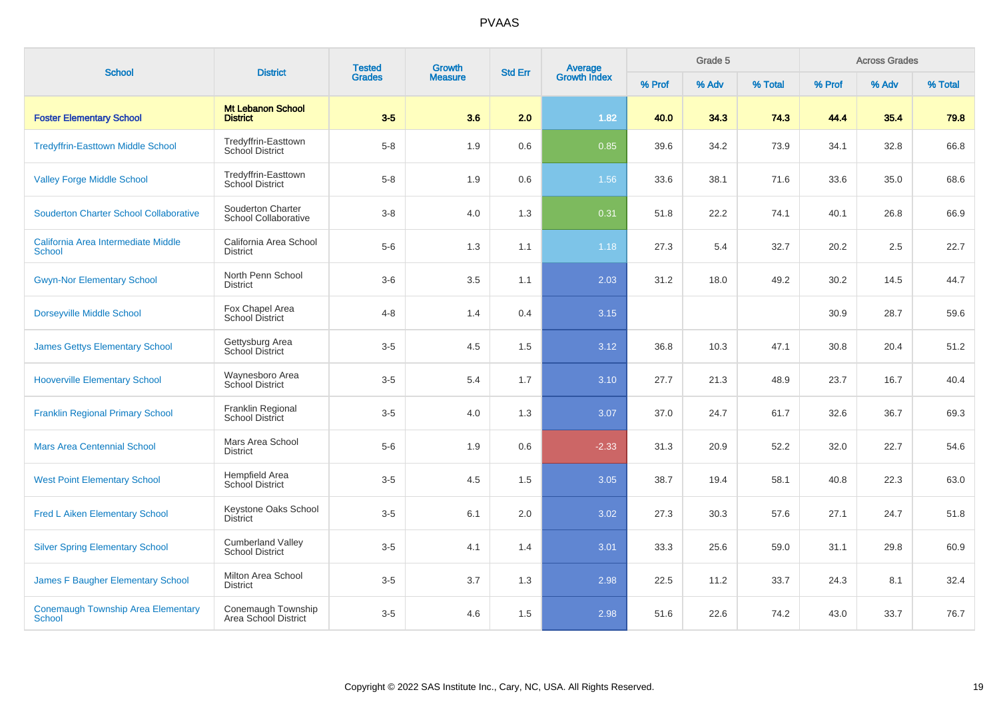| <b>School</b>                                              | <b>District</b>                                    | <b>Tested</b> | Growth         | <b>Std Err</b> |                                |        | Grade 5 |         |        | <b>Across Grades</b> |         |
|------------------------------------------------------------|----------------------------------------------------|---------------|----------------|----------------|--------------------------------|--------|---------|---------|--------|----------------------|---------|
|                                                            |                                                    | <b>Grades</b> | <b>Measure</b> |                | <b>Average</b><br>Growth Index | % Prof | % Adv   | % Total | % Prof | % Adv                | % Total |
| <b>Foster Elementary School</b>                            | <b>Mt Lebanon School</b><br><b>District</b>        | $3-5$         | 3.6            | 2.0            | 1.82                           | 40.0   | 34.3    | 74.3    | 44.4   | 35.4                 | 79.8    |
| <b>Tredyffrin-Easttown Middle School</b>                   | Tredyffrin-Easttown<br><b>School District</b>      | $5 - 8$       | 1.9            | 0.6            | 0.85                           | 39.6   | 34.2    | 73.9    | 34.1   | 32.8                 | 66.8    |
| <b>Valley Forge Middle School</b>                          | Tredyffrin-Easttown<br>School District             | $5-8$         | 1.9            | 0.6            | 1.56                           | 33.6   | 38.1    | 71.6    | 33.6   | 35.0                 | 68.6    |
| <b>Souderton Charter School Collaborative</b>              | Souderton Charter<br>School Collaborative          | $3 - 8$       | 4.0            | 1.3            | 0.31                           | 51.8   | 22.2    | 74.1    | 40.1   | 26.8                 | 66.9    |
| California Area Intermediate Middle<br><b>School</b>       | California Area School<br><b>District</b>          | $5-6$         | 1.3            | 1.1            | 1.18                           | 27.3   | 5.4     | 32.7    | 20.2   | 2.5                  | 22.7    |
| <b>Gwyn-Nor Elementary School</b>                          | North Penn School<br><b>District</b>               | $3-6$         | 3.5            | 1.1            | 2.03                           | 31.2   | 18.0    | 49.2    | 30.2   | 14.5                 | 44.7    |
| <b>Dorseyville Middle School</b>                           | Fox Chapel Area<br>School District                 | $4 - 8$       | 1.4            | 0.4            | 3.15                           |        |         |         | 30.9   | 28.7                 | 59.6    |
| <b>James Gettys Elementary School</b>                      | Gettysburg Area<br>School District                 | $3-5$         | 4.5            | 1.5            | 3.12                           | 36.8   | 10.3    | 47.1    | 30.8   | 20.4                 | 51.2    |
| <b>Hooverville Elementary School</b>                       | Waynesboro Area<br>School District                 | $3-5$         | 5.4            | 1.7            | 3.10                           | 27.7   | 21.3    | 48.9    | 23.7   | 16.7                 | 40.4    |
| <b>Franklin Regional Primary School</b>                    | Franklin Regional<br><b>School District</b>        | $3-5$         | 4.0            | 1.3            | 3.07                           | 37.0   | 24.7    | 61.7    | 32.6   | 36.7                 | 69.3    |
| <b>Mars Area Centennial School</b>                         | Mars Area School<br><b>District</b>                | $5-6$         | 1.9            | 0.6            | $-2.33$                        | 31.3   | 20.9    | 52.2    | 32.0   | 22.7                 | 54.6    |
| <b>West Point Elementary School</b>                        | Hempfield Area<br><b>School District</b>           | $3-5$         | 4.5            | 1.5            | 3.05                           | 38.7   | 19.4    | 58.1    | 40.8   | 22.3                 | 63.0    |
| <b>Fred L Aiken Elementary School</b>                      | Keystone Oaks School<br><b>District</b>            | $3-5$         | 6.1            | 2.0            | 3.02                           | 27.3   | 30.3    | 57.6    | 27.1   | 24.7                 | 51.8    |
| <b>Silver Spring Elementary School</b>                     | <b>Cumberland Valley</b><br><b>School District</b> | $3-5$         | 4.1            | 1.4            | 3.01                           | 33.3   | 25.6    | 59.0    | 31.1   | 29.8                 | 60.9    |
| James F Baugher Elementary School                          | Milton Area School<br><b>District</b>              | $3-5$         | 3.7            | 1.3            | 2.98                           | 22.5   | 11.2    | 33.7    | 24.3   | 8.1                  | 32.4    |
| <b>Conemaugh Township Area Elementary</b><br><b>School</b> | Conemaugh Township<br>Area School District         | $3-5$         | 4.6            | 1.5            | 2.98                           | 51.6   | 22.6    | 74.2    | 43.0   | 33.7                 | 76.7    |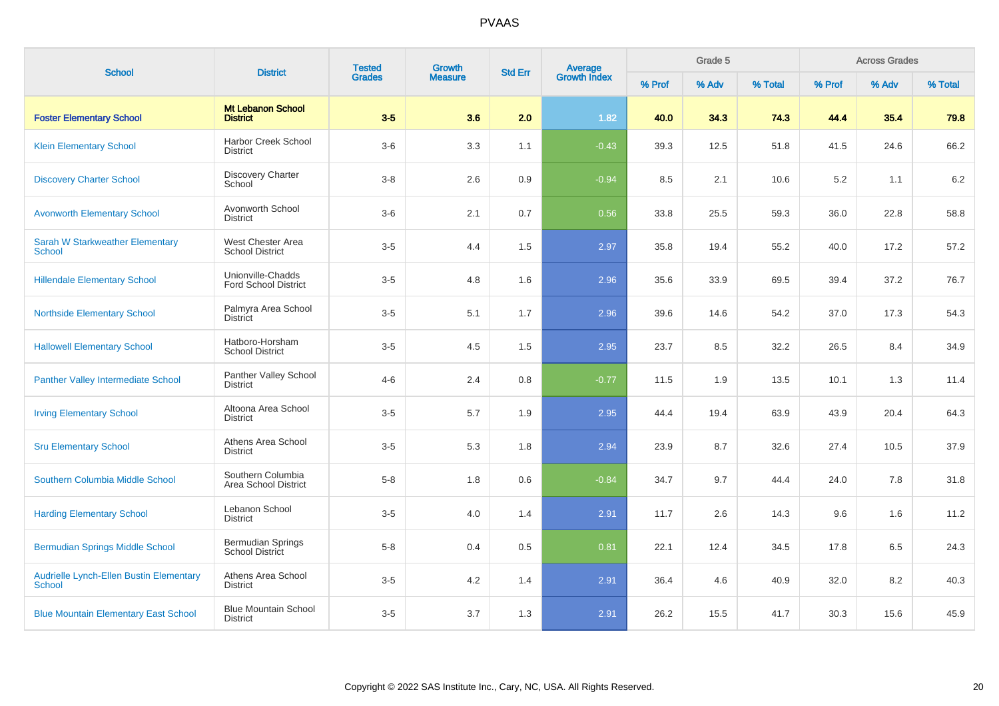| <b>School</b>                                            | <b>District</b>                                    | <b>Tested</b> | Growth         | <b>Std Err</b> |                                |        | Grade 5 |         |        | <b>Across Grades</b> |         |
|----------------------------------------------------------|----------------------------------------------------|---------------|----------------|----------------|--------------------------------|--------|---------|---------|--------|----------------------|---------|
|                                                          |                                                    | <b>Grades</b> | <b>Measure</b> |                | <b>Average</b><br>Growth Index | % Prof | % Adv   | % Total | % Prof | % Adv                | % Total |
| <b>Foster Elementary School</b>                          | <b>Mt Lebanon School</b><br><b>District</b>        | $3-5$         | 3.6            | 2.0            | 1.82                           | 40.0   | 34.3    | 74.3    | 44.4   | 35.4                 | 79.8    |
| <b>Klein Elementary School</b>                           | <b>Harbor Creek School</b><br><b>District</b>      | $3-6$         | 3.3            | 1.1            | $-0.43$                        | 39.3   | 12.5    | 51.8    | 41.5   | 24.6                 | 66.2    |
| <b>Discovery Charter School</b>                          | Discovery Charter<br>School                        | $3 - 8$       | 2.6            | 0.9            | $-0.94$                        | 8.5    | 2.1     | 10.6    | 5.2    | 1.1                  | 6.2     |
| <b>Avonworth Elementary School</b>                       | Avonworth School<br><b>District</b>                | $3-6$         | 2.1            | 0.7            | 0.56                           | 33.8   | 25.5    | 59.3    | 36.0   | 22.8                 | 58.8    |
| <b>Sarah W Starkweather Elementary</b><br>School         | West Chester Area<br><b>School District</b>        | $3-5$         | 4.4            | 1.5            | 2.97                           | 35.8   | 19.4    | 55.2    | 40.0   | 17.2                 | 57.2    |
| <b>Hillendale Elementary School</b>                      | Unionville-Chadds<br><b>Ford School District</b>   | $3-5$         | 4.8            | 1.6            | 2.96                           | 35.6   | 33.9    | 69.5    | 39.4   | 37.2                 | 76.7    |
| <b>Northside Elementary School</b>                       | Palmyra Area School<br><b>District</b>             | $3-5$         | 5.1            | 1.7            | 2.96                           | 39.6   | 14.6    | 54.2    | 37.0   | 17.3                 | 54.3    |
| <b>Hallowell Elementary School</b>                       | Hatboro-Horsham<br><b>School District</b>          | $3-5$         | 4.5            | 1.5            | 2.95                           | 23.7   | 8.5     | 32.2    | 26.5   | 8.4                  | 34.9    |
| <b>Panther Valley Intermediate School</b>                | Panther Valley School<br><b>District</b>           | $4 - 6$       | 2.4            | 0.8            | $-0.77$                        | 11.5   | 1.9     | 13.5    | 10.1   | 1.3                  | 11.4    |
| <b>Irving Elementary School</b>                          | Altoona Area School<br><b>District</b>             | $3-5$         | 5.7            | 1.9            | 2.95                           | 44.4   | 19.4    | 63.9    | 43.9   | 20.4                 | 64.3    |
| <b>Sru Elementary School</b>                             | Athens Area School<br>District                     | $3-5$         | 5.3            | 1.8            | 2.94                           | 23.9   | 8.7     | 32.6    | 27.4   | 10.5                 | 37.9    |
| Southern Columbia Middle School                          | Southern Columbia<br>Area School District          | $5 - 8$       | 1.8            | 0.6            | $-0.84$                        | 34.7   | 9.7     | 44.4    | 24.0   | 7.8                  | 31.8    |
| <b>Harding Elementary School</b>                         | Lebanon School<br><b>District</b>                  | $3-5$         | 4.0            | 1.4            | 2.91                           | 11.7   | 2.6     | 14.3    | 9.6    | 1.6                  | 11.2    |
| <b>Bermudian Springs Middle School</b>                   | <b>Bermudian Springs</b><br><b>School District</b> | $5 - 8$       | 0.4            | 0.5            | 0.81                           | 22.1   | 12.4    | 34.5    | 17.8   | 6.5                  | 24.3    |
| Audrielle Lynch-Ellen Bustin Elementary<br><b>School</b> | Athens Area School<br><b>District</b>              | $3-5$         | 4.2            | 1.4            | 2.91                           | 36.4   | 4.6     | 40.9    | 32.0   | 8.2                  | 40.3    |
| <b>Blue Mountain Elementary East School</b>              | <b>Blue Mountain School</b><br><b>District</b>     | $3-5$         | 3.7            | 1.3            | 2.91                           | 26.2   | 15.5    | 41.7    | 30.3   | 15.6                 | 45.9    |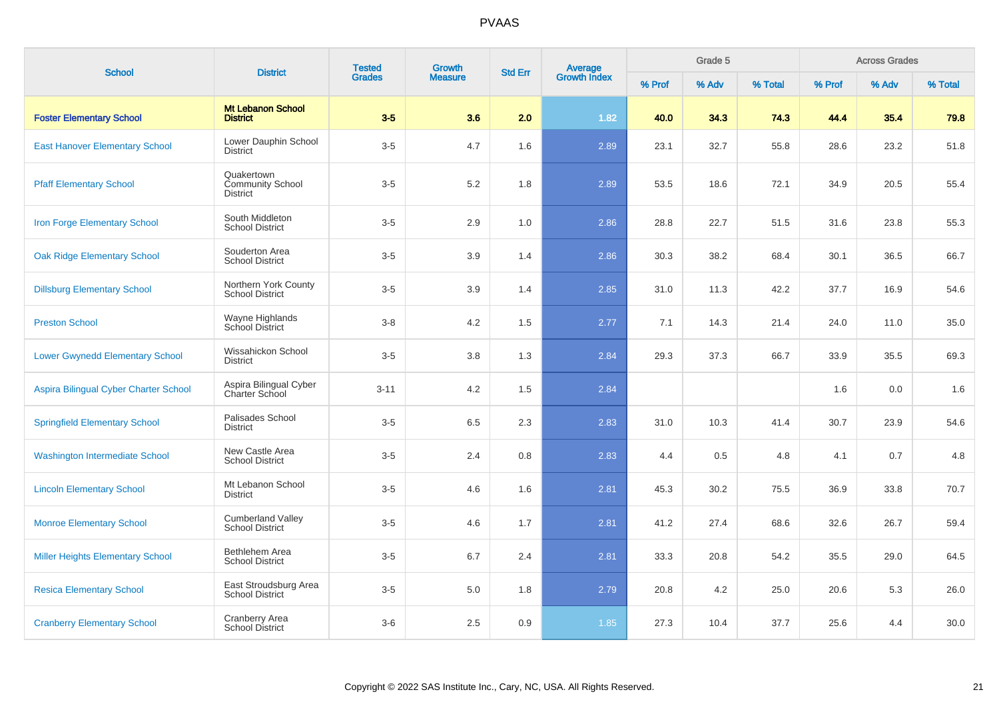| <b>School</b>                           | <b>District</b>                                          | <b>Tested</b> | <b>Growth</b>  | <b>Std Err</b> | Average<br>Growth Index |        | Grade 5 |         |        | <b>Across Grades</b><br>% Adv |         |
|-----------------------------------------|----------------------------------------------------------|---------------|----------------|----------------|-------------------------|--------|---------|---------|--------|-------------------------------|---------|
|                                         |                                                          | <b>Grades</b> | <b>Measure</b> |                |                         | % Prof | % Adv   | % Total | % Prof |                               | % Total |
| <b>Foster Elementary School</b>         | <b>Mt Lebanon School</b><br><b>District</b>              | $3-5$         | 3.6            | 2.0            | 1.82                    | 40.0   | 34.3    | 74.3    | 44.4   | 35.4                          | 79.8    |
| <b>East Hanover Elementary School</b>   | Lower Dauphin School<br><b>District</b>                  | $3-5$         | 4.7            | 1.6            | 2.89                    | 23.1   | 32.7    | 55.8    | 28.6   | 23.2                          | 51.8    |
| <b>Pfaff Elementary School</b>          | Quakertown<br><b>Community School</b><br><b>District</b> | $3-5$         | 5.2            | 1.8            | 2.89                    | 53.5   | 18.6    | 72.1    | 34.9   | 20.5                          | 55.4    |
| Iron Forge Elementary School            | South Middleton<br><b>School District</b>                | $3-5$         | 2.9            | 1.0            | 2.86                    | 28.8   | 22.7    | 51.5    | 31.6   | 23.8                          | 55.3    |
| <b>Oak Ridge Elementary School</b>      | Souderton Area<br><b>School District</b>                 | $3-5$         | 3.9            | 1.4            | 2.86                    | 30.3   | 38.2    | 68.4    | 30.1   | 36.5                          | 66.7    |
| <b>Dillsburg Elementary School</b>      | Northern York County<br><b>School District</b>           | $3-5$         | 3.9            | 1.4            | 2.85                    | 31.0   | 11.3    | 42.2    | 37.7   | 16.9                          | 54.6    |
| <b>Preston School</b>                   | Wayne Highlands<br>School District                       | $3 - 8$       | 4.2            | 1.5            | 2.77                    | 7.1    | 14.3    | 21.4    | 24.0   | 11.0                          | 35.0    |
| <b>Lower Gwynedd Elementary School</b>  | Wissahickon School<br><b>District</b>                    | $3-5$         | 3.8            | 1.3            | 2.84                    | 29.3   | 37.3    | 66.7    | 33.9   | 35.5                          | 69.3    |
| Aspira Bilingual Cyber Charter School   | Aspira Bilingual Cyber<br>Charter School                 | $3 - 11$      | 4.2            | 1.5            | 2.84                    |        |         |         | 1.6    | 0.0                           | 1.6     |
| <b>Springfield Elementary School</b>    | Palisades School<br><b>District</b>                      | $3-5$         | 6.5            | 2.3            | 2.83                    | 31.0   | 10.3    | 41.4    | 30.7   | 23.9                          | 54.6    |
| <b>Washington Intermediate School</b>   | New Castle Area<br><b>School District</b>                | $3-5$         | 2.4            | 0.8            | 2.83                    | 4.4    | 0.5     | 4.8     | 4.1    | 0.7                           | 4.8     |
| <b>Lincoln Elementary School</b>        | Mt Lebanon School<br><b>District</b>                     | $3-5$         | 4.6            | 1.6            | 2.81                    | 45.3   | 30.2    | 75.5    | 36.9   | 33.8                          | 70.7    |
| <b>Monroe Elementary School</b>         | <b>Cumberland Valley</b><br><b>School District</b>       | $3-5$         | 4.6            | 1.7            | 2.81                    | 41.2   | 27.4    | 68.6    | 32.6   | 26.7                          | 59.4    |
| <b>Miller Heights Elementary School</b> | Bethlehem Area<br><b>School District</b>                 | $3-5$         | 6.7            | 2.4            | 2.81                    | 33.3   | 20.8    | 54.2    | 35.5   | 29.0                          | 64.5    |
| <b>Resica Elementary School</b>         | East Stroudsburg Area<br><b>School District</b>          | $3-5$         | $5.0$          | 1.8            | 2.79                    | 20.8   | 4.2     | 25.0    | 20.6   | 5.3                           | 26.0    |
| <b>Cranberry Elementary School</b>      | <b>Cranberry Area</b><br>School District                 | $3-6$         | 2.5            | 0.9            | 1.85                    | 27.3   | 10.4    | 37.7    | 25.6   | 4.4                           | 30.0    |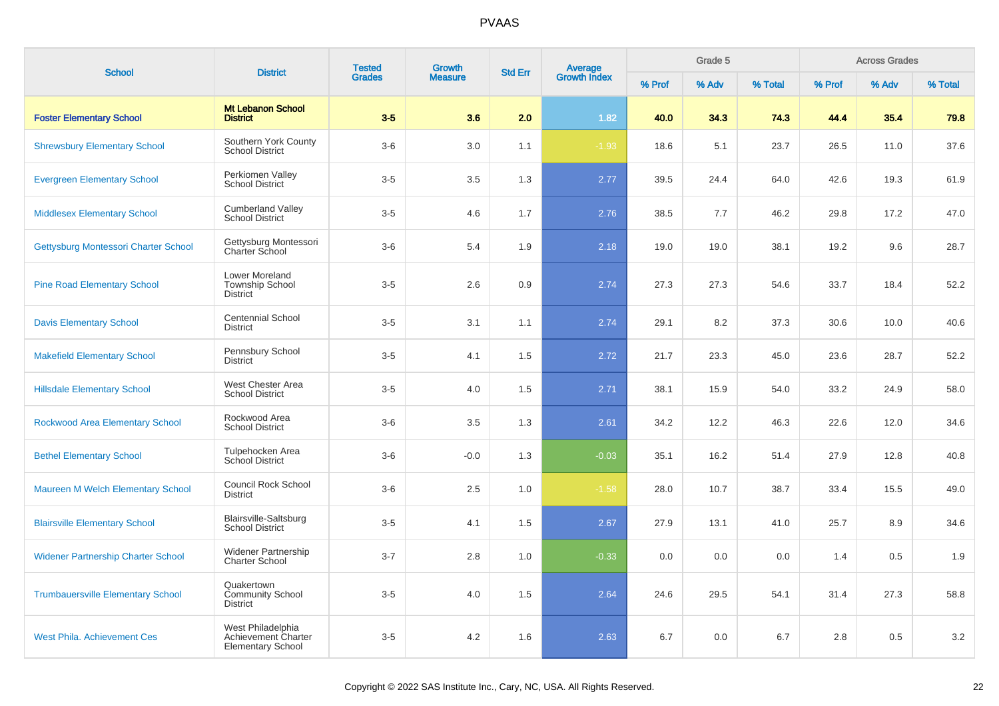| <b>School</b>                             | <b>District</b>                                                      | <b>Tested</b> | <b>Growth</b>  | <b>Std Err</b> | <b>Average</b>      |        | Grade 5 | <b>Across Grades</b> |        |       |         |
|-------------------------------------------|----------------------------------------------------------------------|---------------|----------------|----------------|---------------------|--------|---------|----------------------|--------|-------|---------|
|                                           |                                                                      | <b>Grades</b> | <b>Measure</b> |                | <b>Growth Index</b> | % Prof | % Adv   | % Total              | % Prof | % Adv | % Total |
| <b>Foster Elementary School</b>           | <b>Mt Lebanon School</b><br><b>District</b>                          | $3-5$         | 3.6            | 2.0            | 1.82                | 40.0   | 34.3    | 74.3                 | 44.4   | 35.4  | 79.8    |
| <b>Shrewsbury Elementary School</b>       | Southern York County<br><b>School District</b>                       | $3-6$         | 3.0            | 1.1            | $-1.93$             | 18.6   | 5.1     | 23.7                 | 26.5   | 11.0  | 37.6    |
| <b>Evergreen Elementary School</b>        | Perkiomen Valley<br><b>School District</b>                           | $3-5$         | 3.5            | 1.3            | 2.77                | 39.5   | 24.4    | 64.0                 | 42.6   | 19.3  | 61.9    |
| <b>Middlesex Elementary School</b>        | <b>Cumberland Valley</b><br><b>School District</b>                   | $3-5$         | 4.6            | 1.7            | 2.76                | 38.5   | 7.7     | 46.2                 | 29.8   | 17.2  | 47.0    |
| Gettysburg Montessori Charter School      | Gettysburg Montessori<br><b>Charter School</b>                       | $3-6$         | 5.4            | 1.9            | 2.18                | 19.0   | 19.0    | 38.1                 | 19.2   | 9.6   | 28.7    |
| <b>Pine Road Elementary School</b>        | Lower Moreland<br><b>Township School</b><br><b>District</b>          | $3-5$         | 2.6            | 0.9            | 2.74                | 27.3   | 27.3    | 54.6                 | 33.7   | 18.4  | 52.2    |
| <b>Davis Elementary School</b>            | <b>Centennial School</b><br><b>District</b>                          | $3-5$         | 3.1            | 1.1            | 2.74                | 29.1   | 8.2     | 37.3                 | 30.6   | 10.0  | 40.6    |
| <b>Makefield Elementary School</b>        | Pennsbury School<br><b>District</b>                                  | $3-5$         | 4.1            | 1.5            | 2.72                | 21.7   | 23.3    | 45.0                 | 23.6   | 28.7  | 52.2    |
| <b>Hillsdale Elementary School</b>        | West Chester Area<br><b>School District</b>                          | $3-5$         | 4.0            | 1.5            | 2.71                | 38.1   | 15.9    | 54.0                 | 33.2   | 24.9  | 58.0    |
| <b>Rockwood Area Elementary School</b>    | Rockwood Area<br><b>School District</b>                              | $3-6$         | 3.5            | 1.3            | 2.61                | 34.2   | 12.2    | 46.3                 | 22.6   | 12.0  | 34.6    |
| <b>Bethel Elementary School</b>           | Tulpehocken Area<br>School District                                  | $3-6$         | $-0.0$         | 1.3            | $-0.03$             | 35.1   | 16.2    | 51.4                 | 27.9   | 12.8  | 40.8    |
| <b>Maureen M Welch Elementary School</b>  | <b>Council Rock School</b><br><b>District</b>                        | $3-6$         | 2.5            | 1.0            | $-1.58$             | 28.0   | 10.7    | 38.7                 | 33.4   | 15.5  | 49.0    |
| <b>Blairsville Elementary School</b>      | Blairsville-Saltsburg<br><b>School District</b>                      | $3-5$         | 4.1            | 1.5            | 2.67                | 27.9   | 13.1    | 41.0                 | 25.7   | 8.9   | 34.6    |
| <b>Widener Partnership Charter School</b> | <b>Widener Partnership</b><br><b>Charter School</b>                  | $3 - 7$       | 2.8            | 1.0            | $-0.33$             | 0.0    | 0.0     | 0.0                  | 1.4    | 0.5   | 1.9     |
| <b>Trumbauersville Elementary School</b>  | Quakertown<br><b>Community School</b><br><b>District</b>             | $3-5$         | 4.0            | 1.5            | 2.64                | 24.6   | 29.5    | 54.1                 | 31.4   | 27.3  | 58.8    |
| <b>West Phila. Achievement Ces</b>        | West Philadelphia<br>Achievement Charter<br><b>Elementary School</b> | $3-5$         | 4.2            | 1.6            | 2.63                | 6.7    | 0.0     | 6.7                  | 2.8    | 0.5   | $3.2\,$ |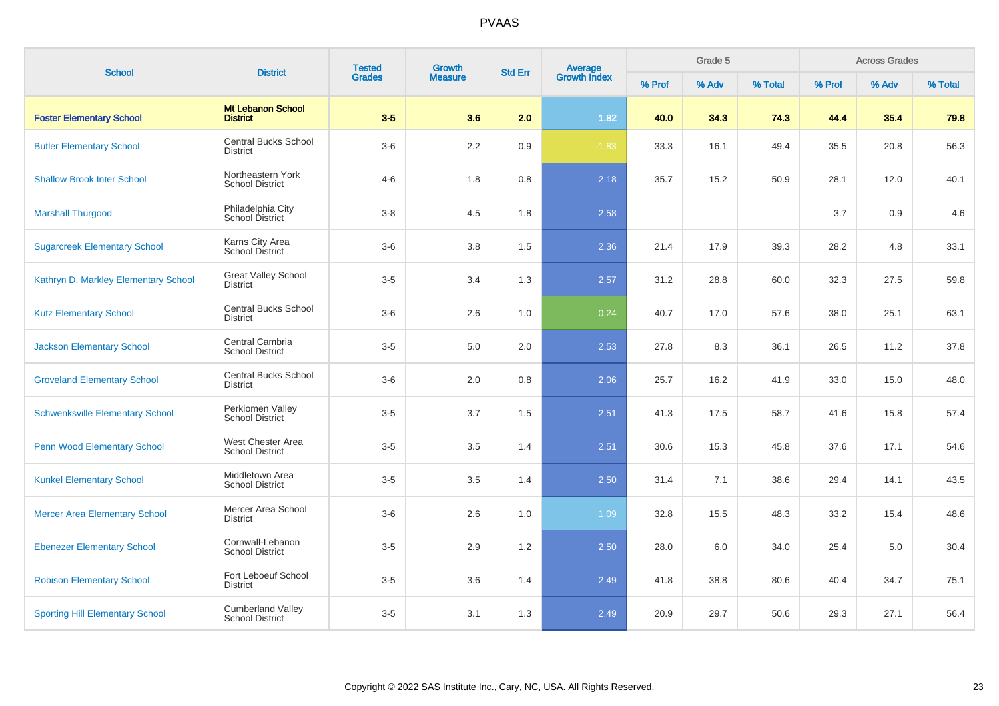| <b>School</b>                          | <b>District</b>                                    | <b>Tested</b> | Growth         | <b>Std Err</b> |                                |        | Grade 5<br><b>Across Grades</b> |         |        |       |         |
|----------------------------------------|----------------------------------------------------|---------------|----------------|----------------|--------------------------------|--------|---------------------------------|---------|--------|-------|---------|
|                                        |                                                    | <b>Grades</b> | <b>Measure</b> |                | <b>Average</b><br>Growth Index | % Prof | % Adv                           | % Total | % Prof | % Adv | % Total |
| <b>Foster Elementary School</b>        | <b>Mt Lebanon School</b><br><b>District</b>        | $3-5$         | 3.6            | 2.0            | 1.82                           | 40.0   | 34.3                            | 74.3    | 44.4   | 35.4  | 79.8    |
| <b>Butler Elementary School</b>        | <b>Central Bucks School</b><br><b>District</b>     | $3-6$         | 2.2            | 0.9            | $-1.83$                        | 33.3   | 16.1                            | 49.4    | 35.5   | 20.8  | 56.3    |
| <b>Shallow Brook Inter School</b>      | Northeastern York<br><b>School District</b>        | $4 - 6$       | 1.8            | 0.8            | 2.18                           | 35.7   | 15.2                            | 50.9    | 28.1   | 12.0  | 40.1    |
| <b>Marshall Thurgood</b>               | Philadelphia City<br>School District               | $3 - 8$       | 4.5            | 1.8            | 2.58                           |        |                                 |         | 3.7    | 0.9   | 4.6     |
| <b>Sugarcreek Elementary School</b>    | Karns City Area<br><b>School District</b>          | $3-6$         | 3.8            | 1.5            | 2.36                           | 21.4   | 17.9                            | 39.3    | 28.2   | 4.8   | 33.1    |
| Kathryn D. Markley Elementary School   | <b>Great Valley School</b><br><b>District</b>      | $3-5$         | 3.4            | 1.3            | 2.57                           | 31.2   | 28.8                            | 60.0    | 32.3   | 27.5  | 59.8    |
| <b>Kutz Elementary School</b>          | <b>Central Bucks School</b><br><b>District</b>     | $3-6$         | 2.6            | 1.0            | 0.24                           | 40.7   | 17.0                            | 57.6    | 38.0   | 25.1  | 63.1    |
| <b>Jackson Elementary School</b>       | Central Cambria<br><b>School District</b>          | $3-5$         | 5.0            | 2.0            | 2.53                           | 27.8   | 8.3                             | 36.1    | 26.5   | 11.2  | 37.8    |
| <b>Groveland Elementary School</b>     | <b>Central Bucks School</b><br><b>District</b>     | $3-6$         | 2.0            | 0.8            | 2.06                           | 25.7   | 16.2                            | 41.9    | 33.0   | 15.0  | 48.0    |
| <b>Schwenksville Elementary School</b> | Perkiomen Valley<br><b>School District</b>         | $3-5$         | 3.7            | 1.5            | 2.51                           | 41.3   | 17.5                            | 58.7    | 41.6   | 15.8  | 57.4    |
| <b>Penn Wood Elementary School</b>     | West Chester Area<br><b>School District</b>        | $3-5$         | 3.5            | 1.4            | 2.51                           | 30.6   | 15.3                            | 45.8    | 37.6   | 17.1  | 54.6    |
| <b>Kunkel Elementary School</b>        | Middletown Area<br><b>School District</b>          | $3-5$         | 3.5            | 1.4            | 2.50                           | 31.4   | 7.1                             | 38.6    | 29.4   | 14.1  | 43.5    |
| <b>Mercer Area Elementary School</b>   | Mercer Area School<br><b>District</b>              | $3-6$         | 2.6            | 1.0            | 1.09                           | 32.8   | 15.5                            | 48.3    | 33.2   | 15.4  | 48.6    |
| <b>Ebenezer Elementary School</b>      | Cornwall-Lebanon<br><b>School District</b>         | $3-5$         | 2.9            | 1.2            | 2.50                           | 28.0   | 6.0                             | 34.0    | 25.4   | 5.0   | 30.4    |
| <b>Robison Elementary School</b>       | Fort Leboeuf School<br><b>District</b>             | $3-5$         | 3.6            | 1.4            | 2.49                           | 41.8   | 38.8                            | 80.6    | 40.4   | 34.7  | 75.1    |
| <b>Sporting Hill Elementary School</b> | <b>Cumberland Valley</b><br><b>School District</b> | $3-5$         | 3.1            | 1.3            | 2.49                           | 20.9   | 29.7                            | 50.6    | 29.3   | 27.1  | 56.4    |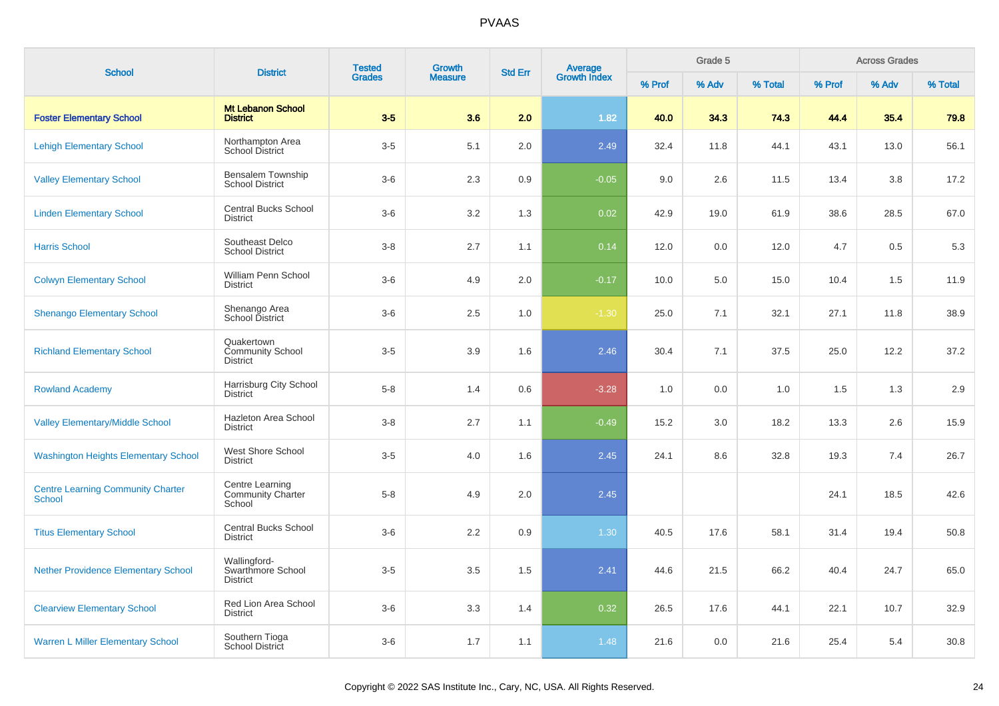| <b>School</b>                                             | <b>District</b>                                          | <b>Tested</b> | <b>Growth</b>  | <b>Std Err</b> |                                |        | Grade 5 |         |        | <b>Across Grades</b> |         |
|-----------------------------------------------------------|----------------------------------------------------------|---------------|----------------|----------------|--------------------------------|--------|---------|---------|--------|----------------------|---------|
|                                                           |                                                          | <b>Grades</b> | <b>Measure</b> |                | <b>Average</b><br>Growth Index | % Prof | % Adv   | % Total | % Prof | % Adv                | % Total |
| <b>Foster Elementary School</b>                           | Mt Lebanon School<br><b>District</b>                     | $3-5$         | 3.6            | 2.0            | 1.82                           | 40.0   | 34.3    | 74.3    | 44.4   | 35.4                 | 79.8    |
| <b>Lehigh Elementary School</b>                           | Northampton Area<br>School District                      | $3-5$         | 5.1            | 2.0            | 2.49                           | 32.4   | 11.8    | 44.1    | 43.1   | 13.0                 | 56.1    |
| <b>Valley Elementary School</b>                           | Bensalem Township<br><b>School District</b>              | $3-6$         | 2.3            | 0.9            | $-0.05$                        | 9.0    | 2.6     | 11.5    | 13.4   | 3.8                  | 17.2    |
| <b>Linden Elementary School</b>                           | Central Bucks School<br><b>District</b>                  | $3-6$         | 3.2            | 1.3            | 0.02                           | 42.9   | 19.0    | 61.9    | 38.6   | 28.5                 | 67.0    |
| <b>Harris School</b>                                      | Southeast Delco<br><b>School District</b>                | $3-8$         | 2.7            | 1.1            | 0.14                           | 12.0   | 0.0     | 12.0    | 4.7    | 0.5                  | 5.3     |
| <b>Colwyn Elementary School</b>                           | William Penn School<br><b>District</b>                   | $3-6$         | 4.9            | 2.0            | $-0.17$                        | 10.0   | 5.0     | 15.0    | 10.4   | 1.5                  | 11.9    |
| <b>Shenango Elementary School</b>                         | Shenango Area<br>School District                         | $3-6$         | 2.5            | 1.0            | $-1.30$                        | 25.0   | 7.1     | 32.1    | 27.1   | 11.8                 | 38.9    |
| <b>Richland Elementary School</b>                         | Quakertown<br><b>Community School</b><br><b>District</b> | $3-5$         | 3.9            | 1.6            | 2.46                           | 30.4   | 7.1     | 37.5    | 25.0   | 12.2                 | 37.2    |
| <b>Rowland Academy</b>                                    | Harrisburg City School<br><b>District</b>                | $5-8$         | 1.4            | 0.6            | $-3.28$                        | 1.0    | 0.0     | 1.0     | 1.5    | 1.3                  | 2.9     |
| <b>Valley Elementary/Middle School</b>                    | Hazleton Area School<br><b>District</b>                  | $3-8$         | 2.7            | 1.1            | $-0.49$                        | 15.2   | 3.0     | 18.2    | 13.3   | 2.6                  | 15.9    |
| <b>Washington Heights Elementary School</b>               | West Shore School<br><b>District</b>                     | $3-5$         | 4.0            | 1.6            | 2.45                           | 24.1   | 8.6     | 32.8    | 19.3   | 7.4                  | 26.7    |
| <b>Centre Learning Community Charter</b><br><b>School</b> | Centre Learning<br><b>Community Charter</b><br>School    | $5-8$         | 4.9            | 2.0            | 2.45                           |        |         |         | 24.1   | 18.5                 | 42.6    |
| <b>Titus Elementary School</b>                            | <b>Central Bucks School</b><br><b>District</b>           | $3-6$         | 2.2            | 0.9            | $1.30$                         | 40.5   | 17.6    | 58.1    | 31.4   | 19.4                 | 50.8    |
| <b>Nether Providence Elementary School</b>                | Wallingford-<br>Swarthmore School<br><b>District</b>     | $3-5$         | 3.5            | 1.5            | 2.41                           | 44.6   | 21.5    | 66.2    | 40.4   | 24.7                 | 65.0    |
| <b>Clearview Elementary School</b>                        | Red Lion Area School<br><b>District</b>                  | $3-6$         | 3.3            | 1.4            | 0.32                           | 26.5   | 17.6    | 44.1    | 22.1   | 10.7                 | 32.9    |
| <b>Warren L Miller Elementary School</b>                  | Southern Tioga<br>School District                        | $3-6$         | 1.7            | 1.1            | 1.48                           | 21.6   | 0.0     | 21.6    | 25.4   | 5.4                  | 30.8    |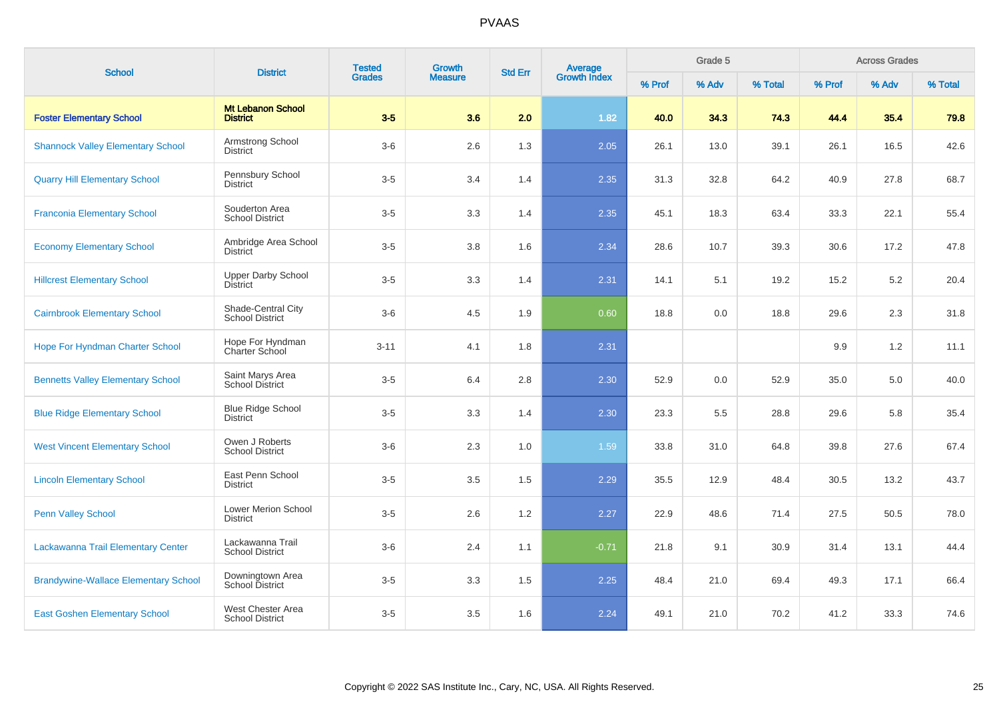| <b>School</b>                               |                                              | <b>Tested</b><br>Growth<br><b>District</b><br><b>Grades</b> |                | <b>Average</b><br>Growth Index<br><b>Std Err</b> |         |        | Grade 5 |         |        | <b>Across Grades</b> |         |
|---------------------------------------------|----------------------------------------------|-------------------------------------------------------------|----------------|--------------------------------------------------|---------|--------|---------|---------|--------|----------------------|---------|
|                                             |                                              |                                                             | <b>Measure</b> |                                                  |         | % Prof | % Adv   | % Total | % Prof | % Adv                | % Total |
| <b>Foster Elementary School</b>             | <b>Mt Lebanon School</b><br><b>District</b>  | $3-5$                                                       | 3.6            | 2.0                                              | 1.82    | 40.0   | 34.3    | 74.3    | 44.4   | 35.4                 | 79.8    |
| <b>Shannock Valley Elementary School</b>    | Armstrong School<br>District                 | $3-6$                                                       | 2.6            | 1.3                                              | 2.05    | 26.1   | 13.0    | 39.1    | 26.1   | 16.5                 | 42.6    |
| <b>Quarry Hill Elementary School</b>        | Pennsbury School<br><b>District</b>          | $3-5$                                                       | 3.4            | 1.4                                              | 2.35    | 31.3   | 32.8    | 64.2    | 40.9   | 27.8                 | 68.7    |
| <b>Franconia Elementary School</b>          | Souderton Area<br><b>School District</b>     | $3-5$                                                       | 3.3            | 1.4                                              | 2.35    | 45.1   | 18.3    | 63.4    | 33.3   | 22.1                 | 55.4    |
| <b>Economy Elementary School</b>            | Ambridge Area School<br><b>District</b>      | $3-5$                                                       | 3.8            | 1.6                                              | 2.34    | 28.6   | 10.7    | 39.3    | 30.6   | 17.2                 | 47.8    |
| <b>Hillcrest Elementary School</b>          | <b>Upper Darby School</b><br><b>District</b> | $3-5$                                                       | 3.3            | 1.4                                              | 2.31    | 14.1   | 5.1     | 19.2    | 15.2   | $5.2\,$              | 20.4    |
| <b>Cairnbrook Elementary School</b>         | Shade-Central City<br><b>School District</b> | $3-6$                                                       | 4.5            | 1.9                                              | 0.60    | 18.8   | 0.0     | 18.8    | 29.6   | 2.3                  | 31.8    |
| <b>Hope For Hyndman Charter School</b>      | Hope For Hyndman<br>Charter School           | $3 - 11$                                                    | 4.1            | 1.8                                              | 2.31    |        |         |         | 9.9    | 1.2                  | 11.1    |
| <b>Bennetts Valley Elementary School</b>    | Saint Marys Area<br><b>School District</b>   | $3-5$                                                       | 6.4            | 2.8                                              | 2.30    | 52.9   | 0.0     | 52.9    | 35.0   | 5.0                  | 40.0    |
| <b>Blue Ridge Elementary School</b>         | <b>Blue Ridge School</b><br>District         | $3-5$                                                       | 3.3            | 1.4                                              | 2.30    | 23.3   | 5.5     | 28.8    | 29.6   | 5.8                  | 35.4    |
| <b>West Vincent Elementary School</b>       | Owen J Roberts<br><b>School District</b>     | $3-6$                                                       | 2.3            | 1.0                                              | 1.59    | 33.8   | 31.0    | 64.8    | 39.8   | 27.6                 | 67.4    |
| <b>Lincoln Elementary School</b>            | East Penn School<br><b>District</b>          | $3-5$                                                       | 3.5            | 1.5                                              | 2.29    | 35.5   | 12.9    | 48.4    | 30.5   | 13.2                 | 43.7    |
| <b>Penn Valley School</b>                   | Lower Merion School<br><b>District</b>       | $3-5$                                                       | 2.6            | 1.2                                              | 2.27    | 22.9   | 48.6    | 71.4    | 27.5   | 50.5                 | 78.0    |
| Lackawanna Trail Elementary Center          | Lackawanna Trail<br><b>School District</b>   | $3-6$                                                       | 2.4            | 1.1                                              | $-0.71$ | 21.8   | 9.1     | 30.9    | 31.4   | 13.1                 | 44.4    |
| <b>Brandywine-Wallace Elementary School</b> | Downingtown Area<br><b>School District</b>   | $3-5$                                                       | 3.3            | 1.5                                              | 2.25    | 48.4   | 21.0    | 69.4    | 49.3   | 17.1                 | 66.4    |
| <b>East Goshen Elementary School</b>        | West Chester Area<br><b>School District</b>  | $3-5$                                                       | 3.5            | 1.6                                              | 2.24    | 49.1   | 21.0    | 70.2    | 41.2   | 33.3                 | 74.6    |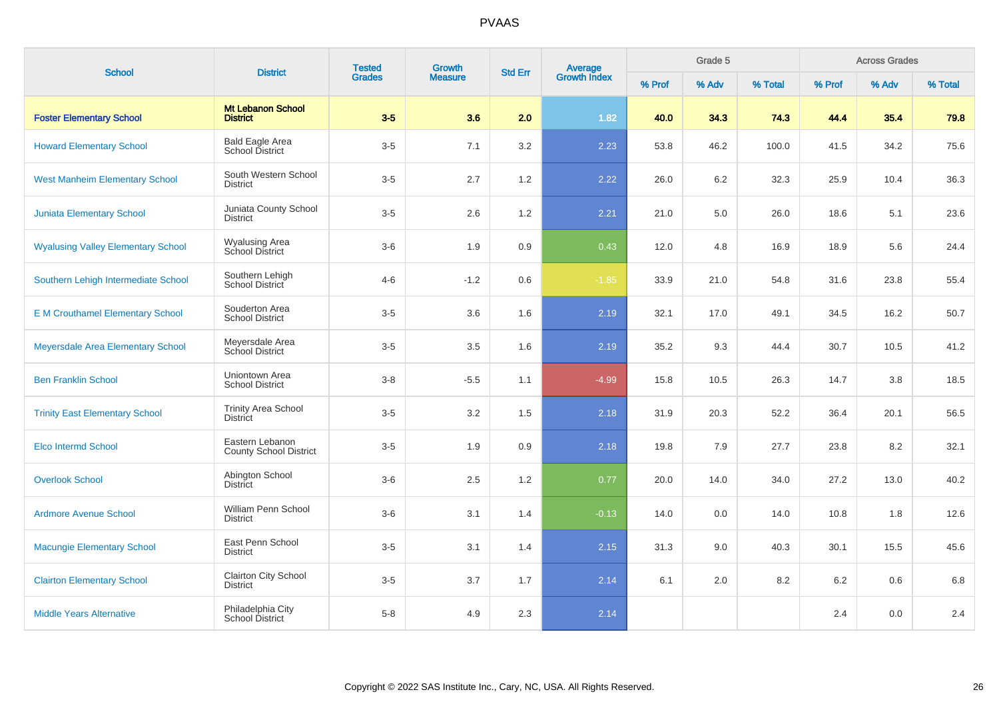| <b>School</b>                             |                                                  | <b>Tested</b><br><b>District</b><br><b>Grades</b> | Growth         | <b>Std Err</b> | <b>Average</b><br>Growth Index |        |       | Grade 5 |         |       | <b>Across Grades</b> |  |
|-------------------------------------------|--------------------------------------------------|---------------------------------------------------|----------------|----------------|--------------------------------|--------|-------|---------|---------|-------|----------------------|--|
|                                           |                                                  |                                                   | <b>Measure</b> |                |                                | % Prof | % Adv | % Total | % Prof  | % Adv | % Total              |  |
| <b>Foster Elementary School</b>           | <b>Mt Lebanon School</b><br><b>District</b>      | $3-5$                                             | 3.6            | 2.0            | 1.82                           | 40.0   | 34.3  | 74.3    | 44.4    | 35.4  | 79.8                 |  |
| <b>Howard Elementary School</b>           | <b>Bald Eagle Area</b><br>School District        | $3-5$                                             | 7.1            | 3.2            | 2.23                           | 53.8   | 46.2  | 100.0   | 41.5    | 34.2  | 75.6                 |  |
| <b>West Manheim Elementary School</b>     | South Western School<br><b>District</b>          | $3-5$                                             | 2.7            | 1.2            | 2.22                           | 26.0   | 6.2   | 32.3    | 25.9    | 10.4  | 36.3                 |  |
| <b>Juniata Elementary School</b>          | Juniata County School<br><b>District</b>         | $3-5$                                             | 2.6            | 1.2            | 2.21                           | 21.0   | 5.0   | 26.0    | 18.6    | 5.1   | 23.6                 |  |
| <b>Wyalusing Valley Elementary School</b> | Wyalusing Area<br>School District                | $3-6$                                             | 1.9            | 0.9            | 0.43                           | 12.0   | 4.8   | 16.9    | 18.9    | 5.6   | 24.4                 |  |
| Southern Lehigh Intermediate School       | Southern Lehigh<br>School District               | $4 - 6$                                           | $-1.2$         | 0.6            | $-1.85$                        | 33.9   | 21.0  | 54.8    | 31.6    | 23.8  | 55.4                 |  |
| <b>E M Crouthamel Elementary School</b>   | Souderton Area<br><b>School District</b>         | $3-5$                                             | 3.6            | 1.6            | 2.19                           | 32.1   | 17.0  | 49.1    | 34.5    | 16.2  | 50.7                 |  |
| Meyersdale Area Elementary School         | Meyersdale Area<br>School District               | $3-5$                                             | 3.5            | 1.6            | 2.19                           | 35.2   | 9.3   | 44.4    | 30.7    | 10.5  | 41.2                 |  |
| <b>Ben Franklin School</b>                | Uniontown Area<br><b>School District</b>         | $3 - 8$                                           | $-5.5$         | 1.1            | $-4.99$                        | 15.8   | 10.5  | 26.3    | 14.7    | 3.8   | 18.5                 |  |
| <b>Trinity East Elementary School</b>     | <b>Trinity Area School</b><br><b>District</b>    | $3-5$                                             | 3.2            | 1.5            | 2.18                           | 31.9   | 20.3  | 52.2    | 36.4    | 20.1  | 56.5                 |  |
| <b>Elco Intermd School</b>                | Eastern Lebanon<br><b>County School District</b> | $3-5$                                             | 1.9            | 0.9            | 2.18                           | 19.8   | 7.9   | 27.7    | 23.8    | 8.2   | 32.1                 |  |
| <b>Overlook School</b>                    | Abington School<br><b>District</b>               | $3-6$                                             | 2.5            | 1.2            | 0.77                           | 20.0   | 14.0  | 34.0    | 27.2    | 13.0  | 40.2                 |  |
| <b>Ardmore Avenue School</b>              | William Penn School<br><b>District</b>           | $3-6$                                             | 3.1            | 1.4            | $-0.13$                        | 14.0   | 0.0   | 14.0    | 10.8    | 1.8   | 12.6                 |  |
| <b>Macungie Elementary School</b>         | East Penn School<br><b>District</b>              | $3-5$                                             | 3.1            | 1.4            | 2.15                           | 31.3   | 9.0   | 40.3    | 30.1    | 15.5  | 45.6                 |  |
| <b>Clairton Elementary School</b>         | Clairton City School<br><b>District</b>          | $3-5$                                             | 3.7            | 1.7            | 2.14                           | 6.1    | 2.0   | 8.2     | $6.2\,$ | 0.6   | 6.8                  |  |
| <b>Middle Years Alternative</b>           | Philadelphia City<br>School District             | $5 - 8$                                           | 4.9            | 2.3            | 2.14                           |        |       |         | 2.4     | 0.0   | 2.4                  |  |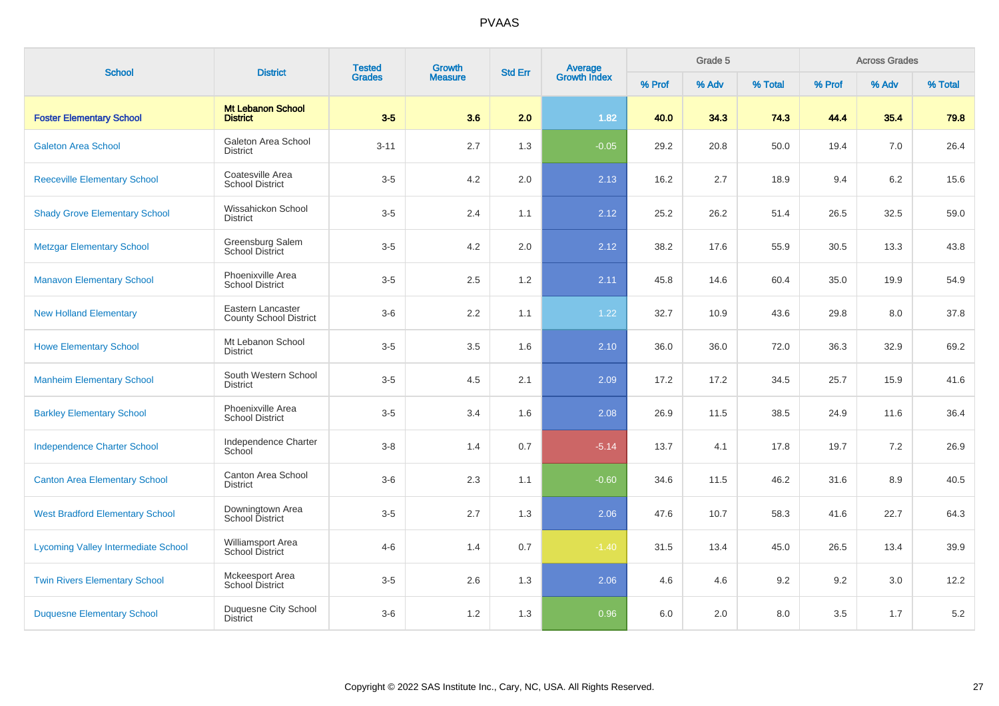| <b>School</b>                              | <b>District</b>                             | <b>Tested</b> | Growth         | <b>Std Err</b> | <b>Average</b><br>Growth Index |        | Grade 5 |         | <b>Across Grades</b> |       |         |
|--------------------------------------------|---------------------------------------------|---------------|----------------|----------------|--------------------------------|--------|---------|---------|----------------------|-------|---------|
|                                            |                                             | <b>Grades</b> | <b>Measure</b> |                |                                | % Prof | % Adv   | % Total | % Prof               | % Adv | % Total |
| <b>Foster Elementary School</b>            | <b>Mt Lebanon School</b><br><b>District</b> | $3-5$         | 3.6            | 2.0            | 1.82                           | 40.0   | 34.3    | 74.3    | 44.4                 | 35.4  | 79.8    |
| <b>Galeton Area School</b>                 | Galeton Area School<br><b>District</b>      | $3 - 11$      | 2.7            | 1.3            | $-0.05$                        | 29.2   | 20.8    | 50.0    | 19.4                 | 7.0   | 26.4    |
| <b>Reeceville Elementary School</b>        | Coatesville Area<br><b>School District</b>  | $3-5$         | 4.2            | 2.0            | 2.13                           | 16.2   | 2.7     | 18.9    | 9.4                  | 6.2   | 15.6    |
| <b>Shady Grove Elementary School</b>       | Wissahickon School<br><b>District</b>       | $3-5$         | 2.4            | 1.1            | 2.12                           | 25.2   | 26.2    | 51.4    | 26.5                 | 32.5  | 59.0    |
| <b>Metzgar Elementary School</b>           | Greensburg Salem<br>School District         | $3-5$         | 4.2            | 2.0            | 2.12                           | 38.2   | 17.6    | 55.9    | 30.5                 | 13.3  | 43.8    |
| <b>Manavon Elementary School</b>           | Phoenixville Area<br><b>School District</b> | $3-5$         | 2.5            | 1.2            | 2.11                           | 45.8   | 14.6    | 60.4    | 35.0                 | 19.9  | 54.9    |
| <b>New Holland Elementary</b>              | Eastern Lancaster<br>County School District | $3-6$         | 2.2            | 1.1            | 1.22                           | 32.7   | 10.9    | 43.6    | 29.8                 | 8.0   | 37.8    |
| <b>Howe Elementary School</b>              | Mt Lebanon School<br><b>District</b>        | $3-5$         | 3.5            | 1.6            | 2.10                           | 36.0   | 36.0    | 72.0    | 36.3                 | 32.9  | 69.2    |
| <b>Manheim Elementary School</b>           | South Western School<br><b>District</b>     | $3-5$         | 4.5            | 2.1            | 2.09                           | 17.2   | 17.2    | 34.5    | 25.7                 | 15.9  | 41.6    |
| <b>Barkley Elementary School</b>           | Phoenixville Area<br><b>School District</b> | $3-5$         | 3.4            | 1.6            | 2.08                           | 26.9   | 11.5    | 38.5    | 24.9                 | 11.6  | 36.4    |
| <b>Independence Charter School</b>         | Independence Charter<br>School              | $3-8$         | 1.4            | 0.7            | $-5.14$                        | 13.7   | 4.1     | 17.8    | 19.7                 | 7.2   | 26.9    |
| <b>Canton Area Elementary School</b>       | Canton Area School<br><b>District</b>       | $3-6$         | 2.3            | 1.1            | $-0.60$                        | 34.6   | 11.5    | 46.2    | 31.6                 | 8.9   | 40.5    |
| <b>West Bradford Elementary School</b>     | Downingtown Area<br>School District         | $3-5$         | 2.7            | 1.3            | 2.06                           | 47.6   | 10.7    | 58.3    | 41.6                 | 22.7  | 64.3    |
| <b>Lycoming Valley Intermediate School</b> | Williamsport Area<br><b>School District</b> | $4 - 6$       | 1.4            | 0.7            | $-1.40$                        | 31.5   | 13.4    | 45.0    | 26.5                 | 13.4  | 39.9    |
| <b>Twin Rivers Elementary School</b>       | Mckeesport Area<br><b>School District</b>   | $3-5$         | 2.6            | 1.3            | 2.06                           | 4.6    | 4.6     | 9.2     | 9.2                  | 3.0   | 12.2    |
| <b>Duquesne Elementary School</b>          | Duquesne City School<br><b>District</b>     | $3-6$         | $1.2$          | 1.3            | 0.96                           | 6.0    | 2.0     | 8.0     | $3.5\,$              | 1.7   | $5.2\,$ |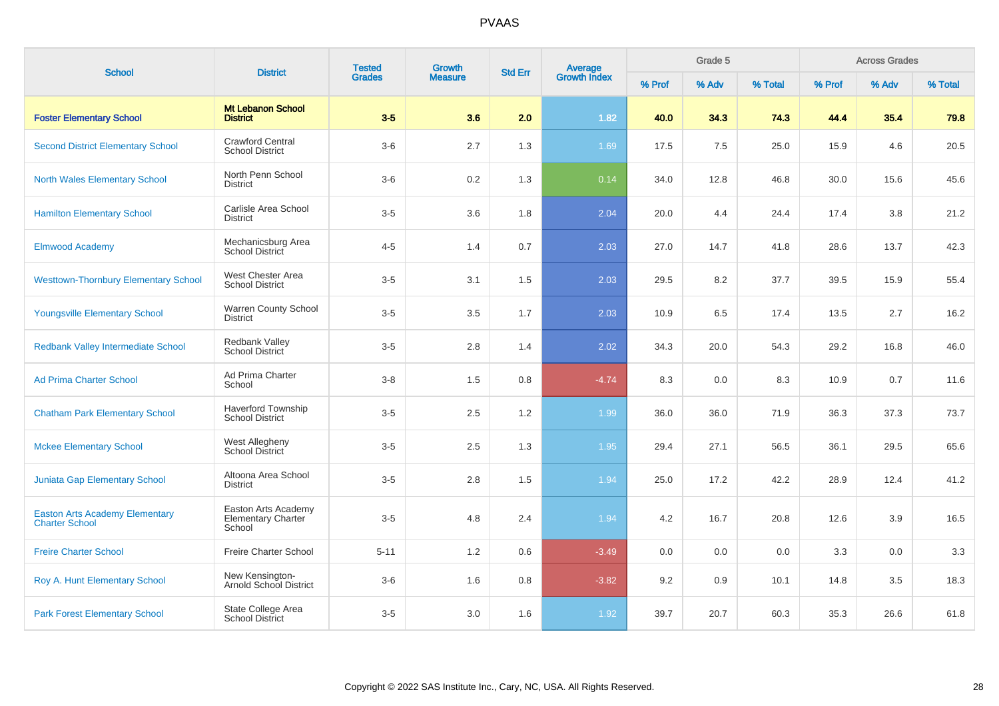| <b>School</b>                                                  | <b>District</b>                                            | <b>Tested</b> | Growth         | <b>Std Err</b> | <b>Average</b><br>Growth Index |        | Grade 5 |         |        | <b>Across Grades</b> |         |
|----------------------------------------------------------------|------------------------------------------------------------|---------------|----------------|----------------|--------------------------------|--------|---------|---------|--------|----------------------|---------|
|                                                                |                                                            | <b>Grades</b> | <b>Measure</b> |                |                                | % Prof | % Adv   | % Total | % Prof | % Adv                | % Total |
| <b>Foster Elementary School</b>                                | <b>Mt Lebanon School</b><br><b>District</b>                | $3-5$         | 3.6            | 2.0            | 1.82                           | 40.0   | 34.3    | 74.3    | 44.4   | 35.4                 | 79.8    |
| <b>Second District Elementary School</b>                       | <b>Crawford Central</b><br><b>School District</b>          | $3-6$         | 2.7            | 1.3            | 1.69                           | 17.5   | 7.5     | 25.0    | 15.9   | 4.6                  | 20.5    |
| <b>North Wales Elementary School</b>                           | North Penn School<br><b>District</b>                       | $3-6$         | 0.2            | 1.3            | 0.14                           | 34.0   | 12.8    | 46.8    | 30.0   | 15.6                 | 45.6    |
| <b>Hamilton Elementary School</b>                              | Carlisle Area School<br><b>District</b>                    | $3-5$         | 3.6            | 1.8            | 2.04                           | 20.0   | 4.4     | 24.4    | 17.4   | 3.8                  | 21.2    |
| <b>Elmwood Academy</b>                                         | Mechanicsburg Area<br>School District                      | $4 - 5$       | 1.4            | 0.7            | 2.03                           | 27.0   | 14.7    | 41.8    | 28.6   | 13.7                 | 42.3    |
| <b>Westtown-Thornbury Elementary School</b>                    | West Chester Area<br><b>School District</b>                | $3-5$         | 3.1            | 1.5            | 2.03                           | 29.5   | 8.2     | 37.7    | 39.5   | 15.9                 | 55.4    |
| <b>Youngsville Elementary School</b>                           | Warren County School<br>District                           | $3-5$         | 3.5            | 1.7            | 2.03                           | 10.9   | 6.5     | 17.4    | 13.5   | 2.7                  | 16.2    |
| <b>Redbank Valley Intermediate School</b>                      | <b>Redbank Valley</b><br><b>School District</b>            | $3-5$         | 2.8            | 1.4            | 2.02                           | 34.3   | 20.0    | 54.3    | 29.2   | 16.8                 | 46.0    |
| <b>Ad Prima Charter School</b>                                 | Ad Prima Charter<br>School                                 | $3 - 8$       | 1.5            | 0.8            | $-4.74$                        | 8.3    | 0.0     | 8.3     | 10.9   | 0.7                  | 11.6    |
| <b>Chatham Park Elementary School</b>                          | <b>Haverford Township</b><br><b>School District</b>        | $3-5$         | 2.5            | 1.2            | 1.99                           | 36.0   | 36.0    | 71.9    | 36.3   | 37.3                 | 73.7    |
| <b>Mckee Elementary School</b>                                 | West Allegheny<br>School District                          | $3-5$         | 2.5            | 1.3            | 1.95                           | 29.4   | 27.1    | 56.5    | 36.1   | 29.5                 | 65.6    |
| <b>Juniata Gap Elementary School</b>                           | Altoona Area School<br><b>District</b>                     | $3-5$         | 2.8            | 1.5            | 1.94                           | 25.0   | 17.2    | 42.2    | 28.9   | 12.4                 | 41.2    |
| <b>Easton Arts Academy Elementary</b><br><b>Charter School</b> | Easton Arts Academy<br><b>Elementary Charter</b><br>School | $3-5$         | 4.8            | 2.4            | 1.94                           | 4.2    | 16.7    | 20.8    | 12.6   | 3.9                  | 16.5    |
| <b>Freire Charter School</b>                                   | Freire Charter School                                      | $5 - 11$      | 1.2            | 0.6            | $-3.49$                        | 0.0    | 0.0     | 0.0     | 3.3    | 0.0                  | 3.3     |
| Roy A. Hunt Elementary School                                  | New Kensington-<br>Arnold School District                  | $3-6$         | 1.6            | 0.8            | $-3.82$                        | 9.2    | 0.9     | 10.1    | 14.8   | 3.5                  | 18.3    |
| <b>Park Forest Elementary School</b>                           | State College Area<br><b>School District</b>               | $3-5$         | 3.0            | 1.6            | 1.92                           | 39.7   | 20.7    | 60.3    | 35.3   | 26.6                 | 61.8    |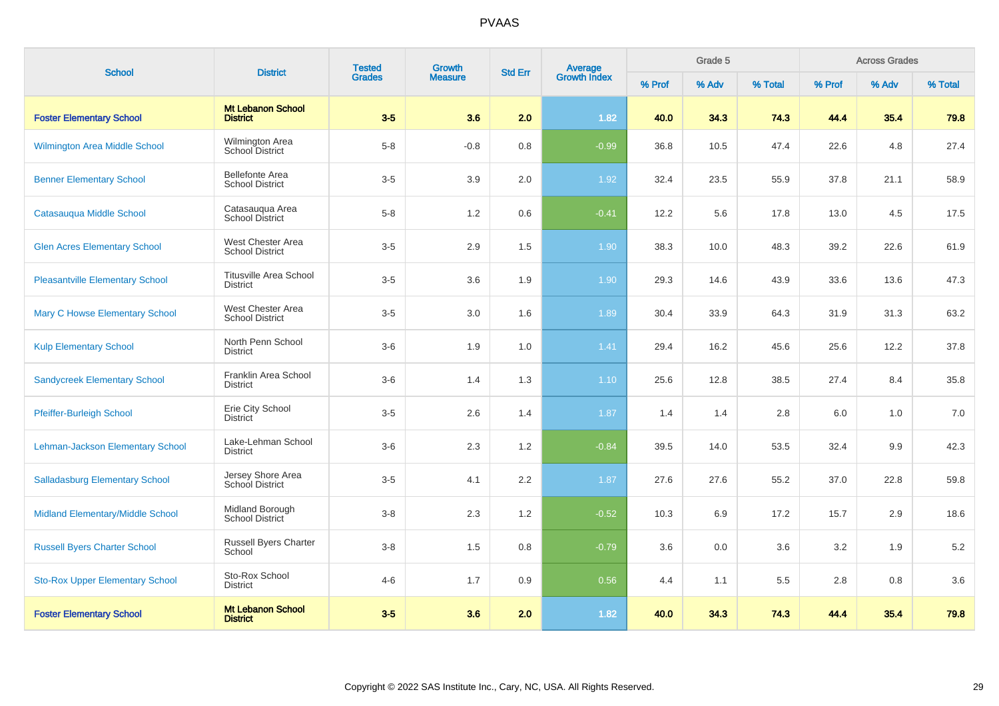| <b>School</b>                          | <b>District</b>                                  | <b>Tested</b> | Growth         | <b>Std Err</b> |                                |        | Grade 5 |         |        | <b>Across Grades</b> |         |
|----------------------------------------|--------------------------------------------------|---------------|----------------|----------------|--------------------------------|--------|---------|---------|--------|----------------------|---------|
|                                        |                                                  | <b>Grades</b> | <b>Measure</b> |                | <b>Average</b><br>Growth Index | % Prof | % Adv   | % Total | % Prof | % Adv                | % Total |
| <b>Foster Elementary School</b>        | <b>Mt Lebanon School</b><br><b>District</b>      | $3 - 5$       | 3.6            | 2.0            | 1.82                           | 40.0   | 34.3    | 74.3    | 44.4   | 35.4                 | 79.8    |
| Wilmington Area Middle School          | Wilmington Area<br>School District               | $5 - 8$       | $-0.8$         | 0.8            | $-0.99$                        | 36.8   | 10.5    | 47.4    | 22.6   | 4.8                  | 27.4    |
| <b>Benner Elementary School</b>        | <b>Bellefonte Area</b><br><b>School District</b> | $3-5$         | 3.9            | 2.0            | 1.92                           | 32.4   | 23.5    | 55.9    | 37.8   | 21.1                 | 58.9    |
| Catasauqua Middle School               | Catasauqua Area<br>School District               | $5 - 8$       | 1.2            | 0.6            | $-0.41$                        | 12.2   | 5.6     | 17.8    | 13.0   | 4.5                  | 17.5    |
| <b>Glen Acres Elementary School</b>    | West Chester Area<br><b>School District</b>      | $3-5$         | 2.9            | 1.5            | 1.90                           | 38.3   | 10.0    | 48.3    | 39.2   | 22.6                 | 61.9    |
| <b>Pleasantville Elementary School</b> | <b>Titusville Area School</b><br><b>District</b> | $3-5$         | 3.6            | 1.9            | 1.90                           | 29.3   | 14.6    | 43.9    | 33.6   | 13.6                 | 47.3    |
| <b>Mary C Howse Elementary School</b>  | West Chester Area<br><b>School District</b>      | $3-5$         | 3.0            | 1.6            | 1.89                           | 30.4   | 33.9    | 64.3    | 31.9   | 31.3                 | 63.2    |
| <b>Kulp Elementary School</b>          | North Penn School<br><b>District</b>             | $3-6$         | 1.9            | 1.0            | 1.41                           | 29.4   | 16.2    | 45.6    | 25.6   | 12.2                 | 37.8    |
| <b>Sandycreek Elementary School</b>    | Franklin Area School<br><b>District</b>          | $3-6$         | 1.4            | 1.3            | 1.10                           | 25.6   | 12.8    | 38.5    | 27.4   | 8.4                  | 35.8    |
| Pfeiffer-Burleigh School               | Erie City School<br><b>District</b>              | $3-5$         | 2.6            | 1.4            | 1.87                           | 1.4    | 1.4     | 2.8     | 6.0    | 1.0                  | 7.0     |
| Lehman-Jackson Elementary School       | Lake-Lehman School<br><b>District</b>            | $3-6$         | 2.3            | 1.2            | $-0.84$                        | 39.5   | 14.0    | 53.5    | 32.4   | 9.9                  | 42.3    |
| <b>Salladasburg Elementary School</b>  | Jersey Shore Area<br>School District             | $3-5$         | 4.1            | 2.2            | 1.87                           | 27.6   | 27.6    | 55.2    | 37.0   | 22.8                 | 59.8    |
| Midland Elementary/Middle School       | Midland Borough<br>School District               | $3-8$         | 2.3            | 1.2            | $-0.52$                        | 10.3   | 6.9     | 17.2    | 15.7   | 2.9                  | 18.6    |
| <b>Russell Byers Charter School</b>    | Russell Byers Charter<br>School                  | $3-8$         | 1.5            | 0.8            | $-0.79$                        | 3.6    | 0.0     | 3.6     | 3.2    | 1.9                  | 5.2     |
| <b>Sto-Rox Upper Elementary School</b> | Sto-Rox School<br><b>District</b>                | $4 - 6$       | 1.7            | 0.9            | 0.56                           | 4.4    | 1.1     | 5.5     | 2.8    | 0.8                  | 3.6     |
| <b>Foster Elementary School</b>        | <b>Mt Lebanon School</b><br><b>District</b>      | $3-5$         | 3.6            | 2.0            | 1.82                           | 40.0   | 34.3    | 74.3    | 44.4   | 35.4                 | 79.8    |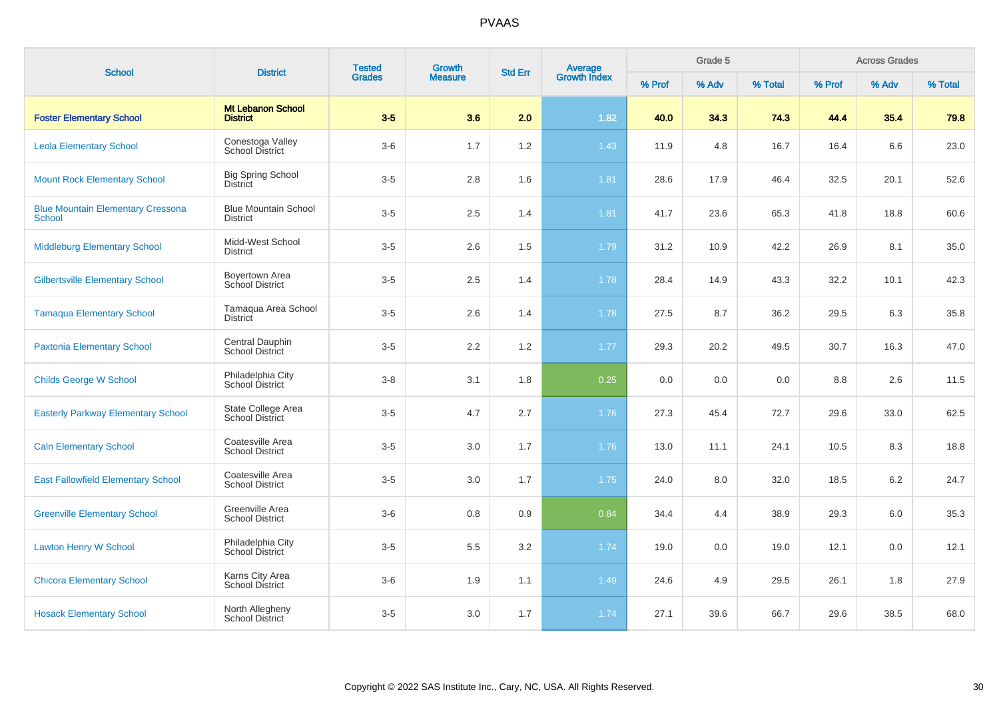| <b>School</b>                                             | <b>District</b>                                | <b>Tested</b> | Growth         | <b>Std Err</b> |                                |        | Grade 5 |         |        | <b>Across Grades</b> |         |
|-----------------------------------------------------------|------------------------------------------------|---------------|----------------|----------------|--------------------------------|--------|---------|---------|--------|----------------------|---------|
|                                                           |                                                | <b>Grades</b> | <b>Measure</b> |                | <b>Average</b><br>Growth Index | % Prof | % Adv   | % Total | % Prof | % Adv                | % Total |
| <b>Foster Elementary School</b>                           | <b>Mt Lebanon School</b><br><b>District</b>    | $3-5$         | 3.6            | 2.0            | 1.82                           | 40.0   | 34.3    | 74.3    | 44.4   | 35.4                 | 79.8    |
| <b>Leola Elementary School</b>                            | Conestoga Valley<br><b>School District</b>     | $3-6$         | 1.7            | 1.2            | 1.43                           | 11.9   | 4.8     | 16.7    | 16.4   | 6.6                  | 23.0    |
| <b>Mount Rock Elementary School</b>                       | <b>Big Spring School</b><br><b>District</b>    | $3-5$         | 2.8            | 1.6            | 1.81                           | 28.6   | 17.9    | 46.4    | 32.5   | 20.1                 | 52.6    |
| <b>Blue Mountain Elementary Cressona</b><br><b>School</b> | <b>Blue Mountain School</b><br><b>District</b> | $3-5$         | 2.5            | 1.4            | 1.81                           | 41.7   | 23.6    | 65.3    | 41.8   | 18.8                 | 60.6    |
| <b>Middleburg Elementary School</b>                       | Midd-West School<br><b>District</b>            | $3-5$         | 2.6            | 1.5            | 1.79                           | 31.2   | 10.9    | 42.2    | 26.9   | 8.1                  | 35.0    |
| <b>Gilbertsville Elementary School</b>                    | Boyertown Area<br>School District              | $3-5$         | 2.5            | 1.4            | 1.78                           | 28.4   | 14.9    | 43.3    | 32.2   | 10.1                 | 42.3    |
| <b>Tamaqua Elementary School</b>                          | Tamaqua Area School<br><b>District</b>         | $3-5$         | 2.6            | 1.4            | 1.78                           | 27.5   | 8.7     | 36.2    | 29.5   | 6.3                  | 35.8    |
| <b>Paxtonia Elementary School</b>                         | Central Dauphin<br><b>School District</b>      | $3-5$         | 2.2            | 1.2            | 1.77                           | 29.3   | 20.2    | 49.5    | 30.7   | 16.3                 | 47.0    |
| <b>Childs George W School</b>                             | Philadelphia City<br>School District           | $3 - 8$       | 3.1            | 1.8            | 0.25                           | 0.0    | 0.0     | 0.0     | 8.8    | 2.6                  | 11.5    |
| <b>Easterly Parkway Elementary School</b>                 | State College Area<br>School District          | $3-5$         | 4.7            | 2.7            | 1.76                           | 27.3   | 45.4    | 72.7    | 29.6   | 33.0                 | 62.5    |
| <b>Caln Elementary School</b>                             | Coatesville Area<br><b>School District</b>     | $3-5$         | 3.0            | 1.7            | 1.76                           | 13.0   | 11.1    | 24.1    | 10.5   | 8.3                  | 18.8    |
| <b>East Fallowfield Elementary School</b>                 | Coatesville Area<br><b>School District</b>     | $3-5$         | 3.0            | 1.7            | 1.75                           | 24.0   | 8.0     | 32.0    | 18.5   | 6.2                  | 24.7    |
| <b>Greenville Elementary School</b>                       | Greenville Area<br><b>School District</b>      | $3-6$         | 0.8            | 0.9            | 0.84                           | 34.4   | 4.4     | 38.9    | 29.3   | 6.0                  | 35.3    |
| <b>Lawton Henry W School</b>                              | Philadelphia City<br>School District           | $3-5$         | 5.5            | 3.2            | 1.74                           | 19.0   | 0.0     | 19.0    | 12.1   | 0.0                  | 12.1    |
| <b>Chicora Elementary School</b>                          | Karns City Area<br>School District             | $3-6$         | 1.9            | 1.1            | 1.49                           | 24.6   | 4.9     | 29.5    | 26.1   | 1.8                  | 27.9    |
| <b>Hosack Elementary School</b>                           | North Allegheny<br><b>School District</b>      | $3-5$         | 3.0            | 1.7            | 1.74                           | 27.1   | 39.6    | 66.7    | 29.6   | 38.5                 | 68.0    |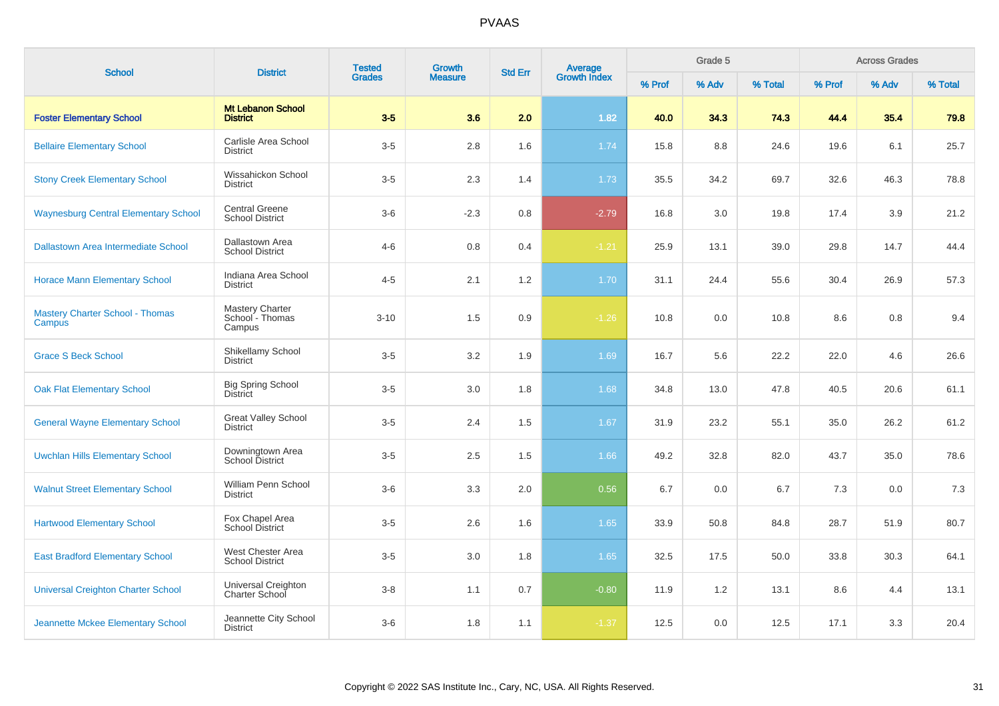| <b>School</b>                                    | <b>District</b>                                     | <b>Tested</b> | <b>Growth</b>  | <b>Std Err</b> | Average<br>Growth Index |        | Grade 5 |         |        | <b>Across Grades</b> |         |  |
|--------------------------------------------------|-----------------------------------------------------|---------------|----------------|----------------|-------------------------|--------|---------|---------|--------|----------------------|---------|--|
|                                                  |                                                     | <b>Grades</b> | <b>Measure</b> |                |                         | % Prof | % Adv   | % Total | % Prof | % Adv                | % Total |  |
| <b>Foster Elementary School</b>                  | <b>Mt Lebanon School</b><br><b>District</b>         | $3-5$         | 3.6            | 2.0            | 1.82                    | 40.0   | 34.3    | 74.3    | 44.4   | 35.4                 | 79.8    |  |
| <b>Bellaire Elementary School</b>                | Carlisle Area School<br><b>District</b>             | $3-5$         | 2.8            | 1.6            | 1.74                    | 15.8   | 8.8     | 24.6    | 19.6   | 6.1                  | 25.7    |  |
| <b>Stony Creek Elementary School</b>             | Wissahickon School<br><b>District</b>               | $3-5$         | 2.3            | 1.4            | 1.73                    | 35.5   | 34.2    | 69.7    | 32.6   | 46.3                 | 78.8    |  |
| <b>Waynesburg Central Elementary School</b>      | <b>Central Greene</b><br><b>School District</b>     | $3-6$         | $-2.3$         | 0.8            | $-2.79$                 | 16.8   | 3.0     | 19.8    | 17.4   | 3.9                  | 21.2    |  |
| Dallastown Area Intermediate School              | Dallastown Area<br><b>School District</b>           | $4 - 6$       | 0.8            | 0.4            | $-1.21$                 | 25.9   | 13.1    | 39.0    | 29.8   | 14.7                 | 44.4    |  |
| <b>Horace Mann Elementary School</b>             | Indiana Area School<br><b>District</b>              | $4 - 5$       | 2.1            | 1.2            | 1.70                    | 31.1   | 24.4    | 55.6    | 30.4   | 26.9                 | 57.3    |  |
| <b>Mastery Charter School - Thomas</b><br>Campus | <b>Mastery Charter</b><br>School - Thomas<br>Campus | $3 - 10$      | 1.5            | 0.9            | $-1.26$                 | 10.8   | 0.0     | 10.8    | 8.6    | 0.8                  | 9.4     |  |
| <b>Grace S Beck School</b>                       | Shikellamy School<br><b>District</b>                | $3-5$         | 3.2            | 1.9            | 1.69                    | 16.7   | 5.6     | 22.2    | 22.0   | 4.6                  | 26.6    |  |
| <b>Oak Flat Elementary School</b>                | <b>Big Spring School</b><br><b>District</b>         | $3-5$         | 3.0            | 1.8            | 1.68                    | 34.8   | 13.0    | 47.8    | 40.5   | 20.6                 | 61.1    |  |
| <b>General Wayne Elementary School</b>           | <b>Great Valley School</b><br><b>District</b>       | $3-5$         | 2.4            | 1.5            | 1.67                    | 31.9   | 23.2    | 55.1    | 35.0   | 26.2                 | 61.2    |  |
| <b>Uwchlan Hills Elementary School</b>           | Downingtown Area<br>School District                 | $3-5$         | 2.5            | 1.5            | 1.66                    | 49.2   | 32.8    | 82.0    | 43.7   | 35.0                 | 78.6    |  |
| <b>Walnut Street Elementary School</b>           | William Penn School<br><b>District</b>              | $3-6$         | 3.3            | 2.0            | 0.56                    | 6.7    | 0.0     | 6.7     | 7.3    | 0.0                  | 7.3     |  |
| <b>Hartwood Elementary School</b>                | Fox Chapel Area<br>School District                  | $3-5$         | 2.6            | 1.6            | 1.65                    | 33.9   | 50.8    | 84.8    | 28.7   | 51.9                 | 80.7    |  |
| <b>East Bradford Elementary School</b>           | West Chester Area<br><b>School District</b>         | $3-5$         | 3.0            | 1.8            | 1.65                    | 32.5   | 17.5    | 50.0    | 33.8   | 30.3                 | 64.1    |  |
| <b>Universal Creighton Charter School</b>        | Universal Creighton<br><b>Charter School</b>        | $3-8$         | 1.1            | 0.7            | $-0.80$                 | 11.9   | 1.2     | 13.1    | 8.6    | 4.4                  | 13.1    |  |
| Jeannette Mckee Elementary School                | Jeannette City School<br><b>District</b>            | $3-6$         | 1.8            | 1.1            | $-1.37$                 | 12.5   | 0.0     | 12.5    | 17.1   | 3.3                  | 20.4    |  |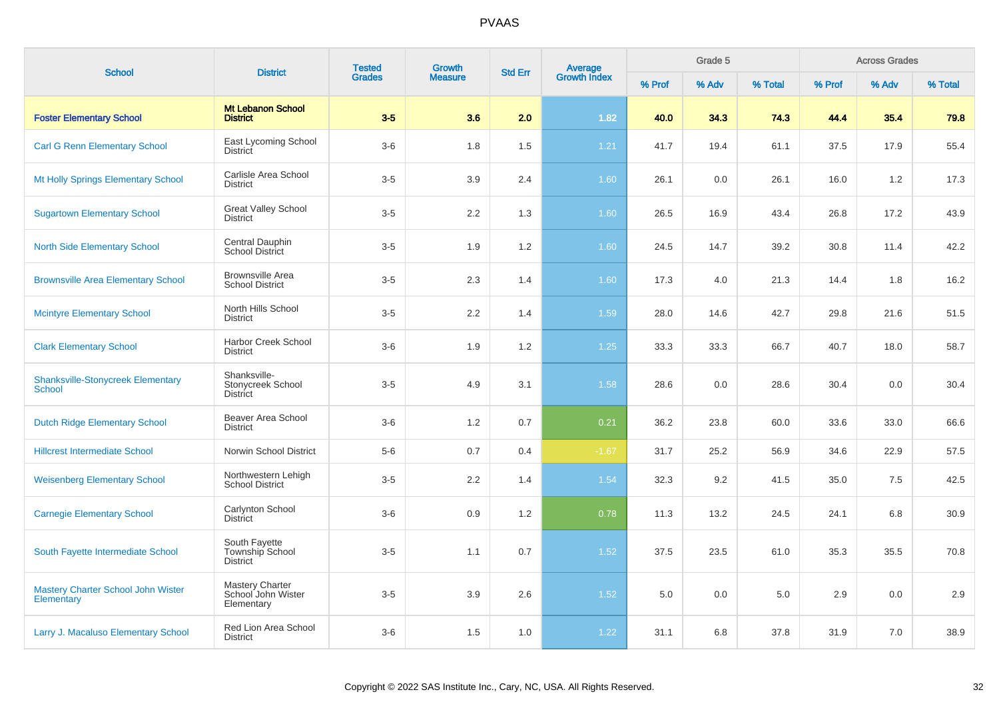| <b>School</b>                                           | <b>District</b>                                            | <b>Tested</b> | <b>Growth</b>  | <b>Std Err</b> | <b>Average</b><br>Growth Index |        | Grade 5 |         |        | <b>Across Grades</b> |         |
|---------------------------------------------------------|------------------------------------------------------------|---------------|----------------|----------------|--------------------------------|--------|---------|---------|--------|----------------------|---------|
|                                                         |                                                            | <b>Grades</b> | <b>Measure</b> |                |                                | % Prof | % Adv   | % Total | % Prof | % Adv                | % Total |
| <b>Foster Elementary School</b>                         | <b>Mt Lebanon School</b><br><b>District</b>                | $3-5$         | 3.6            | 2.0            | 1.82                           | 40.0   | 34.3    | 74.3    | 44.4   | 35.4                 | 79.8    |
| <b>Carl G Renn Elementary School</b>                    | East Lycoming School<br>District                           | $3-6$         | 1.8            | 1.5            | $1.21$                         | 41.7   | 19.4    | 61.1    | 37.5   | 17.9                 | 55.4    |
| Mt Holly Springs Elementary School                      | Carlisle Area School<br><b>District</b>                    | $3-5$         | 3.9            | 2.4            | 1.60                           | 26.1   | 0.0     | 26.1    | 16.0   | 1.2                  | 17.3    |
| <b>Sugartown Elementary School</b>                      | <b>Great Valley School</b><br><b>District</b>              | $3-5$         | 2.2            | 1.3            | 1.60                           | 26.5   | 16.9    | 43.4    | 26.8   | 17.2                 | 43.9    |
| <b>North Side Elementary School</b>                     | Central Dauphin<br><b>School District</b>                  | $3-5$         | 1.9            | 1.2            | 1.60                           | 24.5   | 14.7    | 39.2    | 30.8   | 11.4                 | 42.2    |
| <b>Brownsville Area Elementary School</b>               | <b>Brownsville Area</b><br><b>School District</b>          | $3-5$         | 2.3            | 1.4            | 1.60                           | 17.3   | 4.0     | 21.3    | 14.4   | 1.8                  | 16.2    |
| <b>Mcintyre Elementary School</b>                       | North Hills School<br><b>District</b>                      | $3-5$         | 2.2            | 1.4            | 1.59                           | 28.0   | 14.6    | 42.7    | 29.8   | 21.6                 | 51.5    |
| <b>Clark Elementary School</b>                          | <b>Harbor Creek School</b><br><b>District</b>              | $3-6$         | 1.9            | 1.2            | 1.25                           | 33.3   | 33.3    | 66.7    | 40.7   | 18.0                 | 58.7    |
| <b>Shanksville-Stonycreek Elementary</b><br>School      | Shanksville-<br>Stonycreek School<br><b>District</b>       | $3-5$         | 4.9            | 3.1            | 1.58                           | 28.6   | 0.0     | 28.6    | 30.4   | 0.0                  | 30.4    |
| <b>Dutch Ridge Elementary School</b>                    | Beaver Area School<br><b>District</b>                      | $3-6$         | 1.2            | 0.7            | 0.21                           | 36.2   | 23.8    | 60.0    | 33.6   | 33.0                 | 66.6    |
| <b>Hillcrest Intermediate School</b>                    | Norwin School District                                     | $5-6$         | 0.7            | 0.4            | $-1.67$                        | 31.7   | 25.2    | 56.9    | 34.6   | 22.9                 | 57.5    |
| <b>Weisenberg Elementary School</b>                     | Northwestern Lehigh<br><b>School District</b>              | $3-5$         | 2.2            | 1.4            | 1.54                           | 32.3   | 9.2     | 41.5    | 35.0   | 7.5                  | 42.5    |
| <b>Carnegie Elementary School</b>                       | Carlynton School<br><b>District</b>                        | $3-6$         | 0.9            | 1.2            | 0.78                           | 11.3   | 13.2    | 24.5    | 24.1   | 6.8                  | 30.9    |
| South Fayette Intermediate School                       | South Fayette<br>Township School<br><b>District</b>        | $3-5$         | 1.1            | 0.7            | 1.52                           | 37.5   | 23.5    | 61.0    | 35.3   | 35.5                 | 70.8    |
| <b>Mastery Charter School John Wister</b><br>Elementary | <b>Mastery Charter</b><br>School John Wister<br>Elementary | $3-5$         | 3.9            | 2.6            | 1.52                           | 5.0    | 0.0     | 5.0     | 2.9    | 0.0                  | 2.9     |
| Larry J. Macaluso Elementary School                     | Red Lion Area School<br><b>District</b>                    | $3-6$         | 1.5            | 1.0            | 1.22                           | 31.1   | 6.8     | 37.8    | 31.9   | 7.0                  | 38.9    |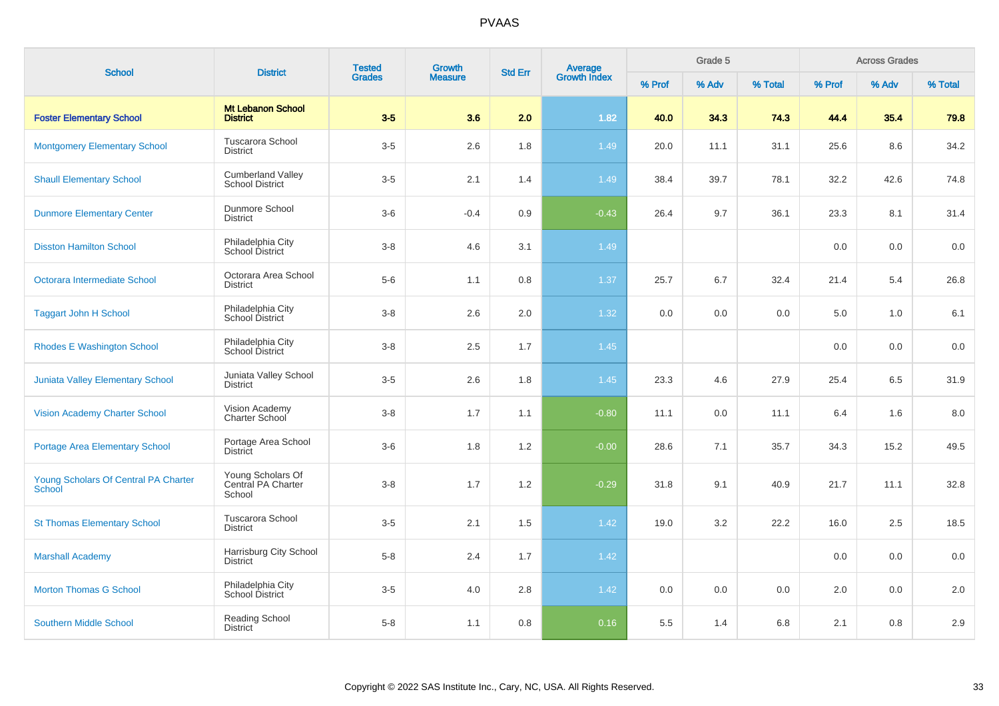| <b>School</b>                                         | <b>District</b>                                    | <b>Tested</b> | <b>Growth</b>  | <b>Std Err</b> | Average<br>Growth Index |        | Grade 5 |         |        | <b>Across Grades</b><br>% Adv<br>35.4<br>8.6<br>42.6<br>8.1 |         |  |  |
|-------------------------------------------------------|----------------------------------------------------|---------------|----------------|----------------|-------------------------|--------|---------|---------|--------|-------------------------------------------------------------|---------|--|--|
|                                                       |                                                    | <b>Grades</b> | <b>Measure</b> |                |                         | % Prof | % Adv   | % Total | % Prof |                                                             | % Total |  |  |
| <b>Foster Elementary School</b>                       | <b>Mt Lebanon School</b><br><b>District</b>        | $3-5$         | 3.6            | 2.0            | 1.82                    | 40.0   | 34.3    | 74.3    | 44.4   |                                                             | 79.8    |  |  |
| <b>Montgomery Elementary School</b>                   | Tuscarora School<br><b>District</b>                | $3-5$         | 2.6            | 1.8            | 1.49                    | 20.0   | 11.1    | 31.1    | 25.6   |                                                             | 34.2    |  |  |
| <b>Shaull Elementary School</b>                       | <b>Cumberland Valley</b><br><b>School District</b> | $3-5$         | 2.1            | 1.4            | 1.49                    | 38.4   | 39.7    | 78.1    | 32.2   |                                                             | 74.8    |  |  |
| <b>Dunmore Elementary Center</b>                      | Dunmore School<br><b>District</b>                  | $3-6$         | $-0.4$         | 0.9            | $-0.43$                 | 26.4   | 9.7     | 36.1    | 23.3   |                                                             | 31.4    |  |  |
| <b>Disston Hamilton School</b>                        | Philadelphia City<br>School District               | $3-8$         | 4.6            | 3.1            | 1.49                    |        |         |         | 0.0    | 0.0                                                         | 0.0     |  |  |
| Octorara Intermediate School                          | Octorara Area School<br><b>District</b>            | $5-6$         | 1.1            | 0.8            | 1.37                    | 25.7   | 6.7     | 32.4    | 21.4   | 5.4                                                         | 26.8    |  |  |
| <b>Taggart John H School</b>                          | Philadelphia City<br>School District               | $3-8$         | 2.6            | 2.0            | 1.32                    | 0.0    | 0.0     | 0.0     | 5.0    | 1.0                                                         | 6.1     |  |  |
| <b>Rhodes E Washington School</b>                     | Philadelphia City<br>School District               | $3 - 8$       | 2.5            | 1.7            | 1.45                    |        |         |         | 0.0    | 0.0                                                         | 0.0     |  |  |
| Juniata Valley Elementary School                      | Juniata Valley School<br><b>District</b>           | $3-5$         | 2.6            | 1.8            | 1.45                    | 23.3   | 4.6     | 27.9    | 25.4   | 6.5                                                         | 31.9    |  |  |
| <b>Vision Academy Charter School</b>                  | Vision Academy<br>Charter School                   | $3-8$         | 1.7            | 1.1            | $-0.80$                 | 11.1   | 0.0     | 11.1    | 6.4    | 1.6                                                         | 8.0     |  |  |
| <b>Portage Area Elementary School</b>                 | Portage Area School<br><b>District</b>             | $3-6$         | 1.8            | 1.2            | $-0.00$                 | 28.6   | 7.1     | 35.7    | 34.3   | 15.2                                                        | 49.5    |  |  |
| Young Scholars Of Central PA Charter<br><b>School</b> | Young Scholars Of<br>Central PA Charter<br>School  | $3 - 8$       | 1.7            | 1.2            | $-0.29$                 | 31.8   | 9.1     | 40.9    | 21.7   | 11.1                                                        | 32.8    |  |  |
| <b>St Thomas Elementary School</b>                    | Tuscarora School<br><b>District</b>                | $3-5$         | 2.1            | 1.5            | 1.42                    | 19.0   | 3.2     | 22.2    | 16.0   | 2.5                                                         | 18.5    |  |  |
| <b>Marshall Academy</b>                               | Harrisburg City School<br><b>District</b>          | $5-8$         | 2.4            | 1.7            | 1.42                    |        |         |         | 0.0    | 0.0                                                         | 0.0     |  |  |
| <b>Morton Thomas G School</b>                         | Philadelphia City<br><b>School District</b>        | $3-5$         | 4.0            | 2.8            | 1.42                    | 0.0    | 0.0     | 0.0     | 2.0    | 0.0                                                         | $2.0\,$ |  |  |
| <b>Southern Middle School</b>                         | Reading School<br><b>District</b>                  | $5-8$         | 1.1            | 0.8            | 0.16                    | 5.5    | 1.4     | 6.8     | 2.1    | 0.8                                                         | 2.9     |  |  |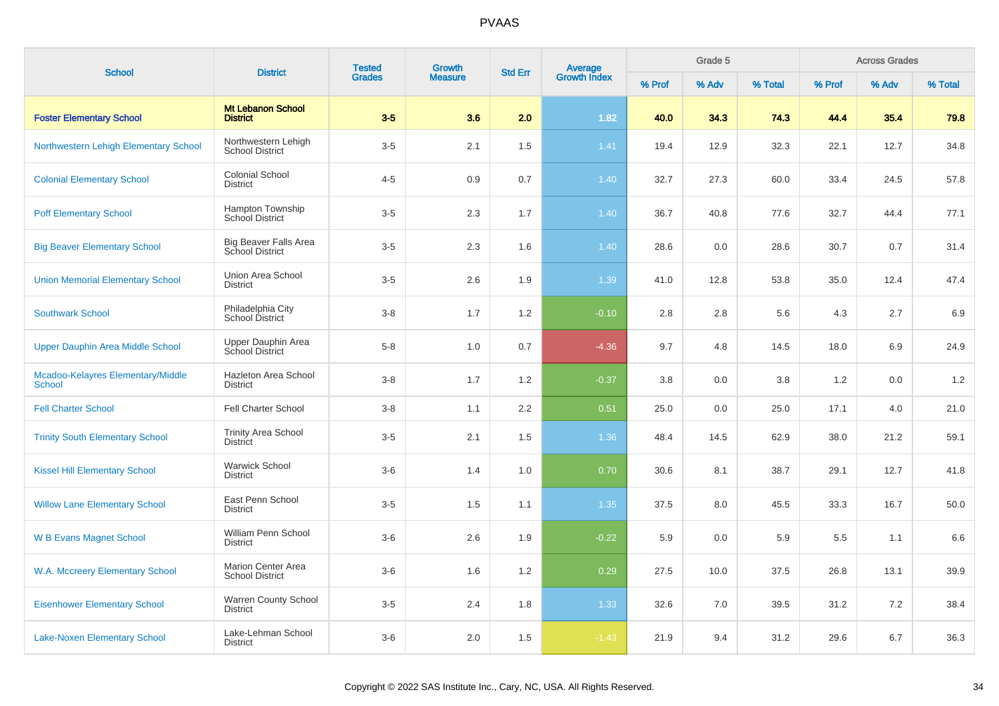| <b>School</b>                                      | <b>District</b>                                        | <b>Tested</b> | <b>Growth</b>  | <b>Std Err</b> |                                |        | Grade 5 |         |        | <b>Across Grades</b> |         |
|----------------------------------------------------|--------------------------------------------------------|---------------|----------------|----------------|--------------------------------|--------|---------|---------|--------|----------------------|---------|
|                                                    |                                                        | <b>Grades</b> | <b>Measure</b> |                | <b>Average</b><br>Growth Index | % Prof | % Adv   | % Total | % Prof | % Adv                | % Total |
| <b>Foster Elementary School</b>                    | <b>Mt Lebanon School</b><br><b>District</b>            | $3-5$         | 3.6            | 2.0            | 1.82                           | 40.0   | 34.3    | 74.3    | 44.4   | 35.4                 | 79.8    |
| Northwestern Lehigh Elementary School              | Northwestern Lehigh<br><b>School District</b>          | $3-5$         | 2.1            | 1.5            | 1.41                           | 19.4   | 12.9    | 32.3    | 22.1   | 12.7                 | 34.8    |
| <b>Colonial Elementary School</b>                  | <b>Colonial School</b><br><b>District</b>              | $4 - 5$       | 0.9            | 0.7            | 1.40                           | 32.7   | 27.3    | 60.0    | 33.4   | 24.5                 | 57.8    |
| <b>Poff Elementary School</b>                      | Hampton Township<br><b>School District</b>             | $3-5$         | 2.3            | 1.7            | 1.40                           | 36.7   | 40.8    | 77.6    | 32.7   | 44.4                 | 77.1    |
| <b>Big Beaver Elementary School</b>                | <b>Big Beaver Falls Area</b><br><b>School District</b> | $3-5$         | 2.3            | 1.6            | 1.40                           | 28.6   | 0.0     | 28.6    | 30.7   | 0.7                  | 31.4    |
| <b>Union Memorial Elementary School</b>            | Union Area School<br><b>District</b>                   | $3-5$         | 2.6            | 1.9            | 1.39                           | 41.0   | 12.8    | 53.8    | 35.0   | 12.4                 | 47.4    |
| <b>Southwark School</b>                            | Philadelphia City<br>School District                   | $3-8$         | 1.7            | 1.2            | $-0.10$                        | 2.8    | 2.8     | 5.6     | 4.3    | 2.7                  | 6.9     |
| Upper Dauphin Area Middle School                   | Upper Dauphin Area<br>School District                  | $5-8$         | 1.0            | 0.7            | $-4.36$                        | 9.7    | 4.8     | 14.5    | 18.0   | 6.9                  | 24.9    |
| Mcadoo-Kelayres Elementary/Middle<br><b>School</b> | Hazleton Area School<br><b>District</b>                | $3-8$         | 1.7            | 1.2            | $-0.37$                        | 3.8    | 0.0     | 3.8     | 1.2    | 0.0                  | 1.2     |
| <b>Fell Charter School</b>                         | <b>Fell Charter School</b>                             | $3-8$         | 1.1            | 2.2            | 0.51                           | 25.0   | 0.0     | 25.0    | 17.1   | 4.0                  | 21.0    |
| <b>Trinity South Elementary School</b>             | <b>Trinity Area School</b><br><b>District</b>          | $3-5$         | 2.1            | 1.5            | 1.36                           | 48.4   | 14.5    | 62.9    | 38.0   | 21.2                 | 59.1    |
| <b>Kissel Hill Elementary School</b>               | <b>Warwick School</b><br><b>District</b>               | $3-6$         | 1.4            | 1.0            | 0.70                           | 30.6   | 8.1     | 38.7    | 29.1   | 12.7                 | 41.8    |
| <b>Willow Lane Elementary School</b>               | East Penn School<br><b>District</b>                    | $3-5$         | 1.5            | 1.1            | 1.35                           | 37.5   | 8.0     | 45.5    | 33.3   | 16.7                 | 50.0    |
| <b>W B Evans Magnet School</b>                     | William Penn School<br><b>District</b>                 | $3-6$         | 2.6            | 1.9            | $-0.22$                        | 5.9    | 0.0     | 5.9     | 5.5    | 1.1                  | 6.6     |
| W.A. Mccreery Elementary School                    | <b>Marion Center Area</b><br><b>School District</b>    | $3-6$         | 1.6            | 1.2            | 0.29                           | 27.5   | 10.0    | 37.5    | 26.8   | 13.1                 | 39.9    |
| <b>Eisenhower Elementary School</b>                | <b>Warren County School</b><br><b>District</b>         | $3-5$         | 2.4            | 1.8            | 1.33                           | 32.6   | 7.0     | 39.5    | 31.2   | 7.2                  | 38.4    |
| <b>Lake-Noxen Elementary School</b>                | Lake-Lehman School<br><b>District</b>                  | $3-6$         | 2.0            | 1.5            | $-1.43$                        | 21.9   | 9.4     | 31.2    | 29.6   | 6.7                  | 36.3    |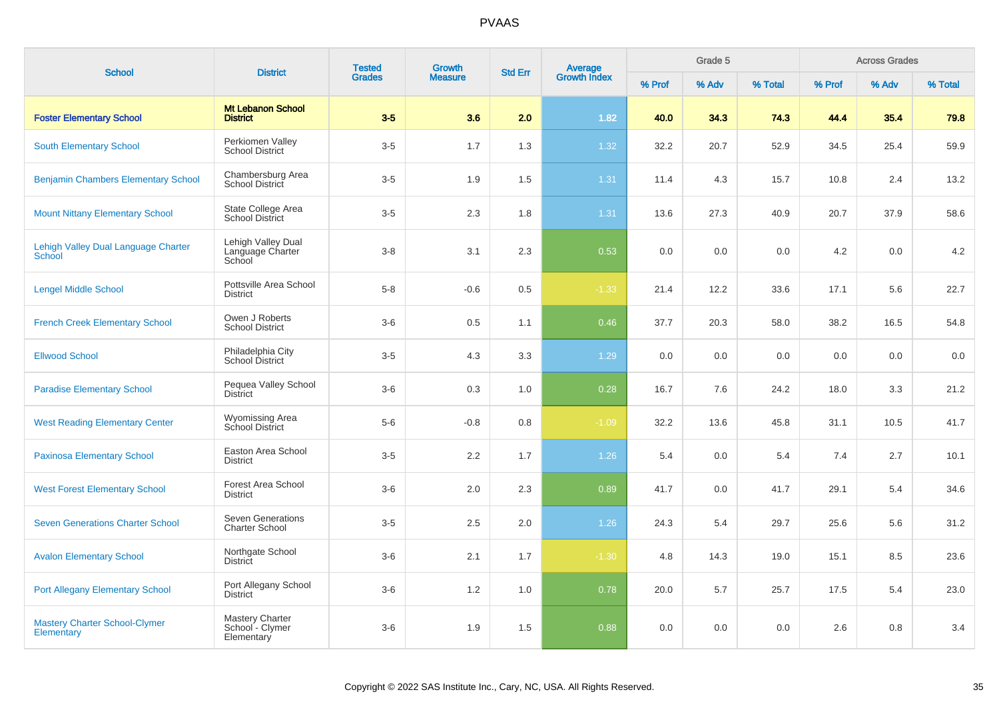| <b>School</b>                                        | <b>District</b>                                   | <b>Tested</b> | <b>Growth</b>  | <b>Std Err</b> | <b>Average</b><br>Growth Index |        | Grade 5 |         |        | <b>Across Grades</b> |         |
|------------------------------------------------------|---------------------------------------------------|---------------|----------------|----------------|--------------------------------|--------|---------|---------|--------|----------------------|---------|
|                                                      |                                                   | <b>Grades</b> | <b>Measure</b> |                |                                | % Prof | % Adv   | % Total | % Prof | % Adv                | % Total |
| <b>Foster Elementary School</b>                      | <b>Mt Lebanon School</b><br><b>District</b>       | $3-5$         | 3.6            | 2.0            | 1.82                           | 40.0   | 34.3    | 74.3    | 44.4   | 35.4                 | 79.8    |
| <b>South Elementary School</b>                       | Perkiomen Valley<br><b>School District</b>        | $3-5$         | 1.7            | 1.3            | 1.32                           | 32.2   | 20.7    | 52.9    | 34.5   | 25.4                 | 59.9    |
| <b>Benjamin Chambers Elementary School</b>           | Chambersburg Area<br>School District              | $3-5$         | 1.9            | 1.5            | 1.31                           | 11.4   | 4.3     | 15.7    | 10.8   | 2.4                  | 13.2    |
| <b>Mount Nittany Elementary School</b>               | State College Area<br><b>School District</b>      | $3-5$         | 2.3            | 1.8            | 1.31                           | 13.6   | 27.3    | 40.9    | 20.7   | 37.9                 | 58.6    |
| Lehigh Valley Dual Language Charter<br><b>School</b> | Lehigh Valley Dual<br>Language Charter<br>School  | $3 - 8$       | 3.1            | 2.3            | 0.53                           | 0.0    | 0.0     | 0.0     | 4.2    | 0.0                  | 4.2     |
| <b>Lengel Middle School</b>                          | Pottsville Area School<br><b>District</b>         | $5-8$         | $-0.6$         | 0.5            | $-1.33$                        | 21.4   | 12.2    | 33.6    | 17.1   | 5.6                  | 22.7    |
| <b>French Creek Elementary School</b>                | Owen J Roberts<br><b>School District</b>          | $3-6$         | 0.5            | 1.1            | 0.46                           | 37.7   | 20.3    | 58.0    | 38.2   | 16.5                 | 54.8    |
| <b>Ellwood School</b>                                | Philadelphia City<br>School District              | $3-5$         | 4.3            | 3.3            | 1.29                           | 0.0    | 0.0     | 0.0     | 0.0    | 0.0                  | 0.0     |
| <b>Paradise Elementary School</b>                    | Pequea Valley School<br><b>District</b>           | $3-6$         | 0.3            | 1.0            | 0.28                           | 16.7   | 7.6     | 24.2    | 18.0   | 3.3                  | 21.2    |
| <b>West Reading Elementary Center</b>                | <b>Wyomissing Area</b><br><b>School District</b>  | $5-6$         | $-0.8$         | 0.8            | $-1.09$                        | 32.2   | 13.6    | 45.8    | 31.1   | 10.5                 | 41.7    |
| <b>Paxinosa Elementary School</b>                    | Easton Area School<br><b>District</b>             | $3-5$         | 2.2            | 1.7            | 1.26                           | 5.4    | 0.0     | 5.4     | 7.4    | 2.7                  | 10.1    |
| <b>West Forest Elementary School</b>                 | <b>Forest Area School</b><br><b>District</b>      | $3-6$         | 2.0            | 2.3            | 0.89                           | 41.7   | 0.0     | 41.7    | 29.1   | 5.4                  | 34.6    |
| <b>Seven Generations Charter School</b>              | <b>Seven Generations</b><br><b>Charter School</b> | $3-5$         | 2.5            | 2.0            | 1.26                           | 24.3   | 5.4     | 29.7    | 25.6   | 5.6                  | 31.2    |
| <b>Avalon Elementary School</b>                      | Northgate School<br><b>District</b>               | $3-6$         | 2.1            | 1.7            | $-1.30$                        | 4.8    | 14.3    | 19.0    | 15.1   | 8.5                  | 23.6    |
| <b>Port Allegany Elementary School</b>               | Port Allegany School<br><b>District</b>           | $3-6$         | 1.2            | 1.0            | 0.78                           | 20.0   | 5.7     | 25.7    | 17.5   | 5.4                  | 23.0    |
| <b>Mastery Charter School-Clymer</b><br>Elementary   | Mastery Charter<br>School - Clymer<br>Elementary  | $3-6$         | 1.9            | 1.5            | 0.88                           | 0.0    | 0.0     | 0.0     | 2.6    | 0.8                  | 3.4     |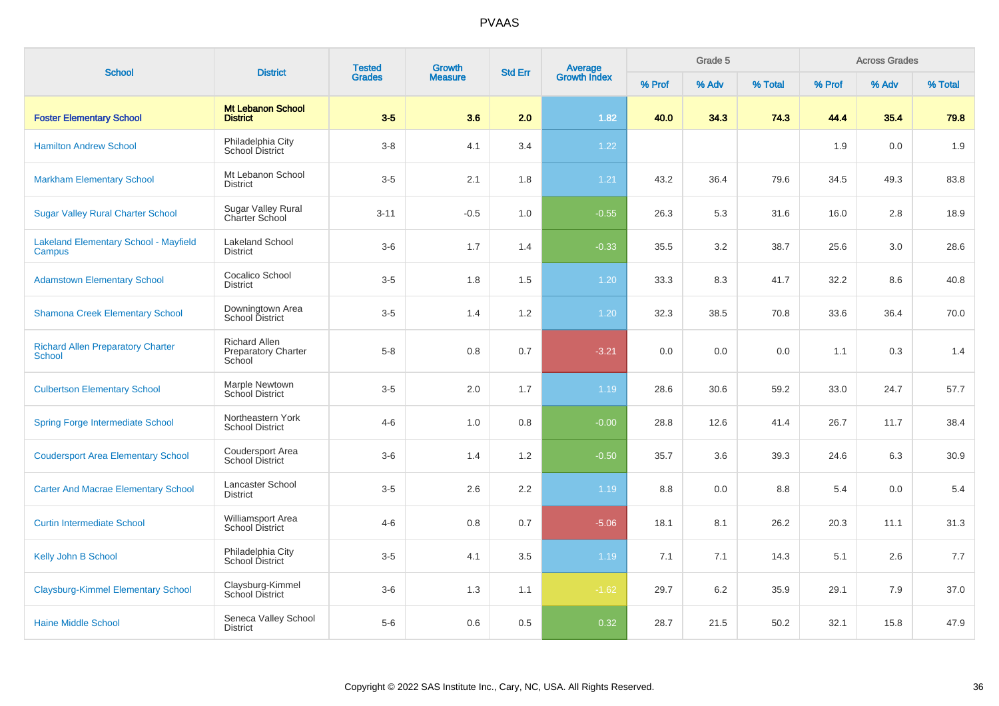| <b>School</b>                                             | <b>District</b>                                              | <b>Tested</b><br><b>Grades</b> | <b>Growth</b><br><b>Measure</b> | <b>Std Err</b> | Average<br>Growth Index | Grade 5 |       |         | <b>Across Grades</b> |       |         |
|-----------------------------------------------------------|--------------------------------------------------------------|--------------------------------|---------------------------------|----------------|-------------------------|---------|-------|---------|----------------------|-------|---------|
|                                                           |                                                              |                                |                                 |                |                         | % Prof  | % Adv | % Total | % Prof               | % Adv | % Total |
| <b>Foster Elementary School</b>                           | <b>Mt Lebanon School</b><br><b>District</b>                  | $3-5$                          | 3.6                             | 2.0            | 1.82                    | 40.0    | 34.3  | 74.3    | 44.4                 | 35.4  | 79.8    |
| <b>Hamilton Andrew School</b>                             | Philadelphia City<br><b>School District</b>                  | $3-8$                          | 4.1                             | 3.4            | 1.22                    |         |       |         | 1.9                  | 0.0   | 1.9     |
| <b>Markham Elementary School</b>                          | Mt Lebanon School<br><b>District</b>                         | $3-5$                          | 2.1                             | 1.8            | 1.21                    | 43.2    | 36.4  | 79.6    | 34.5                 | 49.3  | 83.8    |
| <b>Sugar Valley Rural Charter School</b>                  | <b>Sugar Valley Rural</b><br>Charter School                  | $3 - 11$                       | $-0.5$                          | 1.0            | $-0.55$                 | 26.3    | 5.3   | 31.6    | 16.0                 | 2.8   | 18.9    |
| <b>Lakeland Elementary School - Mayfield</b><br>Campus    | <b>Lakeland School</b><br><b>District</b>                    | $3-6$                          | 1.7                             | 1.4            | $-0.33$                 | 35.5    | 3.2   | 38.7    | 25.6                 | 3.0   | 28.6    |
| <b>Adamstown Elementary School</b>                        | Cocalico School<br><b>District</b>                           | $3-5$                          | 1.8                             | 1.5            | 1.20                    | 33.3    | 8.3   | 41.7    | 32.2                 | 8.6   | 40.8    |
| <b>Shamona Creek Elementary School</b>                    | Downingtown Area<br>School District                          | $3-5$                          | 1.4                             | 1.2            | 1.20                    | 32.3    | 38.5  | 70.8    | 33.6                 | 36.4  | 70.0    |
| <b>Richard Allen Preparatory Charter</b><br><b>School</b> | <b>Richard Allen</b><br><b>Preparatory Charter</b><br>School | $5 - 8$                        | 0.8                             | 0.7            | $-3.21$                 | 0.0     | 0.0   | 0.0     | 1.1                  | 0.3   | 1.4     |
| <b>Culbertson Elementary School</b>                       | Marple Newtown<br>School District                            | $3-5$                          | 2.0                             | 1.7            | 1.19                    | 28.6    | 30.6  | 59.2    | 33.0                 | 24.7  | 57.7    |
| <b>Spring Forge Intermediate School</b>                   | Northeastern York<br><b>School District</b>                  | $4 - 6$                        | 1.0                             | 0.8            | $-0.00$                 | 28.8    | 12.6  | 41.4    | 26.7                 | 11.7  | 38.4    |
| <b>Coudersport Area Elementary School</b>                 | Coudersport Area<br><b>School District</b>                   | $3-6$                          | 1.4                             | 1.2            | $-0.50$                 | 35.7    | 3.6   | 39.3    | 24.6                 | 6.3   | 30.9    |
| <b>Carter And Macrae Elementary School</b>                | Lancaster School<br><b>District</b>                          | $3-5$                          | 2.6                             | 2.2            | 1.19                    | 8.8     | 0.0   | 8.8     | 5.4                  | 0.0   | 5.4     |
| <b>Curtin Intermediate School</b>                         | Williamsport Area<br><b>School District</b>                  | $4 - 6$                        | 0.8                             | 0.7            | $-5.06$                 | 18.1    | 8.1   | 26.2    | 20.3                 | 11.1  | 31.3    |
| Kelly John B School                                       | Philadelphia City<br>School District                         | $3-5$                          | 4.1                             | 3.5            | 1.19                    | 7.1     | 7.1   | 14.3    | 5.1                  | 2.6   | 7.7     |
| <b>Claysburg-Kimmel Elementary School</b>                 | Claysburg-Kimmel<br><b>School District</b>                   | $3-6$                          | 1.3                             | 1.1            | $-1.62$                 | 29.7    | 6.2   | 35.9    | 29.1                 | 7.9   | 37.0    |
| <b>Haine Middle School</b>                                | Seneca Valley School<br><b>District</b>                      | $5-6$                          | 0.6                             | 0.5            | 0.32                    | 28.7    | 21.5  | 50.2    | 32.1                 | 15.8  | 47.9    |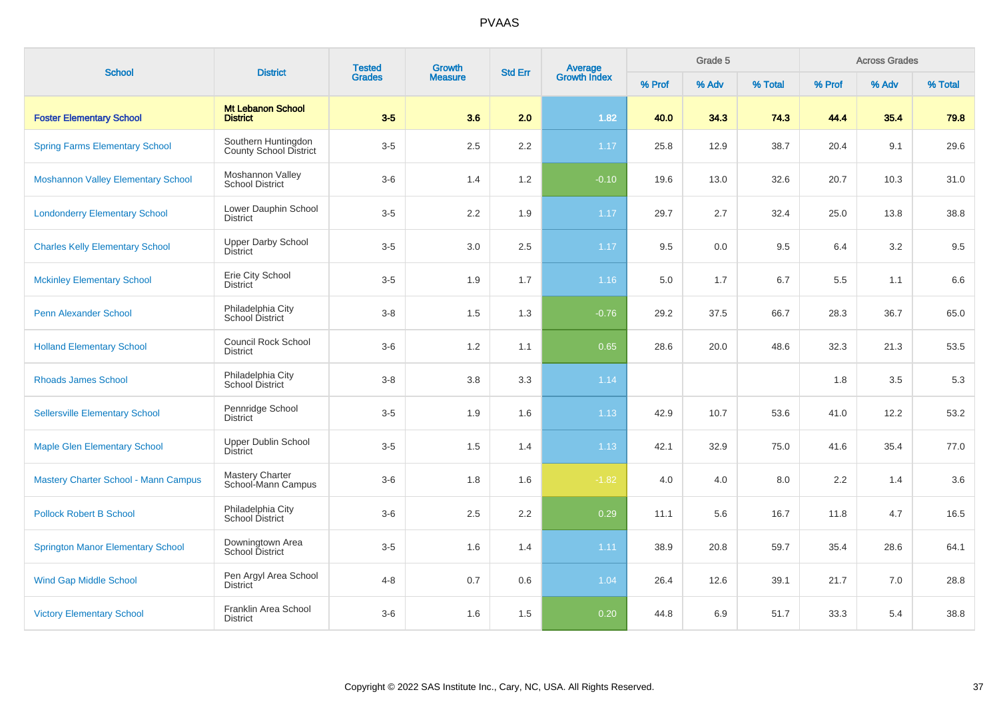| <b>School</b>                               | <b>District</b>                                      | <b>Tested</b><br><b>Grades</b> | Growth         | <b>Std Err</b> |                                |        | Grade 5 |         |        | <b>Across Grades</b> |         |
|---------------------------------------------|------------------------------------------------------|--------------------------------|----------------|----------------|--------------------------------|--------|---------|---------|--------|----------------------|---------|
|                                             |                                                      |                                | <b>Measure</b> |                | <b>Average</b><br>Growth Index | % Prof | % Adv   | % Total | % Prof | % Adv                | % Total |
| <b>Foster Elementary School</b>             | <b>Mt Lebanon School</b><br><b>District</b>          | $3-5$                          | 3.6            | 2.0            | 1.82                           | 40.0   | 34.3    | 74.3    | 44.4   | 35.4                 | 79.8    |
| <b>Spring Farms Elementary School</b>       | Southern Huntingdon<br><b>County School District</b> | $3-5$                          | 2.5            | 2.2            | 1.17                           | 25.8   | 12.9    | 38.7    | 20.4   | 9.1                  | 29.6    |
| <b>Moshannon Valley Elementary School</b>   | Moshannon Valley<br><b>School District</b>           | $3-6$                          | 1.4            | 1.2            | $-0.10$                        | 19.6   | 13.0    | 32.6    | 20.7   | 10.3                 | 31.0    |
| <b>Londonderry Elementary School</b>        | Lower Dauphin School<br><b>District</b>              | $3-5$                          | 2.2            | 1.9            | 1.17                           | 29.7   | 2.7     | 32.4    | 25.0   | 13.8                 | 38.8    |
| <b>Charles Kelly Elementary School</b>      | <b>Upper Darby School</b><br><b>District</b>         | $3-5$                          | 3.0            | 2.5            | 1.17                           | 9.5    | 0.0     | 9.5     | 6.4    | 3.2                  | 9.5     |
| <b>Mckinley Elementary School</b>           | Erie City School<br><b>District</b>                  | $3-5$                          | 1.9            | 1.7            | 1.16                           | 5.0    | 1.7     | 6.7     | 5.5    | 1.1                  | 6.6     |
| <b>Penn Alexander School</b>                | Philadelphia City<br><b>School District</b>          | $3 - 8$                        | 1.5            | 1.3            | $-0.76$                        | 29.2   | 37.5    | 66.7    | 28.3   | 36.7                 | 65.0    |
| <b>Holland Elementary School</b>            | <b>Council Rock School</b><br><b>District</b>        | $3-6$                          | 1.2            | 1.1            | 0.65                           | 28.6   | 20.0    | 48.6    | 32.3   | 21.3                 | 53.5    |
| <b>Rhoads James School</b>                  | Philadelphia City<br>School District                 | $3 - 8$                        | 3.8            | 3.3            | 1.14                           |        |         |         | 1.8    | 3.5                  | 5.3     |
| <b>Sellersville Elementary School</b>       | Pennridge School<br><b>District</b>                  | $3-5$                          | 1.9            | 1.6            | 1.13                           | 42.9   | 10.7    | 53.6    | 41.0   | 12.2                 | 53.2    |
| <b>Maple Glen Elementary School</b>         | <b>Upper Dublin School</b><br><b>District</b>        | $3-5$                          | 1.5            | 1.4            | 1.13                           | 42.1   | 32.9    | 75.0    | 41.6   | 35.4                 | 77.0    |
| <b>Mastery Charter School - Mann Campus</b> | <b>Mastery Charter</b><br>School-Mann Campus         | $3-6$                          | 1.8            | 1.6            | $-1.82$                        | 4.0    | 4.0     | 8.0     | 2.2    | 1.4                  | 3.6     |
| <b>Pollock Robert B School</b>              | Philadelphia City<br>School District                 | $3-6$                          | 2.5            | 2.2            | 0.29                           | 11.1   | 5.6     | 16.7    | 11.8   | 4.7                  | 16.5    |
| <b>Springton Manor Elementary School</b>    | Downingtown Area<br>School District                  | $3-5$                          | 1.6            | 1.4            | 1.11                           | 38.9   | 20.8    | 59.7    | 35.4   | 28.6                 | 64.1    |
| <b>Wind Gap Middle School</b>               | Pen Argyl Area School<br>District                    | $4 - 8$                        | 0.7            | 0.6            | 1.04                           | 26.4   | 12.6    | 39.1    | 21.7   | 7.0                  | 28.8    |
| <b>Victory Elementary School</b>            | Franklin Area School<br><b>District</b>              | $3-6$                          | 1.6            | 1.5            | 0.20                           | 44.8   | 6.9     | 51.7    | 33.3   | 5.4                  | 38.8    |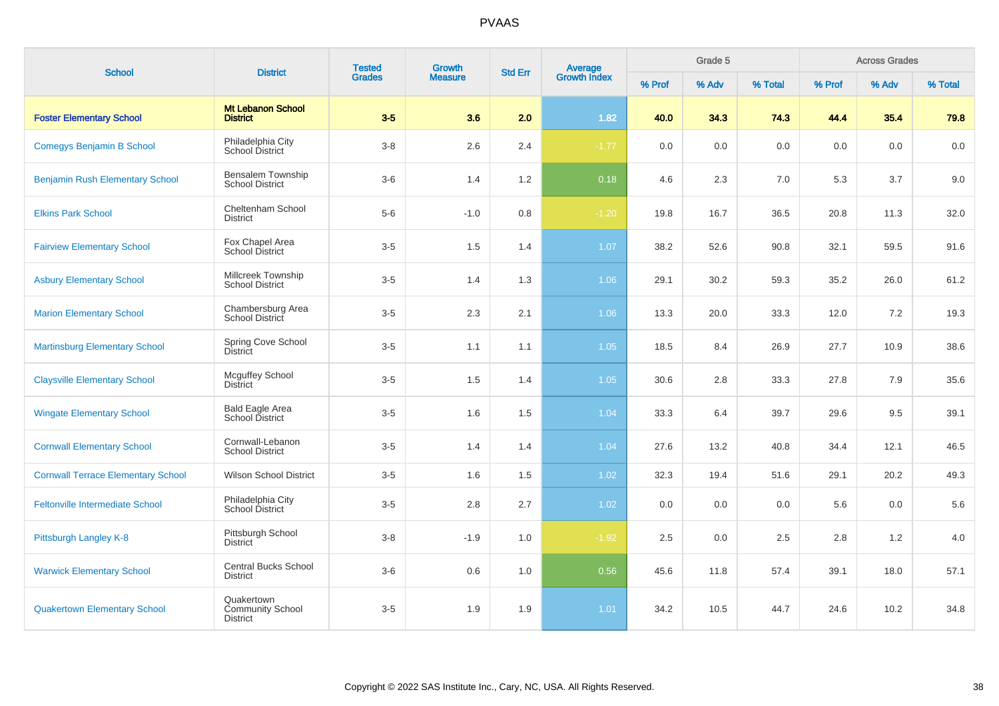| <b>School</b>                             | <b>District</b>                                          | <b>Tested</b><br><b>Grades</b> | Growth         | <b>Average</b><br>Growth Index<br><b>Std Err</b> |         |         | Grade 5 |         |         | <b>Across Grades</b> |         |
|-------------------------------------------|----------------------------------------------------------|--------------------------------|----------------|--------------------------------------------------|---------|---------|---------|---------|---------|----------------------|---------|
|                                           |                                                          |                                | <b>Measure</b> |                                                  |         | % Prof  | % Adv   | % Total | % Prof  | % Adv                | % Total |
| <b>Foster Elementary School</b>           | <b>Mt Lebanon School</b><br><b>District</b>              | $3-5$                          | 3.6            | 2.0                                              | 1.82    | 40.0    | 34.3    | 74.3    | 44.4    | 35.4                 | 79.8    |
| Comegys Benjamin B School                 | Philadelphia City<br>School District                     | $3-8$                          | 2.6            | 2.4                                              | $-1.77$ | $0.0\,$ | 0.0     | $0.0\,$ | $0.0\,$ | 0.0                  | 0.0     |
| <b>Benjamin Rush Elementary School</b>    | Bensalem Township<br><b>School District</b>              | $3-6$                          | 1.4            | 1.2                                              | 0.18    | 4.6     | 2.3     | 7.0     | 5.3     | 3.7                  | 9.0     |
| <b>Elkins Park School</b>                 | Cheltenham School<br><b>District</b>                     | $5-6$                          | $-1.0$         | 0.8                                              | $-1.20$ | 19.8    | 16.7    | 36.5    | 20.8    | 11.3                 | 32.0    |
| <b>Fairview Elementary School</b>         | Fox Chapel Area<br>School District                       | $3-5$                          | 1.5            | 1.4                                              | 1.07    | 38.2    | 52.6    | 90.8    | 32.1    | 59.5                 | 91.6    |
| <b>Asbury Elementary School</b>           | Millcreek Township<br><b>School District</b>             | $3-5$                          | 1.4            | 1.3                                              | 1.06    | 29.1    | 30.2    | 59.3    | 35.2    | 26.0                 | 61.2    |
| <b>Marion Elementary School</b>           | Chambersburg Area<br>School District                     | $3-5$                          | 2.3            | 2.1                                              | 1.06    | 13.3    | 20.0    | 33.3    | 12.0    | 7.2                  | 19.3    |
| <b>Martinsburg Elementary School</b>      | Spring Cove School<br>District                           | $3-5$                          | 1.1            | 1.1                                              | 1.05    | 18.5    | 8.4     | 26.9    | 27.7    | 10.9                 | 38.6    |
| <b>Claysville Elementary School</b>       | <b>Mcguffey School</b><br><b>District</b>                | $3-5$                          | 1.5            | 1.4                                              | 1.05    | 30.6    | 2.8     | 33.3    | 27.8    | 7.9                  | 35.6    |
| <b>Wingate Elementary School</b>          | <b>Bald Eagle Area</b><br>School District                | $3-5$                          | 1.6            | 1.5                                              | 1.04    | 33.3    | 6.4     | 39.7    | 29.6    | 9.5                  | 39.1    |
| <b>Cornwall Elementary School</b>         | Cornwall-Lebanon<br><b>School District</b>               | $3-5$                          | 1.4            | 1.4                                              | 1.04    | 27.6    | 13.2    | 40.8    | 34.4    | 12.1                 | 46.5    |
| <b>Cornwall Terrace Elementary School</b> | <b>Wilson School District</b>                            | $3-5$                          | 1.6            | 1.5                                              | 1.02    | 32.3    | 19.4    | 51.6    | 29.1    | 20.2                 | 49.3    |
| <b>Feltonville Intermediate School</b>    | Philadelphia City<br>School District                     | $3-5$                          | 2.8            | 2.7                                              | 1.02    | 0.0     | 0.0     | 0.0     | 5.6     | 0.0                  | 5.6     |
| Pittsburgh Langley K-8                    | Pittsburgh School<br><b>District</b>                     | $3-8$                          | $-1.9$         | 1.0                                              | $-1.92$ | 2.5     | 0.0     | 2.5     | 2.8     | 1.2                  | 4.0     |
| <b>Warwick Elementary School</b>          | <b>Central Bucks School</b><br><b>District</b>           | $3-6$                          | 0.6            | 1.0                                              | 0.56    | 45.6    | 11.8    | 57.4    | 39.1    | 18.0                 | 57.1    |
| <b>Quakertown Elementary School</b>       | Quakertown<br><b>Community School</b><br><b>District</b> | $3-5$                          | 1.9            | 1.9                                              | 1.01    | 34.2    | 10.5    | 44.7    | 24.6    | 10.2                 | 34.8    |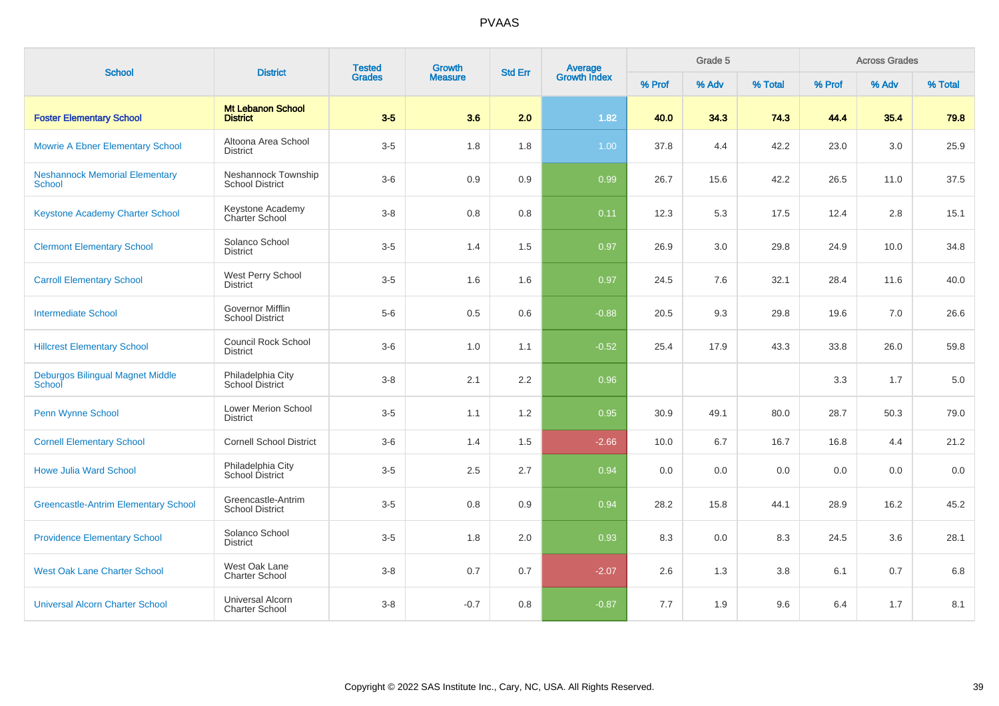| <b>School</b>                                          | <b>District</b>                                   | <b>Tested</b><br><b>Grades</b> | Growth         | <b>Std Err</b> | Average<br>Growth Index |        | Grade 5 |         |        | <b>Across Grades</b> |         |
|--------------------------------------------------------|---------------------------------------------------|--------------------------------|----------------|----------------|-------------------------|--------|---------|---------|--------|----------------------|---------|
|                                                        |                                                   |                                | <b>Measure</b> |                |                         | % Prof | % Adv   | % Total | % Prof | % Adv                | % Total |
| <b>Foster Elementary School</b>                        | <b>Mt Lebanon School</b><br><b>District</b>       | $3-5$                          | 3.6            | 2.0            | 1.82                    | 40.0   | 34.3    | 74.3    | 44.4   | 35.4                 | 79.8    |
| <b>Mowrie A Ebner Elementary School</b>                | Altoona Area School<br><b>District</b>            | $3-5$                          | 1.8            | 1.8            | 1.00                    | 37.8   | 4.4     | 42.2    | 23.0   | 3.0                  | 25.9    |
| <b>Neshannock Memorial Elementary</b><br><b>School</b> | Neshannock Township<br><b>School District</b>     | $3-6$                          | 0.9            | 0.9            | 0.99                    | 26.7   | 15.6    | 42.2    | 26.5   | 11.0                 | 37.5    |
| Keystone Academy Charter School                        | Keystone Academy<br>Charter School                | $3 - 8$                        | 0.8            | 0.8            | 0.11                    | 12.3   | 5.3     | 17.5    | 12.4   | 2.8                  | 15.1    |
| <b>Clermont Elementary School</b>                      | Solanco School<br><b>District</b>                 | $3-5$                          | 1.4            | 1.5            | 0.97                    | 26.9   | 3.0     | 29.8    | 24.9   | 10.0                 | 34.8    |
| <b>Carroll Elementary School</b>                       | West Perry School<br>District                     | $3-5$                          | 1.6            | 1.6            | 0.97                    | 24.5   | 7.6     | 32.1    | 28.4   | 11.6                 | 40.0    |
| <b>Intermediate School</b>                             | <b>Governor Mifflin</b><br><b>School District</b> | $5-6$                          | 0.5            | 0.6            | $-0.88$                 | 20.5   | 9.3     | 29.8    | 19.6   | 7.0                  | 26.6    |
| <b>Hillcrest Elementary School</b>                     | <b>Council Rock School</b><br><b>District</b>     | $3-6$                          | 1.0            | 1.1            | $-0.52$                 | 25.4   | 17.9    | 43.3    | 33.8   | 26.0                 | 59.8    |
| Deburgos Bilingual Magnet Middle<br>School             | Philadelphia City<br>School District              | $3 - 8$                        | 2.1            | 2.2            | 0.96                    |        |         |         | 3.3    | 1.7                  | 5.0     |
| Penn Wynne School                                      | <b>Lower Merion School</b><br><b>District</b>     | $3-5$                          | 1.1            | 1.2            | 0.95                    | 30.9   | 49.1    | 80.0    | 28.7   | 50.3                 | 79.0    |
| <b>Cornell Elementary School</b>                       | <b>Cornell School District</b>                    | $3-6$                          | 1.4            | 1.5            | $-2.66$                 | 10.0   | 6.7     | 16.7    | 16.8   | 4.4                  | 21.2    |
| <b>Howe Julia Ward School</b>                          | Philadelphia City<br>School District              | $3-5$                          | 2.5            | 2.7            | 0.94                    | 0.0    | 0.0     | 0.0     | 0.0    | 0.0                  | 0.0     |
| <b>Greencastle-Antrim Elementary School</b>            | Greencastle-Antrim<br><b>School District</b>      | $3-5$                          | 0.8            | 0.9            | 0.94                    | 28.2   | 15.8    | 44.1    | 28.9   | 16.2                 | 45.2    |
| <b>Providence Elementary School</b>                    | Solanco School<br><b>District</b>                 | $3-5$                          | 1.8            | 2.0            | 0.93                    | 8.3    | 0.0     | 8.3     | 24.5   | 3.6                  | 28.1    |
| <b>West Oak Lane Charter School</b>                    | West Oak Lane<br><b>Charter School</b>            | $3 - 8$                        | 0.7            | 0.7            | $-2.07$                 | 2.6    | 1.3     | 3.8     | 6.1    | 0.7                  | 6.8     |
| <b>Universal Alcorn Charter School</b>                 | <b>Universal Alcorn</b><br><b>Charter School</b>  | $3 - 8$                        | $-0.7$         | 0.8            | $-0.87$                 | 7.7    | 1.9     | 9.6     | 6.4    | 1.7                  | 8.1     |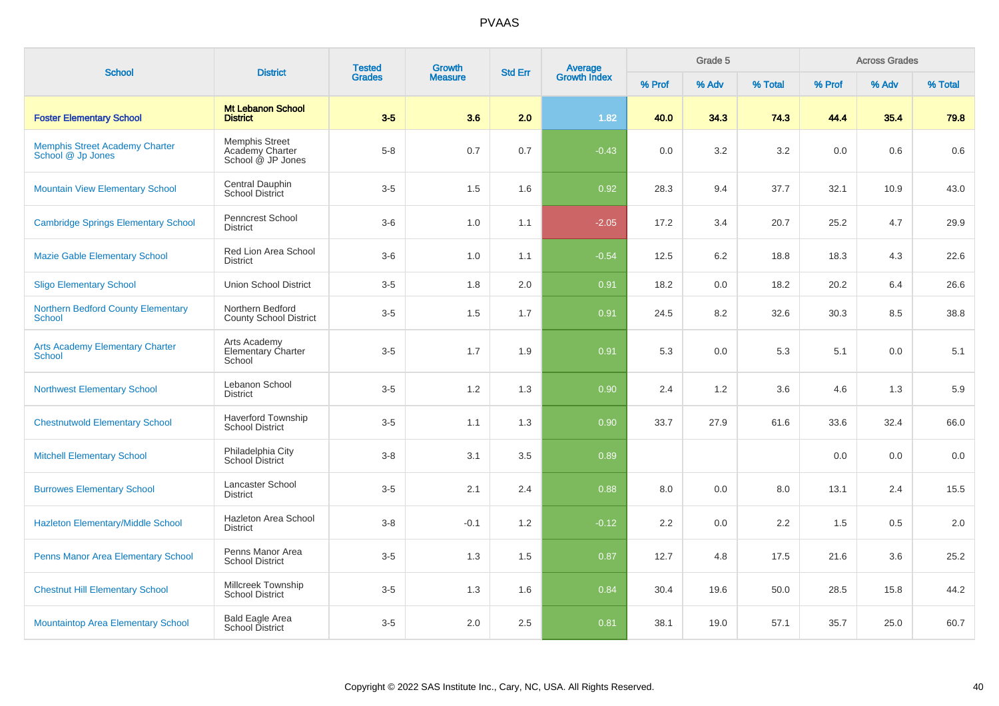| <b>School</b>                                              | <b>District</b>                                               | <b>Tested</b><br><b>Grades</b> | <b>Growth</b>  |                |                         |        | Grade 5 |         |        | <b>Across Grades</b> |         |
|------------------------------------------------------------|---------------------------------------------------------------|--------------------------------|----------------|----------------|-------------------------|--------|---------|---------|--------|----------------------|---------|
|                                                            |                                                               |                                | <b>Measure</b> | <b>Std Err</b> | Average<br>Growth Index | % Prof | % Adv   | % Total | % Prof | % Adv                | % Total |
| <b>Foster Elementary School</b>                            | <b>Mt Lebanon School</b><br><b>District</b>                   | $3-5$                          | 3.6            | 2.0            | 1.82                    | 40.0   | 34.3    | 74.3    | 44.4   | 35.4                 | 79.8    |
| <b>Memphis Street Academy Charter</b><br>School @ Jp Jones | <b>Memphis Street</b><br>Academy Charter<br>School @ JP Jones | $5 - 8$                        | 0.7            | 0.7            | $-0.43$                 | 0.0    | 3.2     | 3.2     | 0.0    | 0.6                  | 0.6     |
| <b>Mountain View Elementary School</b>                     | Central Dauphin<br>School District                            | $3-5$                          | 1.5            | 1.6            | 0.92                    | 28.3   | 9.4     | 37.7    | 32.1   | 10.9                 | 43.0    |
| <b>Cambridge Springs Elementary School</b>                 | Penncrest School<br>District                                  | $3-6$                          | 1.0            | 1.1            | $-2.05$                 | 17.2   | 3.4     | 20.7    | 25.2   | 4.7                  | 29.9    |
| <b>Mazie Gable Elementary School</b>                       | Red Lion Area School<br><b>District</b>                       | $3-6$                          | 1.0            | 1.1            | $-0.54$                 | 12.5   | 6.2     | 18.8    | 18.3   | 4.3                  | 22.6    |
| <b>Sligo Elementary School</b>                             | <b>Union School District</b>                                  | $3-5$                          | 1.8            | 2.0            | 0.91                    | 18.2   | 0.0     | 18.2    | 20.2   | 6.4                  | 26.6    |
| <b>Northern Bedford County Elementary</b><br><b>School</b> | Northern Bedford<br><b>County School District</b>             | $3-5$                          | 1.5            | 1.7            | 0.91                    | 24.5   | 8.2     | 32.6    | 30.3   | 8.5                  | 38.8    |
| <b>Arts Academy Elementary Charter</b><br>School           | Arts Academy<br>Elementary Charter<br>School                  | $3-5$                          | 1.7            | 1.9            | 0.91                    | 5.3    | 0.0     | 5.3     | 5.1    | 0.0                  | 5.1     |
| <b>Northwest Elementary School</b>                         | Lebanon School<br><b>District</b>                             | $3-5$                          | 1.2            | 1.3            | 0.90                    | 2.4    | 1.2     | 3.6     | 4.6    | 1.3                  | 5.9     |
| <b>Chestnutwold Elementary School</b>                      | <b>Haverford Township</b><br><b>School District</b>           | $3-5$                          | 1.1            | 1.3            | 0.90                    | 33.7   | 27.9    | 61.6    | 33.6   | 32.4                 | 66.0    |
| <b>Mitchell Elementary School</b>                          | Philadelphia City<br>School District                          | $3 - 8$                        | 3.1            | 3.5            | 0.89                    |        |         |         | 0.0    | 0.0                  | 0.0     |
| <b>Burrowes Elementary School</b>                          | Lancaster School<br><b>District</b>                           | $3-5$                          | 2.1            | 2.4            | 0.88                    | 8.0    | 0.0     | 8.0     | 13.1   | 2.4                  | 15.5    |
| <b>Hazleton Elementary/Middle School</b>                   | Hazleton Area School<br><b>District</b>                       | $3 - 8$                        | $-0.1$         | 1.2            | $-0.12$                 | 2.2    | 0.0     | 2.2     | 1.5    | 0.5                  | 2.0     |
| <b>Penns Manor Area Elementary School</b>                  | Penns Manor Area<br><b>School District</b>                    | $3-5$                          | 1.3            | 1.5            | 0.87                    | 12.7   | 4.8     | 17.5    | 21.6   | 3.6                  | 25.2    |
| <b>Chestnut Hill Elementary School</b>                     | Millcreek Township<br><b>School District</b>                  | $3-5$                          | 1.3            | 1.6            | 0.84                    | 30.4   | 19.6    | 50.0    | 28.5   | 15.8                 | 44.2    |
| <b>Mountaintop Area Elementary School</b>                  | <b>Bald Eagle Area</b><br>School District                     | $3-5$                          | 2.0            | 2.5            | 0.81                    | 38.1   | 19.0    | 57.1    | 35.7   | 25.0                 | 60.7    |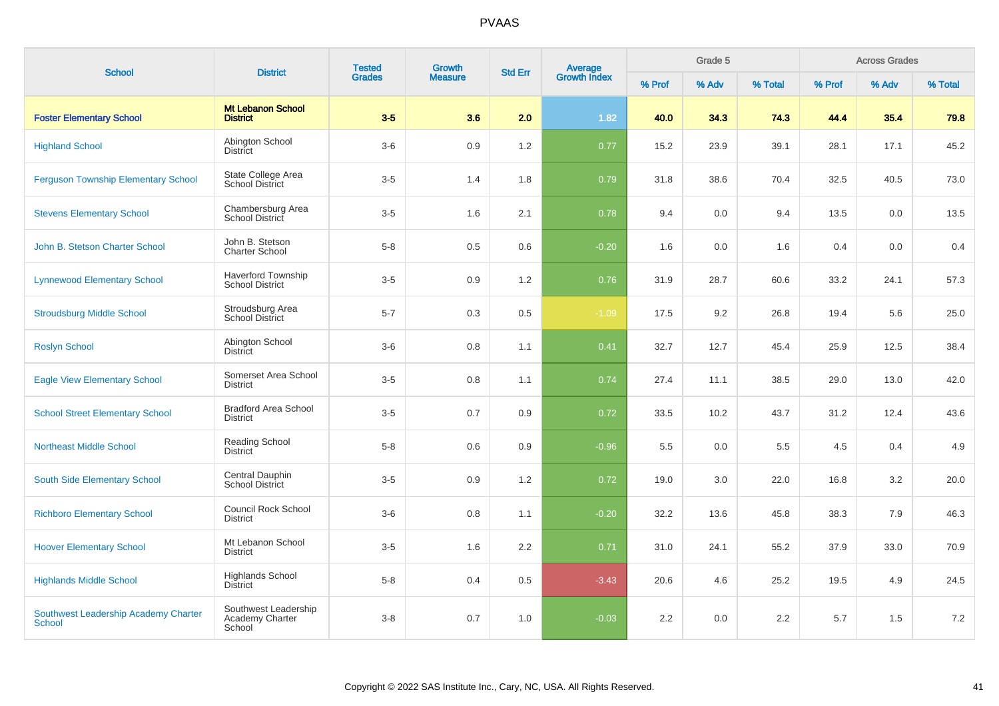| <b>School</b>                                         | <b>District</b>                                     | <b>Tested</b> | <b>Growth</b>  | <b>Std Err</b> | Average<br>Growth Index |        | Grade 5 |         |        | <b>Across Grades</b> |         |
|-------------------------------------------------------|-----------------------------------------------------|---------------|----------------|----------------|-------------------------|--------|---------|---------|--------|----------------------|---------|
|                                                       |                                                     | <b>Grades</b> | <b>Measure</b> |                |                         | % Prof | % Adv   | % Total | % Prof | % Adv                | % Total |
| <b>Foster Elementary School</b>                       | <b>Mt Lebanon School</b><br><b>District</b>         | $3-5$         | 3.6            | 2.0            | 1.82                    | 40.0   | 34.3    | 74.3    | 44.4   | 35.4                 | 79.8    |
| <b>Highland School</b>                                | Abington School<br><b>District</b>                  | $3-6$         | 0.9            | 1.2            | 0.77                    | 15.2   | 23.9    | 39.1    | 28.1   | 17.1                 | 45.2    |
| <b>Ferguson Township Elementary School</b>            | State College Area<br><b>School District</b>        | $3-5$         | 1.4            | 1.8            | 0.79                    | 31.8   | 38.6    | 70.4    | 32.5   | 40.5                 | 73.0    |
| <b>Stevens Elementary School</b>                      | Chambersburg Area<br>School District                | $3-5$         | 1.6            | 2.1            | 0.78                    | 9.4    | 0.0     | 9.4     | 13.5   | 0.0                  | 13.5    |
| John B. Stetson Charter School                        | John B. Stetson<br><b>Charter School</b>            | $5-8$         | 0.5            | 0.6            | $-0.20$                 | 1.6    | 0.0     | 1.6     | 0.4    | 0.0                  | 0.4     |
| <b>Lynnewood Elementary School</b>                    | <b>Haverford Township</b><br><b>School District</b> | $3-5$         | 0.9            | 1.2            | 0.76                    | 31.9   | 28.7    | 60.6    | 33.2   | 24.1                 | 57.3    |
| <b>Stroudsburg Middle School</b>                      | Stroudsburg Area<br><b>School District</b>          | $5 - 7$       | 0.3            | 0.5            | $-1.09$                 | 17.5   | 9.2     | 26.8    | 19.4   | 5.6                  | 25.0    |
| <b>Roslyn School</b>                                  | Abington School<br><b>District</b>                  | $3-6$         | 0.8            | 1.1            | 0.41                    | 32.7   | 12.7    | 45.4    | 25.9   | 12.5                 | 38.4    |
| <b>Eagle View Elementary School</b>                   | Somerset Area School<br><b>District</b>             | $3-5$         | 0.8            | 1.1            | 0.74                    | 27.4   | 11.1    | 38.5    | 29.0   | 13.0                 | 42.0    |
| <b>School Street Elementary School</b>                | <b>Bradford Area School</b><br><b>District</b>      | $3-5$         | 0.7            | 0.9            | 0.72                    | 33.5   | 10.2    | 43.7    | 31.2   | 12.4                 | 43.6    |
| <b>Northeast Middle School</b>                        | Reading School<br><b>District</b>                   | $5 - 8$       | 0.6            | 0.9            | $-0.96$                 | 5.5    | 0.0     | 5.5     | 4.5    | 0.4                  | 4.9     |
| South Side Elementary School                          | Central Dauphin<br><b>School District</b>           | $3-5$         | 0.9            | 1.2            | 0.72                    | 19.0   | 3.0     | 22.0    | 16.8   | 3.2                  | 20.0    |
| <b>Richboro Elementary School</b>                     | Council Rock School<br><b>District</b>              | $3-6$         | 0.8            | 1.1            | $-0.20$                 | 32.2   | 13.6    | 45.8    | 38.3   | 7.9                  | 46.3    |
| <b>Hoover Elementary School</b>                       | Mt Lebanon School<br><b>District</b>                | $3-5$         | 1.6            | 2.2            | 0.71                    | 31.0   | 24.1    | 55.2    | 37.9   | 33.0                 | 70.9    |
| <b>Highlands Middle School</b>                        | <b>Highlands School</b><br><b>District</b>          | $5 - 8$       | 0.4            | 0.5            | $-3.43$                 | 20.6   | 4.6     | 25.2    | 19.5   | 4.9                  | 24.5    |
| Southwest Leadership Academy Charter<br><b>School</b> | Southwest Leadership<br>Academy Charter<br>School   | $3 - 8$       | 0.7            | 1.0            | $-0.03$                 | 2.2    | 0.0     | 2.2     | 5.7    | 1.5                  | 7.2     |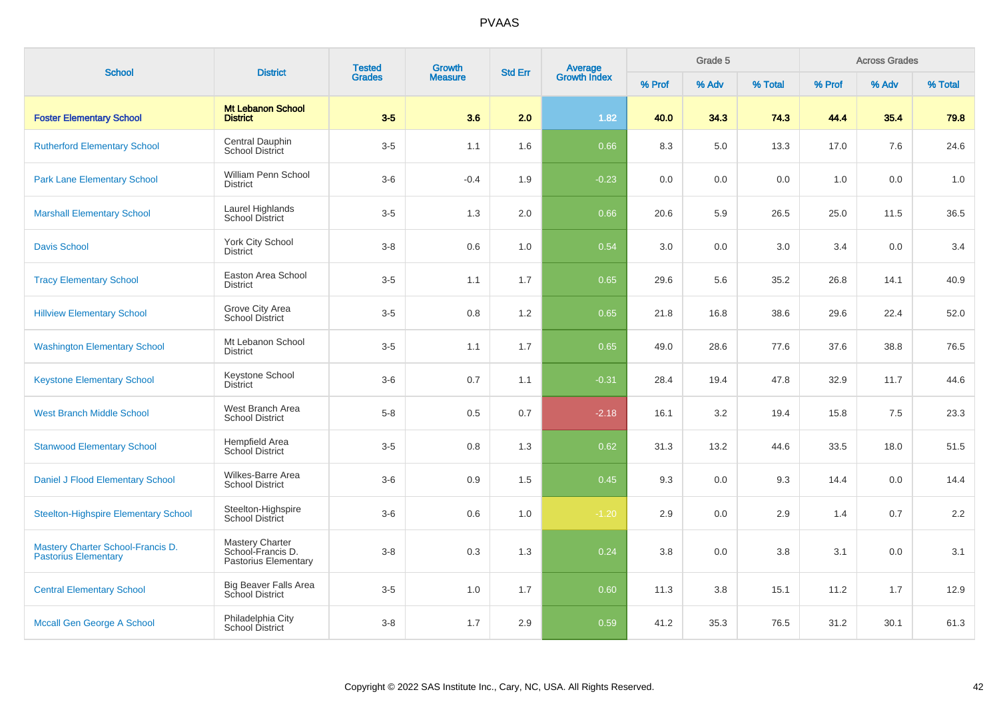| <b>School</b>                                                    | <b>District</b>                                                     | <b>Tested</b> | <b>Growth</b>  | <b>Std Err</b> | Average<br>Growth Index |        | Grade 5 |         |        | <b>Across Grades</b> |         |
|------------------------------------------------------------------|---------------------------------------------------------------------|---------------|----------------|----------------|-------------------------|--------|---------|---------|--------|----------------------|---------|
|                                                                  |                                                                     | <b>Grades</b> | <b>Measure</b> |                |                         | % Prof | % Adv   | % Total | % Prof | % Adv                | % Total |
| <b>Foster Elementary School</b>                                  | <b>Mt Lebanon School</b><br><b>District</b>                         | $3-5$         | 3.6            | 2.0            | 1.82                    | 40.0   | 34.3    | 74.3    | 44.4   | 35.4                 | 79.8    |
| <b>Rutherford Elementary School</b>                              | Central Dauphin<br><b>School District</b>                           | $3-5$         | 1.1            | 1.6            | 0.66                    | 8.3    | 5.0     | 13.3    | 17.0   | 7.6                  | 24.6    |
| <b>Park Lane Elementary School</b>                               | William Penn School<br><b>District</b>                              | $3-6$         | $-0.4$         | 1.9            | $-0.23$                 | 0.0    | 0.0     | 0.0     | 1.0    | 0.0                  | 1.0     |
| <b>Marshall Elementary School</b>                                | Laurel Highlands<br>School District                                 | $3-5$         | 1.3            | 2.0            | 0.66                    | 20.6   | 5.9     | 26.5    | 25.0   | 11.5                 | 36.5    |
| <b>Davis School</b>                                              | York City School<br><b>District</b>                                 | $3 - 8$       | 0.6            | 1.0            | 0.54                    | 3.0    | 0.0     | 3.0     | 3.4    | 0.0                  | 3.4     |
| <b>Tracy Elementary School</b>                                   | Easton Area School<br><b>District</b>                               | $3-5$         | 1.1            | 1.7            | 0.65                    | 29.6   | 5.6     | 35.2    | 26.8   | 14.1                 | 40.9    |
| <b>Hillview Elementary School</b>                                | Grove City Area<br><b>School District</b>                           | $3-5$         | 0.8            | 1.2            | 0.65                    | 21.8   | 16.8    | 38.6    | 29.6   | 22.4                 | 52.0    |
| <b>Washington Elementary School</b>                              | Mt Lebanon School<br><b>District</b>                                | $3-5$         | 1.1            | 1.7            | 0.65                    | 49.0   | 28.6    | 77.6    | 37.6   | 38.8                 | 76.5    |
| <b>Keystone Elementary School</b>                                | Keystone School<br><b>District</b>                                  | $3-6$         | 0.7            | 1.1            | $-0.31$                 | 28.4   | 19.4    | 47.8    | 32.9   | 11.7                 | 44.6    |
| <b>West Branch Middle School</b>                                 | West Branch Area<br><b>School District</b>                          | $5-8$         | 0.5            | 0.7            | $-2.18$                 | 16.1   | 3.2     | 19.4    | 15.8   | 7.5                  | 23.3    |
| <b>Stanwood Elementary School</b>                                | Hempfield Area<br>School District                                   | $3-5$         | 0.8            | 1.3            | 0.62                    | 31.3   | 13.2    | 44.6    | 33.5   | 18.0                 | 51.5    |
| Daniel J Flood Elementary School                                 | Wilkes-Barre Area<br><b>School District</b>                         | $3-6$         | 0.9            | 1.5            | 0.45                    | 9.3    | 0.0     | 9.3     | 14.4   | 0.0                  | 14.4    |
| <b>Steelton-Highspire Elementary School</b>                      | Steelton-Highspire<br>School District                               | $3-6$         | 0.6            | 1.0            | $-1.20$                 | 2.9    | 0.0     | 2.9     | 1.4    | 0.7                  | 2.2     |
| Mastery Charter School-Francis D.<br><b>Pastorius Elementary</b> | <b>Mastery Charter</b><br>School-Francis D.<br>Pastorius Elementary | $3-8$         | 0.3            | 1.3            | 0.24                    | 3.8    | 0.0     | 3.8     | 3.1    | 0.0                  | 3.1     |
| <b>Central Elementary School</b>                                 | <b>Big Beaver Falls Area</b><br><b>School District</b>              | $3-5$         | 1.0            | 1.7            | 0.60                    | 11.3   | 3.8     | 15.1    | 11.2   | 1.7                  | 12.9    |
| <b>Mccall Gen George A School</b>                                | Philadelphia City<br><b>School District</b>                         | $3 - 8$       | 1.7            | 2.9            | 0.59                    | 41.2   | 35.3    | 76.5    | 31.2   | 30.1                 | 61.3    |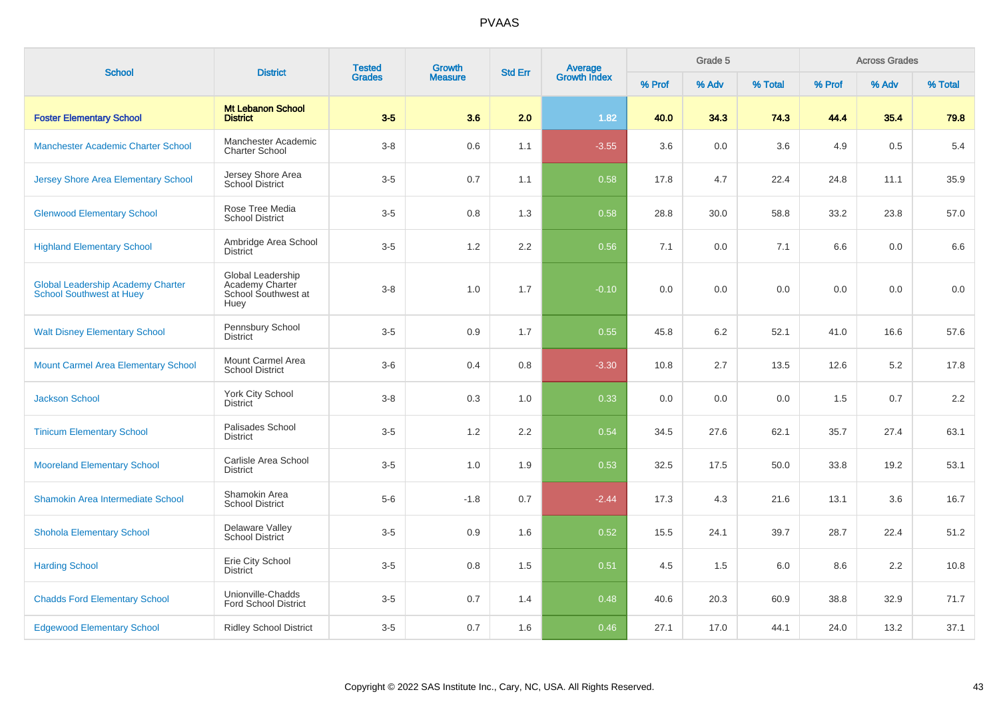| <b>School</b>                                                               | <b>District</b>                                                     | <b>Tested</b> | Growth         | <b>Std Err</b> |                                |        | Grade 5 |         |        | <b>Across Grades</b> |         |
|-----------------------------------------------------------------------------|---------------------------------------------------------------------|---------------|----------------|----------------|--------------------------------|--------|---------|---------|--------|----------------------|---------|
|                                                                             |                                                                     | <b>Grades</b> | <b>Measure</b> |                | <b>Average</b><br>Growth Index | % Prof | % Adv   | % Total | % Prof | % Adv                | % Total |
| <b>Foster Elementary School</b>                                             | <b>Mt Lebanon School</b><br><b>District</b>                         | $3-5$         | 3.6            | 2.0            | 1.82                           | 40.0   | 34.3    | 74.3    | 44.4   | 35.4                 | 79.8    |
| Manchester Academic Charter School                                          | Manchester Academic<br><b>Charter School</b>                        | $3-8$         | 0.6            | 1.1            | $-3.55$                        | 3.6    | 0.0     | 3.6     | 4.9    | 0.5                  | 5.4     |
| <b>Jersey Shore Area Elementary School</b>                                  | Jersey Shore Area<br>School District                                | $3-5$         | 0.7            | 1.1            | 0.58                           | 17.8   | 4.7     | 22.4    | 24.8   | 11.1                 | 35.9    |
| <b>Glenwood Elementary School</b>                                           | Rose Tree Media<br><b>School District</b>                           | $3-5$         | 0.8            | 1.3            | 0.58                           | 28.8   | 30.0    | 58.8    | 33.2   | 23.8                 | 57.0    |
| <b>Highland Elementary School</b>                                           | Ambridge Area School<br><b>District</b>                             | $3-5$         | $1.2\,$        | 2.2            | 0.56                           | 7.1    | 0.0     | 7.1     | 6.6    | 0.0                  | 6.6     |
| <b>Global Leadership Academy Charter</b><br><b>School Southwest at Huey</b> | Global Leadership<br>Academy Charter<br>School Southwest at<br>Huey | $3 - 8$       | 1.0            | 1.7            | $-0.10$                        | 0.0    | 0.0     | 0.0     | 0.0    | 0.0                  | $0.0\,$ |
| <b>Walt Disney Elementary School</b>                                        | Pennsbury School<br><b>District</b>                                 | $3-5$         | 0.9            | 1.7            | 0.55                           | 45.8   | 6.2     | 52.1    | 41.0   | 16.6                 | 57.6    |
| <b>Mount Carmel Area Elementary School</b>                                  | Mount Carmel Area<br><b>School District</b>                         | $3-6$         | 0.4            | 0.8            | $-3.30$                        | 10.8   | 2.7     | 13.5    | 12.6   | 5.2                  | 17.8    |
| <b>Jackson School</b>                                                       | York City School<br><b>District</b>                                 | $3-8$         | 0.3            | 1.0            | 0.33                           | 0.0    | 0.0     | 0.0     | 1.5    | 0.7                  | 2.2     |
| <b>Tinicum Elementary School</b>                                            | Palisades School<br><b>District</b>                                 | $3-5$         | 1.2            | 2.2            | 0.54                           | 34.5   | 27.6    | 62.1    | 35.7   | 27.4                 | 63.1    |
| <b>Mooreland Elementary School</b>                                          | Carlisle Area School<br><b>District</b>                             | $3-5$         | 1.0            | 1.9            | 0.53                           | 32.5   | 17.5    | 50.0    | 33.8   | 19.2                 | 53.1    |
| Shamokin Area Intermediate School                                           | Shamokin Area<br><b>School District</b>                             | $5-6$         | $-1.8$         | 0.7            | $-2.44$                        | 17.3   | 4.3     | 21.6    | 13.1   | 3.6                  | 16.7    |
| <b>Shohola Elementary School</b>                                            | Delaware Valley<br><b>School District</b>                           | $3-5$         | 0.9            | 1.6            | 0.52                           | 15.5   | 24.1    | 39.7    | 28.7   | 22.4                 | 51.2    |
| <b>Harding School</b>                                                       | Erie City School<br><b>District</b>                                 | $3-5$         | 0.8            | 1.5            | 0.51                           | 4.5    | 1.5     | 6.0     | 8.6    | 2.2                  | 10.8    |
| <b>Chadds Ford Elementary School</b>                                        | Unionville-Chadds<br><b>Ford School District</b>                    | $3-5$         | 0.7            | 1.4            | 0.48                           | 40.6   | 20.3    | 60.9    | 38.8   | 32.9                 | 71.7    |
| <b>Edgewood Elementary School</b>                                           | <b>Ridley School District</b>                                       | $3-5$         | 0.7            | 1.6            | 0.46                           | 27.1   | 17.0    | 44.1    | 24.0   | 13.2                 | 37.1    |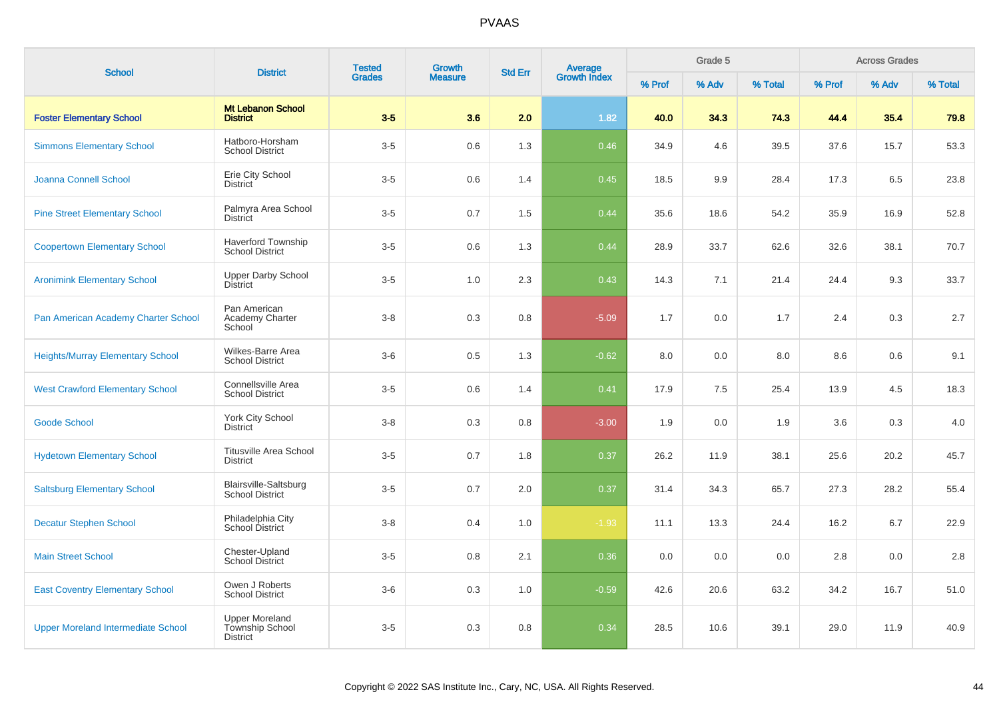| <b>School</b>                             | <b>District</b>                                             | <b>Tested</b> | <b>Growth</b>  | <b>Std Err</b> | Average<br>Growth Index |        | Grade 5 |         |        | <b>Across Grades</b> |         |
|-------------------------------------------|-------------------------------------------------------------|---------------|----------------|----------------|-------------------------|--------|---------|---------|--------|----------------------|---------|
|                                           |                                                             | <b>Grades</b> | <b>Measure</b> |                |                         | % Prof | % Adv   | % Total | % Prof | % Adv                | % Total |
| <b>Foster Elementary School</b>           | <b>Mt Lebanon School</b><br><b>District</b>                 | $3-5$         | 3.6            | 2.0            | 1.82                    | 40.0   | 34.3    | 74.3    | 44.4   | 35.4                 | 79.8    |
| <b>Simmons Elementary School</b>          | Hatboro-Horsham<br><b>School District</b>                   | $3-5$         | 0.6            | 1.3            | 0.46                    | 34.9   | 4.6     | 39.5    | 37.6   | 15.7                 | 53.3    |
| Joanna Connell School                     | Erie City School<br><b>District</b>                         | $3-5$         | 0.6            | 1.4            | 0.45                    | 18.5   | 9.9     | 28.4    | 17.3   | 6.5                  | 23.8    |
| <b>Pine Street Elementary School</b>      | Palmyra Area School<br>District                             | $3-5$         | 0.7            | 1.5            | 0.44                    | 35.6   | 18.6    | 54.2    | 35.9   | 16.9                 | 52.8    |
| <b>Coopertown Elementary School</b>       | <b>Haverford Township</b><br><b>School District</b>         | $3-5$         | 0.6            | 1.3            | 0.44                    | 28.9   | 33.7    | 62.6    | 32.6   | 38.1                 | 70.7    |
| <b>Aronimink Elementary School</b>        | <b>Upper Darby School</b><br>District                       | $3-5$         | 1.0            | 2.3            | 0.43                    | 14.3   | 7.1     | 21.4    | 24.4   | 9.3                  | 33.7    |
| Pan American Academy Charter School       | Pan American<br>Academy Charter<br>School                   | $3 - 8$       | 0.3            | 0.8            | $-5.09$                 | 1.7    | 0.0     | 1.7     | 2.4    | 0.3                  | 2.7     |
| <b>Heights/Murray Elementary School</b>   | Wilkes-Barre Area<br><b>School District</b>                 | $3-6$         | 0.5            | 1.3            | $-0.62$                 | 8.0    | 0.0     | 8.0     | 8.6    | 0.6                  | 9.1     |
| <b>West Crawford Elementary School</b>    | Connellsville Area<br><b>School District</b>                | $3-5$         | 0.6            | 1.4            | 0.41                    | 17.9   | 7.5     | 25.4    | 13.9   | 4.5                  | 18.3    |
| <b>Goode School</b>                       | York City School<br><b>District</b>                         | $3 - 8$       | 0.3            | 0.8            | $-3.00$                 | 1.9    | 0.0     | 1.9     | 3.6    | 0.3                  | 4.0     |
| <b>Hydetown Elementary School</b>         | <b>Titusville Area School</b><br><b>District</b>            | $3-5$         | 0.7            | 1.8            | 0.37                    | 26.2   | 11.9    | 38.1    | 25.6   | 20.2                 | 45.7    |
| <b>Saltsburg Elementary School</b>        | Blairsville-Saltsburg<br><b>School District</b>             | $3-5$         | 0.7            | 2.0            | 0.37                    | 31.4   | 34.3    | 65.7    | 27.3   | 28.2                 | 55.4    |
| <b>Decatur Stephen School</b>             | Philadelphia City<br>School District                        | $3 - 8$       | 0.4            | 1.0            | $-1.93$                 | 11.1   | 13.3    | 24.4    | 16.2   | 6.7                  | 22.9    |
| <b>Main Street School</b>                 | Chester-Upland<br><b>School District</b>                    | $3-5$         | 0.8            | 2.1            | 0.36                    | 0.0    | 0.0     | 0.0     | 2.8    | 0.0                  | 2.8     |
| <b>East Coventry Elementary School</b>    | Owen J Roberts<br><b>School District</b>                    | $3-6$         | 0.3            | 1.0            | $-0.59$                 | 42.6   | 20.6    | 63.2    | 34.2   | 16.7                 | 51.0    |
| <b>Upper Moreland Intermediate School</b> | <b>Upper Moreland</b><br>Township School<br><b>District</b> | $3-5$         | 0.3            | 0.8            | 0.34                    | 28.5   | 10.6    | 39.1    | 29.0   | 11.9                 | 40.9    |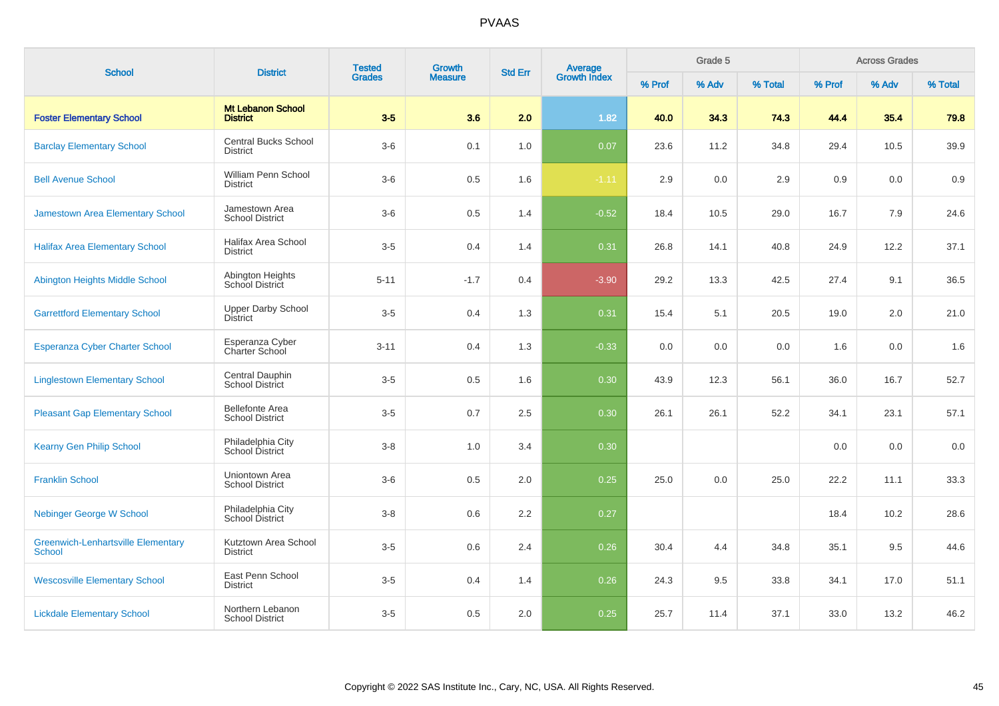| <b>School</b>                                              | <b>District</b>                                  | <b>Tested</b> | Growth         |         | <b>Average</b><br>Growth Index<br><b>Std Err</b> |        | Grade 5 |         |        | <b>Across Grades</b> |         |
|------------------------------------------------------------|--------------------------------------------------|---------------|----------------|---------|--------------------------------------------------|--------|---------|---------|--------|----------------------|---------|
|                                                            |                                                  | <b>Grades</b> | <b>Measure</b> |         |                                                  | % Prof | % Adv   | % Total | % Prof | % Adv                | % Total |
| <b>Foster Elementary School</b>                            | <b>Mt Lebanon School</b><br><b>District</b>      | $3-5$         | 3.6            | 2.0     | 1.82                                             | 40.0   | 34.3    | 74.3    | 44.4   | 35.4                 | 79.8    |
| <b>Barclay Elementary School</b>                           | <b>Central Bucks School</b><br><b>District</b>   | $3-6$         | 0.1            | 1.0     | 0.07                                             | 23.6   | 11.2    | 34.8    | 29.4   | 10.5                 | 39.9    |
| <b>Bell Avenue School</b>                                  | William Penn School<br><b>District</b>           | $3-6$         | 0.5            | 1.6     | $-1.11$                                          | 2.9    | 0.0     | 2.9     | 0.9    | 0.0                  | 0.9     |
| Jamestown Area Elementary School                           | Jamestown Area<br><b>School District</b>         | $3-6$         | 0.5            | 1.4     | $-0.52$                                          | 18.4   | 10.5    | 29.0    | 16.7   | 7.9                  | 24.6    |
| <b>Halifax Area Elementary School</b>                      | Halifax Area School<br><b>District</b>           | $3-5$         | 0.4            | 1.4     | 0.31                                             | 26.8   | 14.1    | 40.8    | 24.9   | 12.2                 | 37.1    |
| Abington Heights Middle School                             | Abington Heights<br>School District              | $5 - 11$      | $-1.7$         | 0.4     | $-3.90$                                          | 29.2   | 13.3    | 42.5    | 27.4   | 9.1                  | 36.5    |
| <b>Garrettford Elementary School</b>                       | <b>Upper Darby School</b><br><b>District</b>     | $3-5$         | 0.4            | 1.3     | 0.31                                             | 15.4   | 5.1     | 20.5    | 19.0   | 2.0                  | 21.0    |
| Esperanza Cyber Charter School                             | Esperanza Cyber<br>Charter School                | $3 - 11$      | 0.4            | 1.3     | $-0.33$                                          | 0.0    | 0.0     | 0.0     | 1.6    | 0.0                  | 1.6     |
| <b>Linglestown Elementary School</b>                       | Central Dauphin<br><b>School District</b>        | $3-5$         | 0.5            | 1.6     | 0.30                                             | 43.9   | 12.3    | 56.1    | 36.0   | 16.7                 | 52.7    |
| <b>Pleasant Gap Elementary School</b>                      | <b>Bellefonte Area</b><br><b>School District</b> | $3-5$         | 0.7            | 2.5     | 0.30                                             | 26.1   | 26.1    | 52.2    | 34.1   | 23.1                 | 57.1    |
| <b>Kearny Gen Philip School</b>                            | Philadelphia City<br>School District             | $3 - 8$       | 1.0            | 3.4     | 0.30                                             |        |         |         | 0.0    | 0.0                  | 0.0     |
| <b>Franklin School</b>                                     | Uniontown Area<br><b>School District</b>         | $3-6$         | 0.5            | $2.0\,$ | 0.25                                             | 25.0   | 0.0     | 25.0    | 22.2   | 11.1                 | 33.3    |
| <b>Nebinger George W School</b>                            | Philadelphia City<br>School District             | $3-8$         | 0.6            | 2.2     | 0.27                                             |        |         |         | 18.4   | 10.2                 | 28.6    |
| <b>Greenwich-Lenhartsville Elementary</b><br><b>School</b> | Kutztown Area School<br><b>District</b>          | $3-5$         | 0.6            | 2.4     | 0.26                                             | 30.4   | 4.4     | 34.8    | 35.1   | 9.5                  | 44.6    |
| <b>Wescosville Elementary School</b>                       | East Penn School<br><b>District</b>              | $3-5$         | 0.4            | 1.4     | 0.26                                             | 24.3   | 9.5     | 33.8    | 34.1   | 17.0                 | 51.1    |
| <b>Lickdale Elementary School</b>                          | Northern Lebanon<br><b>School District</b>       | $3-5$         | 0.5            | 2.0     | 0.25                                             | 25.7   | 11.4    | 37.1    | 33.0   | 13.2                 | 46.2    |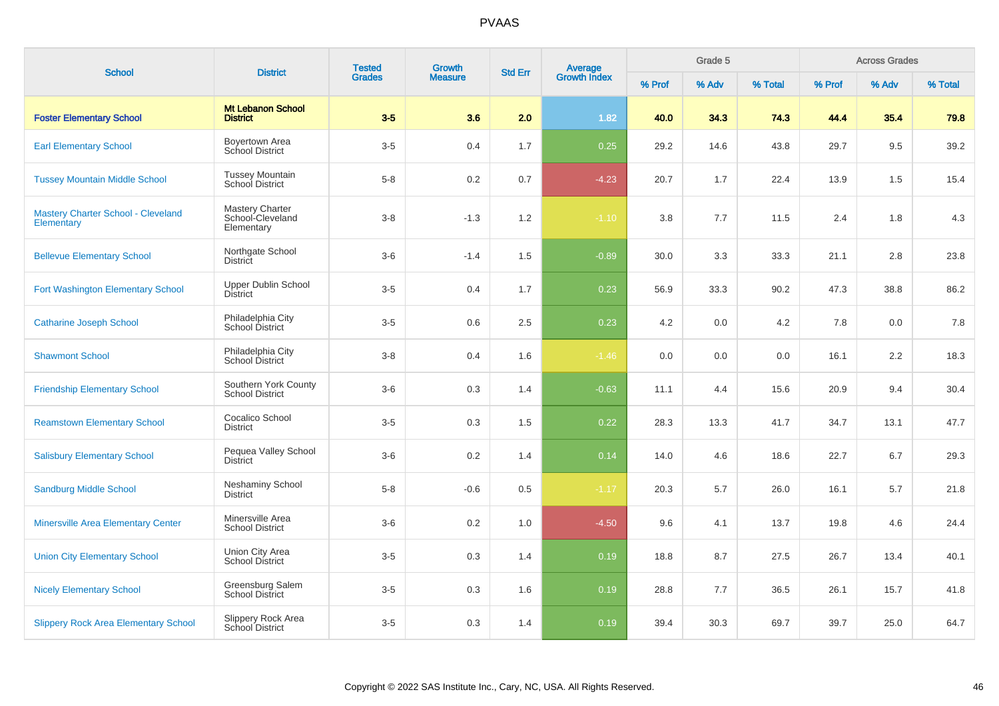| <b>School</b>                                    | <b>District</b>                                          | <b>Tested</b><br><b>Grades</b> | <b>Growth</b>  | <b>Std Err</b> |                                |        | Grade 5 |         |        | <b>Across Grades</b> |         |
|--------------------------------------------------|----------------------------------------------------------|--------------------------------|----------------|----------------|--------------------------------|--------|---------|---------|--------|----------------------|---------|
|                                                  |                                                          |                                | <b>Measure</b> |                | <b>Average</b><br>Growth Index | % Prof | % Adv   | % Total | % Prof | % Adv                | % Total |
| <b>Foster Elementary School</b>                  | Mt Lebanon School<br><b>District</b>                     | $3-5$                          | 3.6            | 2.0            | 1.82                           | 40.0   | 34.3    | 74.3    | 44.4   | 35.4                 | 79.8    |
| <b>Earl Elementary School</b>                    | Boyertown Area<br>School District                        | $3-5$                          | 0.4            | 1.7            | 0.25                           | 29.2   | 14.6    | 43.8    | 29.7   | 9.5                  | 39.2    |
| <b>Tussey Mountain Middle School</b>             | <b>Tussey Mountain</b><br>School District                | $5 - 8$                        | 0.2            | 0.7            | $-4.23$                        | 20.7   | 1.7     | 22.4    | 13.9   | 1.5                  | 15.4    |
| Mastery Charter School - Cleveland<br>Elementary | <b>Mastery Charter</b><br>School-Cleveland<br>Elementary | $3 - 8$                        | $-1.3$         | 1.2            | $-1.10$                        | 3.8    | 7.7     | 11.5    | 2.4    | 1.8                  | 4.3     |
| <b>Bellevue Elementary School</b>                | Northgate School<br><b>District</b>                      | $3-6$                          | $-1.4$         | 1.5            | $-0.89$                        | 30.0   | 3.3     | 33.3    | 21.1   | 2.8                  | 23.8    |
| Fort Washington Elementary School                | Upper Dublin School<br><b>District</b>                   | $3-5$                          | 0.4            | 1.7            | 0.23                           | 56.9   | 33.3    | 90.2    | 47.3   | 38.8                 | 86.2    |
| <b>Catharine Joseph School</b>                   | Philadelphia City<br>School District                     | $3-5$                          | 0.6            | 2.5            | 0.23                           | 4.2    | 0.0     | 4.2     | 7.8    | 0.0                  | 7.8     |
| <b>Shawmont School</b>                           | Philadelphia City<br>School District                     | $3-8$                          | 0.4            | 1.6            | $-1.46$                        | 0.0    | 0.0     | 0.0     | 16.1   | 2.2                  | 18.3    |
| <b>Friendship Elementary School</b>              | Southern York County<br><b>School District</b>           | $3-6$                          | 0.3            | 1.4            | $-0.63$                        | 11.1   | 4.4     | 15.6    | 20.9   | 9.4                  | 30.4    |
| <b>Reamstown Elementary School</b>               | Cocalico School<br><b>District</b>                       | $3-5$                          | 0.3            | 1.5            | 0.22                           | 28.3   | 13.3    | 41.7    | 34.7   | 13.1                 | 47.7    |
| <b>Salisbury Elementary School</b>               | Pequea Valley School<br><b>District</b>                  | $3-6$                          | 0.2            | 1.4            | 0.14                           | 14.0   | 4.6     | 18.6    | 22.7   | 6.7                  | 29.3    |
| <b>Sandburg Middle School</b>                    | <b>Neshaminy School</b><br><b>District</b>               | $5 - 8$                        | $-0.6$         | 0.5            | $-1.17$                        | 20.3   | 5.7     | 26.0    | 16.1   | 5.7                  | 21.8    |
| <b>Minersville Area Elementary Center</b>        | Minersville Area<br><b>School District</b>               | $3-6$                          | $0.2\,$        | 1.0            | $-4.50$                        | 9.6    | 4.1     | 13.7    | 19.8   | 4.6                  | 24.4    |
| <b>Union City Elementary School</b>              | Union City Area<br><b>School District</b>                | $3-5$                          | 0.3            | 1.4            | 0.19                           | 18.8   | 8.7     | 27.5    | 26.7   | 13.4                 | 40.1    |
| <b>Nicely Elementary School</b>                  | Greensburg Salem<br><b>School District</b>               | $3-5$                          | 0.3            | 1.6            | 0.19                           | 28.8   | 7.7     | 36.5    | 26.1   | 15.7                 | 41.8    |
| <b>Slippery Rock Area Elementary School</b>      | Slippery Rock Area<br>School District                    | $3-5$                          | 0.3            | 1.4            | 0.19                           | 39.4   | 30.3    | 69.7    | 39.7   | 25.0                 | 64.7    |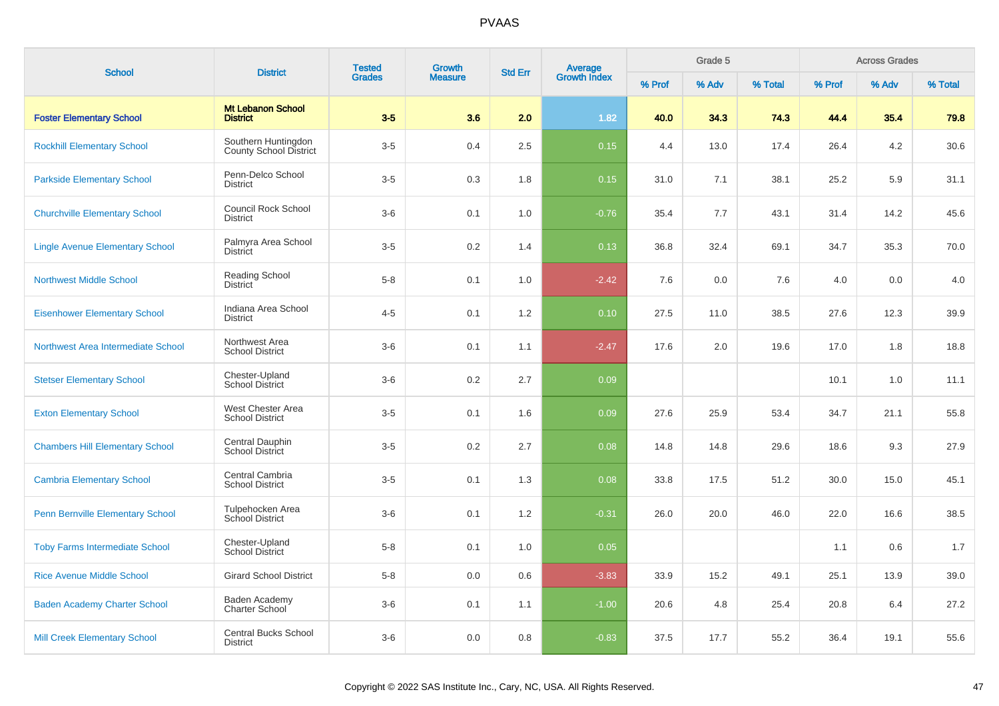| <b>School</b>                           |                                                      | <b>Tested</b><br><b>Growth</b><br><b>Average</b><br>Growth Index<br><b>Std Err</b><br><b>District</b> |                |         | Grade 5 |        |       |         | <b>Across Grades</b> |       |         |
|-----------------------------------------|------------------------------------------------------|-------------------------------------------------------------------------------------------------------|----------------|---------|---------|--------|-------|---------|----------------------|-------|---------|
|                                         |                                                      | <b>Grades</b>                                                                                         | <b>Measure</b> |         |         | % Prof | % Adv | % Total | % Prof               | % Adv | % Total |
| <b>Foster Elementary School</b>         | <b>Mt Lebanon School</b><br><b>District</b>          | $3-5$                                                                                                 | 3.6            | 2.0     | 1.82    | 40.0   | 34.3  | 74.3    | 44.4                 | 35.4  | 79.8    |
| <b>Rockhill Elementary School</b>       | Southern Huntingdon<br><b>County School District</b> | $3-5$                                                                                                 | 0.4            | $2.5\,$ | 0.15    | 4.4    | 13.0  | 17.4    | 26.4                 | 4.2   | 30.6    |
| <b>Parkside Elementary School</b>       | Penn-Delco School<br><b>District</b>                 | $3-5$                                                                                                 | 0.3            | 1.8     | 0.15    | 31.0   | 7.1   | 38.1    | 25.2                 | 5.9   | 31.1    |
| <b>Churchville Elementary School</b>    | <b>Council Rock School</b><br><b>District</b>        | $3-6$                                                                                                 | 0.1            | 1.0     | $-0.76$ | 35.4   | 7.7   | 43.1    | 31.4                 | 14.2  | 45.6    |
| <b>Lingle Avenue Elementary School</b>  | Palmyra Area School<br><b>District</b>               | $3-5$                                                                                                 | 0.2            | 1.4     | 0.13    | 36.8   | 32.4  | 69.1    | 34.7                 | 35.3  | 70.0    |
| <b>Northwest Middle School</b>          | <b>Reading School</b><br><b>District</b>             | $5 - 8$                                                                                               | 0.1            | 1.0     | $-2.42$ | 7.6    | 0.0   | 7.6     | 4.0                  | 0.0   | 4.0     |
| <b>Eisenhower Elementary School</b>     | Indiana Area School<br><b>District</b>               | $4 - 5$                                                                                               | 0.1            | 1.2     | 0.10    | 27.5   | 11.0  | 38.5    | 27.6                 | 12.3  | 39.9    |
| Northwest Area Intermediate School      | Northwest Area<br><b>School District</b>             | $3-6$                                                                                                 | 0.1            | 1.1     | $-2.47$ | 17.6   | 2.0   | 19.6    | 17.0                 | 1.8   | 18.8    |
| <b>Stetser Elementary School</b>        | Chester-Upland<br><b>School District</b>             | $3-6$                                                                                                 | 0.2            | 2.7     | 0.09    |        |       |         | 10.1                 | 1.0   | 11.1    |
| <b>Exton Elementary School</b>          | West Chester Area<br><b>School District</b>          | $3-5$                                                                                                 | 0.1            | 1.6     | 0.09    | 27.6   | 25.9  | 53.4    | 34.7                 | 21.1  | 55.8    |
| <b>Chambers Hill Elementary School</b>  | Central Dauphin<br>School District                   | $3-5$                                                                                                 | 0.2            | 2.7     | 0.08    | 14.8   | 14.8  | 29.6    | 18.6                 | 9.3   | 27.9    |
| <b>Cambria Elementary School</b>        | Central Cambria<br><b>School District</b>            | $3-5$                                                                                                 | 0.1            | 1.3     | 0.08    | 33.8   | 17.5  | 51.2    | 30.0                 | 15.0  | 45.1    |
| <b>Penn Bernville Elementary School</b> | Tulpehocken Area<br>School District                  | $3-6$                                                                                                 | 0.1            | 1.2     | $-0.31$ | 26.0   | 20.0  | 46.0    | 22.0                 | 16.6  | 38.5    |
| <b>Toby Farms Intermediate School</b>   | Chester-Upland<br><b>School District</b>             | $5-8$                                                                                                 | 0.1            | 1.0     | 0.05    |        |       |         | 1.1                  | 0.6   | 1.7     |
| <b>Rice Avenue Middle School</b>        | <b>Girard School District</b>                        | $5-8$                                                                                                 | 0.0            | 0.6     | $-3.83$ | 33.9   | 15.2  | 49.1    | 25.1                 | 13.9  | 39.0    |
| <b>Baden Academy Charter School</b>     | Baden Academy<br>Charter School                      | $3-6$                                                                                                 | 0.1            | 1.1     | $-1.00$ | 20.6   | 4.8   | 25.4    | 20.8                 | 6.4   | 27.2    |
| <b>Mill Creek Elementary School</b>     | <b>Central Bucks School</b><br><b>District</b>       | $3-6$                                                                                                 | 0.0            | 0.8     | $-0.83$ | 37.5   | 17.7  | 55.2    | 36.4                 | 19.1  | 55.6    |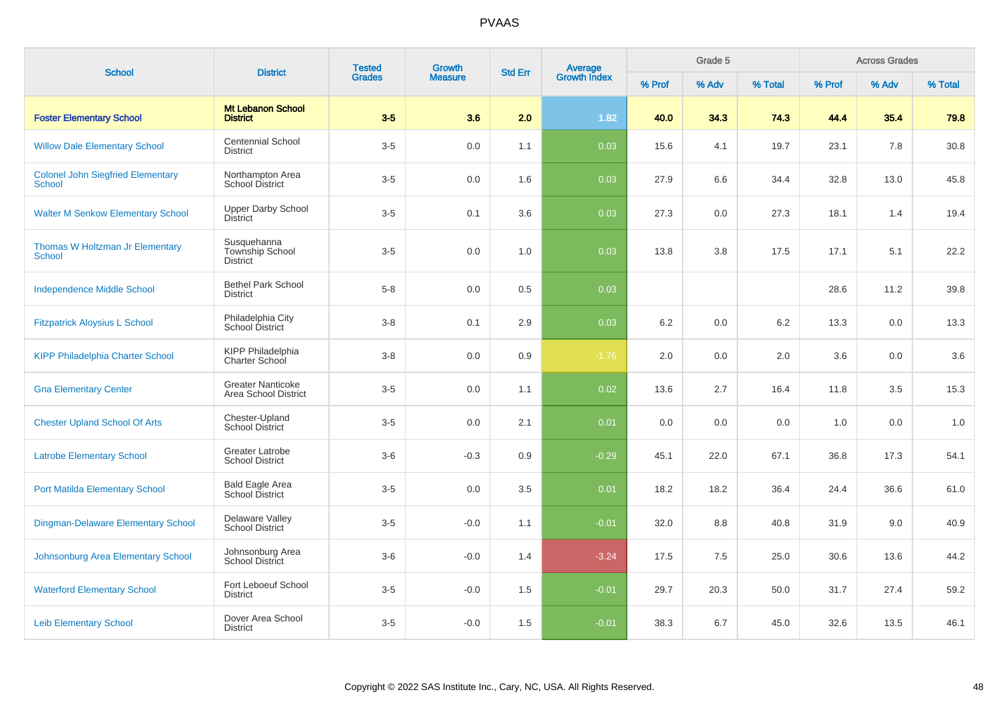| <b>School</b>                                             | <b>District</b>                                          | <b>Tested</b> | <b>Growth</b>  | <b>Std Err</b> |                                |        | Grade 5 |         |        | <b>Across Grades</b> |         |
|-----------------------------------------------------------|----------------------------------------------------------|---------------|----------------|----------------|--------------------------------|--------|---------|---------|--------|----------------------|---------|
|                                                           |                                                          | <b>Grades</b> | <b>Measure</b> |                | <b>Average</b><br>Growth Index | % Prof | % Adv   | % Total | % Prof | % Adv                | % Total |
| <b>Foster Elementary School</b>                           | <b>Mt Lebanon School</b><br><b>District</b>              | $3-5$         | 3.6            | 2.0            | 1.82                           | 40.0   | 34.3    | 74.3    | 44.4   | 35.4                 | 79.8    |
| <b>Willow Dale Elementary School</b>                      | <b>Centennial School</b><br><b>District</b>              | $3-5$         | 0.0            | 1.1            | 0.03                           | 15.6   | 4.1     | 19.7    | 23.1   | 7.8                  | 30.8    |
| <b>Colonel John Siegfried Elementary</b><br><b>School</b> | Northampton Area<br><b>School District</b>               | $3-5$         | 0.0            | 1.6            | 0.03                           | 27.9   | 6.6     | 34.4    | 32.8   | 13.0                 | 45.8    |
| <b>Walter M Senkow Elementary School</b>                  | <b>Upper Darby School</b><br><b>District</b>             | $3-5$         | 0.1            | 3.6            | 0.03                           | 27.3   | 0.0     | 27.3    | 18.1   | 1.4                  | 19.4    |
| Thomas W Holtzman Jr Elementary<br><b>School</b>          | Susquehanna<br><b>Township School</b><br><b>District</b> | $3-5$         | 0.0            | 1.0            | 0.03                           | 13.8   | 3.8     | 17.5    | 17.1   | 5.1                  | 22.2    |
| <b>Independence Middle School</b>                         | <b>Bethel Park School</b><br><b>District</b>             | $5 - 8$       | 0.0            | 0.5            | 0.03                           |        |         |         | 28.6   | 11.2                 | 39.8    |
| <b>Fitzpatrick Aloysius L School</b>                      | Philadelphia City<br>School District                     | $3 - 8$       | 0.1            | 2.9            | 0.03                           | 6.2    | 0.0     | 6.2     | 13.3   | 0.0                  | 13.3    |
| <b>KIPP Philadelphia Charter School</b>                   | <b>KIPP Philadelphia</b><br>Charter School               | $3 - 8$       | 0.0            | 0.9            | $-1.76$                        | 2.0    | 0.0     | 2.0     | 3.6    | 0.0                  | 3.6     |
| <b>Gna Elementary Center</b>                              | <b>Greater Nanticoke</b><br>Area School District         | $3-5$         | 0.0            | 1.1            | 0.02                           | 13.6   | 2.7     | 16.4    | 11.8   | 3.5                  | 15.3    |
| <b>Chester Upland School Of Arts</b>                      | Chester-Upland<br><b>School District</b>                 | $3-5$         | 0.0            | 2.1            | 0.01                           | 0.0    | 0.0     | 0.0     | 1.0    | 0.0                  | 1.0     |
| <b>Latrobe Elementary School</b>                          | <b>Greater Latrobe</b><br><b>School District</b>         | $3-6$         | $-0.3$         | 0.9            | $-0.29$                        | 45.1   | 22.0    | 67.1    | 36.8   | 17.3                 | 54.1    |
| <b>Port Matilda Elementary School</b>                     | Bald Eagle Area<br>School District                       | $3-5$         | 0.0            | 3.5            | 0.01                           | 18.2   | 18.2    | 36.4    | 24.4   | 36.6                 | 61.0    |
| <b>Dingman-Delaware Elementary School</b>                 | Delaware Valley<br><b>School District</b>                | $3-5$         | $-0.0$         | 1.1            | $-0.01$                        | 32.0   | 8.8     | 40.8    | 31.9   | 9.0                  | 40.9    |
| Johnsonburg Area Elementary School                        | Johnsonburg Area<br>School District                      | $3-6$         | $-0.0$         | 1.4            | $-3.24$                        | 17.5   | 7.5     | 25.0    | 30.6   | 13.6                 | 44.2    |
| <b>Waterford Elementary School</b>                        | Fort Leboeuf School<br><b>District</b>                   | $3-5$         | $-0.0$         | 1.5            | $-0.01$                        | 29.7   | 20.3    | 50.0    | 31.7   | 27.4                 | 59.2    |
| <b>Leib Elementary School</b>                             | Dover Area School<br><b>District</b>                     | $3-5$         | $-0.0$         | 1.5            | $-0.01$                        | 38.3   | 6.7     | 45.0    | 32.6   | 13.5                 | 46.1    |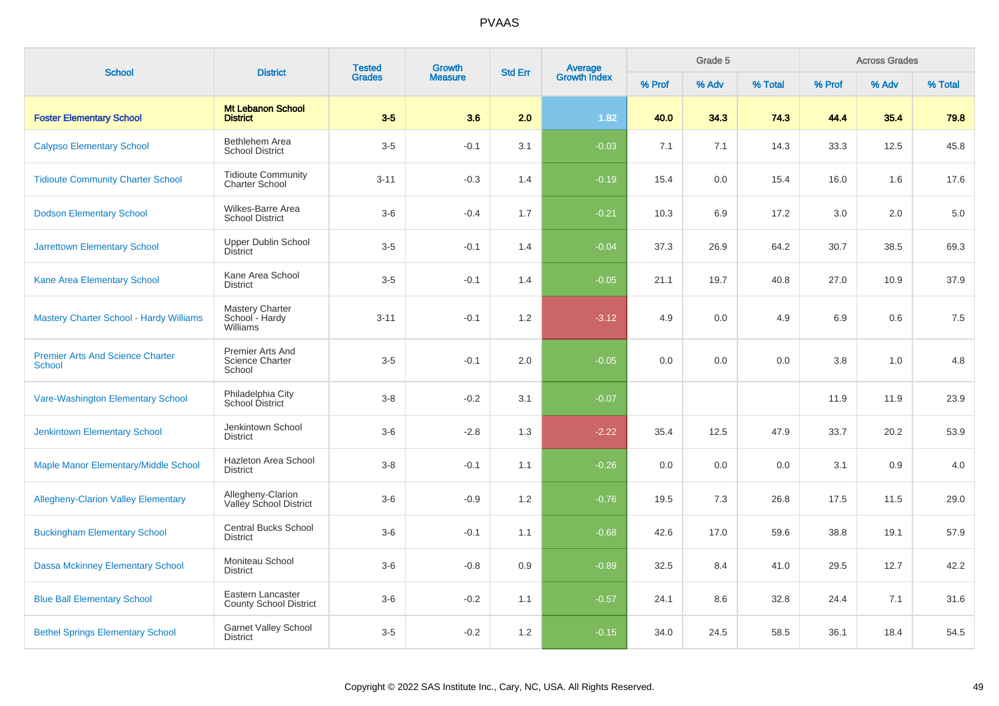| <b>School</b>                                     | <b>District</b>                                      | <b>Tested</b> | <b>Growth</b>  | <b>Std Err</b> | Average<br>Growth Index |        | Grade 5 |         |        | <b>Across Grades</b> |         |
|---------------------------------------------------|------------------------------------------------------|---------------|----------------|----------------|-------------------------|--------|---------|---------|--------|----------------------|---------|
|                                                   |                                                      | <b>Grades</b> | <b>Measure</b> |                |                         | % Prof | % Adv   | % Total | % Prof | % Adv                | % Total |
| <b>Foster Elementary School</b>                   | <b>Mt Lebanon School</b><br><b>District</b>          | $3-5$         | 3.6            | 2.0            | 1.82                    | 40.0   | 34.3    | 74.3    | 44.4   | 35.4                 | 79.8    |
| <b>Calypso Elementary School</b>                  | Bethlehem Area<br><b>School District</b>             | $3-5$         | $-0.1$         | 3.1            | $-0.03$                 | 7.1    | 7.1     | 14.3    | 33.3   | 12.5                 | 45.8    |
| <b>Tidioute Community Charter School</b>          | <b>Tidioute Community</b><br><b>Charter School</b>   | $3 - 11$      | $-0.3$         | 1.4            | $-0.19$                 | 15.4   | 0.0     | 15.4    | 16.0   | 1.6                  | 17.6    |
| <b>Dodson Elementary School</b>                   | Wilkes-Barre Area<br><b>School District</b>          | $3-6$         | $-0.4$         | 1.7            | $-0.21$                 | 10.3   | 6.9     | 17.2    | 3.0    | 2.0                  | 5.0     |
| <b>Jarrettown Elementary School</b>               | <b>Upper Dublin School</b><br><b>District</b>        | $3-5$         | $-0.1$         | 1.4            | $-0.04$                 | 37.3   | 26.9    | 64.2    | 30.7   | 38.5                 | 69.3    |
| Kane Area Elementary School                       | Kane Area School<br><b>District</b>                  | $3-5$         | $-0.1$         | 1.4            | $-0.05$                 | 21.1   | 19.7    | 40.8    | 27.0   | 10.9                 | 37.9    |
| <b>Mastery Charter School - Hardy Williams</b>    | <b>Mastery Charter</b><br>School - Hardy<br>Williams | $3 - 11$      | $-0.1$         | 1.2            | $-3.12$                 | 4.9    | 0.0     | 4.9     | 6.9    | 0.6                  | 7.5     |
| <b>Premier Arts And Science Charter</b><br>School | Premier Arts And<br>Science Charter<br>School        | $3-5$         | $-0.1$         | 2.0            | $-0.05$                 | 0.0    | 0.0     | 0.0     | 3.8    | 1.0                  | 4.8     |
| Vare-Washington Elementary School                 | Philadelphia City<br>School District                 | $3 - 8$       | $-0.2$         | 3.1            | $-0.07$                 |        |         |         | 11.9   | 11.9                 | 23.9    |
| <b>Jenkintown Elementary School</b>               | Jenkintown School<br><b>District</b>                 | $3-6$         | $-2.8$         | 1.3            | $-2.22$                 | 35.4   | 12.5    | 47.9    | 33.7   | 20.2                 | 53.9    |
| Maple Manor Elementary/Middle School              | Hazleton Area School<br><b>District</b>              | $3 - 8$       | $-0.1$         | 1.1            | $-0.26$                 | 0.0    | 0.0     | 0.0     | 3.1    | 0.9                  | 4.0     |
| <b>Allegheny-Clarion Valley Elementary</b>        | Allegheny-Clarion<br>Valley School District          | $3-6$         | $-0.9$         | 1.2            | $-0.76$                 | 19.5   | 7.3     | 26.8    | 17.5   | 11.5                 | 29.0    |
| <b>Buckingham Elementary School</b>               | <b>Central Bucks School</b><br><b>District</b>       | $3-6$         | $-0.1$         | 1.1            | $-0.68$                 | 42.6   | 17.0    | 59.6    | 38.8   | 19.1                 | 57.9    |
| <b>Dassa Mckinney Elementary School</b>           | Moniteau School<br><b>District</b>                   | $3-6$         | $-0.8$         | 0.9            | $-0.89$                 | 32.5   | 8.4     | 41.0    | 29.5   | 12.7                 | 42.2    |
| <b>Blue Ball Elementary School</b>                | Eastern Lancaster<br><b>County School District</b>   | $3-6$         | $-0.2$         | 1.1            | $-0.57$                 | 24.1   | 8.6     | 32.8    | 24.4   | 7.1                  | 31.6    |
| <b>Bethel Springs Elementary School</b>           | <b>Garnet Valley School</b><br><b>District</b>       | $3-5$         | $-0.2$         | 1.2            | $-0.15$                 | 34.0   | 24.5    | 58.5    | 36.1   | 18.4                 | 54.5    |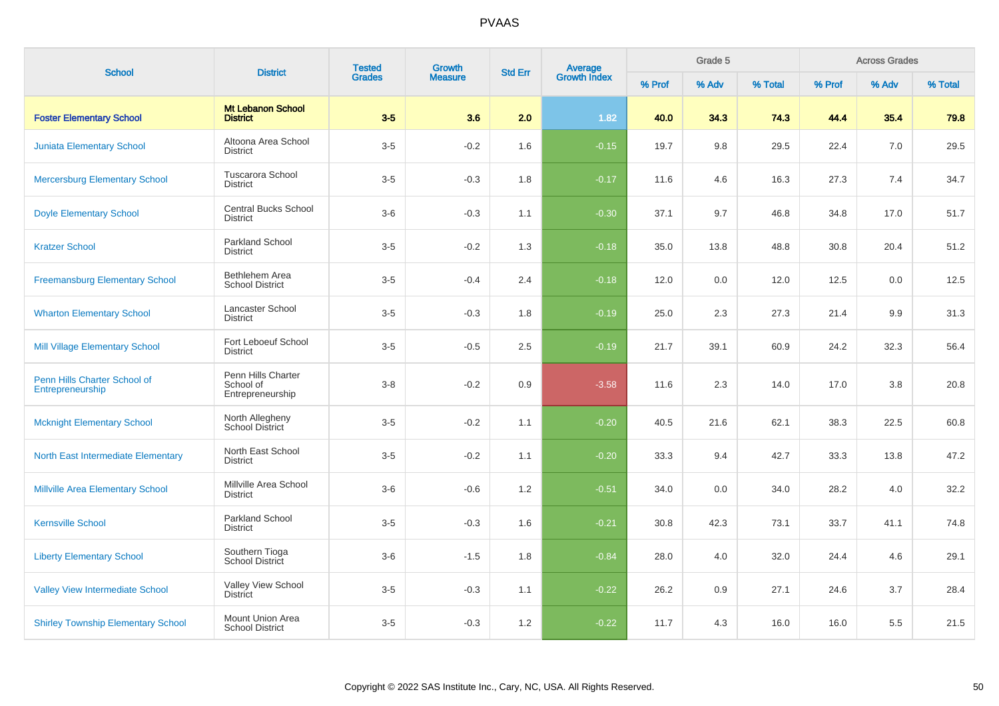| <b>School</b>                                    | <b>District</b>                                     | <b>Tested</b> | <b>Growth</b>  | <b>Std Err</b> | Average<br>Growth Index |        | Grade 5 |         |        | <b>Across Grades</b><br>% Adv |         |
|--------------------------------------------------|-----------------------------------------------------|---------------|----------------|----------------|-------------------------|--------|---------|---------|--------|-------------------------------|---------|
|                                                  |                                                     | <b>Grades</b> | <b>Measure</b> |                |                         | % Prof | % Adv   | % Total | % Prof |                               | % Total |
| <b>Foster Elementary School</b>                  | <b>Mt Lebanon School</b><br><b>District</b>         | $3-5$         | 3.6            | 2.0            | 1.82                    | 40.0   | 34.3    | 74.3    | 44.4   | 35.4                          | 79.8    |
| <b>Juniata Elementary School</b>                 | Altoona Area School<br><b>District</b>              | $3-5$         | $-0.2$         | 1.6            | $-0.15$                 | 19.7   | 9.8     | 29.5    | 22.4   | 7.0                           | 29.5    |
| <b>Mercersburg Elementary School</b>             | <b>Tuscarora School</b><br><b>District</b>          | $3-5$         | $-0.3$         | 1.8            | $-0.17$                 | 11.6   | 4.6     | 16.3    | 27.3   | 7.4                           | 34.7    |
| <b>Doyle Elementary School</b>                   | <b>Central Bucks School</b><br><b>District</b>      | $3-6$         | $-0.3$         | 1.1            | $-0.30$                 | 37.1   | 9.7     | 46.8    | 34.8   | 17.0                          | 51.7    |
| <b>Kratzer School</b>                            | <b>Parkland School</b><br><b>District</b>           | $3-5$         | $-0.2$         | 1.3            | $-0.18$                 | 35.0   | 13.8    | 48.8    | 30.8   | 20.4                          | 51.2    |
| <b>Freemansburg Elementary School</b>            | Bethlehem Area<br><b>School District</b>            | $3-5$         | $-0.4$         | 2.4            | $-0.18$                 | 12.0   | 0.0     | 12.0    | 12.5   | 0.0                           | 12.5    |
| <b>Wharton Elementary School</b>                 | Lancaster School<br><b>District</b>                 | $3-5$         | $-0.3$         | 1.8            | $-0.19$                 | 25.0   | 2.3     | 27.3    | 21.4   | 9.9                           | 31.3    |
| <b>Mill Village Elementary School</b>            | Fort Leboeuf School<br><b>District</b>              | $3-5$         | $-0.5$         | 2.5            | $-0.19$                 | 21.7   | 39.1    | 60.9    | 24.2   | 32.3                          | 56.4    |
| Penn Hills Charter School of<br>Entrepreneurship | Penn Hills Charter<br>School of<br>Entrepreneurship | $3 - 8$       | $-0.2$         | 0.9            | $-3.58$                 | 11.6   | 2.3     | 14.0    | 17.0   | 3.8                           | 20.8    |
| <b>Mcknight Elementary School</b>                | North Allegheny<br><b>School District</b>           | $3-5$         | $-0.2$         | 1.1            | $-0.20$                 | 40.5   | 21.6    | 62.1    | 38.3   | 22.5                          | 60.8    |
| North East Intermediate Elementary               | North East School<br><b>District</b>                | $3-5$         | $-0.2$         | 1.1            | $-0.20$                 | 33.3   | 9.4     | 42.7    | 33.3   | 13.8                          | 47.2    |
| <b>Millville Area Elementary School</b>          | Millville Area School<br>District                   | $3-6$         | $-0.6$         | 1.2            | $-0.51$                 | 34.0   | 0.0     | 34.0    | 28.2   | 4.0                           | 32.2    |
| <b>Kernsville School</b>                         | Parkland School<br><b>District</b>                  | $3-5$         | $-0.3$         | 1.6            | $-0.21$                 | 30.8   | 42.3    | 73.1    | 33.7   | 41.1                          | 74.8    |
| <b>Liberty Elementary School</b>                 | Southern Tioga<br>School District                   | $3-6$         | $-1.5$         | 1.8            | $-0.84$                 | 28.0   | 4.0     | 32.0    | 24.4   | 4.6                           | 29.1    |
| <b>Valley View Intermediate School</b>           | Valley View School<br><b>District</b>               | $3-5$         | $-0.3$         | 1.1            | $-0.22$                 | 26.2   | 0.9     | 27.1    | 24.6   | 3.7                           | 28.4    |
| <b>Shirley Township Elementary School</b>        | Mount Union Area<br><b>School District</b>          | $3-5$         | $-0.3$         | 1.2            | $-0.22$                 | 11.7   | 4.3     | 16.0    | 16.0   | 5.5                           | 21.5    |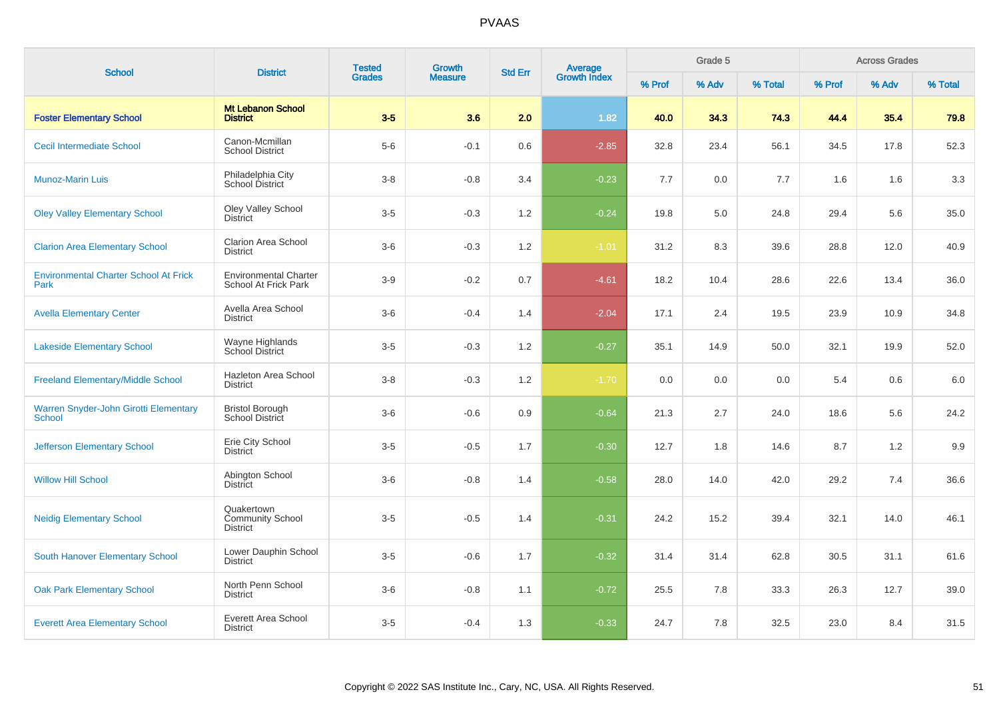| <b>School</b>                                                 | <b>District</b>                                          | <b>Tested</b> | <b>Growth</b>  | <b>Std Err</b> | Average<br>Growth Index |        | Grade 5 |         |        | <b>Across Grades</b> |         |
|---------------------------------------------------------------|----------------------------------------------------------|---------------|----------------|----------------|-------------------------|--------|---------|---------|--------|----------------------|---------|
|                                                               |                                                          | <b>Grades</b> | <b>Measure</b> |                |                         | % Prof | % Adv   | % Total | % Prof | % Adv                | % Total |
| <b>Foster Elementary School</b>                               | <b>Mt Lebanon School</b><br><b>District</b>              | $3-5$         | 3.6            | 2.0            | 1.82                    | 40.0   | 34.3    | 74.3    | 44.4   | 35.4                 | 79.8    |
| <b>Cecil Intermediate School</b>                              | Canon-Mcmillan<br><b>School District</b>                 | $5-6$         | $-0.1$         | 0.6            | $-2.85$                 | 32.8   | 23.4    | 56.1    | 34.5   | 17.8                 | 52.3    |
| <b>Munoz-Marin Luis</b>                                       | Philadelphia City<br><b>School District</b>              | $3 - 8$       | $-0.8$         | 3.4            | $-0.23$                 | 7.7    | 0.0     | 7.7     | 1.6    | 1.6                  | 3.3     |
| <b>Oley Valley Elementary School</b>                          | <b>Oley Valley School</b><br><b>District</b>             | $3-5$         | $-0.3$         | 1.2            | $-0.24$                 | 19.8   | 5.0     | 24.8    | 29.4   | 5.6                  | 35.0    |
| <b>Clarion Area Elementary School</b>                         | Clarion Area School<br><b>District</b>                   | $3-6$         | $-0.3$         | 1.2            | $-1.01$                 | 31.2   | 8.3     | 39.6    | 28.8   | 12.0                 | 40.9    |
| <b>Environmental Charter School At Frick</b><br>Park          | <b>Environmental Charter</b><br>School At Frick Park     | $3-9$         | $-0.2$         | 0.7            | $-4.61$                 | 18.2   | 10.4    | 28.6    | 22.6   | 13.4                 | 36.0    |
| <b>Avella Elementary Center</b>                               | Avella Area School<br><b>District</b>                    | $3-6$         | $-0.4$         | 1.4            | $-2.04$                 | 17.1   | 2.4     | 19.5    | 23.9   | 10.9                 | 34.8    |
| <b>Lakeside Elementary School</b>                             | Wayne Highlands<br>School District                       | $3-5$         | $-0.3$         | 1.2            | $-0.27$                 | 35.1   | 14.9    | 50.0    | 32.1   | 19.9                 | 52.0    |
| <b>Freeland Elementary/Middle School</b>                      | Hazleton Area School<br><b>District</b>                  | $3-8$         | $-0.3$         | 1.2            | $-1.70$                 | 0.0    | 0.0     | 0.0     | 5.4    | 0.6                  | 6.0     |
| <b>Warren Snyder-John Girotti Elementary</b><br><b>School</b> | <b>Bristol Borough</b><br>School District                | $3-6$         | $-0.6$         | 0.9            | $-0.64$                 | 21.3   | 2.7     | 24.0    | 18.6   | 5.6                  | 24.2    |
| <b>Jefferson Elementary School</b>                            | Erie City School<br><b>District</b>                      | $3-5$         | $-0.5$         | 1.7            | $-0.30$                 | 12.7   | 1.8     | 14.6    | 8.7    | 1.2                  | 9.9     |
| <b>Willow Hill School</b>                                     | Abington School<br><b>District</b>                       | $3-6$         | $-0.8$         | 1.4            | $-0.58$                 | 28.0   | 14.0    | 42.0    | 29.2   | 7.4                  | 36.6    |
| <b>Neidig Elementary School</b>                               | Quakertown<br><b>Community School</b><br><b>District</b> | $3-5$         | $-0.5$         | 1.4            | $-0.31$                 | 24.2   | 15.2    | 39.4    | 32.1   | 14.0                 | 46.1    |
| <b>South Hanover Elementary School</b>                        | Lower Dauphin School<br><b>District</b>                  | $3-5$         | $-0.6$         | 1.7            | $-0.32$                 | 31.4   | 31.4    | 62.8    | 30.5   | 31.1                 | 61.6    |
| <b>Oak Park Elementary School</b>                             | North Penn School<br><b>District</b>                     | $3-6$         | $-0.8$         | 1.1            | $-0.72$                 | 25.5   | 7.8     | 33.3    | 26.3   | 12.7                 | 39.0    |
| <b>Everett Area Elementary School</b>                         | Everett Area School<br><b>District</b>                   | $3-5$         | $-0.4$         | 1.3            | $-0.33$                 | 24.7   | 7.8     | 32.5    | 23.0   | 8.4                  | 31.5    |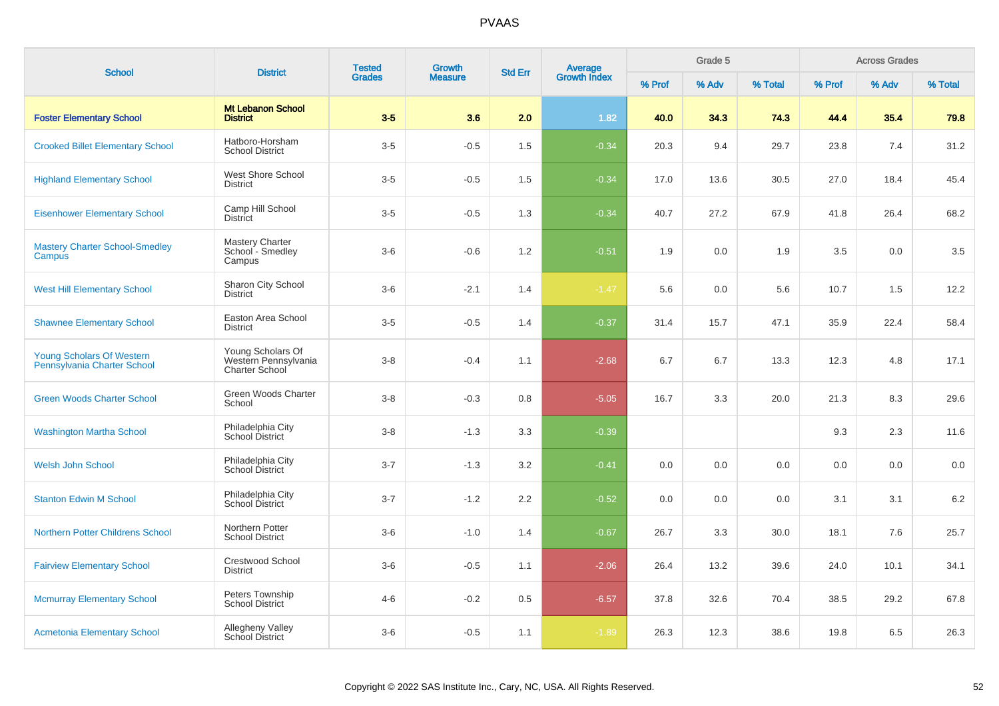| <b>School</b>                                            | <b>District</b>                                                    | <b>Tested</b> | <b>Growth</b>  | <b>Std Err</b> | Average<br>Growth Index |        | Grade 5 |         |        | <b>Across Grades</b> |         |
|----------------------------------------------------------|--------------------------------------------------------------------|---------------|----------------|----------------|-------------------------|--------|---------|---------|--------|----------------------|---------|
|                                                          |                                                                    | <b>Grades</b> | <b>Measure</b> |                |                         | % Prof | % Adv   | % Total | % Prof | % Adv                | % Total |
| <b>Foster Elementary School</b>                          | <b>Mt Lebanon School</b><br><b>District</b>                        | $3-5$         | 3.6            | 2.0            | 1.82                    | 40.0   | 34.3    | 74.3    | 44.4   | 35.4                 | 79.8    |
| <b>Crooked Billet Elementary School</b>                  | Hatboro-Horsham<br><b>School District</b>                          | $3-5$         | $-0.5$         | 1.5            | $-0.34$                 | 20.3   | 9.4     | 29.7    | 23.8   | 7.4                  | 31.2    |
| <b>Highland Elementary School</b>                        | West Shore School<br><b>District</b>                               | $3-5$         | $-0.5$         | 1.5            | $-0.34$                 | 17.0   | 13.6    | 30.5    | 27.0   | 18.4                 | 45.4    |
| <b>Eisenhower Elementary School</b>                      | Camp Hill School<br><b>District</b>                                | $3-5$         | $-0.5$         | 1.3            | $-0.34$                 | 40.7   | 27.2    | 67.9    | 41.8   | 26.4                 | 68.2    |
| <b>Mastery Charter School-Smedley</b><br>Campus          | <b>Mastery Charter</b><br>School - Smedley<br>Campus               | $3-6$         | $-0.6$         | 1.2            | $-0.51$                 | 1.9    | 0.0     | 1.9     | 3.5    | 0.0                  | 3.5     |
| <b>West Hill Elementary School</b>                       | Sharon City School<br><b>District</b>                              | $3-6$         | $-2.1$         | 1.4            | $-1.47$                 | 5.6    | 0.0     | 5.6     | 10.7   | 1.5                  | 12.2    |
| <b>Shawnee Elementary School</b>                         | Easton Area School<br><b>District</b>                              | $3-5$         | $-0.5$         | 1.4            | $-0.37$                 | 31.4   | 15.7    | 47.1    | 35.9   | 22.4                 | 58.4    |
| Young Scholars Of Western<br>Pennsylvania Charter School | Young Scholars Of<br>Western Pennsylvania<br><b>Charter School</b> | $3 - 8$       | $-0.4$         | 1.1            | $-2.68$                 | 6.7    | 6.7     | 13.3    | 12.3   | 4.8                  | 17.1    |
| <b>Green Woods Charter School</b>                        | Green Woods Charter<br>School                                      | $3 - 8$       | $-0.3$         | 0.8            | $-5.05$                 | 16.7   | 3.3     | 20.0    | 21.3   | 8.3                  | 29.6    |
| <b>Washington Martha School</b>                          | Philadelphia City<br>School District                               | $3 - 8$       | $-1.3$         | 3.3            | $-0.39$                 |        |         |         | 9.3    | 2.3                  | 11.6    |
| <b>Welsh John School</b>                                 | Philadelphia City<br>School District                               | $3 - 7$       | $-1.3$         | 3.2            | $-0.41$                 | 0.0    | 0.0     | 0.0     | 0.0    | 0.0                  | 0.0     |
| <b>Stanton Edwin M School</b>                            | Philadelphia City<br>School District                               | $3 - 7$       | $-1.2$         | 2.2            | $-0.52$                 | 0.0    | 0.0     | 0.0     | 3.1    | 3.1                  | 6.2     |
| Northern Potter Childrens School                         | Northern Potter<br><b>School District</b>                          | $3-6$         | $-1.0$         | 1.4            | $-0.67$                 | 26.7   | 3.3     | 30.0    | 18.1   | 7.6                  | 25.7    |
| <b>Fairview Elementary School</b>                        | <b>Crestwood School</b><br><b>District</b>                         | $3-6$         | $-0.5$         | 1.1            | $-2.06$                 | 26.4   | 13.2    | 39.6    | 24.0   | 10.1                 | 34.1    |
| <b>Mcmurray Elementary School</b>                        | Peters Township<br><b>School District</b>                          | $4 - 6$       | $-0.2$         | 0.5            | $-6.57$                 | 37.8   | 32.6    | 70.4    | 38.5   | 29.2                 | 67.8    |
| <b>Acmetonia Elementary School</b>                       | Allegheny Valley<br>School District                                | $3-6$         | $-0.5$         | 1.1            | $-1.89$                 | 26.3   | 12.3    | 38.6    | 19.8   | 6.5                  | 26.3    |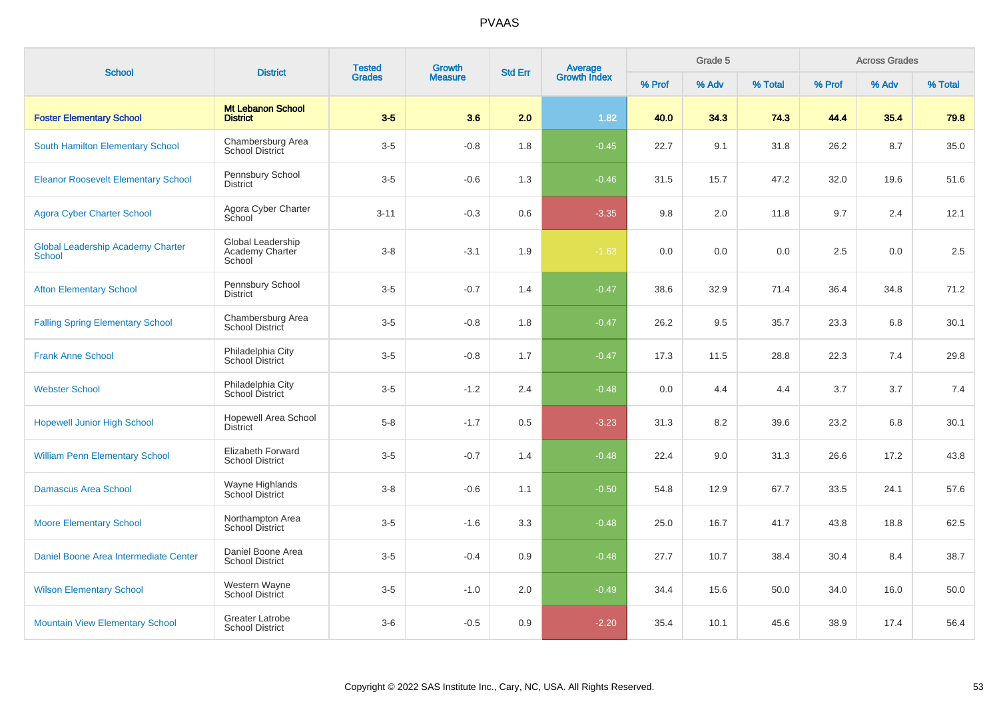| <b>School</b>                                             | <b>District</b>                                    | <b>Tested</b> | <b>Growth</b><br><b>Measure</b> | <b>Average</b><br>Growth Index<br><b>Std Err</b> |         |        | Grade 5 |         |         | <b>Across Grades</b> |         |
|-----------------------------------------------------------|----------------------------------------------------|---------------|---------------------------------|--------------------------------------------------|---------|--------|---------|---------|---------|----------------------|---------|
|                                                           |                                                    | <b>Grades</b> |                                 |                                                  |         | % Prof | % Adv   | % Total | % Prof  | % Adv                | % Total |
| <b>Foster Elementary School</b>                           | <b>Mt Lebanon School</b><br><b>District</b>        | $3-5$         | 3.6                             | 2.0                                              | 1.82    | 40.0   | 34.3    | 74.3    | 44.4    | 35.4                 | 79.8    |
| <b>South Hamilton Elementary School</b>                   | Chambersburg Area<br>School District               | $3-5$         | $-0.8$                          | 1.8                                              | $-0.45$ | 22.7   | 9.1     | 31.8    | 26.2    | 8.7                  | 35.0    |
| <b>Eleanor Roosevelt Elementary School</b>                | Pennsbury School<br><b>District</b>                | $3-5$         | $-0.6$                          | 1.3                                              | $-0.46$ | 31.5   | 15.7    | 47.2    | 32.0    | 19.6                 | 51.6    |
| <b>Agora Cyber Charter School</b>                         | Agora Cyber Charter<br>School                      | $3 - 11$      | $-0.3$                          | 0.6                                              | $-3.35$ | 9.8    | 2.0     | 11.8    | 9.7     | 2.4                  | 12.1    |
| <b>Global Leadership Academy Charter</b><br><b>School</b> | Global Leadership<br>Academy Charter<br>School     | $3 - 8$       | $-3.1$                          | 1.9                                              | $-1.63$ | 0.0    | 0.0     | 0.0     | $2.5\,$ | 0.0                  | 2.5     |
| <b>Afton Elementary School</b>                            | Pennsbury School<br><b>District</b>                | $3-5$         | $-0.7$                          | 1.4                                              | $-0.47$ | 38.6   | 32.9    | 71.4    | 36.4    | 34.8                 | 71.2    |
| <b>Falling Spring Elementary School</b>                   | Chambersburg Area<br><b>School District</b>        | $3-5$         | $-0.8$                          | 1.8                                              | $-0.47$ | 26.2   | 9.5     | 35.7    | 23.3    | 6.8                  | 30.1    |
| <b>Frank Anne School</b>                                  | Philadelphia City<br>School District               | $3-5$         | $-0.8$                          | 1.7                                              | $-0.47$ | 17.3   | 11.5    | 28.8    | 22.3    | 7.4                  | 29.8    |
| <b>Webster School</b>                                     | Philadelphia City<br>School District               | $3-5$         | $-1.2$                          | 2.4                                              | $-0.48$ | 0.0    | 4.4     | 4.4     | 3.7     | 3.7                  | 7.4     |
| <b>Hopewell Junior High School</b>                        | <b>Hopewell Area School</b><br><b>District</b>     | $5 - 8$       | $-1.7$                          | 0.5                                              | $-3.23$ | 31.3   | 8.2     | 39.6    | 23.2    | 6.8                  | 30.1    |
| <b>William Penn Elementary School</b>                     | <b>Elizabeth Forward</b><br><b>School District</b> | $3-5$         | $-0.7$                          | 1.4                                              | $-0.48$ | 22.4   | 9.0     | 31.3    | 26.6    | 17.2                 | 43.8    |
| <b>Damascus Area School</b>                               | Wayne Highlands<br>School District                 | $3-8$         | $-0.6$                          | 1.1                                              | $-0.50$ | 54.8   | 12.9    | 67.7    | 33.5    | 24.1                 | 57.6    |
| <b>Moore Elementary School</b>                            | Northampton Area<br><b>School District</b>         | $3-5$         | $-1.6$                          | 3.3                                              | $-0.48$ | 25.0   | 16.7    | 41.7    | 43.8    | 18.8                 | 62.5    |
| Daniel Boone Area Intermediate Center                     | Daniel Boone Area<br><b>School District</b>        | $3-5$         | $-0.4$                          | 0.9                                              | $-0.48$ | 27.7   | 10.7    | 38.4    | 30.4    | 8.4                  | 38.7    |
| <b>Wilson Elementary School</b>                           | Western Wayne<br><b>School District</b>            | $3-5$         | $-1.0$                          | $2.0\,$                                          | $-0.49$ | 34.4   | 15.6    | 50.0    | 34.0    | 16.0                 | 50.0    |
| <b>Mountain View Elementary School</b>                    | <b>Greater Latrobe</b><br><b>School District</b>   | $3-6$         | $-0.5$                          | 0.9                                              | $-2.20$ | 35.4   | 10.1    | 45.6    | 38.9    | 17.4                 | 56.4    |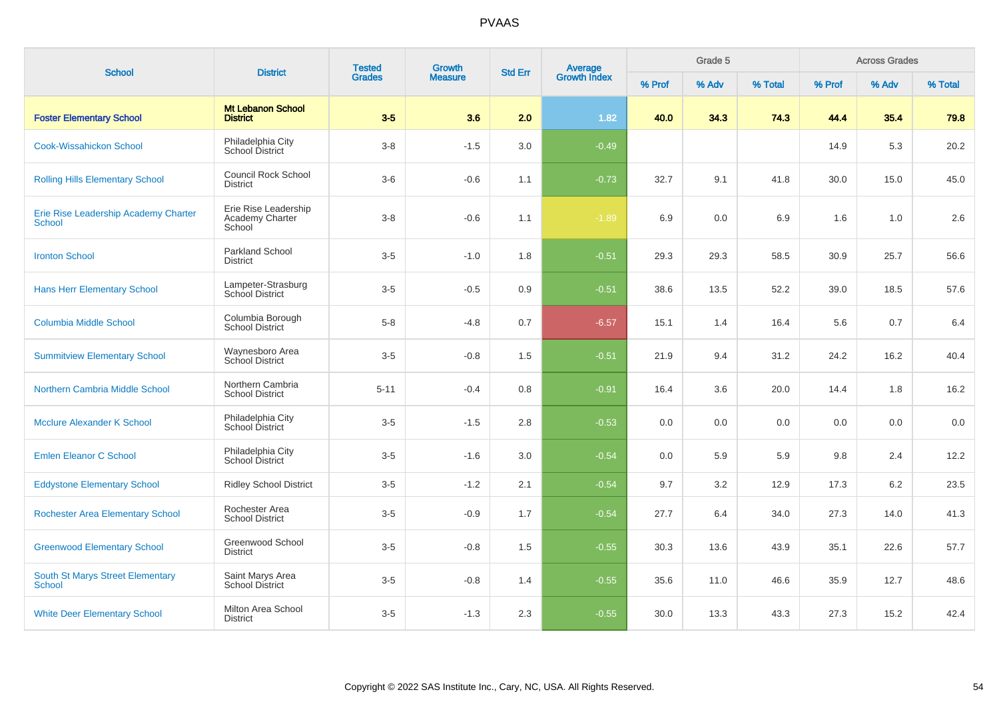| <b>School</b>                                            | <b>District</b>                                   | <b>Tested</b><br><b>Grades</b> | Growth<br><b>Std Err</b> | <b>Average</b><br>Growth Index |         |        | Grade 5 |         |        | <b>Across Grades</b> |         |
|----------------------------------------------------------|---------------------------------------------------|--------------------------------|--------------------------|--------------------------------|---------|--------|---------|---------|--------|----------------------|---------|
|                                                          |                                                   |                                | <b>Measure</b>           |                                |         | % Prof | % Adv   | % Total | % Prof | % Adv                | % Total |
| <b>Foster Elementary School</b>                          | <b>Mt Lebanon School</b><br><b>District</b>       | $3-5$                          | 3.6                      | 2.0                            | 1.82    | 40.0   | 34.3    | 74.3    | 44.4   | 35.4                 | 79.8    |
| <b>Cook-Wissahickon School</b>                           | Philadelphia City<br>School District              | $3 - 8$                        | $-1.5$                   | 3.0                            | $-0.49$ |        |         |         | 14.9   | 5.3                  | 20.2    |
| <b>Rolling Hills Elementary School</b>                   | <b>Council Rock School</b><br><b>District</b>     | $3-6$                          | $-0.6$                   | 1.1                            | $-0.73$ | 32.7   | 9.1     | 41.8    | 30.0   | 15.0                 | 45.0    |
| Erie Rise Leadership Academy Charter<br><b>School</b>    | Erie Rise Leadership<br>Academy Charter<br>School | $3-8$                          | $-0.6$                   | 1.1                            | $-1.89$ | 6.9    | 0.0     | 6.9     | 1.6    | 1.0                  | 2.6     |
| <b>Ironton School</b>                                    | <b>Parkland School</b><br><b>District</b>         | $3-5$                          | $-1.0$                   | 1.8                            | $-0.51$ | 29.3   | 29.3    | 58.5    | 30.9   | 25.7                 | 56.6    |
| <b>Hans Herr Elementary School</b>                       | Lampeter-Strasburg<br>School District             | $3-5$                          | $-0.5$                   | 0.9                            | $-0.51$ | 38.6   | 13.5    | 52.2    | 39.0   | 18.5                 | 57.6    |
| <b>Columbia Middle School</b>                            | Columbia Borough<br><b>School District</b>        | $5-8$                          | $-4.8$                   | 0.7                            | $-6.57$ | 15.1   | 1.4     | 16.4    | 5.6    | 0.7                  | 6.4     |
| <b>Summitview Elementary School</b>                      | Waynesboro Area<br>School District                | $3-5$                          | $-0.8$                   | 1.5                            | $-0.51$ | 21.9   | 9.4     | 31.2    | 24.2   | 16.2                 | 40.4    |
| Northern Cambria Middle School                           | Northern Cambria<br><b>School District</b>        | $5 - 11$                       | $-0.4$                   | 0.8                            | $-0.91$ | 16.4   | 3.6     | 20.0    | 14.4   | 1.8                  | 16.2    |
| <b>Mcclure Alexander K School</b>                        | Philadelphia City<br>School District              | $3-5$                          | $-1.5$                   | 2.8                            | $-0.53$ | 0.0    | 0.0     | 0.0     | 0.0    | 0.0                  | 0.0     |
| <b>Emlen Eleanor C School</b>                            | Philadelphia City<br>School District              | $3-5$                          | $-1.6$                   | 3.0                            | $-0.54$ | 0.0    | 5.9     | 5.9     | 9.8    | 2.4                  | 12.2    |
| <b>Eddystone Elementary School</b>                       | <b>Ridley School District</b>                     | $3-5$                          | $-1.2$                   | 2.1                            | $-0.54$ | 9.7    | 3.2     | 12.9    | 17.3   | 6.2                  | 23.5    |
| <b>Rochester Area Elementary School</b>                  | Rochester Area<br><b>School District</b>          | $3-5$                          | $-0.9$                   | 1.7                            | $-0.54$ | 27.7   | 6.4     | 34.0    | 27.3   | 14.0                 | 41.3    |
| <b>Greenwood Elementary School</b>                       | Greenwood School<br><b>District</b>               | $3-5$                          | $-0.8$                   | 1.5                            | $-0.55$ | 30.3   | 13.6    | 43.9    | 35.1   | 22.6                 | 57.7    |
| <b>South St Marys Street Elementary</b><br><b>School</b> | Saint Marys Area<br><b>School District</b>        | $3-5$                          | $-0.8$                   | 1.4                            | $-0.55$ | 35.6   | 11.0    | 46.6    | 35.9   | 12.7                 | 48.6    |
| <b>White Deer Elementary School</b>                      | Milton Area School<br><b>District</b>             | $3-5$                          | $-1.3$                   | 2.3                            | $-0.55$ | 30.0   | 13.3    | 43.3    | 27.3   | 15.2                 | 42.4    |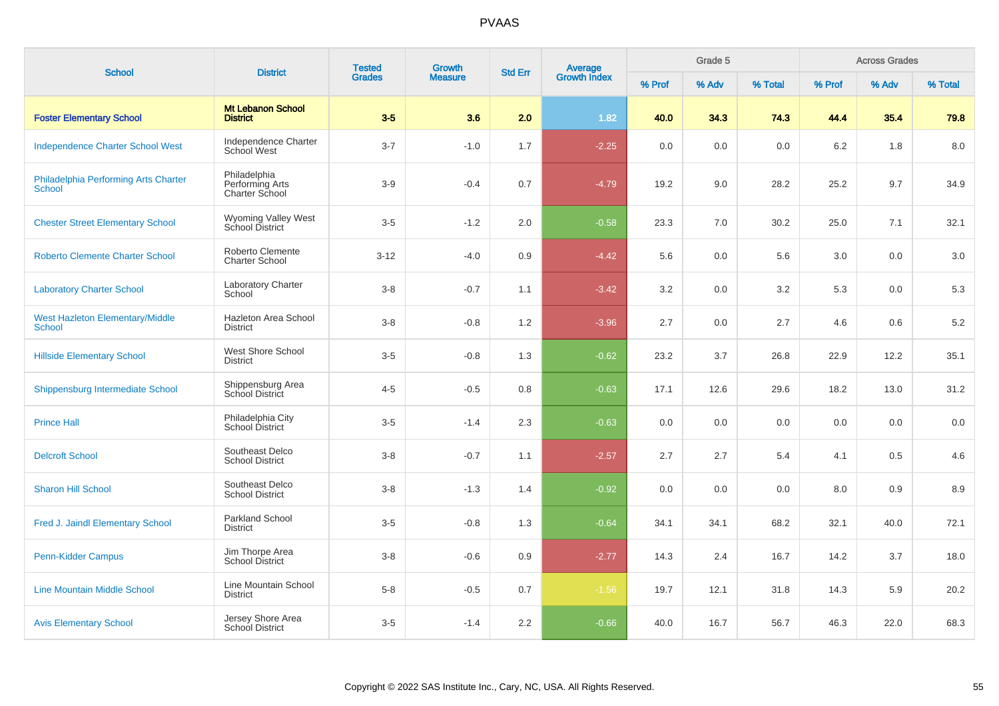| <b>School</b>                                         | <b>District</b>                                   | <b>Tested</b> | <b>Growth</b>  | <b>Std Err</b> | Average<br>Growth Index |        | Grade 5 |         |        | <b>Across Grades</b> |         |
|-------------------------------------------------------|---------------------------------------------------|---------------|----------------|----------------|-------------------------|--------|---------|---------|--------|----------------------|---------|
|                                                       |                                                   | <b>Grades</b> | <b>Measure</b> |                |                         | % Prof | % Adv   | % Total | % Prof | % Adv                | % Total |
| <b>Foster Elementary School</b>                       | <b>Mt Lebanon School</b><br><b>District</b>       | $3-5$         | 3.6            | 2.0            | 1.82                    | 40.0   | 34.3    | 74.3    | 44.4   | 35.4                 | 79.8    |
| <b>Independence Charter School West</b>               | Independence Charter<br><b>School West</b>        | $3 - 7$       | $-1.0$         | 1.7            | $-2.25$                 | 0.0    | 0.0     | 0.0     | 6.2    | 1.8                  | 8.0     |
| Philadelphia Performing Arts Charter<br><b>School</b> | Philadelphia<br>Performing Arts<br>Charter School | $3-9$         | $-0.4$         | 0.7            | $-4.79$                 | 19.2   | 9.0     | 28.2    | 25.2   | 9.7                  | 34.9    |
| <b>Chester Street Elementary School</b>               | Wyoming Valley West<br>School District            | $3-5$         | $-1.2$         | 2.0            | $-0.58$                 | 23.3   | 7.0     | 30.2    | 25.0   | 7.1                  | 32.1    |
| <b>Roberto Clemente Charter School</b>                | Roberto Clemente<br><b>Charter School</b>         | $3 - 12$      | $-4.0$         | 0.9            | $-4.42$                 | 5.6    | 0.0     | 5.6     | 3.0    | 0.0                  | 3.0     |
| <b>Laboratory Charter School</b>                      | Laboratory Charter<br>School                      | $3 - 8$       | $-0.7$         | 1.1            | $-3.42$                 | 3.2    | 0.0     | 3.2     | 5.3    | 0.0                  | 5.3     |
| <b>West Hazleton Elementary/Middle</b><br>School      | Hazleton Area School<br><b>District</b>           | $3 - 8$       | $-0.8$         | 1.2            | $-3.96$                 | 2.7    | 0.0     | 2.7     | 4.6    | 0.6                  | $5.2\,$ |
| <b>Hillside Elementary School</b>                     | <b>West Shore School</b><br><b>District</b>       | $3-5$         | $-0.8$         | 1.3            | $-0.62$                 | 23.2   | 3.7     | 26.8    | 22.9   | 12.2                 | 35.1    |
| Shippensburg Intermediate School                      | Shippensburg Area<br>School District              | $4 - 5$       | $-0.5$         | 0.8            | $-0.63$                 | 17.1   | 12.6    | 29.6    | 18.2   | 13.0                 | 31.2    |
| <b>Prince Hall</b>                                    | Philadelphia City<br>School District              | $3-5$         | $-1.4$         | 2.3            | $-0.63$                 | 0.0    | 0.0     | 0.0     | 0.0    | 0.0                  | 0.0     |
| <b>Delcroft School</b>                                | Southeast Delco<br><b>School District</b>         | $3 - 8$       | $-0.7$         | 1.1            | $-2.57$                 | 2.7    | 2.7     | 5.4     | 4.1    | 0.5                  | 4.6     |
| <b>Sharon Hill School</b>                             | Southeast Delco<br><b>School District</b>         | $3-8$         | $-1.3$         | 1.4            | $-0.92$                 | 0.0    | 0.0     | 0.0     | 8.0    | 0.9                  | 8.9     |
| Fred J. Jaindl Elementary School                      | Parkland School<br><b>District</b>                | $3-5$         | $-0.8$         | 1.3            | $-0.64$                 | 34.1   | 34.1    | 68.2    | 32.1   | 40.0                 | 72.1    |
| Penn-Kidder Campus                                    | Jim Thorpe Area<br><b>School District</b>         | $3 - 8$       | $-0.6$         | 0.9            | $-2.77$                 | 14.3   | 2.4     | 16.7    | 14.2   | 3.7                  | 18.0    |
| <b>Line Mountain Middle School</b>                    | Line Mountain School<br><b>District</b>           | $5 - 8$       | $-0.5$         | 0.7            | $-1.56$                 | 19.7   | 12.1    | 31.8    | 14.3   | 5.9                  | 20.2    |
| <b>Avis Elementary School</b>                         | Jersey Shore Area<br><b>School District</b>       | $3-5$         | $-1.4$         | 2.2            | $-0.66$                 | 40.0   | 16.7    | 56.7    | 46.3   | 22.0                 | 68.3    |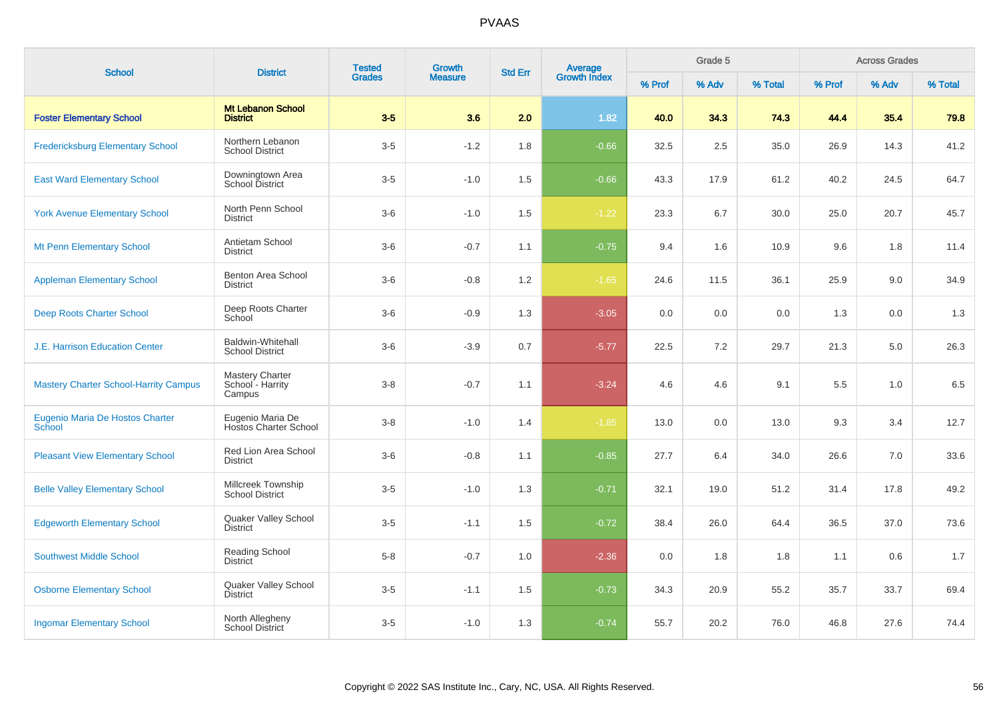| <b>School</b>                                | <b>District</b>                                      | <b>Tested</b> | <b>Growth</b>  | <b>Std Err</b> | Average<br>Growth Index |        | Grade 5 |         |        | <b>Across Grades</b><br>% Adv |         |
|----------------------------------------------|------------------------------------------------------|---------------|----------------|----------------|-------------------------|--------|---------|---------|--------|-------------------------------|---------|
|                                              |                                                      | <b>Grades</b> | <b>Measure</b> |                |                         | % Prof | % Adv   | % Total | % Prof |                               | % Total |
| <b>Foster Elementary School</b>              | <b>Mt Lebanon School</b><br><b>District</b>          | $3-5$         | 3.6            | 2.0            | 1.82                    | 40.0   | 34.3    | 74.3    | 44.4   | 35.4                          | 79.8    |
| <b>Fredericksburg Elementary School</b>      | Northern Lebanon<br><b>School District</b>           | $3-5$         | $-1.2$         | 1.8            | $-0.66$                 | 32.5   | 2.5     | 35.0    | 26.9   | 14.3                          | 41.2    |
| <b>East Ward Elementary School</b>           | Downingtown Area<br><b>School District</b>           | $3-5$         | $-1.0$         | 1.5            | $-0.66$                 | 43.3   | 17.9    | 61.2    | 40.2   | 24.5                          | 64.7    |
| <b>York Avenue Elementary School</b>         | North Penn School<br><b>District</b>                 | $3-6$         | $-1.0$         | 1.5            | $-1.22$                 | 23.3   | 6.7     | 30.0    | 25.0   | 20.7                          | 45.7    |
| Mt Penn Elementary School                    | Antietam School<br><b>District</b>                   | $3-6$         | $-0.7$         | 1.1            | $-0.75$                 | 9.4    | 1.6     | 10.9    | 9.6    | 1.8                           | 11.4    |
| <b>Appleman Elementary School</b>            | Benton Area School<br><b>District</b>                | $3-6$         | $-0.8$         | 1.2            | $-1.65$                 | 24.6   | 11.5    | 36.1    | 25.9   | 9.0                           | 34.9    |
| <b>Deep Roots Charter School</b>             | Deep Roots Charter<br>School                         | $3-6$         | $-0.9$         | 1.3            | $-3.05$                 | 0.0    | 0.0     | 0.0     | 1.3    | 0.0                           | 1.3     |
| <b>J.E. Harrison Education Center</b>        | Baldwin-Whitehall<br><b>School District</b>          | $3-6$         | $-3.9$         | 0.7            | $-5.77$                 | 22.5   | 7.2     | 29.7    | 21.3   | 5.0                           | 26.3    |
| <b>Mastery Charter School-Harrity Campus</b> | <b>Mastery Charter</b><br>School - Harrity<br>Campus | $3-8$         | $-0.7$         | 1.1            | $-3.24$                 | 4.6    | 4.6     | 9.1     | 5.5    | 1.0                           | 6.5     |
| Eugenio Maria De Hostos Charter<br>School    | Eugenio Maria De<br><b>Hostos Charter School</b>     | $3-8$         | $-1.0$         | 1.4            | $-1.85$                 | 13.0   | 0.0     | 13.0    | 9.3    | 3.4                           | 12.7    |
| <b>Pleasant View Elementary School</b>       | Red Lion Area School<br><b>District</b>              | $3-6$         | $-0.8$         | 1.1            | $-0.85$                 | 27.7   | 6.4     | 34.0    | 26.6   | 7.0                           | 33.6    |
| <b>Belle Valley Elementary School</b>        | Millcreek Township<br><b>School District</b>         | $3-5$         | $-1.0$         | 1.3            | $-0.71$                 | 32.1   | 19.0    | 51.2    | 31.4   | 17.8                          | 49.2    |
| <b>Edgeworth Elementary School</b>           | Quaker Valley School<br><b>District</b>              | $3-5$         | $-1.1$         | 1.5            | $-0.72$                 | 38.4   | 26.0    | 64.4    | 36.5   | 37.0                          | 73.6    |
| <b>Southwest Middle School</b>               | Reading School<br><b>District</b>                    | $5-8$         | $-0.7$         | 1.0            | $-2.36$                 | 0.0    | 1.8     | 1.8     | 1.1    | 0.6                           | 1.7     |
| <b>Osborne Elementary School</b>             | Quaker Valley School<br><b>District</b>              | $3-5$         | $-1.1$         | 1.5            | $-0.73$                 | 34.3   | 20.9    | 55.2    | 35.7   | 33.7                          | 69.4    |
| <b>Ingomar Elementary School</b>             | North Allegheny<br><b>School District</b>            | $3-5$         | $-1.0$         | 1.3            | $-0.74$                 | 55.7   | 20.2    | 76.0    | 46.8   | 27.6                          | 74.4    |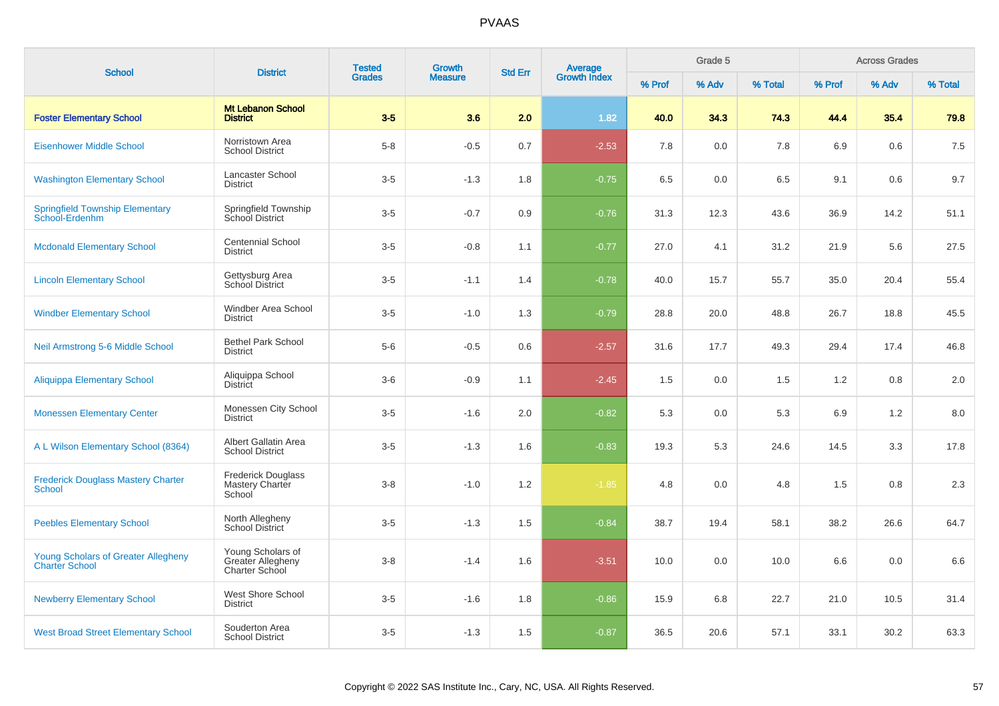| <b>School</b>                                                       | <b>District</b>                                                 | <b>Tested</b> | <b>Growth</b>  | <b>Std Err</b> | Average<br>Growth Index |        | Grade 5 |         |        | <b>Across Grades</b> |         |
|---------------------------------------------------------------------|-----------------------------------------------------------------|---------------|----------------|----------------|-------------------------|--------|---------|---------|--------|----------------------|---------|
|                                                                     |                                                                 | <b>Grades</b> | <b>Measure</b> |                |                         | % Prof | % Adv   | % Total | % Prof | % Adv                | % Total |
| <b>Foster Elementary School</b>                                     | <b>Mt Lebanon School</b><br><b>District</b>                     | $3-5$         | 3.6            | 2.0            | 1.82                    | 40.0   | 34.3    | 74.3    | 44.4   | 35.4                 | 79.8    |
| <b>Eisenhower Middle School</b>                                     | Norristown Area<br><b>School District</b>                       | $5-8$         | $-0.5$         | 0.7            | $-2.53$                 | 7.8    | 0.0     | 7.8     | 6.9    | 0.6                  | 7.5     |
| <b>Washington Elementary School</b>                                 | <b>Lancaster School</b><br><b>District</b>                      | $3-5$         | $-1.3$         | 1.8            | $-0.75$                 | 6.5    | 0.0     | 6.5     | 9.1    | 0.6                  | 9.7     |
| <b>Springfield Township Elementary</b><br>School-Erdenhm            | Springfield Township<br>School District                         | $3-5$         | $-0.7$         | 0.9            | $-0.76$                 | 31.3   | 12.3    | 43.6    | 36.9   | 14.2                 | 51.1    |
| <b>Mcdonald Elementary School</b>                                   | <b>Centennial School</b><br><b>District</b>                     | $3-5$         | $-0.8$         | 1.1            | $-0.77$                 | 27.0   | 4.1     | 31.2    | 21.9   | 5.6                  | 27.5    |
| <b>Lincoln Elementary School</b>                                    | Gettysburg Area<br>School District                              | $3-5$         | $-1.1$         | 1.4            | $-0.78$                 | 40.0   | 15.7    | 55.7    | 35.0   | 20.4                 | 55.4    |
| <b>Windber Elementary School</b>                                    | Windber Area School<br><b>District</b>                          | $3-5$         | $-1.0$         | 1.3            | $-0.79$                 | 28.8   | 20.0    | 48.8    | 26.7   | 18.8                 | 45.5    |
| Neil Armstrong 5-6 Middle School                                    | <b>Bethel Park School</b><br><b>District</b>                    | $5-6$         | $-0.5$         | 0.6            | $-2.57$                 | 31.6   | 17.7    | 49.3    | 29.4   | 17.4                 | 46.8    |
| <b>Aliquippa Elementary School</b>                                  | Aliquippa School<br><b>District</b>                             | $3-6$         | $-0.9$         | 1.1            | $-2.45$                 | 1.5    | 0.0     | 1.5     | 1.2    | 0.8                  | 2.0     |
| <b>Monessen Elementary Center</b>                                   | Monessen City School<br><b>District</b>                         | $3-5$         | $-1.6$         | 2.0            | $-0.82$                 | 5.3    | 0.0     | 5.3     | 6.9    | 1.2                  | 8.0     |
| A L Wilson Elementary School (8364)                                 | Albert Gallatin Area<br><b>School District</b>                  | $3-5$         | $-1.3$         | 1.6            | $-0.83$                 | 19.3   | 5.3     | 24.6    | 14.5   | 3.3                  | 17.8    |
| <b>Frederick Douglass Mastery Charter</b><br>School                 | <b>Frederick Douglass</b><br>Mastery Charter<br>School          | $3 - 8$       | $-1.0$         | 1.2            | $-1.85$                 | 4.8    | 0.0     | 4.8     | 1.5    | 0.8                  | 2.3     |
| <b>Peebles Elementary School</b>                                    | North Allegheny<br>School District                              | $3-5$         | $-1.3$         | 1.5            | $-0.84$                 | 38.7   | 19.4    | 58.1    | 38.2   | 26.6                 | 64.7    |
| <b>Young Scholars of Greater Allegheny</b><br><b>Charter School</b> | Young Scholars of<br><b>Greater Allegheny</b><br>Charter School | $3 - 8$       | $-1.4$         | 1.6            | $-3.51$                 | 10.0   | 0.0     | 10.0    | 6.6    | 0.0                  | 6.6     |
| <b>Newberry Elementary School</b>                                   | West Shore School<br><b>District</b>                            | $3-5$         | $-1.6$         | 1.8            | $-0.86$                 | 15.9   | 6.8     | 22.7    | 21.0   | 10.5                 | 31.4    |
| <b>West Broad Street Elementary School</b>                          | Souderton Area<br><b>School District</b>                        | $3-5$         | $-1.3$         | 1.5            | $-0.87$                 | 36.5   | 20.6    | 57.1    | 33.1   | 30.2                 | 63.3    |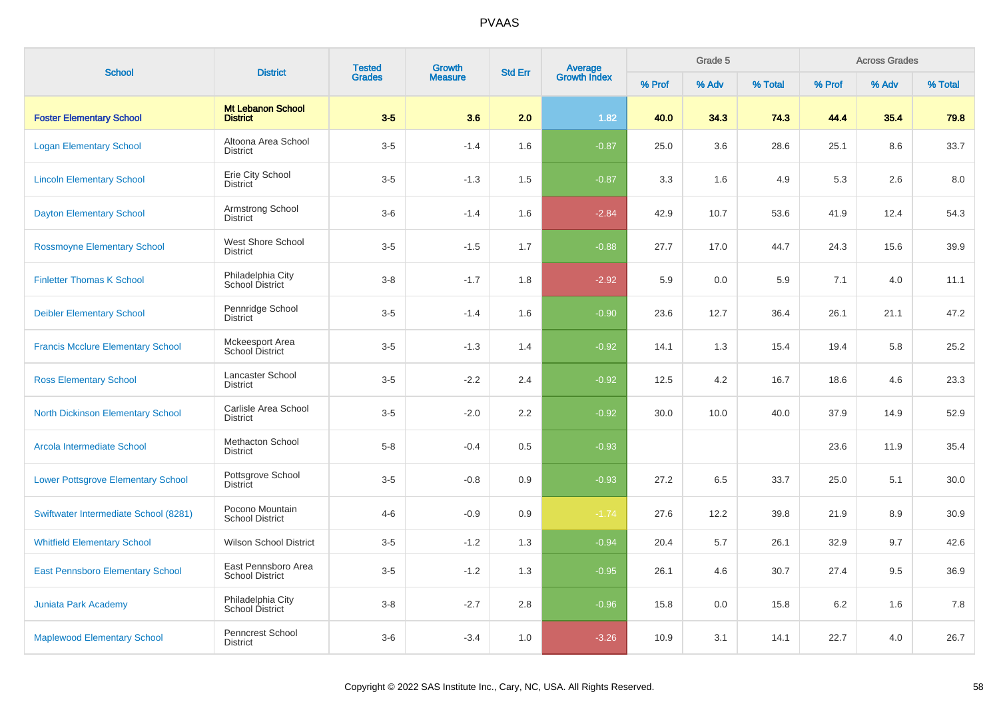| <b>School</b>                             | <b>District</b>                               | <b>Tested</b><br><b>Growth</b><br><b>Grades</b><br><b>Measure</b> |        | <b>Std Err</b> |                                |        | Grade 5 |         |        | <b>Across Grades</b> |         |
|-------------------------------------------|-----------------------------------------------|-------------------------------------------------------------------|--------|----------------|--------------------------------|--------|---------|---------|--------|----------------------|---------|
|                                           |                                               |                                                                   |        |                | <b>Average</b><br>Growth Index | % Prof | % Adv   | % Total | % Prof | % Adv                | % Total |
| <b>Foster Elementary School</b>           | <b>Mt Lebanon School</b><br><b>District</b>   | $3-5$                                                             | 3.6    | 2.0            | 1.82                           | 40.0   | 34.3    | 74.3    | 44.4   | 35.4                 | 79.8    |
| <b>Logan Elementary School</b>            | Altoona Area School<br><b>District</b>        | $3-5$                                                             | $-1.4$ | 1.6            | $-0.87$                        | 25.0   | 3.6     | 28.6    | 25.1   | 8.6                  | 33.7    |
| <b>Lincoln Elementary School</b>          | Erie City School<br><b>District</b>           | $3-5$                                                             | $-1.3$ | 1.5            | $-0.87$                        | 3.3    | 1.6     | 4.9     | 5.3    | 2.6                  | 8.0     |
| <b>Dayton Elementary School</b>           | Armstrong School<br><b>District</b>           | $3-6$                                                             | $-1.4$ | 1.6            | $-2.84$                        | 42.9   | 10.7    | 53.6    | 41.9   | 12.4                 | 54.3    |
| <b>Rossmoyne Elementary School</b>        | West Shore School<br><b>District</b>          | $3-5$                                                             | $-1.5$ | 1.7            | $-0.88$                        | 27.7   | 17.0    | 44.7    | 24.3   | 15.6                 | 39.9    |
| <b>Finletter Thomas K School</b>          | Philadelphia City<br>School District          | $3 - 8$                                                           | $-1.7$ | 1.8            | $-2.92$                        | 5.9    | 0.0     | 5.9     | 7.1    | 4.0                  | 11.1    |
| <b>Deibler Elementary School</b>          | Pennridge School<br><b>District</b>           | $3-5$                                                             | $-1.4$ | 1.6            | $-0.90$                        | 23.6   | 12.7    | 36.4    | 26.1   | 21.1                 | 47.2    |
| <b>Francis Mcclure Elementary School</b>  | Mckeesport Area<br>School District            | $3-5$                                                             | $-1.3$ | 1.4            | $-0.92$                        | 14.1   | 1.3     | 15.4    | 19.4   | 5.8                  | 25.2    |
| <b>Ross Elementary School</b>             | Lancaster School<br><b>District</b>           | $3-5$                                                             | $-2.2$ | 2.4            | $-0.92$                        | 12.5   | 4.2     | 16.7    | 18.6   | 4.6                  | 23.3    |
| <b>North Dickinson Elementary School</b>  | Carlisle Area School<br><b>District</b>       | $3-5$                                                             | $-2.0$ | 2.2            | $-0.92$                        | 30.0   | 10.0    | 40.0    | 37.9   | 14.9                 | 52.9    |
| Arcola Intermediate School                | <b>Methacton School</b><br><b>District</b>    | $5-8$                                                             | $-0.4$ | 0.5            | $-0.93$                        |        |         |         | 23.6   | 11.9                 | 35.4    |
| <b>Lower Pottsgrove Elementary School</b> | Pottsgrove School<br><b>District</b>          | $3-5$                                                             | $-0.8$ | 0.9            | $-0.93$                        | 27.2   | 6.5     | 33.7    | 25.0   | 5.1                  | 30.0    |
| Swiftwater Intermediate School (8281)     | Pocono Mountain<br><b>School District</b>     | $4 - 6$                                                           | $-0.9$ | 0.9            | $-1.74$                        | 27.6   | 12.2    | 39.8    | 21.9   | 8.9                  | 30.9    |
| <b>Whitfield Elementary School</b>        | <b>Wilson School District</b>                 | $3-5$                                                             | $-1.2$ | 1.3            | $-0.94$                        | 20.4   | 5.7     | 26.1    | 32.9   | 9.7                  | 42.6    |
| <b>East Pennsboro Elementary School</b>   | East Pennsboro Area<br><b>School District</b> | $3-5$                                                             | $-1.2$ | 1.3            | $-0.95$                        | 26.1   | 4.6     | 30.7    | 27.4   | 9.5                  | 36.9    |
| <b>Juniata Park Academy</b>               | Philadelphia City<br>School District          | $3 - 8$                                                           | $-2.7$ | 2.8            | $-0.96$                        | 15.8   | 0.0     | 15.8    | 6.2    | 1.6                  | 7.8     |
| <b>Maplewood Elementary School</b>        | Penncrest School<br><b>District</b>           | $3-6$                                                             | $-3.4$ | 1.0            | $-3.26$                        | 10.9   | 3.1     | 14.1    | 22.7   | 4.0                  | 26.7    |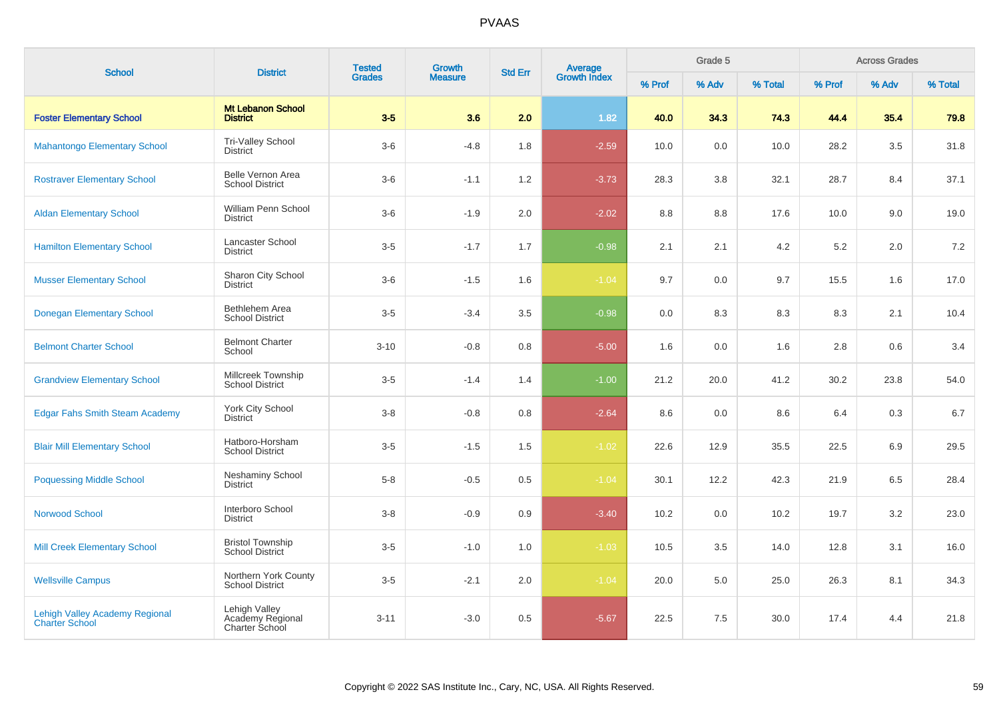| <b>School</b>                                                  | <b>District</b>                                            | <b>Tested</b> | <b>Growth</b>  | <b>Std Err</b> | Average<br>Growth Index |        | Grade 5 | <b>Across Grades</b> |        |       |         |
|----------------------------------------------------------------|------------------------------------------------------------|---------------|----------------|----------------|-------------------------|--------|---------|----------------------|--------|-------|---------|
|                                                                |                                                            | <b>Grades</b> | <b>Measure</b> |                |                         | % Prof | % Adv   | % Total              | % Prof | % Adv | % Total |
| <b>Foster Elementary School</b>                                | <b>Mt Lebanon School</b><br><b>District</b>                | $3-5$         | 3.6            | 2.0            | 1.82                    | 40.0   | 34.3    | 74.3                 | 44.4   | 35.4  | 79.8    |
| <b>Mahantongo Elementary School</b>                            | <b>Tri-Valley School</b><br><b>District</b>                | $3-6$         | $-4.8$         | 1.8            | $-2.59$                 | 10.0   | 0.0     | 10.0                 | 28.2   | 3.5   | 31.8    |
| <b>Rostraver Elementary School</b>                             | Belle Vernon Area<br><b>School District</b>                | $3-6$         | $-1.1$         | 1.2            | $-3.73$                 | 28.3   | 3.8     | 32.1                 | 28.7   | 8.4   | 37.1    |
| <b>Aldan Elementary School</b>                                 | William Penn School<br><b>District</b>                     | $3-6$         | $-1.9$         | 2.0            | $-2.02$                 | 8.8    | 8.8     | 17.6                 | 10.0   | 9.0   | 19.0    |
| <b>Hamilton Elementary School</b>                              | Lancaster School<br><b>District</b>                        | $3-5$         | $-1.7$         | 1.7            | $-0.98$                 | 2.1    | 2.1     | 4.2                  | 5.2    | 2.0   | 7.2     |
| <b>Musser Elementary School</b>                                | Sharon City School<br><b>District</b>                      | $3-6$         | $-1.5$         | 1.6            | $-1.04$                 | 9.7    | 0.0     | 9.7                  | 15.5   | 1.6   | 17.0    |
| <b>Donegan Elementary School</b>                               | Bethlehem Area<br><b>School District</b>                   | $3-5$         | $-3.4$         | 3.5            | $-0.98$                 | 0.0    | 8.3     | 8.3                  | 8.3    | 2.1   | 10.4    |
| <b>Belmont Charter School</b>                                  | <b>Belmont Charter</b><br>School                           | $3 - 10$      | $-0.8$         | 0.8            | $-5.00$                 | 1.6    | 0.0     | 1.6                  | 2.8    | 0.6   | 3.4     |
| <b>Grandview Elementary School</b>                             | Millcreek Township<br><b>School District</b>               | $3-5$         | $-1.4$         | 1.4            | $-1.00$                 | 21.2   | 20.0    | 41.2                 | 30.2   | 23.8  | 54.0    |
| <b>Edgar Fahs Smith Steam Academy</b>                          | York City School<br><b>District</b>                        | $3-8$         | $-0.8$         | 0.8            | $-2.64$                 | 8.6    | 0.0     | 8.6                  | 6.4    | 0.3   | 6.7     |
| <b>Blair Mill Elementary School</b>                            | Hatboro-Horsham<br><b>School District</b>                  | $3-5$         | $-1.5$         | 1.5            | $-1.02$                 | 22.6   | 12.9    | 35.5                 | 22.5   | 6.9   | 29.5    |
| <b>Poquessing Middle School</b>                                | <b>Neshaminy School</b><br><b>District</b>                 | $5 - 8$       | $-0.5$         | 0.5            | $-1.04$                 | 30.1   | 12.2    | 42.3                 | 21.9   | 6.5   | 28.4    |
| <b>Norwood School</b>                                          | Interboro School<br><b>District</b>                        | $3 - 8$       | $-0.9$         | 0.9            | $-3.40$                 | 10.2   | 0.0     | 10.2                 | 19.7   | 3.2   | 23.0    |
| <b>Mill Creek Elementary School</b>                            | <b>Bristol Township</b><br><b>School District</b>          | $3-5$         | $-1.0$         | 1.0            | $-1.03$                 | 10.5   | 3.5     | 14.0                 | 12.8   | 3.1   | 16.0    |
| <b>Wellsville Campus</b>                                       | Northern York County<br><b>School District</b>             | $3-5$         | $-2.1$         | 2.0            | $-1.04$                 | 20.0   | 5.0     | 25.0                 | 26.3   | 8.1   | 34.3    |
| <b>Lehigh Valley Academy Regional</b><br><b>Charter School</b> | Lehigh Valley<br>Academy Regional<br><b>Charter School</b> | $3 - 11$      | $-3.0$         | 0.5            | $-5.67$                 | 22.5   | 7.5     | 30.0                 | 17.4   | 4.4   | 21.8    |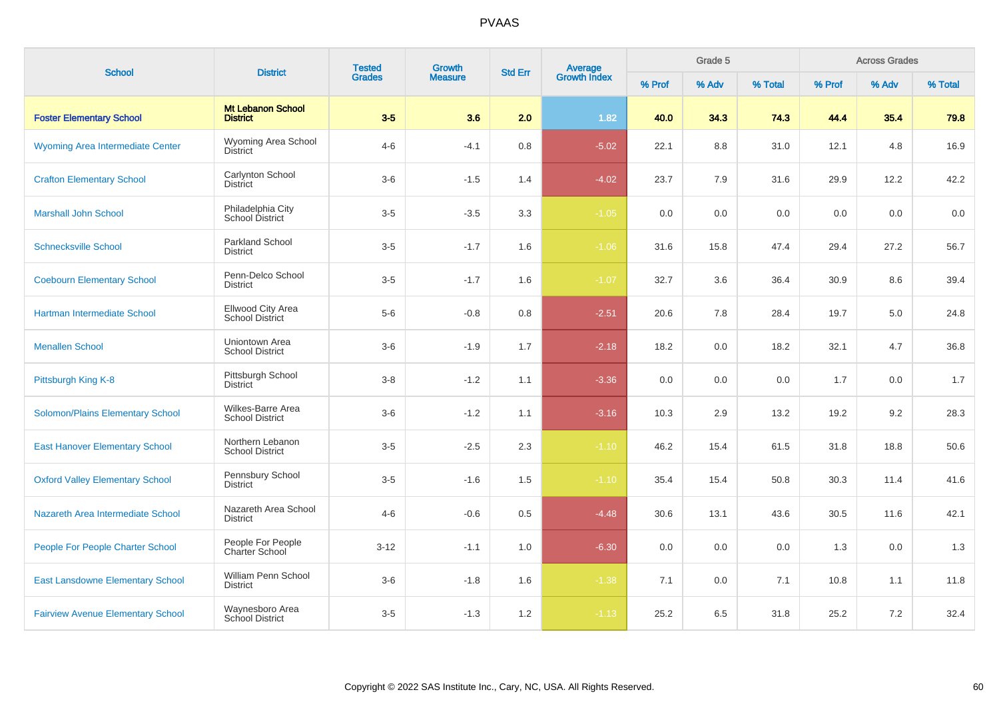| <b>School</b>                            | <b>Tested</b><br>Growth<br><b>District</b><br><b>Grades</b><br><b>Measure</b> | <b>Average</b><br>Growth Index<br><b>Std Err</b> |        |     | Grade 5 |        |       | <b>Across Grades</b> |        |       |         |
|------------------------------------------|-------------------------------------------------------------------------------|--------------------------------------------------|--------|-----|---------|--------|-------|----------------------|--------|-------|---------|
|                                          |                                                                               |                                                  |        |     |         | % Prof | % Adv | % Total              | % Prof | % Adv | % Total |
| <b>Foster Elementary School</b>          | <b>Mt Lebanon School</b><br><b>District</b>                                   | $3-5$                                            | 3.6    | 2.0 | 1.82    | 40.0   | 34.3  | 74.3                 | 44.4   | 35.4  | 79.8    |
| Wyoming Area Intermediate Center         | Wyoming Area School<br><b>District</b>                                        | $4 - 6$                                          | $-4.1$ | 0.8 | $-5.02$ | 22.1   | 8.8   | 31.0                 | 12.1   | 4.8   | 16.9    |
| <b>Crafton Elementary School</b>         | Carlynton School<br><b>District</b>                                           | $3-6$                                            | $-1.5$ | 1.4 | $-4.02$ | 23.7   | 7.9   | 31.6                 | 29.9   | 12.2  | 42.2    |
| <b>Marshall John School</b>              | Philadelphia City<br>School District                                          | $3-5$                                            | $-3.5$ | 3.3 | $-1.05$ | 0.0    | 0.0   | 0.0                  | 0.0    | 0.0   | 0.0     |
| <b>Schnecksville School</b>              | <b>Parkland School</b><br><b>District</b>                                     | $3-5$                                            | $-1.7$ | 1.6 | $-1.06$ | 31.6   | 15.8  | 47.4                 | 29.4   | 27.2  | 56.7    |
| <b>Coebourn Elementary School</b>        | Penn-Delco School<br><b>District</b>                                          | $3-5$                                            | $-1.7$ | 1.6 | $-1.07$ | 32.7   | 3.6   | 36.4                 | 30.9   | 8.6   | 39.4    |
| Hartman Intermediate School              | <b>Ellwood City Area</b><br>School District                                   | $5-6$                                            | $-0.8$ | 0.8 | $-2.51$ | 20.6   | 7.8   | 28.4                 | 19.7   | 5.0   | 24.8    |
| <b>Menallen School</b>                   | Uniontown Area<br><b>School District</b>                                      | $3-6$                                            | $-1.9$ | 1.7 | $-2.18$ | 18.2   | 0.0   | 18.2                 | 32.1   | 4.7   | 36.8    |
| Pittsburgh King K-8                      | Pittsburgh School<br><b>District</b>                                          | $3 - 8$                                          | $-1.2$ | 1.1 | $-3.36$ | 0.0    | 0.0   | 0.0                  | 1.7    | 0.0   | 1.7     |
| <b>Solomon/Plains Elementary School</b>  | Wilkes-Barre Area<br><b>School District</b>                                   | $3-6$                                            | $-1.2$ | 1.1 | $-3.16$ | 10.3   | 2.9   | 13.2                 | 19.2   | 9.2   | 28.3    |
| <b>East Hanover Elementary School</b>    | Northern Lebanon<br><b>School District</b>                                    | $3-5$                                            | $-2.5$ | 2.3 | $-1.10$ | 46.2   | 15.4  | 61.5                 | 31.8   | 18.8  | 50.6    |
| <b>Oxford Valley Elementary School</b>   | Pennsbury School<br><b>District</b>                                           | $3-5$                                            | $-1.6$ | 1.5 | $-1.10$ | 35.4   | 15.4  | 50.8                 | 30.3   | 11.4  | 41.6    |
| Nazareth Area Intermediate School        | Nazareth Area School<br><b>District</b>                                       | $4 - 6$                                          | $-0.6$ | 0.5 | $-4.48$ | 30.6   | 13.1  | 43.6                 | 30.5   | 11.6  | 42.1    |
| People For People Charter School         | People For People<br><b>Charter School</b>                                    | $3-12$                                           | $-1.1$ | 1.0 | $-6.30$ | 0.0    | 0.0   | 0.0                  | 1.3    | 0.0   | 1.3     |
| <b>East Lansdowne Elementary School</b>  | William Penn School<br><b>District</b>                                        | $3-6$                                            | $-1.8$ | 1.6 | $-1.38$ | 7.1    | 0.0   | 7.1                  | 10.8   | 1.1   | 11.8    |
| <b>Fairview Avenue Elementary School</b> | Waynesboro Area<br>School District                                            | $3-5$                                            | $-1.3$ | 1.2 | $-1.13$ | 25.2   | 6.5   | 31.8                 | 25.2   | 7.2   | 32.4    |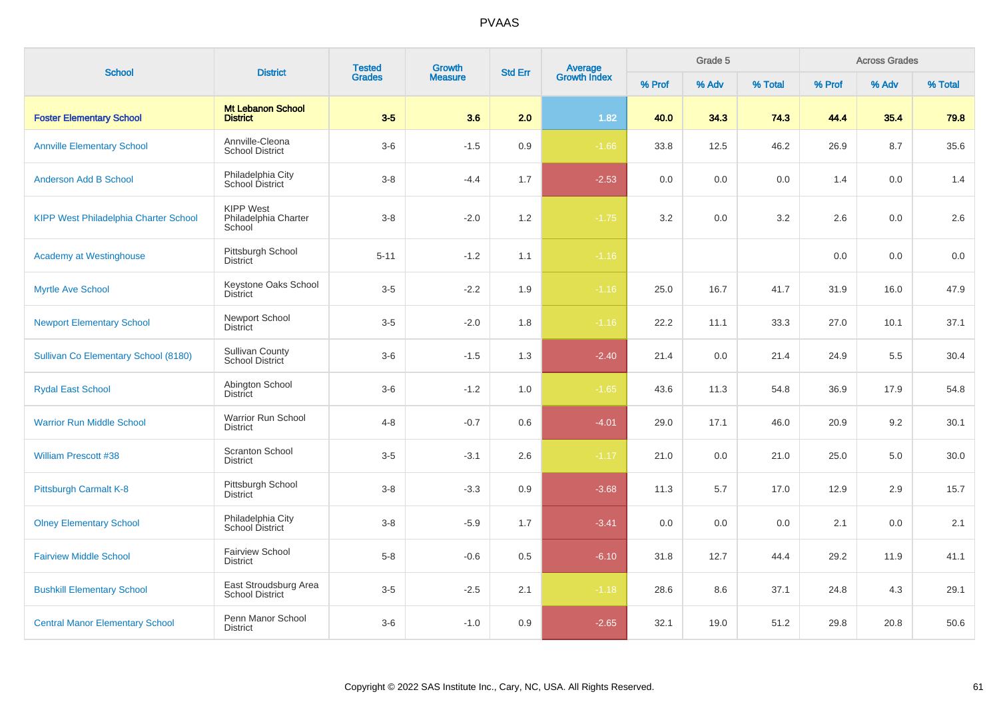| <b>School</b>                          | <b>District</b>                                    | <b>Tested</b> | Growth         | <b>Std Err</b> | <b>Average</b><br>Growth Index |        | Grade 5 |         |        | <b>Across Grades</b> |         |
|----------------------------------------|----------------------------------------------------|---------------|----------------|----------------|--------------------------------|--------|---------|---------|--------|----------------------|---------|
|                                        |                                                    | <b>Grades</b> | <b>Measure</b> |                |                                | % Prof | % Adv   | % Total | % Prof | % Adv                | % Total |
| <b>Foster Elementary School</b>        | <b>Mt Lebanon School</b><br><b>District</b>        | $3-5$         | 3.6            | 2.0            | 1.82                           | 40.0   | 34.3    | 74.3    | 44.4   | 35.4                 | 79.8    |
| <b>Annville Elementary School</b>      | Annville-Cleona<br><b>School District</b>          | $3-6$         | $-1.5$         | 0.9            | $-1.66$                        | 33.8   | 12.5    | 46.2    | 26.9   | 8.7                  | 35.6    |
| <b>Anderson Add B School</b>           | Philadelphia City<br>School District               | $3 - 8$       | $-4.4$         | 1.7            | $-2.53$                        | 0.0    | 0.0     | 0.0     | 1.4    | 0.0                  | 1.4     |
| KIPP West Philadelphia Charter School  | <b>KIPP West</b><br>Philadelphia Charter<br>School | $3 - 8$       | $-2.0$         | 1.2            | $-1.75$                        | 3.2    | 0.0     | 3.2     | 2.6    | 0.0                  | 2.6     |
| <b>Academy at Westinghouse</b>         | Pittsburgh School<br><b>District</b>               | $5 - 11$      | $-1.2$         | 1.1            | $-1.16$                        |        |         |         | 0.0    | 0.0                  | 0.0     |
| <b>Myrtle Ave School</b>               | Keystone Oaks School<br><b>District</b>            | $3-5$         | $-2.2$         | 1.9            | $-1.16$                        | 25.0   | 16.7    | 41.7    | 31.9   | 16.0                 | 47.9    |
| <b>Newport Elementary School</b>       | Newport School<br><b>District</b>                  | $3-5$         | $-2.0$         | 1.8            | $-1.16$                        | 22.2   | 11.1    | 33.3    | 27.0   | 10.1                 | 37.1    |
| Sullivan Co Elementary School (8180)   | <b>Sullivan County</b><br>School District          | $3-6$         | $-1.5$         | 1.3            | $-2.40$                        | 21.4   | 0.0     | 21.4    | 24.9   | 5.5                  | 30.4    |
| <b>Rydal East School</b>               | Abington School<br><b>District</b>                 | $3-6$         | $-1.2$         | 1.0            | $-1.65$                        | 43.6   | 11.3    | 54.8    | 36.9   | 17.9                 | 54.8    |
| <b>Warrior Run Middle School</b>       | Warrior Run School<br><b>District</b>              | $4 - 8$       | $-0.7$         | 0.6            | $-4.01$                        | 29.0   | 17.1    | 46.0    | 20.9   | 9.2                  | 30.1    |
| <b>William Prescott #38</b>            | <b>Scranton School</b><br><b>District</b>          | $3-5$         | $-3.1$         | 2.6            | $-1.17$                        | 21.0   | 0.0     | 21.0    | 25.0   | 5.0                  | 30.0    |
| Pittsburgh Carmalt K-8                 | Pittsburgh School<br><b>District</b>               | $3-8$         | $-3.3$         | 0.9            | $-3.68$                        | 11.3   | 5.7     | 17.0    | 12.9   | 2.9                  | 15.7    |
| <b>Olney Elementary School</b>         | Philadelphia City<br>School District               | $3-8$         | $-5.9$         | 1.7            | $-3.41$                        | 0.0    | 0.0     | 0.0     | 2.1    | 0.0                  | 2.1     |
| <b>Fairview Middle School</b>          | <b>Fairview School</b><br><b>District</b>          | $5 - 8$       | $-0.6$         | 0.5            | $-6.10$                        | 31.8   | 12.7    | 44.4    | 29.2   | 11.9                 | 41.1    |
| <b>Bushkill Elementary School</b>      | East Stroudsburg Area<br><b>School District</b>    | $3-5$         | $-2.5$         | 2.1            | $-1.18$                        | 28.6   | 8.6     | 37.1    | 24.8   | 4.3                  | 29.1    |
| <b>Central Manor Elementary School</b> | Penn Manor School<br><b>District</b>               | $3-6$         | $-1.0$         | 0.9            | $-2.65$                        | 32.1   | 19.0    | 51.2    | 29.8   | 20.8                 | 50.6    |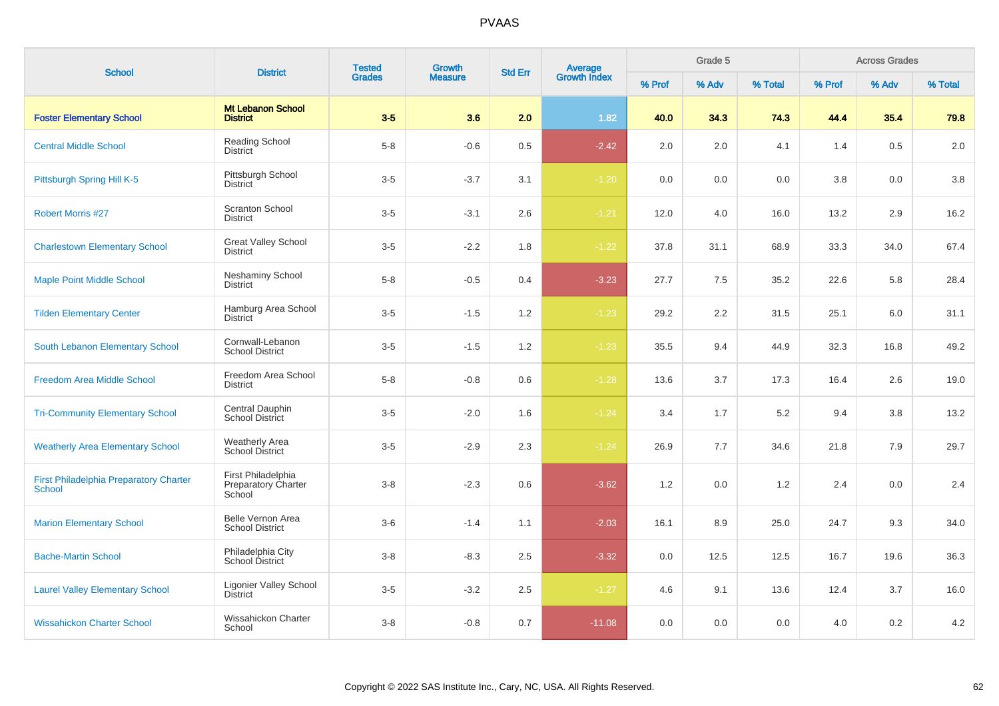| <b>School</b>                                                  | <b>District</b>                                            | <b>Tested</b><br><b>Grades</b> | <b>Growth</b>  | <b>Std Err</b> | Average<br>Growth Index |        | Grade 5 |         |         | <b>Across Grades</b> |         |
|----------------------------------------------------------------|------------------------------------------------------------|--------------------------------|----------------|----------------|-------------------------|--------|---------|---------|---------|----------------------|---------|
|                                                                |                                                            |                                | <b>Measure</b> |                |                         | % Prof | % Adv   | % Total | % Prof  | % Adv                | % Total |
| <b>Foster Elementary School</b>                                | <b>Mt Lebanon School</b><br><b>District</b>                | $3-5$                          | 3.6            | 2.0            | 1.82                    | 40.0   | 34.3    | 74.3    | 44.4    | 35.4                 | 79.8    |
| <b>Central Middle School</b>                                   | Reading School<br><b>District</b>                          | $5-8$                          | $-0.6$         | 0.5            | $-2.42$                 | 2.0    | 2.0     | 4.1     | 1.4     | 0.5                  | 2.0     |
| Pittsburgh Spring Hill K-5                                     | Pittsburgh School<br><b>District</b>                       | $3-5$                          | $-3.7$         | 3.1            | $-1.20$                 | 0.0    | 0.0     | 0.0     | $3.8\,$ | 0.0                  | 3.8     |
| <b>Robert Morris #27</b>                                       | <b>Scranton School</b><br><b>District</b>                  | $3-5$                          | $-3.1$         | 2.6            | $-1.21$                 | 12.0   | 4.0     | 16.0    | 13.2    | 2.9                  | 16.2    |
| <b>Charlestown Elementary School</b>                           | <b>Great Valley School</b><br><b>District</b>              | $3-5$                          | $-2.2$         | 1.8            | $-1.22$                 | 37.8   | 31.1    | 68.9    | 33.3    | 34.0                 | 67.4    |
| <b>Maple Point Middle School</b>                               | <b>Neshaminy School</b><br><b>District</b>                 | $5 - 8$                        | $-0.5$         | 0.4            | $-3.23$                 | 27.7   | 7.5     | 35.2    | 22.6    | 5.8                  | 28.4    |
| <b>Tilden Elementary Center</b>                                | Hamburg Area School<br><b>District</b>                     | $3-5$                          | $-1.5$         | 1.2            | $-1.23$                 | 29.2   | 2.2     | 31.5    | 25.1    | 6.0                  | 31.1    |
| South Lebanon Elementary School                                | Cornwall-Lebanon<br><b>School District</b>                 | $3-5$                          | $-1.5$         | 1.2            | $-1.23$                 | 35.5   | 9.4     | 44.9    | 32.3    | 16.8                 | 49.2    |
| <b>Freedom Area Middle School</b>                              | Freedom Area School<br><b>District</b>                     | $5-8$                          | $-0.8$         | 0.6            | $-1.28$                 | 13.6   | 3.7     | 17.3    | 16.4    | 2.6                  | 19.0    |
| <b>Tri-Community Elementary School</b>                         | Central Dauphin<br><b>School District</b>                  | $3-5$                          | $-2.0$         | 1.6            | $-1.24$                 | 3.4    | 1.7     | 5.2     | 9.4     | 3.8                  | 13.2    |
| <b>Weatherly Area Elementary School</b>                        | <b>Weatherly Area</b><br>School District                   | $3-5$                          | $-2.9$         | 2.3            | $-1.24$                 | 26.9   | 7.7     | 34.6    | 21.8    | 7.9                  | 29.7    |
| <b>First Philadelphia Preparatory Charter</b><br><b>School</b> | First Philadelphia<br><b>Preparatory Charter</b><br>School | $3 - 8$                        | $-2.3$         | 0.6            | $-3.62$                 | 1.2    | 0.0     | 1.2     | 2.4     | 0.0                  | 2.4     |
| <b>Marion Elementary School</b>                                | Belle Vernon Area<br><b>School District</b>                | $3-6$                          | $-1.4$         | 1.1            | $-2.03$                 | 16.1   | 8.9     | 25.0    | 24.7    | 9.3                  | 34.0    |
| <b>Bache-Martin School</b>                                     | Philadelphia City<br>School District                       | $3 - 8$                        | $-8.3$         | 2.5            | $-3.32$                 | 0.0    | 12.5    | 12.5    | 16.7    | 19.6                 | 36.3    |
| <b>Laurel Valley Elementary School</b>                         | <b>Ligonier Valley School</b><br><b>District</b>           | $3-5$                          | $-3.2$         | $2.5\,$        | $-1.27$                 | 4.6    | 9.1     | 13.6    | 12.4    | 3.7                  | 16.0    |
| <b>Wissahickon Charter School</b>                              | <b>Wissahickon Charter</b><br>School                       | $3 - 8$                        | $-0.8$         | 0.7            | $-11.08$                | 0.0    | 0.0     | 0.0     | 4.0     | 0.2                  | $4.2\,$ |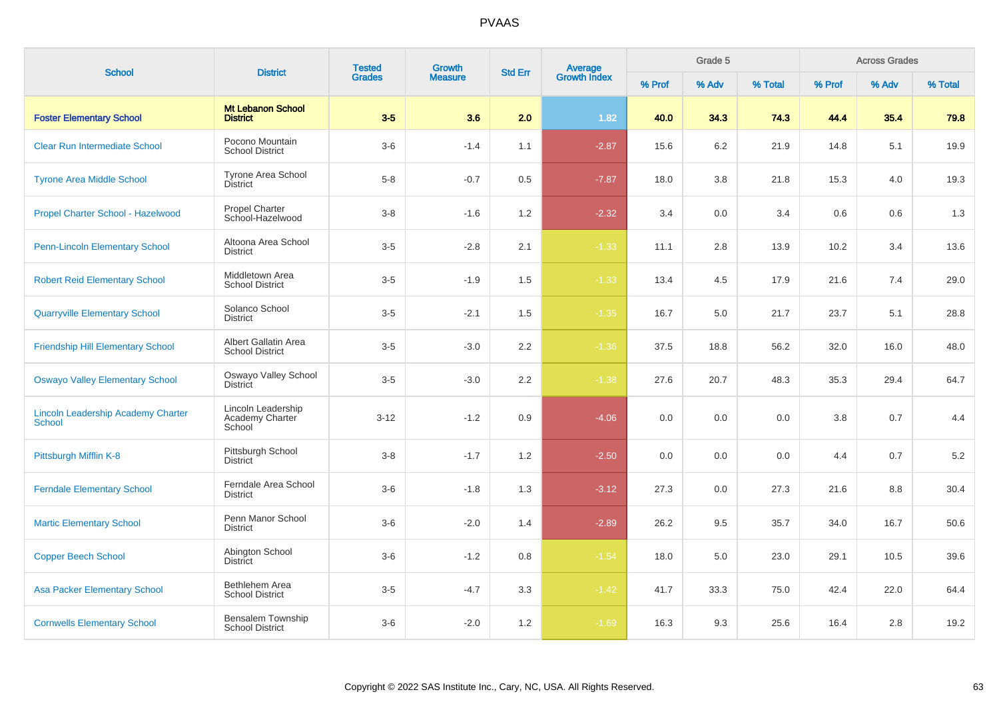| <b>School</b>                                       | <b>District</b>                                 | <b>Tested</b> | <b>Growth</b>  | <b>Std Err</b> | Average<br>Growth Index |        | Grade 5 |         |         | <b>Across Grades</b> |         |
|-----------------------------------------------------|-------------------------------------------------|---------------|----------------|----------------|-------------------------|--------|---------|---------|---------|----------------------|---------|
|                                                     |                                                 | <b>Grades</b> | <b>Measure</b> |                |                         | % Prof | % Adv   | % Total | % Prof  | % Adv                | % Total |
| <b>Foster Elementary School</b>                     | <b>Mt Lebanon School</b><br><b>District</b>     | $3-5$         | 3.6            | 2.0            | 1.82                    | 40.0   | 34.3    | 74.3    | 44.4    | 35.4                 | 79.8    |
| <b>Clear Run Intermediate School</b>                | Pocono Mountain<br><b>School District</b>       | $3-6$         | $-1.4$         | 1.1            | $-2.87$                 | 15.6   | 6.2     | 21.9    | 14.8    | 5.1                  | 19.9    |
| <b>Tyrone Area Middle School</b>                    | <b>Tyrone Area School</b><br><b>District</b>    | $5 - 8$       | $-0.7$         | 0.5            | $-7.87$                 | 18.0   | 3.8     | 21.8    | 15.3    | 4.0                  | 19.3    |
| Propel Charter School - Hazelwood                   | <b>Propel Charter</b><br>School-Hazelwood       | $3 - 8$       | $-1.6$         | 1.2            | $-2.32$                 | 3.4    | 0.0     | 3.4     | 0.6     | 0.6                  | 1.3     |
| <b>Penn-Lincoln Elementary School</b>               | Altoona Area School<br><b>District</b>          | $3-5$         | $-2.8$         | 2.1            | $-1.33$                 | 11.1   | 2.8     | 13.9    | 10.2    | 3.4                  | 13.6    |
| <b>Robert Reid Elementary School</b>                | Middletown Area<br><b>School District</b>       | $3-5$         | $-1.9$         | 1.5            | $-1.33$                 | 13.4   | 4.5     | 17.9    | 21.6    | 7.4                  | 29.0    |
| <b>Quarryville Elementary School</b>                | Solanco School<br><b>District</b>               | $3-5$         | $-2.1$         | 1.5            | $-1.35$                 | 16.7   | 5.0     | 21.7    | 23.7    | 5.1                  | 28.8    |
| <b>Friendship Hill Elementary School</b>            | Albert Gallatin Area<br><b>School District</b>  | $3-5$         | $-3.0$         | 2.2            | $-1.36$                 | 37.5   | 18.8    | 56.2    | 32.0    | 16.0                 | 48.0    |
| <b>Oswayo Valley Elementary School</b>              | Oswayo Valley School<br><b>District</b>         | $3-5$         | $-3.0$         | 2.2            | $-1.38$                 | 27.6   | 20.7    | 48.3    | 35.3    | 29.4                 | 64.7    |
| <b>Lincoln Leadership Academy Charter</b><br>School | Lincoln Leadership<br>Academy Charter<br>School | $3 - 12$      | $-1.2$         | 0.9            | $-4.06$                 | 0.0    | 0.0     | 0.0     | $3.8\,$ | 0.7                  | 4.4     |
| Pittsburgh Mifflin K-8                              | Pittsburgh School<br><b>District</b>            | $3 - 8$       | $-1.7$         | 1.2            | $-2.50$                 | 0.0    | 0.0     | 0.0     | 4.4     | 0.7                  | 5.2     |
| <b>Ferndale Elementary School</b>                   | Ferndale Area School<br><b>District</b>         | $3-6$         | $-1.8$         | 1.3            | $-3.12$                 | 27.3   | 0.0     | 27.3    | 21.6    | 8.8                  | 30.4    |
| <b>Martic Elementary School</b>                     | Penn Manor School<br><b>District</b>            | $3-6$         | $-2.0$         | 1.4            | $-2.89$                 | 26.2   | 9.5     | 35.7    | 34.0    | 16.7                 | 50.6    |
| <b>Copper Beech School</b>                          | Abington School<br><b>District</b>              | $3-6$         | $-1.2$         | 0.8            | $-1.54$                 | 18.0   | 5.0     | 23.0    | 29.1    | 10.5                 | 39.6    |
| <b>Asa Packer Elementary School</b>                 | <b>Bethlehem Area</b><br><b>School District</b> | $3-5$         | $-4.7$         | 3.3            | $-1.42$                 | 41.7   | 33.3    | 75.0    | 42.4    | 22.0                 | 64.4    |
| <b>Cornwells Elementary School</b>                  | Bensalem Township<br><b>School District</b>     | $3-6$         | $-2.0$         | 1.2            | $-1.69$                 | 16.3   | 9.3     | 25.6    | 16.4    | 2.8                  | 19.2    |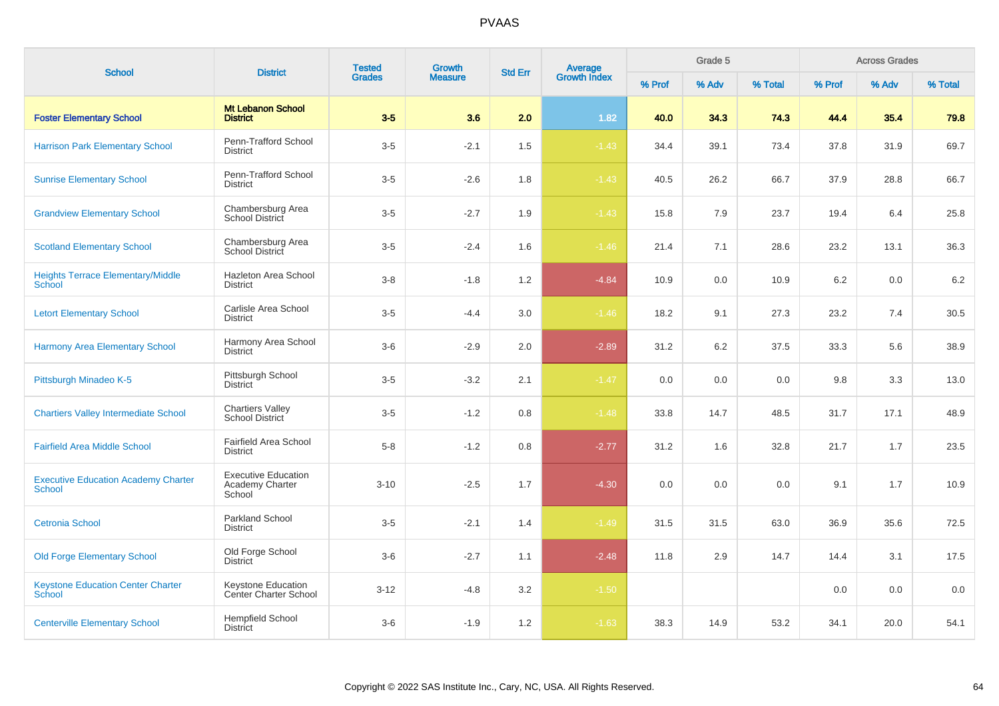| <b>School</b>                                               | <b>District</b>                                         | <b>Tested</b><br><b>Grades</b> | <b>Growth</b>  | <b>Std Err</b> | Average<br>Growth Index |        | Grade 5 |         |        | <b>Across Grades</b> |         |
|-------------------------------------------------------------|---------------------------------------------------------|--------------------------------|----------------|----------------|-------------------------|--------|---------|---------|--------|----------------------|---------|
|                                                             |                                                         |                                | <b>Measure</b> |                |                         | % Prof | % Adv   | % Total | % Prof | % Adv                | % Total |
| <b>Foster Elementary School</b>                             | <b>Mt Lebanon School</b><br><b>District</b>             | $3-5$                          | 3.6            | 2.0            | 1.82                    | 40.0   | 34.3    | 74.3    | 44.4   | 35.4                 | 79.8    |
| <b>Harrison Park Elementary School</b>                      | Penn-Trafford School<br><b>District</b>                 | $3-5$                          | $-2.1$         | 1.5            | $-1.43$                 | 34.4   | 39.1    | 73.4    | 37.8   | 31.9                 | 69.7    |
| <b>Sunrise Elementary School</b>                            | Penn-Trafford School<br><b>District</b>                 | $3-5$                          | $-2.6$         | 1.8            | $-1.43$                 | 40.5   | 26.2    | 66.7    | 37.9   | 28.8                 | 66.7    |
| <b>Grandview Elementary School</b>                          | Chambersburg Area<br>School District                    | $3-5$                          | $-2.7$         | 1.9            | $-1.43$                 | 15.8   | 7.9     | 23.7    | 19.4   | 6.4                  | 25.8    |
| <b>Scotland Elementary School</b>                           | Chambersburg Area<br>School District                    | $3-5$                          | $-2.4$         | 1.6            | $-1.46$                 | 21.4   | 7.1     | 28.6    | 23.2   | 13.1                 | 36.3    |
| <b>Heights Terrace Elementary/Middle</b><br>School          | Hazleton Area School<br><b>District</b>                 | $3 - 8$                        | $-1.8$         | 1.2            | $-4.84$                 | 10.9   | 0.0     | 10.9    | 6.2    | 0.0                  | 6.2     |
| <b>Letort Elementary School</b>                             | Carlisle Area School<br><b>District</b>                 | $3-5$                          | $-4.4$         | 3.0            | $-1.46$                 | 18.2   | 9.1     | 27.3    | 23.2   | 7.4                  | 30.5    |
| <b>Harmony Area Elementary School</b>                       | Harmony Area School<br><b>District</b>                  | $3-6$                          | $-2.9$         | 2.0            | $-2.89$                 | 31.2   | 6.2     | 37.5    | 33.3   | 5.6                  | 38.9    |
| Pittsburgh Minadeo K-5                                      | Pittsburgh School<br><b>District</b>                    | $3-5$                          | $-3.2$         | 2.1            | $-1.47$                 | 0.0    | 0.0     | 0.0     | 9.8    | 3.3                  | 13.0    |
| <b>Chartiers Valley Intermediate School</b>                 | <b>Chartiers Valley</b><br><b>School District</b>       | $3-5$                          | $-1.2$         | 0.8            | $-1.48$                 | 33.8   | 14.7    | 48.5    | 31.7   | 17.1                 | 48.9    |
| <b>Fairfield Area Middle School</b>                         | <b>Fairfield Area School</b><br><b>District</b>         | $5 - 8$                        | $-1.2$         | 0.8            | $-2.77$                 | 31.2   | 1.6     | 32.8    | 21.7   | 1.7                  | 23.5    |
| <b>Executive Education Academy Charter</b><br><b>School</b> | <b>Executive Education</b><br>Academy Charter<br>School | $3 - 10$                       | $-2.5$         | 1.7            | $-4.30$                 | 0.0    | 0.0     | 0.0     | 9.1    | 1.7                  | 10.9    |
| <b>Cetronia School</b>                                      | <b>Parkland School</b><br><b>District</b>               | $3-5$                          | $-2.1$         | 1.4            | $-1.49$                 | 31.5   | 31.5    | 63.0    | 36.9   | 35.6                 | 72.5    |
| <b>Old Forge Elementary School</b>                          | Old Forge School<br><b>District</b>                     | $3-6$                          | $-2.7$         | 1.1            | $-2.48$                 | 11.8   | 2.9     | 14.7    | 14.4   | 3.1                  | 17.5    |
| <b>Keystone Education Center Charter</b><br><b>School</b>   | Keystone Education<br><b>Center Charter School</b>      | $3 - 12$                       | $-4.8$         | 3.2            | $-1.50$                 |        |         |         | 0.0    | 0.0                  | 0.0     |
| <b>Centerville Elementary School</b>                        | <b>Hempfield School</b><br><b>District</b>              | $3-6$                          | $-1.9$         | 1.2            | $-1.63$                 | 38.3   | 14.9    | 53.2    | 34.1   | 20.0                 | 54.1    |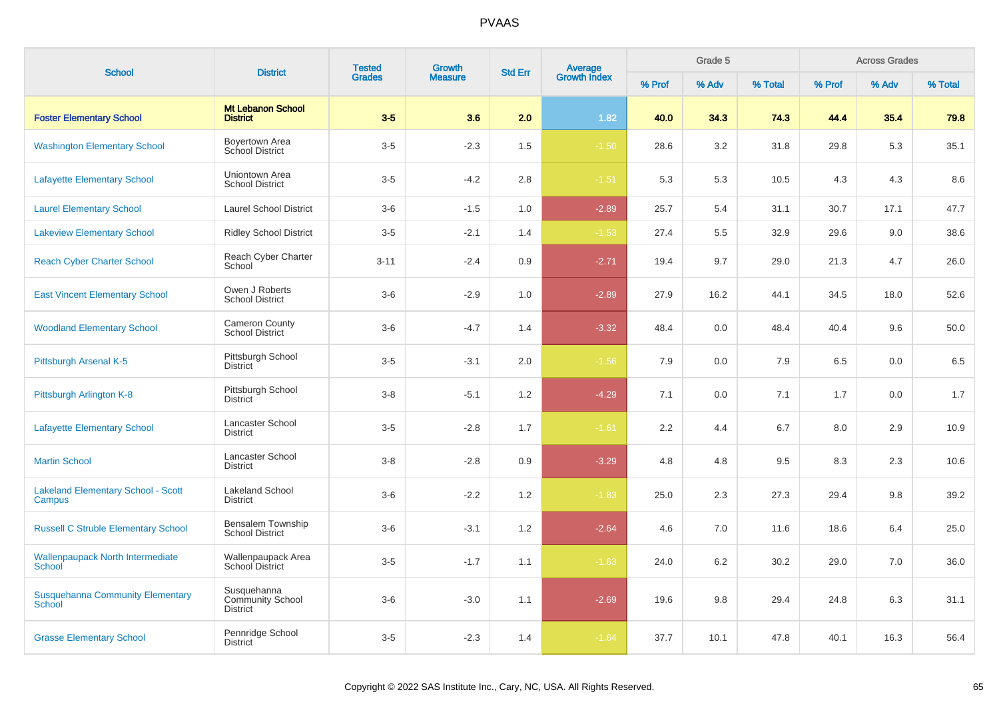| <b>School</b>                                            | <b>District</b>                                           | <b>Tested</b> | <b>Growth</b>  | <b>Std Err</b> |                                |        | Grade 5 |         |        | <b>Across Grades</b> |         |
|----------------------------------------------------------|-----------------------------------------------------------|---------------|----------------|----------------|--------------------------------|--------|---------|---------|--------|----------------------|---------|
|                                                          |                                                           | <b>Grades</b> | <b>Measure</b> |                | <b>Average</b><br>Growth Index | % Prof | % Adv   | % Total | % Prof | % Adv                | % Total |
| <b>Foster Elementary School</b>                          | <b>Mt Lebanon School</b><br><b>District</b>               | $3-5$         | 3.6            | 2.0            | 1.82                           | 40.0   | 34.3    | 74.3    | 44.4   | 35.4                 | 79.8    |
| <b>Washington Elementary School</b>                      | Boyertown Area<br>School District                         | $3-5$         | $-2.3$         | 1.5            | $-1.50$                        | 28.6   | 3.2     | 31.8    | 29.8   | 5.3                  | 35.1    |
| <b>Lafayette Elementary School</b>                       | Uniontown Area<br><b>School District</b>                  | $3-5$         | $-4.2$         | 2.8            | $-1.51$                        | 5.3    | 5.3     | 10.5    | 4.3    | 4.3                  | 8.6     |
| <b>Laurel Elementary School</b>                          | <b>Laurel School District</b>                             | $3-6$         | $-1.5$         | 1.0            | $-2.89$                        | 25.7   | 5.4     | 31.1    | 30.7   | 17.1                 | 47.7    |
| <b>Lakeview Elementary School</b>                        | <b>Ridley School District</b>                             | $3-5$         | $-2.1$         | 1.4            | $-1.53$                        | 27.4   | 5.5     | 32.9    | 29.6   | 9.0                  | 38.6    |
| <b>Reach Cyber Charter School</b>                        | Reach Cyber Charter<br>School                             | $3 - 11$      | $-2.4$         | 0.9            | $-2.71$                        | 19.4   | 9.7     | 29.0    | 21.3   | 4.7                  | 26.0    |
| <b>East Vincent Elementary School</b>                    | Owen J Roberts<br><b>School District</b>                  | $3-6$         | $-2.9$         | 1.0            | $-2.89$                        | 27.9   | 16.2    | 44.1    | 34.5   | 18.0                 | 52.6    |
| <b>Woodland Elementary School</b>                        | <b>Cameron County</b><br><b>School District</b>           | $3-6$         | $-4.7$         | 1.4            | $-3.32$                        | 48.4   | 0.0     | 48.4    | 40.4   | 9.6                  | 50.0    |
| Pittsburgh Arsenal K-5                                   | Pittsburgh School<br><b>District</b>                      | $3-5$         | $-3.1$         | 2.0            | $-1.56$                        | 7.9    | 0.0     | 7.9     | 6.5    | 0.0                  | 6.5     |
| Pittsburgh Arlington K-8                                 | Pittsburgh School<br><b>District</b>                      | $3 - 8$       | $-5.1$         | 1.2            | $-4.29$                        | 7.1    | 0.0     | 7.1     | 1.7    | 0.0                  | 1.7     |
| <b>Lafayette Elementary School</b>                       | Lancaster School<br><b>District</b>                       | $3-5$         | $-2.8$         | 1.7            | $-1.61$                        | 2.2    | 4.4     | 6.7     | 8.0    | 2.9                  | 10.9    |
| <b>Martin School</b>                                     | Lancaster School<br><b>District</b>                       | $3 - 8$       | $-2.8$         | 0.9            | $-3.29$                        | 4.8    | 4.8     | 9.5     | 8.3    | 2.3                  | 10.6    |
| <b>Lakeland Elementary School - Scott</b><br>Campus      | <b>Lakeland School</b><br><b>District</b>                 | $3-6$         | $-2.2$         | 1.2            | $-1.83$                        | 25.0   | 2.3     | 27.3    | 29.4   | 9.8                  | 39.2    |
| <b>Russell C Struble Elementary School</b>               | Bensalem Township<br><b>School District</b>               | $3-6$         | $-3.1$         | 1.2            | $-2.64$                        | 4.6    | 7.0     | 11.6    | 18.6   | 6.4                  | 25.0    |
| <b>Wallenpaupack North Intermediate</b><br>School        | Wallenpaupack Area<br>School District                     | $3-5$         | $-1.7$         | 1.1            | $-1.63$                        | 24.0   | 6.2     | 30.2    | 29.0   | 7.0                  | 36.0    |
| <b>Susquehanna Community Elementary</b><br><b>School</b> | Susquehanna<br><b>Community School</b><br><b>District</b> | $3-6$         | $-3.0$         | 1.1            | $-2.69$                        | 19.6   | 9.8     | 29.4    | 24.8   | 6.3                  | 31.1    |
| <b>Grasse Elementary School</b>                          | Pennridge School<br><b>District</b>                       | $3-5$         | $-2.3$         | 1.4            | $-1.64$                        | 37.7   | 10.1    | 47.8    | 40.1   | 16.3                 | 56.4    |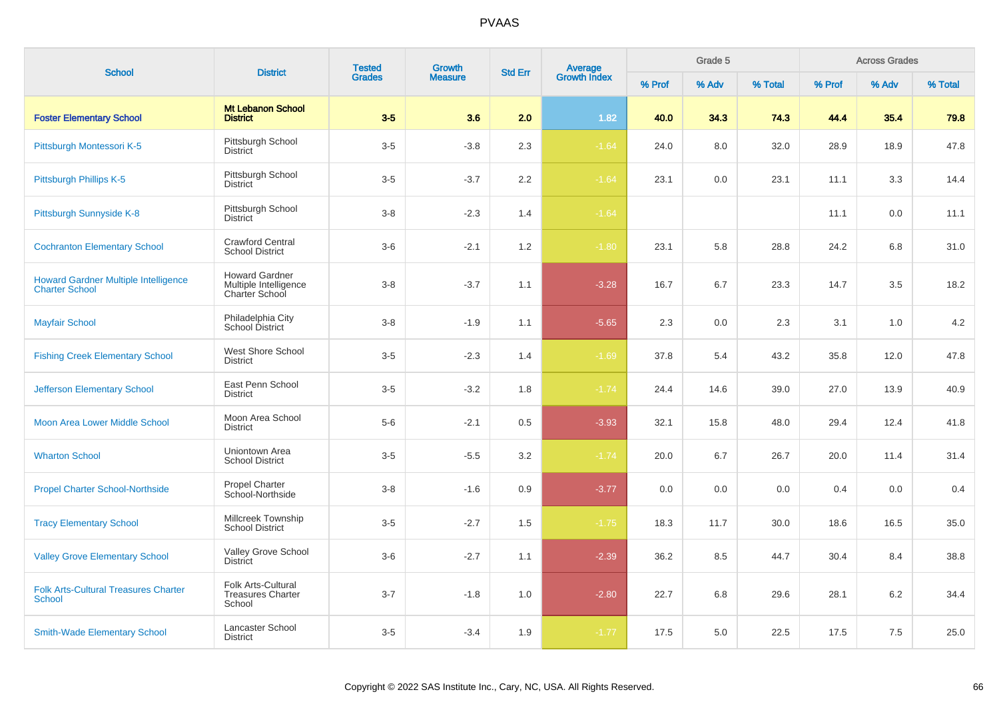| <b>School</b>                                                        | <b>District</b>                                                  | <b>Tested</b> | <b>Growth</b>  |                | Average<br>Growth Index |        | Grade 5 |         |        | <b>Across Grades</b> |         |
|----------------------------------------------------------------------|------------------------------------------------------------------|---------------|----------------|----------------|-------------------------|--------|---------|---------|--------|----------------------|---------|
|                                                                      |                                                                  | <b>Grades</b> | <b>Measure</b> | <b>Std Err</b> |                         | % Prof | % Adv   | % Total | % Prof | % Adv                | % Total |
| <b>Foster Elementary School</b>                                      | <b>Mt Lebanon School</b><br><b>District</b>                      | $3-5$         | 3.6            | 2.0            | 1.82                    | 40.0   | 34.3    | 74.3    | 44.4   | 35.4                 | 79.8    |
| Pittsburgh Montessori K-5                                            | Pittsburgh School<br><b>District</b>                             | $3-5$         | $-3.8$         | 2.3            | $-1.64$                 | 24.0   | 8.0     | 32.0    | 28.9   | 18.9                 | 47.8    |
| Pittsburgh Phillips K-5                                              | Pittsburgh School<br><b>District</b>                             | $3-5$         | $-3.7$         | 2.2            | $-1.64$                 | 23.1   | 0.0     | 23.1    | 11.1   | 3.3                  | 14.4    |
| Pittsburgh Sunnyside K-8                                             | Pittsburgh School<br><b>District</b>                             | $3 - 8$       | $-2.3$         | 1.4            | $-1.64$                 |        |         |         | 11.1   | 0.0                  | 11.1    |
| <b>Cochranton Elementary School</b>                                  | <b>Crawford Central</b><br><b>School District</b>                | $3-6$         | $-2.1$         | 1.2            | $-1.80$                 | 23.1   | 5.8     | 28.8    | 24.2   | 6.8                  | 31.0    |
| <b>Howard Gardner Multiple Intelligence</b><br><b>Charter School</b> | <b>Howard Gardner</b><br>Multiple Intelligence<br>Charter School | $3 - 8$       | $-3.7$         | 1.1            | $-3.28$                 | 16.7   | 6.7     | 23.3    | 14.7   | 3.5                  | 18.2    |
| <b>Mayfair School</b>                                                | Philadelphia City<br>School District                             | $3 - 8$       | $-1.9$         | 1.1            | $-5.65$                 | 2.3    | 0.0     | 2.3     | 3.1    | 1.0                  | 4.2     |
| <b>Fishing Creek Elementary School</b>                               | West Shore School<br><b>District</b>                             | $3-5$         | $-2.3$         | 1.4            | $-1.69$                 | 37.8   | 5.4     | 43.2    | 35.8   | 12.0                 | 47.8    |
| <b>Jefferson Elementary School</b>                                   | East Penn School<br><b>District</b>                              | $3 - 5$       | $-3.2$         | 1.8            | $-1.74$                 | 24.4   | 14.6    | 39.0    | 27.0   | 13.9                 | 40.9    |
| Moon Area Lower Middle School                                        | Moon Area School<br><b>District</b>                              | $5-6$         | $-2.1$         | 0.5            | $-3.93$                 | 32.1   | 15.8    | 48.0    | 29.4   | 12.4                 | 41.8    |
| <b>Wharton School</b>                                                | Uniontown Area<br><b>School District</b>                         | $3-5$         | $-5.5$         | 3.2            | $-1.74$                 | 20.0   | 6.7     | 26.7    | 20.0   | 11.4                 | 31.4    |
| <b>Propel Charter School-Northside</b>                               | <b>Propel Charter</b><br>School-Northside                        | $3 - 8$       | $-1.6$         | 0.9            | $-3.77$                 | 0.0    | 0.0     | 0.0     | 0.4    | 0.0                  | 0.4     |
| <b>Tracy Elementary School</b>                                       | Millcreek Township<br><b>School District</b>                     | $3-5$         | $-2.7$         | 1.5            | $-1.75$                 | 18.3   | 11.7    | 30.0    | 18.6   | 16.5                 | 35.0    |
| <b>Valley Grove Elementary School</b>                                | Valley Grove School<br><b>District</b>                           | $3-6$         | $-2.7$         | 1.1            | $-2.39$                 | 36.2   | 8.5     | 44.7    | 30.4   | 8.4                  | 38.8    |
| <b>Folk Arts-Cultural Treasures Charter</b><br><b>School</b>         | Folk Arts-Cultural<br><b>Treasures Charter</b><br>School         | $3 - 7$       | $-1.8$         | 1.0            | $-2.80$                 | 22.7   | 6.8     | 29.6    | 28.1   | 6.2                  | 34.4    |
| <b>Smith-Wade Elementary School</b>                                  | Lancaster School<br><b>District</b>                              | $3-5$         | $-3.4$         | 1.9            | $-1.77$                 | 17.5   | 5.0     | 22.5    | 17.5   | 7.5                  | 25.0    |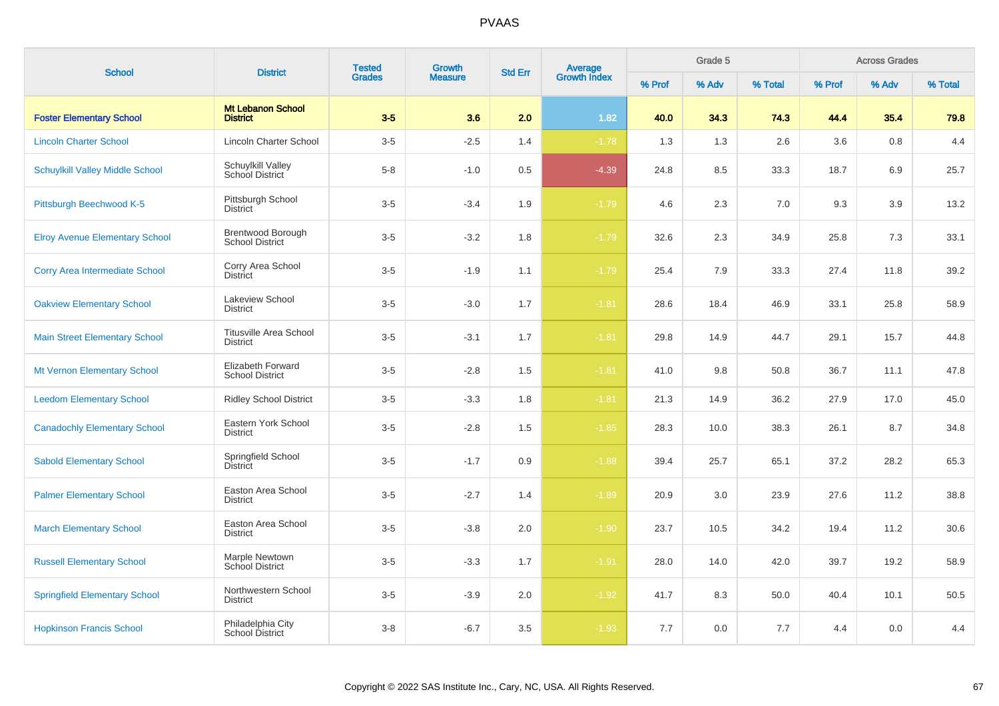| <b>School</b>                          | <b>District</b>                                  | <b>Tested</b> | <b>Growth</b>  | <b>Std Err</b> |                                |        | Grade 5 |         |        | <b>Across Grades</b> |         |
|----------------------------------------|--------------------------------------------------|---------------|----------------|----------------|--------------------------------|--------|---------|---------|--------|----------------------|---------|
|                                        |                                                  | <b>Grades</b> | <b>Measure</b> |                | <b>Average</b><br>Growth Index | % Prof | % Adv   | % Total | % Prof | % Adv                | % Total |
| <b>Foster Elementary School</b>        | <b>Mt Lebanon School</b><br><b>District</b>      | $3-5$         | 3.6            | 2.0            | 1.82                           | 40.0   | 34.3    | 74.3    | 44.4   | 35.4                 | 79.8    |
| <b>Lincoln Charter School</b>          | <b>Lincoln Charter School</b>                    | $3-5$         | $-2.5$         | 1.4            | $-1.78$                        | 1.3    | 1.3     | 2.6     | 3.6    | 0.8                  | 4.4     |
| <b>Schuylkill Valley Middle School</b> | Schuylkill Valley<br>School District             | $5 - 8$       | $-1.0$         | 0.5            | $-4.39$                        | 24.8   | 8.5     | 33.3    | 18.7   | 6.9                  | 25.7    |
| Pittsburgh Beechwood K-5               | Pittsburgh School<br><b>District</b>             | $3-5$         | $-3.4$         | 1.9            | $-1.79$                        | 4.6    | 2.3     | 7.0     | 9.3    | 3.9                  | 13.2    |
| <b>Elroy Avenue Elementary School</b>  | Brentwood Borough<br><b>School District</b>      | $3-5$         | $-3.2$         | 1.8            | $-1.79$                        | 32.6   | 2.3     | 34.9    | 25.8   | 7.3                  | 33.1    |
| <b>Corry Area Intermediate School</b>  | Corry Area School<br>District                    | $3-5$         | $-1.9$         | 1.1            | $-1.79$                        | 25.4   | 7.9     | 33.3    | 27.4   | 11.8                 | 39.2    |
| <b>Oakview Elementary School</b>       | Lakeview School<br><b>District</b>               | $3-5$         | $-3.0$         | 1.7            | $-1.81$                        | 28.6   | 18.4    | 46.9    | 33.1   | 25.8                 | 58.9    |
| <b>Main Street Elementary School</b>   | <b>Titusville Area School</b><br><b>District</b> | $3-5$         | $-3.1$         | 1.7            | $-1.81$                        | 29.8   | 14.9    | 44.7    | 29.1   | 15.7                 | 44.8    |
| Mt Vernon Elementary School            | Elizabeth Forward<br><b>School District</b>      | $3-5$         | $-2.8$         | 1.5            | $-1.81$                        | 41.0   | 9.8     | 50.8    | 36.7   | 11.1                 | 47.8    |
| <b>Leedom Elementary School</b>        | <b>Ridley School District</b>                    | $3-5$         | $-3.3$         | 1.8            | $-1.81$                        | 21.3   | 14.9    | 36.2    | 27.9   | 17.0                 | 45.0    |
| <b>Canadochly Elementary School</b>    | Eastern York School<br><b>District</b>           | $3-5$         | $-2.8$         | 1.5            | $-1.85$                        | 28.3   | 10.0    | 38.3    | 26.1   | 8.7                  | 34.8    |
| <b>Sabold Elementary School</b>        | Springfield School<br>District                   | $3-5$         | $-1.7$         | 0.9            | $-1.88$                        | 39.4   | 25.7    | 65.1    | 37.2   | 28.2                 | 65.3    |
| <b>Palmer Elementary School</b>        | Easton Area School<br><b>District</b>            | $3-5$         | $-2.7$         | 1.4            | $-1.89$                        | 20.9   | 3.0     | 23.9    | 27.6   | 11.2                 | 38.8    |
| <b>March Elementary School</b>         | Easton Area School<br><b>District</b>            | $3-5$         | $-3.8$         | 2.0            | $-1.90$                        | 23.7   | 10.5    | 34.2    | 19.4   | 11.2                 | 30.6    |
| <b>Russell Elementary School</b>       | Marple Newtown<br><b>School District</b>         | $3-5$         | $-3.3$         | 1.7            | $-1.91$                        | 28.0   | 14.0    | 42.0    | 39.7   | 19.2                 | 58.9    |
| <b>Springfield Elementary School</b>   | Northwestern School<br><b>District</b>           | $3-5$         | $-3.9$         | 2.0            | $-1.92$                        | 41.7   | 8.3     | 50.0    | 40.4   | 10.1                 | 50.5    |
| <b>Hopkinson Francis School</b>        | Philadelphia City<br>School District             | $3 - 8$       | $-6.7$         | 3.5            | $-1.93$                        | 7.7    | 0.0     | 7.7     | 4.4    | 0.0                  | 4.4     |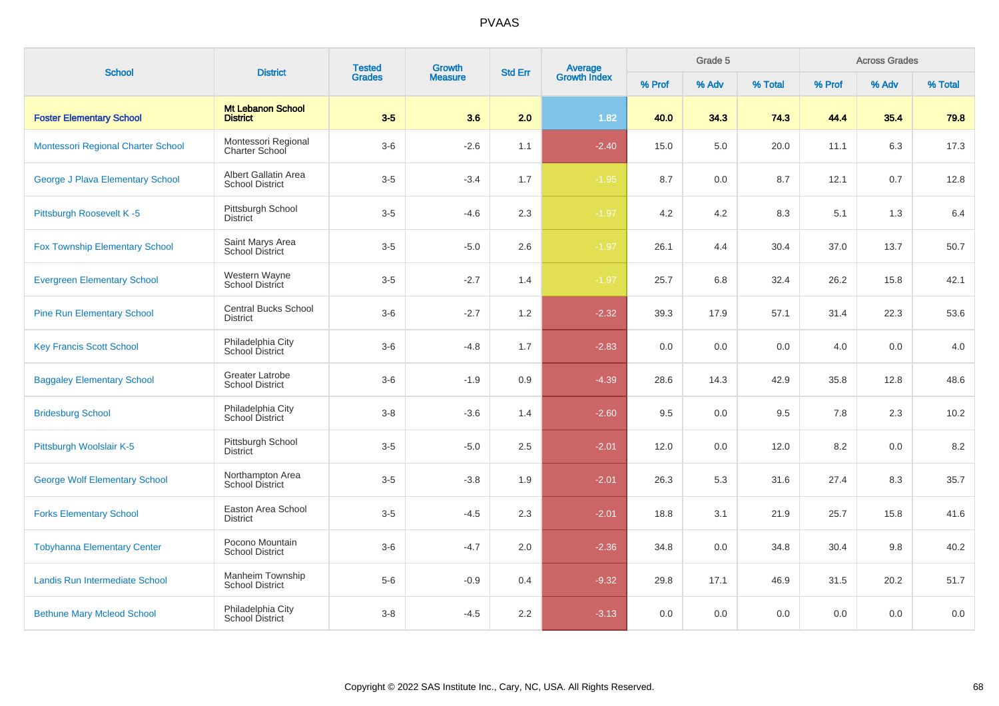| <b>School</b>                         | <b>District</b>                                  | <b>Tested</b> | Growth         | <b>Std Err</b> |                                |        | Grade 5 |         |         | <b>Across Grades</b> |         |
|---------------------------------------|--------------------------------------------------|---------------|----------------|----------------|--------------------------------|--------|---------|---------|---------|----------------------|---------|
|                                       |                                                  | <b>Grades</b> | <b>Measure</b> |                | <b>Average</b><br>Growth Index | % Prof | % Adv   | % Total | % Prof  | % Adv                | % Total |
| <b>Foster Elementary School</b>       | <b>Mt Lebanon School</b><br><b>District</b>      | $3-5$         | 3.6            | 2.0            | 1.82                           | 40.0   | 34.3    | 74.3    | 44.4    | 35.4                 | 79.8    |
| Montessori Regional Charter School    | Montessori Regional<br><b>Charter School</b>     | $3-6$         | $-2.6$         | 1.1            | $-2.40$                        | 15.0   | 5.0     | 20.0    | 11.1    | 6.3                  | 17.3    |
| George J Plava Elementary School      | Albert Gallatin Area<br><b>School District</b>   | $3-5$         | $-3.4$         | 1.7            | $-1.95$                        | 8.7    | 0.0     | 8.7     | 12.1    | 0.7                  | 12.8    |
| Pittsburgh Roosevelt K-5              | Pittsburgh School<br><b>District</b>             | $3-5$         | $-4.6$         | 2.3            | $-1.97$                        | 4.2    | 4.2     | 8.3     | 5.1     | 1.3                  | 6.4     |
| <b>Fox Township Elementary School</b> | Saint Marys Area<br><b>School District</b>       | $3-5$         | $-5.0$         | 2.6            | $-1.97$                        | 26.1   | 4.4     | 30.4    | 37.0    | 13.7                 | 50.7    |
| <b>Evergreen Elementary School</b>    | Western Wayne<br>School District                 | $3-5$         | $-2.7$         | 1.4            | $-1.97$                        | 25.7   | 6.8     | 32.4    | 26.2    | 15.8                 | 42.1    |
| <b>Pine Run Elementary School</b>     | <b>Central Bucks School</b><br><b>District</b>   | $3-6$         | $-2.7$         | 1.2            | $-2.32$                        | 39.3   | 17.9    | 57.1    | 31.4    | 22.3                 | 53.6    |
| <b>Key Francis Scott School</b>       | Philadelphia City<br><b>School District</b>      | $3-6$         | $-4.8$         | 1.7            | $-2.83$                        | 0.0    | 0.0     | 0.0     | 4.0     | 0.0                  | 4.0     |
| <b>Baggaley Elementary School</b>     | <b>Greater Latrobe</b><br><b>School District</b> | $3-6$         | $-1.9$         | 0.9            | $-4.39$                        | 28.6   | 14.3    | 42.9    | 35.8    | 12.8                 | 48.6    |
| <b>Bridesburg School</b>              | Philadelphia City<br>School District             | $3-8$         | $-3.6$         | 1.4            | $-2.60$                        | 9.5    | 0.0     | 9.5     | 7.8     | 2.3                  | 10.2    |
| Pittsburgh Woolslair K-5              | Pittsburgh School<br><b>District</b>             | $3-5$         | $-5.0$         | 2.5            | $-2.01$                        | 12.0   | 0.0     | 12.0    | 8.2     | 0.0                  | 8.2     |
| <b>George Wolf Elementary School</b>  | Northampton Area<br><b>School District</b>       | $3-5$         | $-3.8$         | 1.9            | $-2.01$                        | 26.3   | 5.3     | 31.6    | 27.4    | 8.3                  | 35.7    |
| <b>Forks Elementary School</b>        | Easton Area School<br><b>District</b>            | $3-5$         | $-4.5$         | 2.3            | $-2.01$                        | 18.8   | 3.1     | 21.9    | 25.7    | 15.8                 | 41.6    |
| <b>Tobyhanna Elementary Center</b>    | Pocono Mountain<br><b>School District</b>        | $3-6$         | $-4.7$         | 2.0            | $-2.36$                        | 34.8   | 0.0     | 34.8    | 30.4    | 9.8                  | 40.2    |
| Landis Run Intermediate School        | Manheim Township<br><b>School District</b>       | $5-6$         | $-0.9$         | 0.4            | $-9.32$                        | 29.8   | 17.1    | 46.9    | 31.5    | 20.2                 | 51.7    |
| <b>Bethune Mary Mcleod School</b>     | Philadelphia City<br>School District             | $3 - 8$       | $-4.5$         | 2.2            | $-3.13$                        | 0.0    | 0.0     | 0.0     | $0.0\,$ | 0.0                  | 0.0     |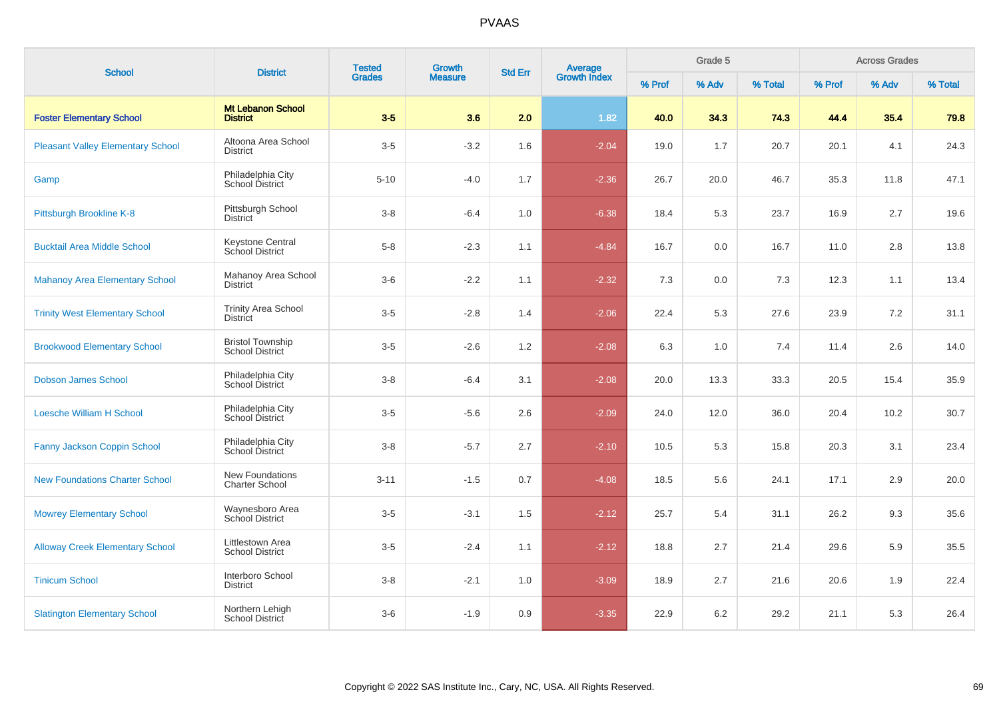| <b>School</b>                            | <b>District</b>                                   | <b>Tested</b><br><b>Grades</b> | Growth         | <b>Std Err</b> |                                |        | Grade 5 |         |        | <b>Across Grades</b> |         |
|------------------------------------------|---------------------------------------------------|--------------------------------|----------------|----------------|--------------------------------|--------|---------|---------|--------|----------------------|---------|
|                                          |                                                   |                                | <b>Measure</b> |                | <b>Average</b><br>Growth Index | % Prof | % Adv   | % Total | % Prof | % Adv                | % Total |
| <b>Foster Elementary School</b>          | <b>Mt Lebanon School</b><br><b>District</b>       | $3-5$                          | 3.6            | 2.0            | 1.82                           | 40.0   | 34.3    | 74.3    | 44.4   | 35.4                 | 79.8    |
| <b>Pleasant Valley Elementary School</b> | Altoona Area School<br><b>District</b>            | $3-5$                          | $-3.2$         | 1.6            | $-2.04$                        | 19.0   | 1.7     | 20.7    | 20.1   | 4.1                  | 24.3    |
| Gamp                                     | Philadelphia City<br><b>School District</b>       | $5 - 10$                       | $-4.0$         | 1.7            | $-2.36$                        | 26.7   | 20.0    | 46.7    | 35.3   | 11.8                 | 47.1    |
| Pittsburgh Brookline K-8                 | Pittsburgh School<br><b>District</b>              | $3 - 8$                        | $-6.4$         | 1.0            | $-6.38$                        | 18.4   | 5.3     | 23.7    | 16.9   | 2.7                  | 19.6    |
| <b>Bucktail Area Middle School</b>       | <b>Keystone Central</b><br>School District        | $5-8$                          | $-2.3$         | 1.1            | $-4.84$                        | 16.7   | 0.0     | 16.7    | 11.0   | 2.8                  | 13.8    |
| <b>Mahanoy Area Elementary School</b>    | Mahanoy Area School<br><b>District</b>            | $3-6$                          | $-2.2$         | 1.1            | $-2.32$                        | 7.3    | 0.0     | 7.3     | 12.3   | 1.1                  | 13.4    |
| <b>Trinity West Elementary School</b>    | <b>Trinity Area School</b><br><b>District</b>     | $3-5$                          | $-2.8$         | 1.4            | $-2.06$                        | 22.4   | 5.3     | 27.6    | 23.9   | 7.2                  | 31.1    |
| <b>Brookwood Elementary School</b>       | <b>Bristol Township</b><br><b>School District</b> | $3-5$                          | $-2.6$         | 1.2            | $-2.08$                        | 6.3    | 1.0     | 7.4     | 11.4   | 2.6                  | 14.0    |
| <b>Dobson James School</b>               | Philadelphia City<br>School District              | $3 - 8$                        | $-6.4$         | 3.1            | $-2.08$                        | 20.0   | 13.3    | 33.3    | 20.5   | 15.4                 | 35.9    |
| <b>Loesche William H School</b>          | Philadelphia City<br>School District              | $3-5$                          | $-5.6$         | 2.6            | $-2.09$                        | 24.0   | 12.0    | 36.0    | 20.4   | 10.2                 | 30.7    |
| Fanny Jackson Coppin School              | Philadelphia City<br><b>School District</b>       | $3 - 8$                        | $-5.7$         | 2.7            | $-2.10$                        | 10.5   | 5.3     | 15.8    | 20.3   | 3.1                  | 23.4    |
| <b>New Foundations Charter School</b>    | New Foundations<br><b>Charter School</b>          | $3 - 11$                       | $-1.5$         | 0.7            | $-4.08$                        | 18.5   | 5.6     | 24.1    | 17.1   | 2.9                  | 20.0    |
| <b>Mowrey Elementary School</b>          | Waynesboro Area<br>School District                | $3-5$                          | $-3.1$         | 1.5            | $-2.12$                        | 25.7   | 5.4     | 31.1    | 26.2   | 9.3                  | 35.6    |
| <b>Alloway Creek Elementary School</b>   | Littlestown Area<br><b>School District</b>        | $3-5$                          | $-2.4$         | 1.1            | $-2.12$                        | 18.8   | 2.7     | 21.4    | 29.6   | 5.9                  | 35.5    |
| <b>Tinicum School</b>                    | Interboro School<br>District                      | $3 - 8$                        | $-2.1$         | 1.0            | $-3.09$                        | 18.9   | 2.7     | 21.6    | 20.6   | 1.9                  | 22.4    |
| <b>Slatington Elementary School</b>      | Northern Lehigh<br>School District                | $3-6$                          | $-1.9$         | 0.9            | $-3.35$                        | 22.9   | 6.2     | 29.2    | 21.1   | 5.3                  | 26.4    |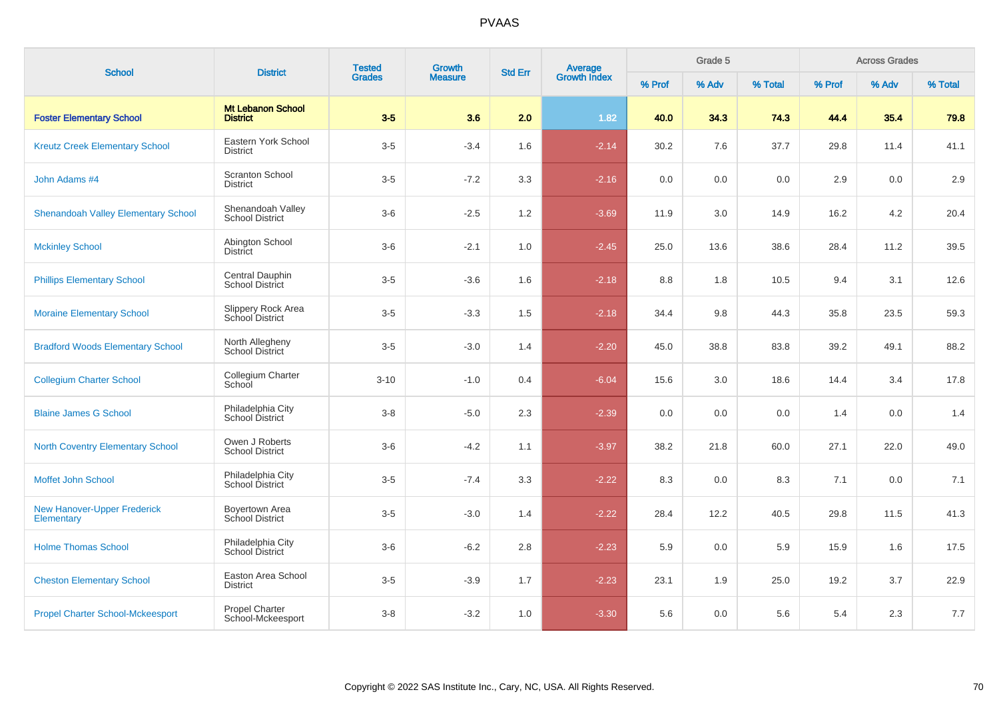| <b>School</b>                                    | <b>District</b>                             | <b>Tested</b> | Growth         | <b>Std Err</b> | <b>Average</b><br>Growth Index |        | Grade 5 |         |        | <b>Across Grades</b> |         |
|--------------------------------------------------|---------------------------------------------|---------------|----------------|----------------|--------------------------------|--------|---------|---------|--------|----------------------|---------|
|                                                  |                                             | <b>Grades</b> | <b>Measure</b> |                |                                | % Prof | % Adv   | % Total | % Prof | % Adv                | % Total |
| <b>Foster Elementary School</b>                  | <b>Mt Lebanon School</b><br><b>District</b> | $3-5$         | 3.6            | 2.0            | 1.82                           | 40.0   | 34.3    | 74.3    | 44.4   | 35.4                 | 79.8    |
| <b>Kreutz Creek Elementary School</b>            | Eastern York School<br><b>District</b>      | $3-5$         | $-3.4$         | 1.6            | $-2.14$                        | 30.2   | 7.6     | 37.7    | 29.8   | 11.4                 | 41.1    |
| John Adams #4                                    | <b>Scranton School</b><br><b>District</b>   | $3-5$         | $-7.2$         | 3.3            | $-2.16$                        | 0.0    | 0.0     | 0.0     | 2.9    | 0.0                  | 2.9     |
| <b>Shenandoah Valley Elementary School</b>       | Shenandoah Valley<br><b>School District</b> | $3-6$         | $-2.5$         | 1.2            | $-3.69$                        | 11.9   | 3.0     | 14.9    | 16.2   | 4.2                  | 20.4    |
| <b>Mckinley School</b>                           | Abington School<br><b>District</b>          | $3-6$         | $-2.1$         | 1.0            | $-2.45$                        | 25.0   | 13.6    | 38.6    | 28.4   | 11.2                 | 39.5    |
| <b>Phillips Elementary School</b>                | Central Dauphin<br>School District          | $3-5$         | $-3.6$         | 1.6            | $-2.18$                        | 8.8    | 1.8     | 10.5    | 9.4    | 3.1                  | 12.6    |
| <b>Moraine Elementary School</b>                 | Slippery Rock Area<br>School District       | $3-5$         | $-3.3$         | 1.5            | $-2.18$                        | 34.4   | 9.8     | 44.3    | 35.8   | 23.5                 | 59.3    |
| <b>Bradford Woods Elementary School</b>          | North Allegheny<br><b>School District</b>   | $3-5$         | $-3.0$         | 1.4            | $-2.20$                        | 45.0   | 38.8    | 83.8    | 39.2   | 49.1                 | 88.2    |
| <b>Collegium Charter School</b>                  | Collegium Charter<br>School                 | $3 - 10$      | $-1.0$         | 0.4            | $-6.04$                        | 15.6   | 3.0     | 18.6    | 14.4   | 3.4                  | 17.8    |
| <b>Blaine James G School</b>                     | Philadelphia City<br>School District        | $3 - 8$       | $-5.0$         | 2.3            | $-2.39$                        | 0.0    | 0.0     | 0.0     | 1.4    | 0.0                  | 1.4     |
| <b>North Coventry Elementary School</b>          | Owen J Roberts<br><b>School District</b>    | $3-6$         | $-4.2$         | 1.1            | $-3.97$                        | 38.2   | 21.8    | 60.0    | 27.1   | 22.0                 | 49.0    |
| Moffet John School                               | Philadelphia City<br>School District        | $3-5$         | $-7.4$         | 3.3            | $-2.22$                        | 8.3    | 0.0     | 8.3     | 7.1    | 0.0                  | 7.1     |
| <b>New Hanover-Upper Frederick</b><br>Elementary | Boyertown Area<br>School District           | $3-5$         | $-3.0$         | 1.4            | $-2.22$                        | 28.4   | 12.2    | 40.5    | 29.8   | 11.5                 | 41.3    |
| <b>Holme Thomas School</b>                       | Philadelphia City<br>School District        | $3-6$         | $-6.2$         | 2.8            | $-2.23$                        | 5.9    | 0.0     | 5.9     | 15.9   | 1.6                  | 17.5    |
| <b>Cheston Elementary School</b>                 | Easton Area School<br><b>District</b>       | $3-5$         | $-3.9$         | 1.7            | $-2.23$                        | 23.1   | 1.9     | 25.0    | 19.2   | 3.7                  | 22.9    |
| <b>Propel Charter School-Mckeesport</b>          | Propel Charter<br>School-Mckeesport         | $3 - 8$       | $-3.2$         | 1.0            | $-3.30$                        | 5.6    | 0.0     | 5.6     | 5.4    | 2.3                  | $7.7$   |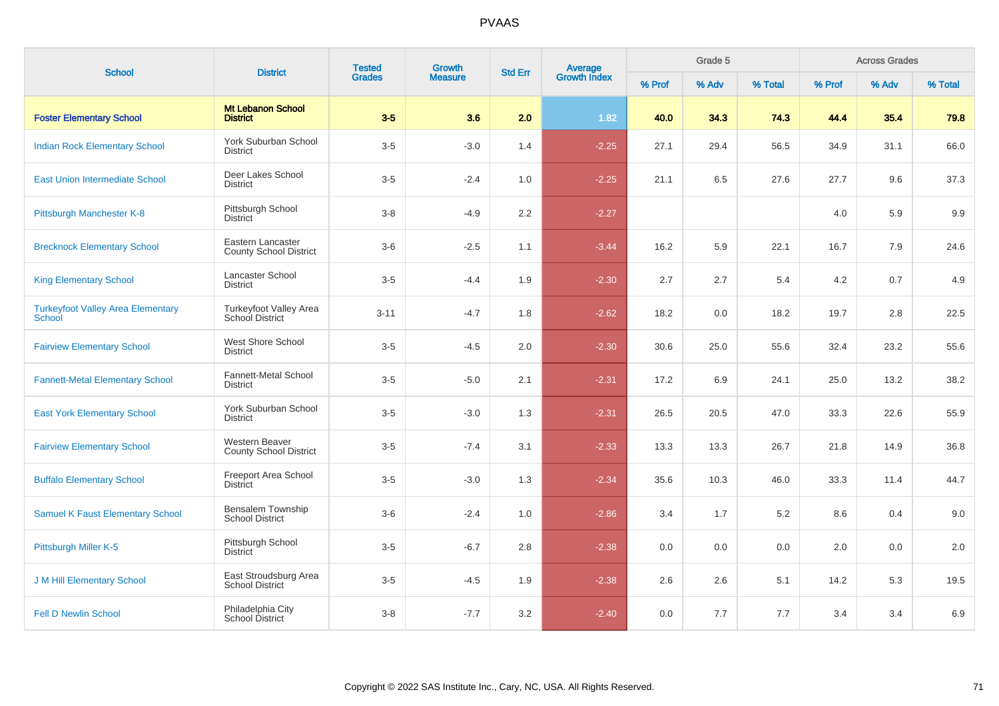| <b>School</b>                                      | <b>District</b>                                    | <b>Tested</b> | Growth<br><b>Measure</b> | <b>Average</b><br>Growth Index<br><b>Std Err</b> |         |        | Grade 5 |         |        | <b>Across Grades</b> |         |
|----------------------------------------------------|----------------------------------------------------|---------------|--------------------------|--------------------------------------------------|---------|--------|---------|---------|--------|----------------------|---------|
|                                                    |                                                    | <b>Grades</b> |                          |                                                  |         | % Prof | % Adv   | % Total | % Prof | % Adv                | % Total |
| <b>Foster Elementary School</b>                    | <b>Mt Lebanon School</b><br><b>District</b>        | $3-5$         | 3.6                      | 2.0                                              | 1.82    | 40.0   | 34.3    | 74.3    | 44.4   | 35.4                 | 79.8    |
| <b>Indian Rock Elementary School</b>               | <b>York Suburban School</b><br><b>District</b>     | $3-5$         | $-3.0$                   | 1.4                                              | $-2.25$ | 27.1   | 29.4    | 56.5    | 34.9   | 31.1                 | 66.0    |
| <b>East Union Intermediate School</b>              | Deer Lakes School<br><b>District</b>               | $3-5$         | $-2.4$                   | 1.0                                              | $-2.25$ | 21.1   | 6.5     | 27.6    | 27.7   | 9.6                  | 37.3    |
| Pittsburgh Manchester K-8                          | Pittsburgh School<br><b>District</b>               | $3 - 8$       | $-4.9$                   | 2.2                                              | $-2.27$ |        |         |         | 4.0    | 5.9                  | 9.9     |
| <b>Brecknock Elementary School</b>                 | Eastern Lancaster<br><b>County School District</b> | $3-6$         | $-2.5$                   | 1.1                                              | $-3.44$ | 16.2   | 5.9     | 22.1    | 16.7   | 7.9                  | 24.6    |
| <b>King Elementary School</b>                      | Lancaster School<br><b>District</b>                | $3-5$         | $-4.4$                   | 1.9                                              | $-2.30$ | 2.7    | 2.7     | 5.4     | 4.2    | 0.7                  | 4.9     |
| <b>Turkeyfoot Valley Area Elementary</b><br>School | Turkeyfoot Valley Area<br>School District          | $3 - 11$      | $-4.7$                   | 1.8                                              | $-2.62$ | 18.2   | 0.0     | 18.2    | 19.7   | 2.8                  | 22.5    |
| <b>Fairview Elementary School</b>                  | West Shore School<br><b>District</b>               | $3-5$         | $-4.5$                   | 2.0                                              | $-2.30$ | 30.6   | 25.0    | 55.6    | 32.4   | 23.2                 | 55.6    |
| <b>Fannett-Metal Elementary School</b>             | <b>Fannett-Metal School</b><br><b>District</b>     | $3-5$         | $-5.0$                   | 2.1                                              | $-2.31$ | 17.2   | 6.9     | 24.1    | 25.0   | 13.2                 | 38.2    |
| <b>East York Elementary School</b>                 | York Suburban School<br><b>District</b>            | $3-5$         | $-3.0$                   | 1.3                                              | $-2.31$ | 26.5   | 20.5    | 47.0    | 33.3   | 22.6                 | 55.9    |
| <b>Fairview Elementary School</b>                  | Western Beaver<br><b>County School District</b>    | $3-5$         | $-7.4$                   | 3.1                                              | $-2.33$ | 13.3   | 13.3    | 26.7    | 21.8   | 14.9                 | 36.8    |
| <b>Buffalo Elementary School</b>                   | Freeport Area School<br>District                   | $3-5$         | $-3.0$                   | 1.3                                              | $-2.34$ | 35.6   | 10.3    | 46.0    | 33.3   | 11.4                 | 44.7    |
| <b>Samuel K Faust Elementary School</b>            | <b>Bensalem Township</b><br><b>School District</b> | $3-6$         | $-2.4$                   | 1.0                                              | $-2.86$ | 3.4    | 1.7     | 5.2     | 8.6    | 0.4                  | 9.0     |
| Pittsburgh Miller K-5                              | Pittsburgh School<br><b>District</b>               | $3-5$         | $-6.7$                   | 2.8                                              | $-2.38$ | 0.0    | 0.0     | 0.0     | 2.0    | 0.0                  | 2.0     |
| <b>J M Hill Elementary School</b>                  | East Stroudsburg Area<br><b>School District</b>    | $3-5$         | $-4.5$                   | 1.9                                              | $-2.38$ | 2.6    | 2.6     | 5.1     | 14.2   | 5.3                  | 19.5    |
| <b>Fell D Newlin School</b>                        | Philadelphia City<br>School District               | $3 - 8$       | $-7.7$                   | 3.2                                              | $-2.40$ | 0.0    | 7.7     | 7.7     | 3.4    | 3.4                  | 6.9     |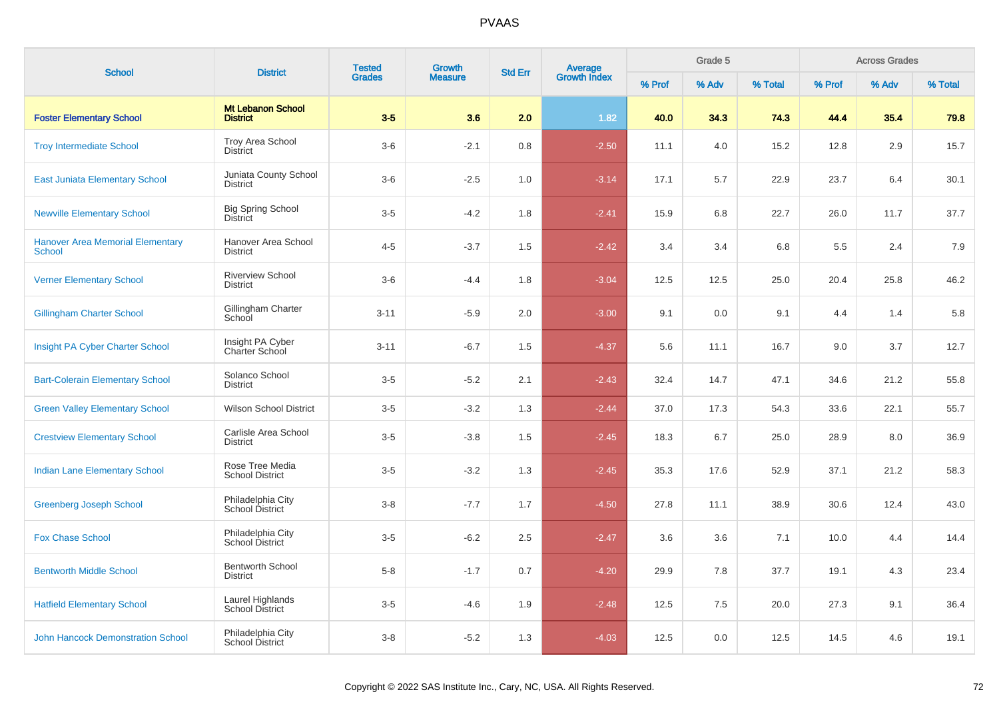| <b>School</b>                                     | <b>District</b>                             | <b>Tested</b><br><b>Grades</b> | <b>Growth</b>  | <b>Std Err</b> |                                |        | Grade 5 |         |        | <b>Across Grades</b> |         |
|---------------------------------------------------|---------------------------------------------|--------------------------------|----------------|----------------|--------------------------------|--------|---------|---------|--------|----------------------|---------|
|                                                   |                                             |                                | <b>Measure</b> |                | <b>Average</b><br>Growth Index | % Prof | % Adv   | % Total | % Prof | % Adv                | % Total |
| <b>Foster Elementary School</b>                   | <b>Mt Lebanon School</b><br><b>District</b> | $3-5$                          | 3.6            | 2.0            | 1.82                           | 40.0   | 34.3    | 74.3    | 44.4   | 35.4                 | 79.8    |
| <b>Troy Intermediate School</b>                   | <b>Troy Area School</b><br><b>District</b>  | $3-6$                          | $-2.1$         | 0.8            | $-2.50$                        | 11.1   | 4.0     | 15.2    | 12.8   | 2.9                  | 15.7    |
| <b>East Juniata Elementary School</b>             | Juniata County School<br><b>District</b>    | $3-6$                          | $-2.5$         | 1.0            | $-3.14$                        | 17.1   | 5.7     | 22.9    | 23.7   | 6.4                  | 30.1    |
| <b>Newville Elementary School</b>                 | <b>Big Spring School</b><br><b>District</b> | $3-5$                          | $-4.2$         | 1.8            | $-2.41$                        | 15.9   | 6.8     | 22.7    | 26.0   | 11.7                 | 37.7    |
| <b>Hanover Area Memorial Elementary</b><br>School | Hanover Area School<br>District             | $4 - 5$                        | $-3.7$         | 1.5            | $-2.42$                        | 3.4    | 3.4     | 6.8     | 5.5    | 2.4                  | 7.9     |
| <b>Verner Elementary School</b>                   | <b>Riverview School</b><br><b>District</b>  | $3-6$                          | $-4.4$         | 1.8            | $-3.04$                        | 12.5   | 12.5    | 25.0    | 20.4   | 25.8                 | 46.2    |
| <b>Gillingham Charter School</b>                  | Gillingham Charter<br>School                | $3 - 11$                       | $-5.9$         | 2.0            | $-3.00$                        | 9.1    | 0.0     | 9.1     | 4.4    | 1.4                  | 5.8     |
| Insight PA Cyber Charter School                   | Insight PA Cyber<br>Charter School          | $3 - 11$                       | $-6.7$         | 1.5            | $-4.37$                        | 5.6    | 11.1    | 16.7    | 9.0    | 3.7                  | 12.7    |
| <b>Bart-Colerain Elementary School</b>            | Solanco School<br><b>District</b>           | $3-5$                          | $-5.2$         | 2.1            | $-2.43$                        | 32.4   | 14.7    | 47.1    | 34.6   | 21.2                 | 55.8    |
| <b>Green Valley Elementary School</b>             | <b>Wilson School District</b>               | $3-5$                          | $-3.2$         | 1.3            | $-2.44$                        | 37.0   | 17.3    | 54.3    | 33.6   | 22.1                 | 55.7    |
| <b>Crestview Elementary School</b>                | Carlisle Area School<br><b>District</b>     | $3-5$                          | $-3.8$         | 1.5            | $-2.45$                        | 18.3   | 6.7     | 25.0    | 28.9   | 8.0                  | 36.9    |
| <b>Indian Lane Elementary School</b>              | Rose Tree Media<br><b>School District</b>   | $3-5$                          | $-3.2$         | 1.3            | $-2.45$                        | 35.3   | 17.6    | 52.9    | 37.1   | 21.2                 | 58.3    |
| <b>Greenberg Joseph School</b>                    | Philadelphia City<br>School District        | $3 - 8$                        | $-7.7$         | 1.7            | $-4.50$                        | 27.8   | 11.1    | 38.9    | 30.6   | 12.4                 | 43.0    |
| <b>Fox Chase School</b>                           | Philadelphia City<br>School District        | $3-5$                          | $-6.2$         | 2.5            | $-2.47$                        | 3.6    | 3.6     | 7.1     | 10.0   | 4.4                  | 14.4    |
| <b>Bentworth Middle School</b>                    | <b>Bentworth School</b><br><b>District</b>  | $5 - 8$                        | $-1.7$         | 0.7            | $-4.20$                        | 29.9   | 7.8     | 37.7    | 19.1   | 4.3                  | 23.4    |
| <b>Hatfield Elementary School</b>                 | Laurel Highlands<br>School District         | $3-5$                          | $-4.6$         | 1.9            | $-2.48$                        | 12.5   | 7.5     | 20.0    | 27.3   | 9.1                  | 36.4    |
| <b>John Hancock Demonstration School</b>          | Philadelphia City<br>School District        | $3 - 8$                        | $-5.2$         | 1.3            | $-4.03$                        | 12.5   | 0.0     | 12.5    | 14.5   | 4.6                  | 19.1    |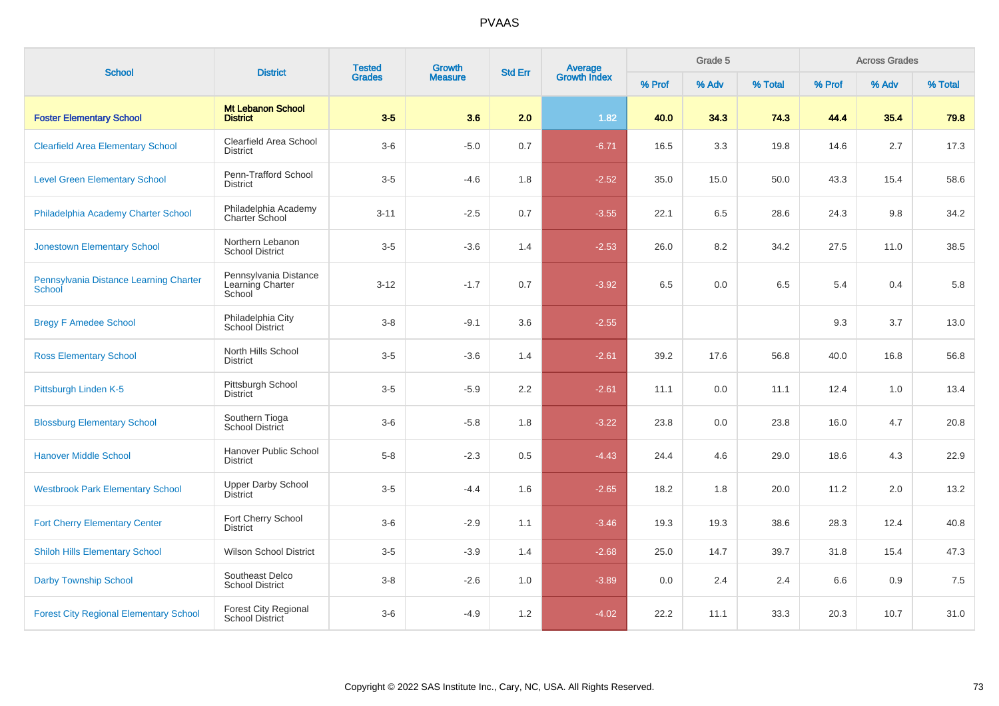| <b>School</b>                                    | <b>District</b>                                       | <b>Tested</b> | Growth         | <b>Std Err</b> |                                |        | Grade 5 |         |        | <b>Across Grades</b> |         |
|--------------------------------------------------|-------------------------------------------------------|---------------|----------------|----------------|--------------------------------|--------|---------|---------|--------|----------------------|---------|
|                                                  |                                                       | <b>Grades</b> | <b>Measure</b> |                | <b>Average</b><br>Growth Index | % Prof | % Adv   | % Total | % Prof | % Adv                | % Total |
| <b>Foster Elementary School</b>                  | <b>Mt Lebanon School</b><br><b>District</b>           | $3-5$         | 3.6            | 2.0            | 1.82                           | 40.0   | 34.3    | 74.3    | 44.4   | 35.4                 | 79.8    |
| <b>Clearfield Area Elementary School</b>         | Clearfield Area School<br><b>District</b>             | $3-6$         | $-5.0$         | 0.7            | $-6.71$                        | 16.5   | 3.3     | 19.8    | 14.6   | 2.7                  | 17.3    |
| <b>Level Green Elementary School</b>             | Penn-Trafford School<br><b>District</b>               | $3-5$         | $-4.6$         | 1.8            | $-2.52$                        | 35.0   | 15.0    | 50.0    | 43.3   | 15.4                 | 58.6    |
| Philadelphia Academy Charter School              | Philadelphia Academy<br><b>Charter School</b>         | $3 - 11$      | $-2.5$         | 0.7            | $-3.55$                        | 22.1   | 6.5     | 28.6    | 24.3   | 9.8                  | 34.2    |
| <b>Jonestown Elementary School</b>               | Northern Lebanon<br><b>School District</b>            | $3-5$         | $-3.6$         | 1.4            | $-2.53$                        | 26.0   | 8.2     | 34.2    | 27.5   | 11.0                 | 38.5    |
| Pennsylvania Distance Learning Charter<br>School | Pennsylvania Distance<br>Learning Charter<br>School   | $3 - 12$      | $-1.7$         | 0.7            | $-3.92$                        | 6.5    | 0.0     | 6.5     | 5.4    | 0.4                  | 5.8     |
| <b>Bregy F Amedee School</b>                     | Philadelphia City<br>School District                  | $3-8$         | $-9.1$         | 3.6            | $-2.55$                        |        |         |         | 9.3    | 3.7                  | 13.0    |
| <b>Ross Elementary School</b>                    | North Hills School<br><b>District</b>                 | $3-5$         | $-3.6$         | 1.4            | $-2.61$                        | 39.2   | 17.6    | 56.8    | 40.0   | 16.8                 | 56.8    |
| Pittsburgh Linden K-5                            | Pittsburgh School<br><b>District</b>                  | $3-5$         | $-5.9$         | 2.2            | $-2.61$                        | 11.1   | 0.0     | 11.1    | 12.4   | 1.0                  | 13.4    |
| <b>Blossburg Elementary School</b>               | Southern Tioga<br>School District                     | $3-6$         | $-5.8$         | 1.8            | $-3.22$                        | 23.8   | 0.0     | 23.8    | 16.0   | 4.7                  | 20.8    |
| <b>Hanover Middle School</b>                     | Hanover Public School<br><b>District</b>              | $5 - 8$       | $-2.3$         | 0.5            | $-4.43$                        | 24.4   | 4.6     | 29.0    | 18.6   | 4.3                  | 22.9    |
| <b>Westbrook Park Elementary School</b>          | <b>Upper Darby School</b><br><b>District</b>          | $3-5$         | $-4.4$         | 1.6            | $-2.65$                        | 18.2   | 1.8     | 20.0    | 11.2   | 2.0                  | 13.2    |
| <b>Fort Cherry Elementary Center</b>             | Fort Cherry School<br><b>District</b>                 | $3-6$         | $-2.9$         | 1.1            | $-3.46$                        | 19.3   | 19.3    | 38.6    | 28.3   | 12.4                 | 40.8    |
| <b>Shiloh Hills Elementary School</b>            | <b>Wilson School District</b>                         | $3-5$         | $-3.9$         | 1.4            | $-2.68$                        | 25.0   | 14.7    | 39.7    | 31.8   | 15.4                 | 47.3    |
| <b>Darby Township School</b>                     | Southeast Delco<br><b>School District</b>             | $3-8$         | $-2.6$         | 1.0            | $-3.89$                        | 0.0    | 2.4     | 2.4     | 6.6    | 0.9                  | 7.5     |
| <b>Forest City Regional Elementary School</b>    | <b>Forest City Regional</b><br><b>School District</b> | $3-6$         | $-4.9$         | 1.2            | $-4.02$                        | 22.2   | 11.1    | 33.3    | 20.3   | 10.7                 | 31.0    |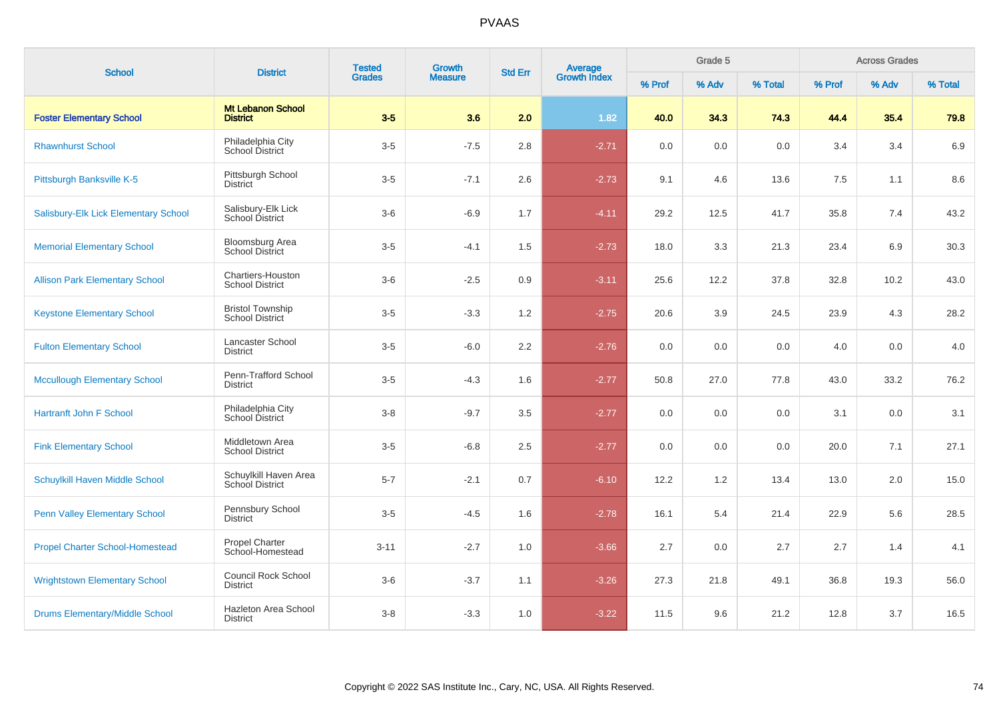| <b>School</b>                          | <b>District</b>                                   | <b>Tested</b> | Growth         | <b>Std Err</b> |                                |        | Grade 5 |         |        | <b>Across Grades</b><br>% Adv |         |
|----------------------------------------|---------------------------------------------------|---------------|----------------|----------------|--------------------------------|--------|---------|---------|--------|-------------------------------|---------|
|                                        |                                                   | <b>Grades</b> | <b>Measure</b> |                | <b>Average</b><br>Growth Index | % Prof | % Adv   | % Total | % Prof |                               | % Total |
| <b>Foster Elementary School</b>        | <b>Mt Lebanon School</b><br><b>District</b>       | $3-5$         | 3.6            | 2.0            | 1.82                           | 40.0   | 34.3    | 74.3    | 44.4   | 35.4                          | 79.8    |
| <b>Rhawnhurst School</b>               | Philadelphia City<br><b>School District</b>       | $3-5$         | $-7.5$         | 2.8            | $-2.71$                        | 0.0    | 0.0     | 0.0     | 3.4    | 3.4                           | 6.9     |
| Pittsburgh Banksville K-5              | Pittsburgh School<br><b>District</b>              | $3-5$         | $-7.1$         | 2.6            | $-2.73$                        | 9.1    | 4.6     | 13.6    | 7.5    | 1.1                           | 8.6     |
| Salisbury-Elk Lick Elementary School   | Salisbury-Elk Lick<br>School District             | $3-6$         | $-6.9$         | 1.7            | $-4.11$                        | 29.2   | 12.5    | 41.7    | 35.8   | 7.4                           | 43.2    |
| <b>Memorial Elementary School</b>      | Bloomsburg Area<br>School District                | $3-5$         | $-4.1$         | 1.5            | $-2.73$                        | 18.0   | 3.3     | 21.3    | 23.4   | 6.9                           | 30.3    |
| <b>Allison Park Elementary School</b>  | Chartiers-Houston<br><b>School District</b>       | $3-6$         | $-2.5$         | 0.9            | $-3.11$                        | 25.6   | 12.2    | 37.8    | 32.8   | 10.2                          | 43.0    |
| <b>Keystone Elementary School</b>      | <b>Bristol Township</b><br><b>School District</b> | $3-5$         | $-3.3$         | 1.2            | $-2.75$                        | 20.6   | 3.9     | 24.5    | 23.9   | 4.3                           | 28.2    |
| <b>Fulton Elementary School</b>        | Lancaster School<br><b>District</b>               | $3-5$         | $-6.0$         | 2.2            | $-2.76$                        | 0.0    | 0.0     | 0.0     | 4.0    | 0.0                           | 4.0     |
| <b>Mccullough Elementary School</b>    | Penn-Trafford School<br><b>District</b>           | $3-5$         | $-4.3$         | 1.6            | $-2.77$                        | 50.8   | 27.0    | 77.8    | 43.0   | 33.2                          | 76.2    |
| <b>Hartranft John F School</b>         | Philadelphia City<br>School District              | $3-8$         | $-9.7$         | 3.5            | $-2.77$                        | 0.0    | 0.0     | 0.0     | 3.1    | 0.0                           | 3.1     |
| <b>Fink Elementary School</b>          | Middletown Area<br><b>School District</b>         | $3-5$         | $-6.8$         | 2.5            | $-2.77$                        | 0.0    | 0.0     | 0.0     | 20.0   | 7.1                           | 27.1    |
| <b>Schuylkill Haven Middle School</b>  | Schuylkill Haven Area<br>School District          | $5 - 7$       | $-2.1$         | 0.7            | $-6.10$                        | 12.2   | 1.2     | 13.4    | 13.0   | 2.0                           | 15.0    |
| <b>Penn Valley Elementary School</b>   | Pennsbury School<br><b>District</b>               | $3-5$         | $-4.5$         | 1.6            | $-2.78$                        | 16.1   | 5.4     | 21.4    | 22.9   | 5.6                           | 28.5    |
| <b>Propel Charter School-Homestead</b> | <b>Propel Charter</b><br>School-Homestead         | $3 - 11$      | $-2.7$         | 1.0            | $-3.66$                        | 2.7    | 0.0     | 2.7     | 2.7    | 1.4                           | 4.1     |
| <b>Wrightstown Elementary School</b>   | <b>Council Rock School</b><br><b>District</b>     | $3-6$         | $-3.7$         | 1.1            | $-3.26$                        | 27.3   | 21.8    | 49.1    | 36.8   | 19.3                          | 56.0    |
| <b>Drums Elementary/Middle School</b>  | Hazleton Area School<br>District                  | $3-8$         | $-3.3$         | 1.0            | $-3.22$                        | 11.5   | 9.6     | 21.2    | 12.8   | 3.7                           | 16.5    |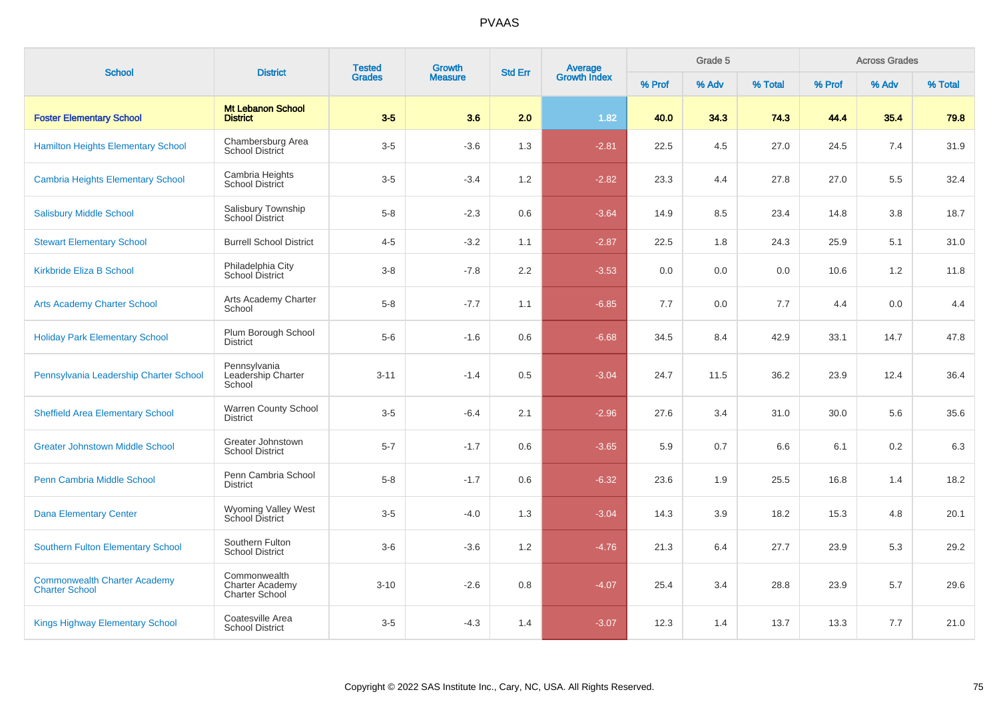| <b>School</b>                                                | <b>District</b>                                                 | <b>Tested</b> | <b>Growth</b>  | <b>Std Err</b>   |                         |        | Grade 5 |         |        | <b>Across Grades</b> |         |
|--------------------------------------------------------------|-----------------------------------------------------------------|---------------|----------------|------------------|-------------------------|--------|---------|---------|--------|----------------------|---------|
|                                                              |                                                                 | <b>Grades</b> | <b>Measure</b> |                  | Average<br>Growth Index | % Prof | % Adv   | % Total | % Prof | % Adv                | % Total |
| <b>Foster Elementary School</b>                              | <b>Mt Lebanon School</b><br><b>District</b>                     | $3-5$         | 3.6            | 2.0              | 1.82                    | 40.0   | 34.3    | 74.3    | 44.4   | 35.4                 | 79.8    |
| <b>Hamilton Heights Elementary School</b>                    | Chambersburg Area<br><b>School District</b>                     | $3-5$         | $-3.6$         | 1.3              | $-2.81$                 | 22.5   | 4.5     | 27.0    | 24.5   | 7.4                  | 31.9    |
| <b>Cambria Heights Elementary School</b>                     | Cambria Heights<br><b>School District</b>                       | $3-5$         | $-3.4$         | 1.2              | $-2.82$                 | 23.3   | 4.4     | 27.8    | 27.0   | 5.5                  | 32.4    |
| <b>Salisbury Middle School</b>                               | Salisbury Township<br>School District                           | $5 - 8$       | $-2.3$         | 0.6              | $-3.64$                 | 14.9   | 8.5     | 23.4    | 14.8   | 3.8                  | 18.7    |
| <b>Stewart Elementary School</b>                             | <b>Burrell School District</b>                                  | $4 - 5$       | $-3.2$         | 1.1              | $-2.87$                 | 22.5   | 1.8     | 24.3    | 25.9   | 5.1                  | 31.0    |
| <b>Kirkbride Eliza B School</b>                              | Philadelphia City<br>School District                            | $3 - 8$       | $-7.8$         | $2.2\phantom{0}$ | $-3.53$                 | 0.0    | 0.0     | 0.0     | 10.6   | 1.2                  | 11.8    |
| <b>Arts Academy Charter School</b>                           | Arts Academy Charter<br>School                                  | $5 - 8$       | $-7.7$         | 1.1              | $-6.85$                 | 7.7    | 0.0     | 7.7     | 4.4    | 0.0                  | 4.4     |
| <b>Holiday Park Elementary School</b>                        | Plum Borough School<br><b>District</b>                          | $5-6$         | $-1.6$         | 0.6              | $-6.68$                 | 34.5   | 8.4     | 42.9    | 33.1   | 14.7                 | 47.8    |
| Pennsylvania Leadership Charter School                       | Pennsylvania<br>Leadership Charter<br>School                    | $3 - 11$      | $-1.4$         | 0.5              | $-3.04$                 | 24.7   | 11.5    | 36.2    | 23.9   | 12.4                 | 36.4    |
| <b>Sheffield Area Elementary School</b>                      | Warren County School<br><b>District</b>                         | $3-5$         | $-6.4$         | 2.1              | $-2.96$                 | 27.6   | 3.4     | 31.0    | 30.0   | 5.6                  | 35.6    |
| <b>Greater Johnstown Middle School</b>                       | Greater Johnstown<br><b>School District</b>                     | $5 - 7$       | $-1.7$         | 0.6              | $-3.65$                 | 5.9    | 0.7     | 6.6     | 6.1    | 0.2                  | 6.3     |
| Penn Cambria Middle School                                   | Penn Cambria School<br><b>District</b>                          | $5 - 8$       | $-1.7$         | 0.6              | $-6.32$                 | 23.6   | 1.9     | 25.5    | 16.8   | 1.4                  | 18.2    |
| <b>Dana Elementary Center</b>                                | Wyoming Valley West<br>School District                          | $3-5$         | $-4.0$         | 1.3              | $-3.04$                 | 14.3   | 3.9     | 18.2    | 15.3   | 4.8                  | 20.1    |
| <b>Southern Fulton Elementary School</b>                     | Southern Fulton<br><b>School District</b>                       | $3-6$         | $-3.6$         | 1.2              | $-4.76$                 | 21.3   | 6.4     | 27.7    | 23.9   | 5.3                  | 29.2    |
| <b>Commonwealth Charter Academy</b><br><b>Charter School</b> | Commonwealth<br><b>Charter Academy</b><br><b>Charter School</b> | $3 - 10$      | $-2.6$         | 0.8              | $-4.07$                 | 25.4   | 3.4     | 28.8    | 23.9   | 5.7                  | 29.6    |
| <b>Kings Highway Elementary School</b>                       | Coatesville Area<br><b>School District</b>                      | $3-5$         | $-4.3$         | 1.4              | $-3.07$                 | 12.3   | 1.4     | 13.7    | 13.3   | 7.7                  | 21.0    |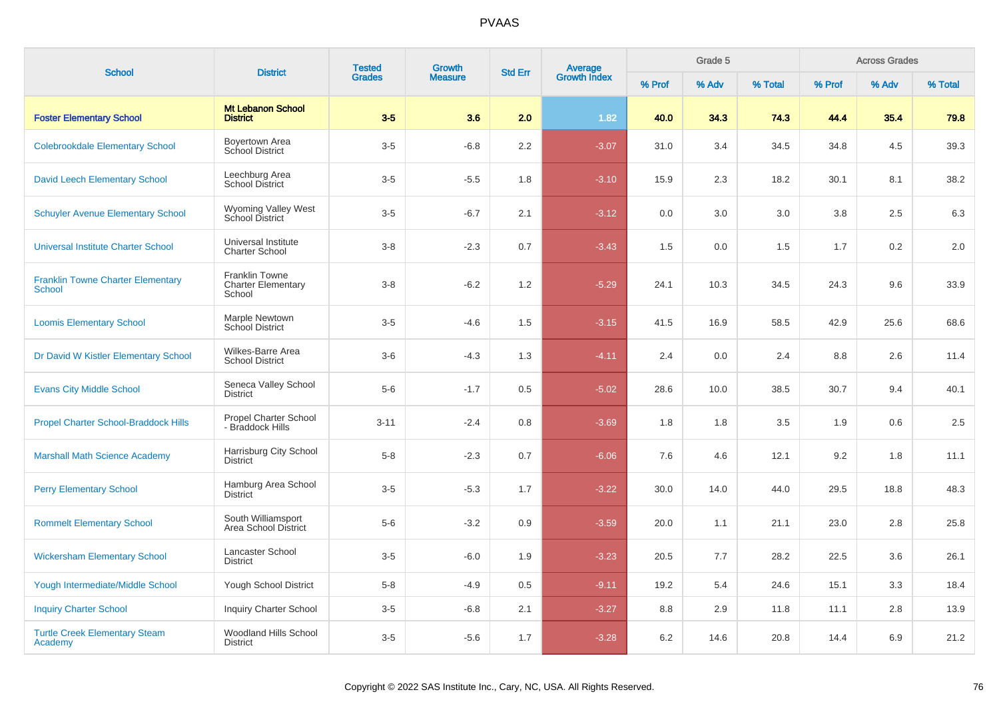| <b>School</b>                                      | <b>District</b>                                              | <b>Tested</b> | <b>Growth</b>  | <b>Std Err</b> |                                |        | Grade 5 |         |        | <b>Across Grades</b> |         |
|----------------------------------------------------|--------------------------------------------------------------|---------------|----------------|----------------|--------------------------------|--------|---------|---------|--------|----------------------|---------|
|                                                    |                                                              | <b>Grades</b> | <b>Measure</b> |                | <b>Average</b><br>Growth Index | % Prof | % Adv   | % Total | % Prof | % Adv                | % Total |
| <b>Foster Elementary School</b>                    | <b>Mt Lebanon School</b><br><b>District</b>                  | $3-5$         | 3.6            | 2.0            | 1.82                           | 40.0   | 34.3    | 74.3    | 44.4   | 35.4                 | 79.8    |
| <b>Colebrookdale Elementary School</b>             | Boyertown Area<br>School District                            | $3-5$         | $-6.8$         | 2.2            | $-3.07$                        | 31.0   | 3.4     | 34.5    | 34.8   | 4.5                  | 39.3    |
| <b>David Leech Elementary School</b>               | Leechburg Area<br>School District                            | $3-5$         | $-5.5$         | 1.8            | $-3.10$                        | 15.9   | 2.3     | 18.2    | 30.1   | 8.1                  | 38.2    |
| <b>Schuyler Avenue Elementary School</b>           | <b>Wyoming Valley West</b><br><b>School District</b>         | $3-5$         | $-6.7$         | 2.1            | $-3.12$                        | 0.0    | 3.0     | 3.0     | 3.8    | 2.5                  | 6.3     |
| Universal Institute Charter School                 | Universal Institute<br><b>Charter School</b>                 | $3-8$         | $-2.3$         | 0.7            | $-3.43$                        | 1.5    | 0.0     | 1.5     | 1.7    | 0.2                  | 2.0     |
| <b>Franklin Towne Charter Elementary</b><br>School | <b>Franklin Towne</b><br><b>Charter Elementary</b><br>School | $3-8$         | $-6.2$         | 1.2            | $-5.29$                        | 24.1   | 10.3    | 34.5    | 24.3   | 9.6                  | 33.9    |
| <b>Loomis Elementary School</b>                    | Marple Newtown<br><b>School District</b>                     | $3-5$         | $-4.6$         | 1.5            | $-3.15$                        | 41.5   | 16.9    | 58.5    | 42.9   | 25.6                 | 68.6    |
| Dr David W Kistler Elementary School               | Wilkes-Barre Area<br><b>School District</b>                  | $3-6$         | $-4.3$         | 1.3            | $-4.11$                        | 2.4    | 0.0     | 2.4     | 8.8    | 2.6                  | 11.4    |
| <b>Evans City Middle School</b>                    | Seneca Valley School<br><b>District</b>                      | $5-6$         | $-1.7$         | 0.5            | $-5.02$                        | 28.6   | 10.0    | 38.5    | 30.7   | 9.4                  | 40.1    |
| <b>Propel Charter School-Braddock Hills</b>        | <b>Propel Charter School</b><br>- Braddock Hills             | $3 - 11$      | $-2.4$         | 0.8            | $-3.69$                        | 1.8    | 1.8     | 3.5     | 1.9    | 0.6                  | 2.5     |
| <b>Marshall Math Science Academy</b>               | Harrisburg City School<br><b>District</b>                    | $5 - 8$       | $-2.3$         | 0.7            | $-6.06$                        | 7.6    | 4.6     | 12.1    | 9.2    | 1.8                  | 11.1    |
| <b>Perry Elementary School</b>                     | Hamburg Area School<br><b>District</b>                       | $3-5$         | $-5.3$         | 1.7            | $-3.22$                        | 30.0   | 14.0    | 44.0    | 29.5   | 18.8                 | 48.3    |
| <b>Rommelt Elementary School</b>                   | South Williamsport<br>Area School District                   | $5-6$         | $-3.2$         | 0.9            | $-3.59$                        | 20.0   | 1.1     | 21.1    | 23.0   | 2.8                  | 25.8    |
| <b>Wickersham Elementary School</b>                | Lancaster School<br><b>District</b>                          | $3-5$         | $-6.0$         | 1.9            | $-3.23$                        | 20.5   | 7.7     | 28.2    | 22.5   | 3.6                  | 26.1    |
| <b>Yough Intermediate/Middle School</b>            | Yough School District                                        | $5-8$         | $-4.9$         | 0.5            | $-9.11$                        | 19.2   | 5.4     | 24.6    | 15.1   | 3.3                  | 18.4    |
| <b>Inquiry Charter School</b>                      | <b>Inquiry Charter School</b>                                | $3-5$         | $-6.8$         | 2.1            | $-3.27$                        | 8.8    | 2.9     | 11.8    | 11.1   | 2.8                  | 13.9    |
| <b>Turtle Creek Elementary Steam</b><br>Academy    | Woodland Hills School<br><b>District</b>                     | $3-5$         | $-5.6$         | 1.7            | $-3.28$                        | 6.2    | 14.6    | 20.8    | 14.4   | 6.9                  | 21.2    |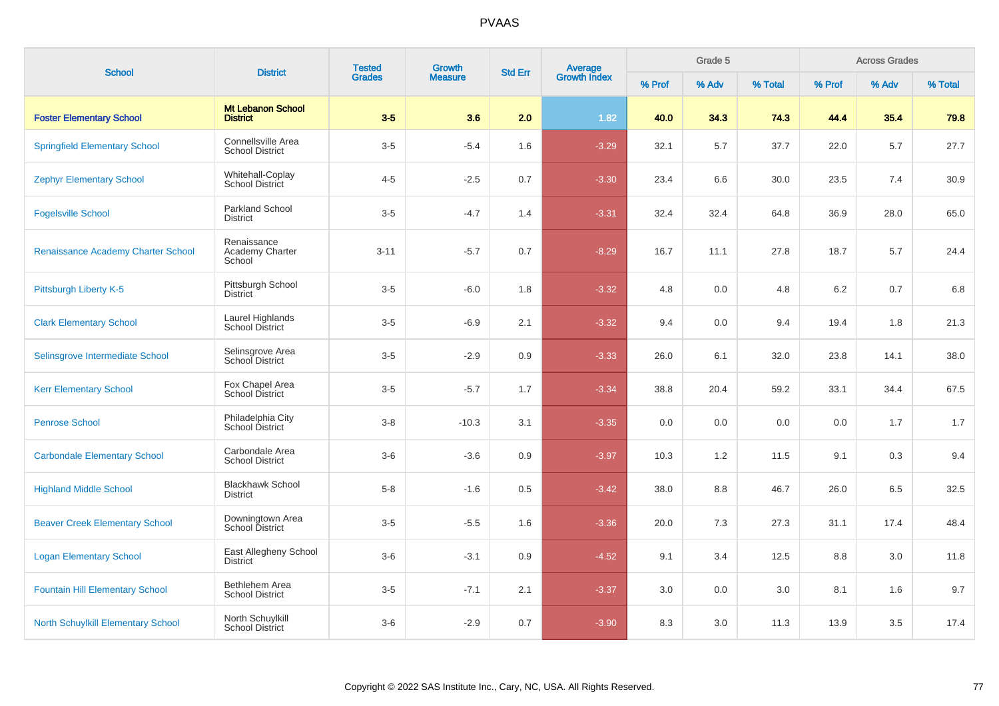| <b>School</b>                             | <b>District</b>                              | <b>Tested</b> | <b>Growth</b><br><b>Std Err</b><br><b>Measure</b> | <b>Average</b><br>Growth Index |         | Grade 5 |       |         | <b>Across Grades</b> |       |         |
|-------------------------------------------|----------------------------------------------|---------------|---------------------------------------------------|--------------------------------|---------|---------|-------|---------|----------------------|-------|---------|
|                                           |                                              | <b>Grades</b> |                                                   |                                |         | % Prof  | % Adv | % Total | % Prof               | % Adv | % Total |
| <b>Foster Elementary School</b>           | <b>Mt Lebanon School</b><br><b>District</b>  | $3-5$         | 3.6                                               | 2.0                            | 1.82    | 40.0    | 34.3  | 74.3    | 44.4                 | 35.4  | 79.8    |
| <b>Springfield Elementary School</b>      | Connellsville Area<br><b>School District</b> | $3-5$         | $-5.4$                                            | 1.6                            | $-3.29$ | 32.1    | 5.7   | 37.7    | 22.0                 | 5.7   | 27.7    |
| <b>Zephyr Elementary School</b>           | Whitehall-Coplay<br><b>School District</b>   | $4 - 5$       | $-2.5$                                            | 0.7                            | $-3.30$ | 23.4    | 6.6   | 30.0    | 23.5                 | 7.4   | 30.9    |
| <b>Fogelsville School</b>                 | <b>Parkland School</b><br><b>District</b>    | $3-5$         | $-4.7$                                            | 1.4                            | $-3.31$ | 32.4    | 32.4  | 64.8    | 36.9                 | 28.0  | 65.0    |
| Renaissance Academy Charter School        | Renaissance<br>Academy Charter<br>School     | $3 - 11$      | $-5.7$                                            | 0.7                            | $-8.29$ | 16.7    | 11.1  | 27.8    | 18.7                 | 5.7   | 24.4    |
| Pittsburgh Liberty K-5                    | Pittsburgh School<br><b>District</b>         | $3-5$         | $-6.0$                                            | 1.8                            | $-3.32$ | 4.8     | 0.0   | 4.8     | $6.2\,$              | 0.7   | 6.8     |
| <b>Clark Elementary School</b>            | Laurel Highlands<br><b>School District</b>   | $3-5$         | $-6.9$                                            | 2.1                            | $-3.32$ | 9.4     | 0.0   | 9.4     | 19.4                 | 1.8   | 21.3    |
| Selinsgrove Intermediate School           | Selinsgrove Area<br>School District          | $3-5$         | $-2.9$                                            | 0.9                            | $-3.33$ | 26.0    | 6.1   | 32.0    | 23.8                 | 14.1  | 38.0    |
| <b>Kerr Elementary School</b>             | Fox Chapel Area<br><b>School District</b>    | $3-5$         | $-5.7$                                            | 1.7                            | $-3.34$ | 38.8    | 20.4  | 59.2    | 33.1                 | 34.4  | 67.5    |
| <b>Penrose School</b>                     | Philadelphia City<br>School District         | $3 - 8$       | $-10.3$                                           | 3.1                            | $-3.35$ | 0.0     | 0.0   | 0.0     | 0.0                  | 1.7   | 1.7     |
| <b>Carbondale Elementary School</b>       | Carbondale Area<br><b>School District</b>    | $3-6$         | $-3.6$                                            | 0.9                            | $-3.97$ | 10.3    | 1.2   | 11.5    | 9.1                  | 0.3   | 9.4     |
| <b>Highland Middle School</b>             | <b>Blackhawk School</b><br><b>District</b>   | $5 - 8$       | $-1.6$                                            | 0.5                            | $-3.42$ | 38.0    | 8.8   | 46.7    | 26.0                 | 6.5   | 32.5    |
| <b>Beaver Creek Elementary School</b>     | Downingtown Area<br><b>School District</b>   | $3-5$         | $-5.5$                                            | 1.6                            | $-3.36$ | 20.0    | 7.3   | 27.3    | 31.1                 | 17.4  | 48.4    |
| <b>Logan Elementary School</b>            | East Allegheny School<br><b>District</b>     | $3-6$         | $-3.1$                                            | 0.9                            | $-4.52$ | 9.1     | 3.4   | 12.5    | 8.8                  | 3.0   | 11.8    |
| <b>Fountain Hill Elementary School</b>    | Bethlehem Area<br><b>School District</b>     | $3-5$         | $-7.1$                                            | 2.1                            | $-3.37$ | 3.0     | 0.0   | 3.0     | 8.1                  | 1.6   | 9.7     |
| <b>North Schuylkill Elementary School</b> | North Schuylkill<br>School District          | $3-6$         | $-2.9$                                            | 0.7                            | $-3.90$ | 8.3     | 3.0   | 11.3    | 13.9                 | 3.5   | 17.4    |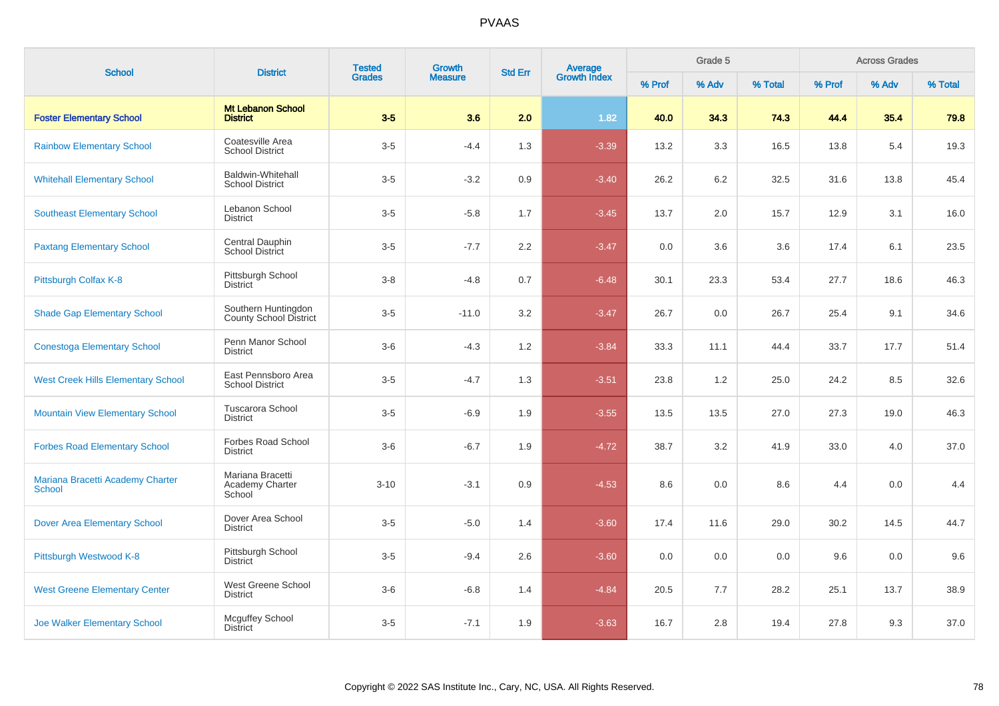| <b>School</b>                                     | <b>District</b>                                    | <b>Tested</b> | <b>Growth</b>  | <b>Std Err</b> | Average<br>Growth Index |        | Grade 5 |         |        | <b>Across Grades</b><br>% Adv |         |
|---------------------------------------------------|----------------------------------------------------|---------------|----------------|----------------|-------------------------|--------|---------|---------|--------|-------------------------------|---------|
|                                                   |                                                    | <b>Grades</b> | <b>Measure</b> |                |                         | % Prof | % Adv   | % Total | % Prof |                               | % Total |
| <b>Foster Elementary School</b>                   | <b>Mt Lebanon School</b><br><b>District</b>        | $3-5$         | 3.6            | 2.0            | 1.82                    | 40.0   | 34.3    | 74.3    | 44.4   | 35.4                          | 79.8    |
| <b>Rainbow Elementary School</b>                  | Coatesville Area<br><b>School District</b>         | $3-5$         | $-4.4$         | 1.3            | $-3.39$                 | 13.2   | 3.3     | 16.5    | 13.8   | 5.4                           | 19.3    |
| <b>Whitehall Elementary School</b>                | <b>Baldwin-Whitehall</b><br><b>School District</b> | $3-5$         | $-3.2$         | 0.9            | $-3.40$                 | 26.2   | 6.2     | 32.5    | 31.6   | 13.8                          | 45.4    |
| <b>Southeast Elementary School</b>                | Lebanon School<br><b>District</b>                  | $3-5$         | $-5.8$         | 1.7            | $-3.45$                 | 13.7   | $2.0\,$ | 15.7    | 12.9   | 3.1                           | 16.0    |
| <b>Paxtang Elementary School</b>                  | Central Dauphin<br>School District                 | $3-5$         | $-7.7$         | 2.2            | $-3.47$                 | 0.0    | 3.6     | 3.6     | 17.4   | 6.1                           | 23.5    |
| Pittsburgh Colfax K-8                             | Pittsburgh School<br><b>District</b>               | $3-8$         | $-4.8$         | 0.7            | $-6.48$                 | 30.1   | 23.3    | 53.4    | 27.7   | 18.6                          | 46.3    |
| <b>Shade Gap Elementary School</b>                | Southern Huntingdon<br>County School District      | $3-5$         | $-11.0$        | 3.2            | $-3.47$                 | 26.7   | 0.0     | 26.7    | 25.4   | 9.1                           | 34.6    |
| <b>Conestoga Elementary School</b>                | Penn Manor School<br><b>District</b>               | $3-6$         | $-4.3$         | 1.2            | $-3.84$                 | 33.3   | 11.1    | 44.4    | 33.7   | 17.7                          | 51.4    |
| <b>West Creek Hills Elementary School</b>         | East Pennsboro Area<br><b>School District</b>      | $3-5$         | $-4.7$         | 1.3            | $-3.51$                 | 23.8   | 1.2     | 25.0    | 24.2   | 8.5                           | 32.6    |
| <b>Mountain View Elementary School</b>            | <b>Tuscarora School</b><br><b>District</b>         | $3-5$         | $-6.9$         | 1.9            | $-3.55$                 | 13.5   | 13.5    | 27.0    | 27.3   | 19.0                          | 46.3    |
| <b>Forbes Road Elementary School</b>              | Forbes Road School<br><b>District</b>              | $3-6$         | $-6.7$         | 1.9            | $-4.72$                 | 38.7   | 3.2     | 41.9    | 33.0   | 4.0                           | 37.0    |
| Mariana Bracetti Academy Charter<br><b>School</b> | Mariana Bracetti<br>Academy Charter<br>School      | $3 - 10$      | $-3.1$         | 0.9            | $-4.53$                 | 8.6    | 0.0     | 8.6     | 4.4    | 0.0                           | 4.4     |
| <b>Dover Area Elementary School</b>               | Dover Area School<br><b>District</b>               | $3-5$         | $-5.0$         | 1.4            | $-3.60$                 | 17.4   | 11.6    | 29.0    | 30.2   | 14.5                          | 44.7    |
| Pittsburgh Westwood K-8                           | Pittsburgh School<br><b>District</b>               | $3-5$         | $-9.4$         | 2.6            | $-3.60$                 | 0.0    | 0.0     | 0.0     | 9.6    | 0.0                           | 9.6     |
| <b>West Greene Elementary Center</b>              | West Greene School<br><b>District</b>              | $3-6$         | $-6.8$         | 1.4            | $-4.84$                 | 20.5   | 7.7     | 28.2    | 25.1   | 13.7                          | 38.9    |
| <b>Joe Walker Elementary School</b>               | Mcguffey School<br><b>District</b>                 | $3-5$         | $-7.1$         | 1.9            | $-3.63$                 | 16.7   | 2.8     | 19.4    | 27.8   | 9.3                           | 37.0    |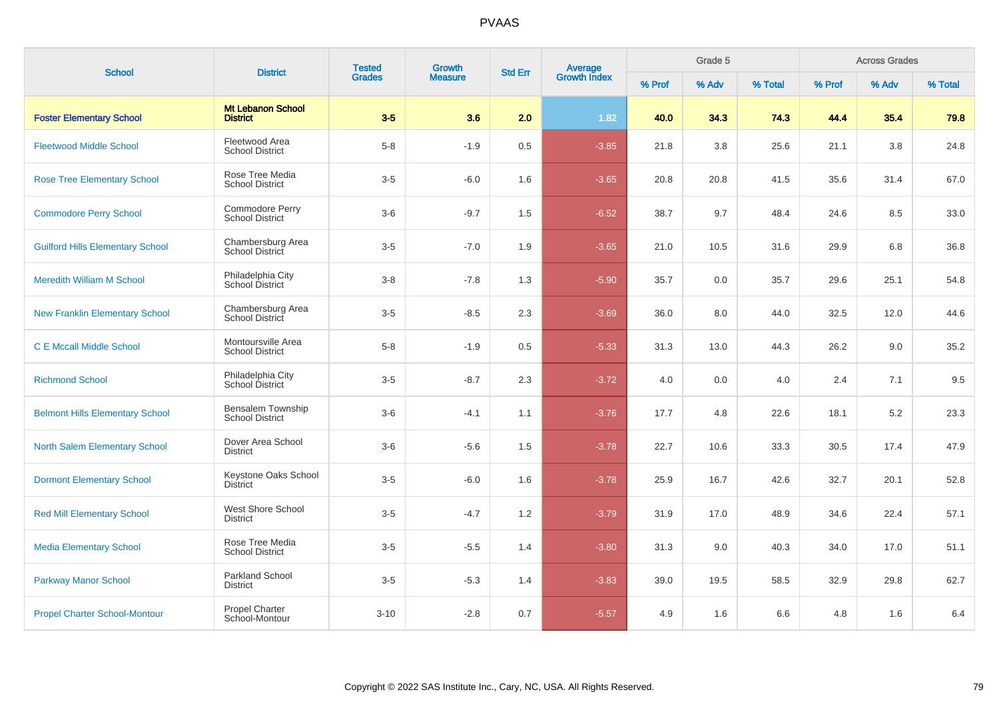| <b>School</b>                           | <b>District</b>                                    | <b>Tested</b> | Growth         | <b>Std Err</b> |                                |        | Grade 5 |         |        | <b>Across Grades</b> |         |
|-----------------------------------------|----------------------------------------------------|---------------|----------------|----------------|--------------------------------|--------|---------|---------|--------|----------------------|---------|
|                                         |                                                    | <b>Grades</b> | <b>Measure</b> |                | <b>Average</b><br>Growth Index | % Prof | % Adv   | % Total | % Prof | % Adv                | % Total |
| <b>Foster Elementary School</b>         | <b>Mt Lebanon School</b><br><b>District</b>        | $3-5$         | 3.6            | 2.0            | 1.82                           | 40.0   | 34.3    | 74.3    | 44.4   | 35.4                 | 79.8    |
| <b>Fleetwood Middle School</b>          | Fleetwood Area<br><b>School District</b>           | $5 - 8$       | $-1.9$         | 0.5            | $-3.85$                        | 21.8   | 3.8     | 25.6    | 21.1   | 3.8                  | 24.8    |
| <b>Rose Tree Elementary School</b>      | Rose Tree Media<br><b>School District</b>          | $3-5$         | $-6.0$         | 1.6            | $-3.65$                        | 20.8   | 20.8    | 41.5    | 35.6   | 31.4                 | 67.0    |
| <b>Commodore Perry School</b>           | Commodore Perry<br><b>School District</b>          | $3-6$         | $-9.7$         | 1.5            | $-6.52$                        | 38.7   | 9.7     | 48.4    | 24.6   | 8.5                  | 33.0    |
| <b>Guilford Hills Elementary School</b> | Chambersburg Area<br>School District               | $3-5$         | $-7.0$         | 1.9            | $-3.65$                        | 21.0   | 10.5    | 31.6    | 29.9   | 6.8                  | 36.8    |
| <b>Meredith William M School</b>        | Philadelphia City<br>School District               | $3 - 8$       | $-7.8$         | 1.3            | $-5.90$                        | 35.7   | 0.0     | 35.7    | 29.6   | 25.1                 | 54.8    |
| <b>New Franklin Elementary School</b>   | Chambersburg Area<br>School District               | $3-5$         | $-8.5$         | 2.3            | $-3.69$                        | 36.0   | 8.0     | 44.0    | 32.5   | 12.0                 | 44.6    |
| <b>C E Mccall Middle School</b>         | Montoursville Area<br><b>School District</b>       | $5 - 8$       | $-1.9$         | 0.5            | $-5.33$                        | 31.3   | 13.0    | 44.3    | 26.2   | 9.0                  | 35.2    |
| <b>Richmond School</b>                  | Philadelphia City<br>School District               | $3-5$         | $-8.7$         | 2.3            | $-3.72$                        | 4.0    | 0.0     | 4.0     | 2.4    | 7.1                  | 9.5     |
| <b>Belmont Hills Elementary School</b>  | <b>Bensalem Township</b><br><b>School District</b> | $3-6$         | $-4.1$         | 1.1            | $-3.76$                        | 17.7   | 4.8     | 22.6    | 18.1   | 5.2                  | 23.3    |
| North Salem Elementary School           | Dover Area School<br>District                      | $3-6$         | $-5.6$         | 1.5            | $-3.78$                        | 22.7   | 10.6    | 33.3    | 30.5   | 17.4                 | 47.9    |
| <b>Dormont Elementary School</b>        | Keystone Oaks School<br><b>District</b>            | $3-5$         | $-6.0$         | 1.6            | $-3.78$                        | 25.9   | 16.7    | 42.6    | 32.7   | 20.1                 | 52.8    |
| <b>Red Mill Elementary School</b>       | West Shore School<br><b>District</b>               | $3-5$         | $-4.7$         | 1.2            | $-3.79$                        | 31.9   | 17.0    | 48.9    | 34.6   | 22.4                 | 57.1    |
| <b>Media Elementary School</b>          | Rose Tree Media<br><b>School District</b>          | $3-5$         | $-5.5$         | 1.4            | $-3.80$                        | 31.3   | 9.0     | 40.3    | 34.0   | 17.0                 | 51.1    |
| <b>Parkway Manor School</b>             | <b>Parkland School</b><br>District                 | $3-5$         | $-5.3$         | 1.4            | $-3.83$                        | 39.0   | 19.5    | 58.5    | 32.9   | 29.8                 | 62.7    |
| <b>Propel Charter School-Montour</b>    | <b>Propel Charter</b><br>School-Montour            | $3 - 10$      | $-2.8$         | 0.7            | $-5.57$                        | 4.9    | 1.6     | 6.6     | 4.8    | 1.6                  | 6.4     |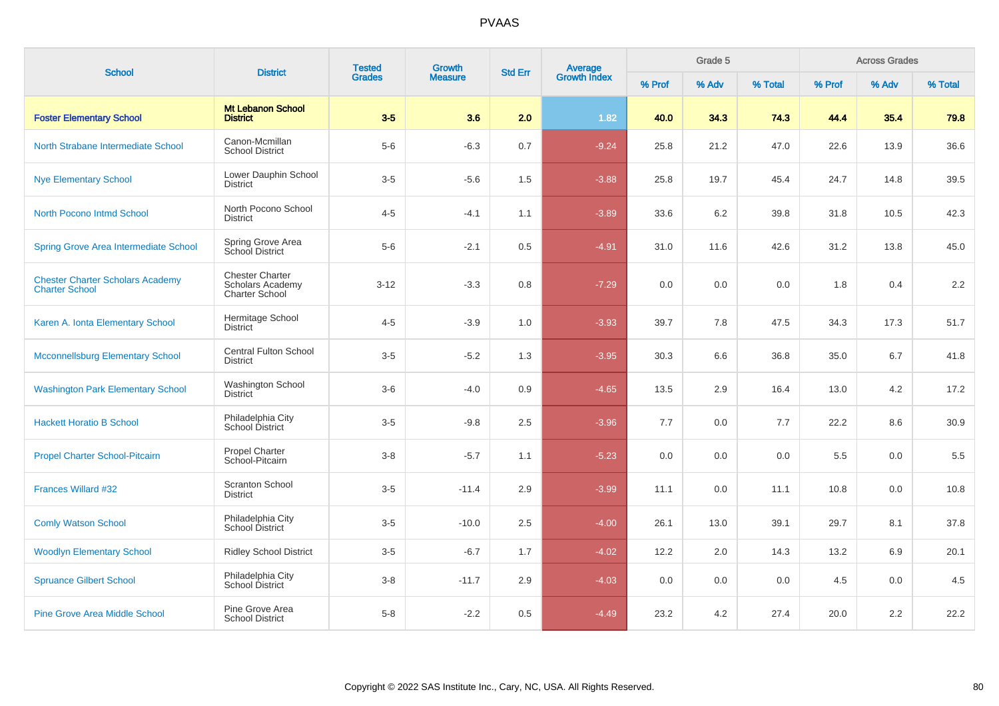| <b>School</b>                                                    | <b>District</b>                                                            | <b>Tested</b> | Growth         | <b>Std Err</b> | <b>Average</b><br>Growth Index | Grade 5<br><b>Across Grades</b> |       |         |        |       |         |
|------------------------------------------------------------------|----------------------------------------------------------------------------|---------------|----------------|----------------|--------------------------------|---------------------------------|-------|---------|--------|-------|---------|
|                                                                  |                                                                            | <b>Grades</b> | <b>Measure</b> |                |                                | % Prof                          | % Adv | % Total | % Prof | % Adv | % Total |
| <b>Foster Elementary School</b>                                  | <b>Mt Lebanon School</b><br><b>District</b>                                | $3-5$         | 3.6            | 2.0            | 1.82                           | 40.0                            | 34.3  | 74.3    | 44.4   | 35.4  | 79.8    |
| North Strabane Intermediate School                               | Canon-Mcmillan<br><b>School District</b>                                   | $5-6$         | $-6.3$         | 0.7            | $-9.24$                        | 25.8                            | 21.2  | 47.0    | 22.6   | 13.9  | 36.6    |
| <b>Nye Elementary School</b>                                     | Lower Dauphin School<br><b>District</b>                                    | $3-5$         | $-5.6$         | 1.5            | $-3.88$                        | 25.8                            | 19.7  | 45.4    | 24.7   | 14.8  | 39.5    |
| North Pocono Intmd School                                        | North Pocono School<br><b>District</b>                                     | $4 - 5$       | $-4.1$         | 1.1            | $-3.89$                        | 33.6                            | 6.2   | 39.8    | 31.8   | 10.5  | 42.3    |
| <b>Spring Grove Area Intermediate School</b>                     | Spring Grove Area<br>School District                                       | $5-6$         | $-2.1$         | 0.5            | $-4.91$                        | 31.0                            | 11.6  | 42.6    | 31.2   | 13.8  | 45.0    |
| <b>Chester Charter Scholars Academy</b><br><b>Charter School</b> | <b>Chester Charter</b><br><b>Scholars Academy</b><br><b>Charter School</b> | $3 - 12$      | $-3.3$         | 0.8            | $-7.29$                        | 0.0                             | 0.0   | 0.0     | 1.8    | 0.4   | 2.2     |
| Karen A. Ionta Elementary School                                 | Hermitage School<br><b>District</b>                                        | $4 - 5$       | $-3.9$         | 1.0            | $-3.93$                        | 39.7                            | 7.8   | 47.5    | 34.3   | 17.3  | 51.7    |
| <b>Mcconnellsburg Elementary School</b>                          | <b>Central Fulton School</b><br><b>District</b>                            | $3-5$         | $-5.2$         | 1.3            | $-3.95$                        | 30.3                            | 6.6   | 36.8    | 35.0   | 6.7   | 41.8    |
| <b>Washington Park Elementary School</b>                         | <b>Washington School</b><br><b>District</b>                                | $3-6$         | $-4.0$         | 0.9            | $-4.65$                        | 13.5                            | 2.9   | 16.4    | 13.0   | 4.2   | 17.2    |
| <b>Hackett Horatio B School</b>                                  | Philadelphia City<br>School District                                       | $3-5$         | $-9.8$         | 2.5            | $-3.96$                        | 7.7                             | 0.0   | 7.7     | 22.2   | 8.6   | 30.9    |
| <b>Propel Charter School-Pitcairn</b>                            | Propel Charter<br>School-Pitcairn                                          | $3-8$         | $-5.7$         | 1.1            | $-5.23$                        | 0.0                             | 0.0   | 0.0     | 5.5    | 0.0   | 5.5     |
| Frances Willard #32                                              | <b>Scranton School</b><br><b>District</b>                                  | $3-5$         | $-11.4$        | 2.9            | $-3.99$                        | 11.1                            | 0.0   | 11.1    | 10.8   | 0.0   | 10.8    |
| <b>Comly Watson School</b>                                       | Philadelphia City<br>School District                                       | $3-5$         | $-10.0$        | 2.5            | $-4.00$                        | 26.1                            | 13.0  | 39.1    | 29.7   | 8.1   | 37.8    |
| <b>Woodlyn Elementary School</b>                                 | <b>Ridley School District</b>                                              | $3-5$         | $-6.7$         | 1.7            | $-4.02$                        | 12.2                            | 2.0   | 14.3    | 13.2   | 6.9   | 20.1    |
| <b>Spruance Gilbert School</b>                                   | Philadelphia City<br>School District                                       | $3-8$         | $-11.7$        | 2.9            | $-4.03$                        | 0.0                             | 0.0   | 0.0     | 4.5    | 0.0   | 4.5     |
| <b>Pine Grove Area Middle School</b>                             | Pine Grove Area<br><b>School District</b>                                  | $5-8$         | $-2.2$         | 0.5            | $-4.49$                        | 23.2                            | 4.2   | 27.4    | 20.0   | 2.2   | 22.2    |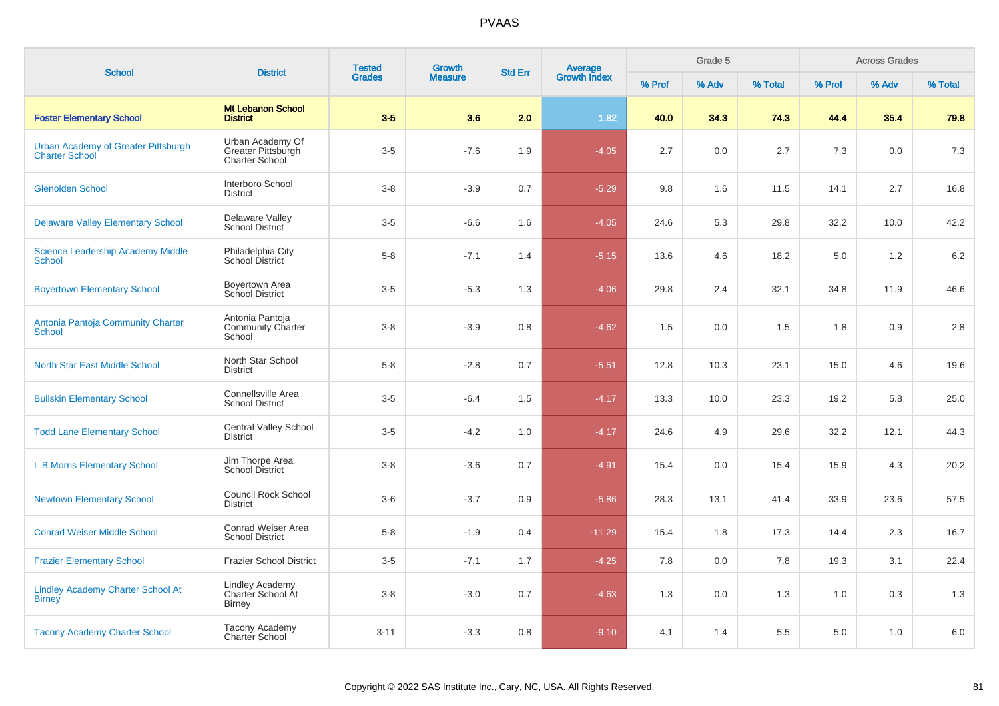|                                                              | <b>District</b>                                                 | <b>Tested</b> | <b>Growth</b>  |                |                         |        | Grade 5 |         |        | <b>Across Grades</b> |         |
|--------------------------------------------------------------|-----------------------------------------------------------------|---------------|----------------|----------------|-------------------------|--------|---------|---------|--------|----------------------|---------|
| <b>School</b>                                                |                                                                 | <b>Grades</b> | <b>Measure</b> | <b>Std Err</b> | Average<br>Growth Index | % Prof | % Adv   | % Total | % Prof | % Adv                | % Total |
| <b>Foster Elementary School</b>                              | <b>Mt Lebanon School</b><br><b>District</b>                     | $3-5$         | 3.6            | 2.0            | 1.82                    | 40.0   | 34.3    | 74.3    | 44.4   | 35.4                 | 79.8    |
| Urban Academy of Greater Pittsburgh<br><b>Charter School</b> | Urban Academy Of<br>Greater Pittsburgh<br><b>Charter School</b> | $3-5$         | $-7.6$         | 1.9            | $-4.05$                 | 2.7    | 0.0     | 2.7     | 7.3    | 0.0                  | 7.3     |
| <b>Glenolden School</b>                                      | Interboro School<br><b>District</b>                             | $3 - 8$       | $-3.9$         | 0.7            | $-5.29$                 | 9.8    | 1.6     | 11.5    | 14.1   | 2.7                  | 16.8    |
| <b>Delaware Valley Elementary School</b>                     | Delaware Valley<br><b>School District</b>                       | $3-5$         | $-6.6$         | 1.6            | $-4.05$                 | 24.6   | 5.3     | 29.8    | 32.2   | 10.0                 | 42.2    |
| <b>Science Leadership Academy Middle</b><br><b>School</b>    | Philadelphia City<br>School District                            | $5 - 8$       | $-7.1$         | 1.4            | $-5.15$                 | 13.6   | 4.6     | 18.2    | 5.0    | 1.2                  | 6.2     |
| <b>Boyertown Elementary School</b>                           | Boyertown Area<br>School District                               | $3-5$         | $-5.3$         | 1.3            | $-4.06$                 | 29.8   | 2.4     | 32.1    | 34.8   | 11.9                 | 46.6    |
| Antonia Pantoja Community Charter<br><b>School</b>           | Antonia Pantoja<br><b>Community Charter</b><br>School           | $3 - 8$       | $-3.9$         | 0.8            | $-4.62$                 | 1.5    | 0.0     | 1.5     | 1.8    | 0.9                  | $2.8\,$ |
| <b>North Star East Middle School</b>                         | North Star School<br><b>District</b>                            | $5 - 8$       | $-2.8$         | 0.7            | $-5.51$                 | 12.8   | 10.3    | 23.1    | 15.0   | 4.6                  | 19.6    |
| <b>Bullskin Elementary School</b>                            | Connellsville Area<br><b>School District</b>                    | $3-5$         | $-6.4$         | 1.5            | $-4.17$                 | 13.3   | 10.0    | 23.3    | 19.2   | 5.8                  | 25.0    |
| <b>Todd Lane Elementary School</b>                           | <b>Central Valley School</b><br><b>District</b>                 | $3-5$         | $-4.2$         | 1.0            | $-4.17$                 | 24.6   | 4.9     | 29.6    | 32.2   | 12.1                 | 44.3    |
| <b>L B Morris Elementary School</b>                          | Jim Thorpe Area<br><b>School District</b>                       | $3 - 8$       | $-3.6$         | 0.7            | $-4.91$                 | 15.4   | 0.0     | 15.4    | 15.9   | 4.3                  | 20.2    |
| <b>Newtown Elementary School</b>                             | <b>Council Rock School</b><br><b>District</b>                   | $3-6$         | $-3.7$         | 0.9            | $-5.86$                 | 28.3   | 13.1    | 41.4    | 33.9   | 23.6                 | 57.5    |
| <b>Conrad Weiser Middle School</b>                           | Conrad Weiser Area<br><b>School District</b>                    | $5 - 8$       | $-1.9$         | 0.4            | $-11.29$                | 15.4   | 1.8     | 17.3    | 14.4   | 2.3                  | 16.7    |
| <b>Frazier Elementary School</b>                             | Frazier School District                                         | $3-5$         | $-7.1$         | 1.7            | $-4.25$                 | 7.8    | 0.0     | 7.8     | 19.3   | 3.1                  | 22.4    |
| <b>Lindley Academy Charter School At</b><br><b>Birney</b>    | <b>Lindley Academy</b><br>Charter School At<br><b>Birney</b>    | $3 - 8$       | $-3.0$         | 0.7            | $-4.63$                 | 1.3    | 0.0     | 1.3     | 1.0    | 0.3                  | 1.3     |
| <b>Tacony Academy Charter School</b>                         | Tacony Academy<br><b>Charter School</b>                         | $3 - 11$      | $-3.3$         | 0.8            | $-9.10$                 | 4.1    | 1.4     | 5.5     | 5.0    | 1.0                  | 6.0     |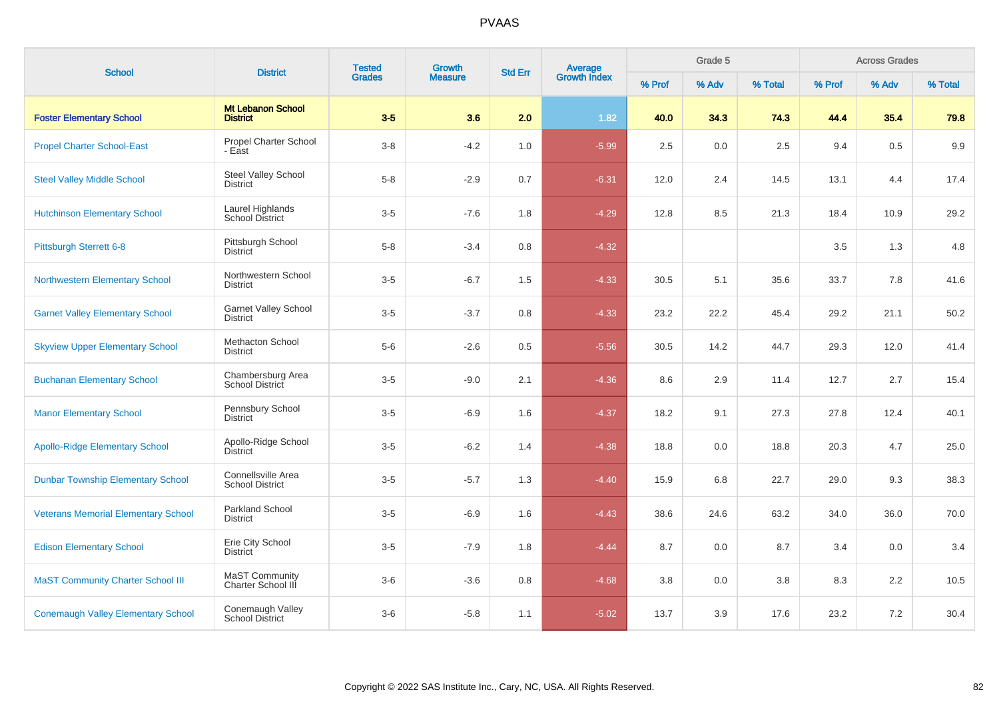| <b>School</b>                              | <b>District</b>                                     | <b>Tested</b> | Growth         | <b>Std Err</b> | <b>Average</b><br>Growth Index |        | Grade 5 |         |        | <b>Across Grades</b> |         |
|--------------------------------------------|-----------------------------------------------------|---------------|----------------|----------------|--------------------------------|--------|---------|---------|--------|----------------------|---------|
|                                            |                                                     | <b>Grades</b> | <b>Measure</b> |                |                                | % Prof | % Adv   | % Total | % Prof | % Adv                | % Total |
| <b>Foster Elementary School</b>            | <b>Mt Lebanon School</b><br><b>District</b>         | $3-5$         | 3.6            | 2.0            | 1.82                           | 40.0   | 34.3    | 74.3    | 44.4   | 35.4                 | 79.8    |
| <b>Propel Charter School-East</b>          | Propel Charter School<br>- East                     | $3-8$         | $-4.2$         | 1.0            | $-5.99$                        | 2.5    | 0.0     | 2.5     | 9.4    | 0.5                  | 9.9     |
| <b>Steel Valley Middle School</b>          | Steel Valley School<br><b>District</b>              | $5 - 8$       | $-2.9$         | 0.7            | $-6.31$                        | 12.0   | 2.4     | 14.5    | 13.1   | 4.4                  | 17.4    |
| <b>Hutchinson Elementary School</b>        | Laurel Highlands<br>School District                 | $3-5$         | $-7.6$         | 1.8            | $-4.29$                        | 12.8   | 8.5     | 21.3    | 18.4   | 10.9                 | 29.2    |
| Pittsburgh Sterrett 6-8                    | Pittsburgh School<br><b>District</b>                | $5-8$         | $-3.4$         | 0.8            | $-4.32$                        |        |         |         | 3.5    | 1.3                  | 4.8     |
| <b>Northwestern Elementary School</b>      | Northwestern School<br><b>District</b>              | $3-5$         | $-6.7$         | 1.5            | $-4.33$                        | 30.5   | 5.1     | 35.6    | 33.7   | 7.8                  | 41.6    |
| <b>Garnet Valley Elementary School</b>     | <b>Garnet Valley School</b><br><b>District</b>      | $3-5$         | $-3.7$         | 0.8            | $-4.33$                        | 23.2   | 22.2    | 45.4    | 29.2   | 21.1                 | 50.2    |
| <b>Skyview Upper Elementary School</b>     | <b>Methacton School</b><br><b>District</b>          | $5-6$         | $-2.6$         | 0.5            | $-5.56$                        | 30.5   | 14.2    | 44.7    | 29.3   | 12.0                 | 41.4    |
| <b>Buchanan Elementary School</b>          | Chambersburg Area<br>School District                | $3-5$         | $-9.0$         | 2.1            | $-4.36$                        | 8.6    | 2.9     | 11.4    | 12.7   | 2.7                  | 15.4    |
| <b>Manor Elementary School</b>             | Pennsbury School<br><b>District</b>                 | $3-5$         | $-6.9$         | 1.6            | $-4.37$                        | 18.2   | 9.1     | 27.3    | 27.8   | 12.4                 | 40.1    |
| <b>Apollo-Ridge Elementary School</b>      | Apollo-Ridge School<br><b>District</b>              | $3-5$         | $-6.2$         | 1.4            | $-4.38$                        | 18.8   | 0.0     | 18.8    | 20.3   | 4.7                  | 25.0    |
| <b>Dunbar Township Elementary School</b>   | <b>Connellsville Area</b><br><b>School District</b> | $3-5$         | $-5.7$         | 1.3            | $-4.40$                        | 15.9   | 6.8     | 22.7    | 29.0   | 9.3                  | 38.3    |
| <b>Veterans Memorial Elementary School</b> | Parkland School<br><b>District</b>                  | $3-5$         | $-6.9$         | 1.6            | $-4.43$                        | 38.6   | 24.6    | 63.2    | 34.0   | 36.0                 | 70.0    |
| <b>Edison Elementary School</b>            | Erie City School<br><b>District</b>                 | $3-5$         | $-7.9$         | 1.8            | $-4.44$                        | 8.7    | 0.0     | 8.7     | 3.4    | 0.0                  | 3.4     |
| <b>MaST Community Charter School III</b>   | MaST Community<br>Charter School III                | $3-6$         | $-3.6$         | 0.8            | $-4.68$                        | 3.8    | 0.0     | 3.8     | 8.3    | 2.2                  | 10.5    |
| <b>Conemaugh Valley Elementary School</b>  | Conemaugh Valley<br><b>School District</b>          | $3-6$         | $-5.8$         | 1.1            | $-5.02$                        | 13.7   | 3.9     | 17.6    | 23.2   | 7.2                  | 30.4    |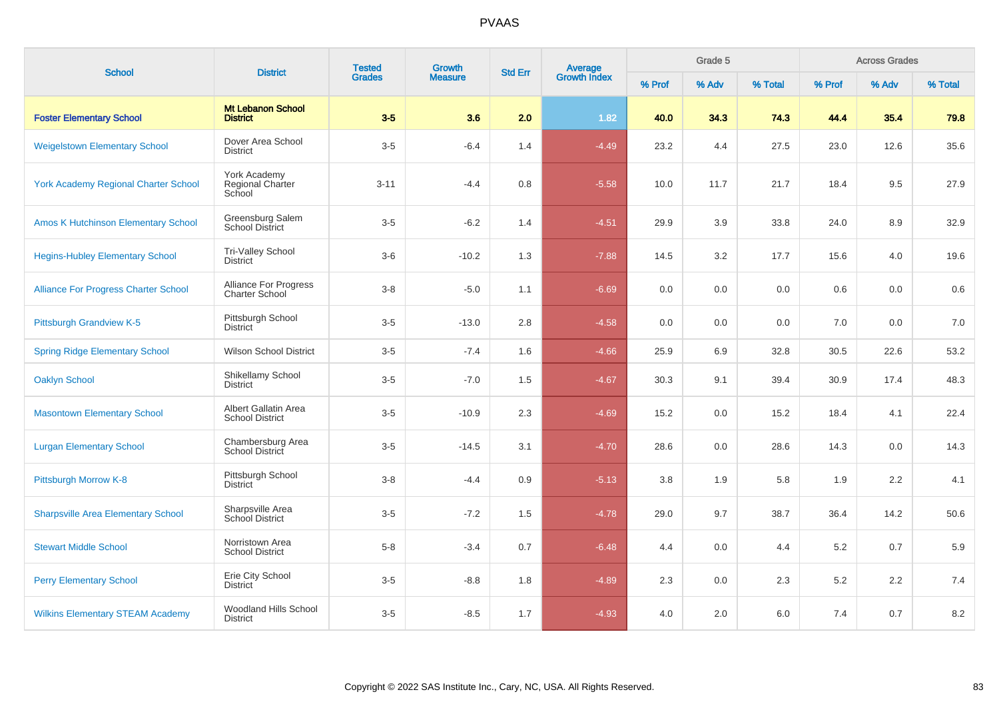| <b>School</b>                               | <b>District</b>                                | <b>Tested</b> | Growth         | <b>Std Err</b> | Average<br>Growth Index |        | Grade 5 |         |        | <b>Across Grades</b> |         |
|---------------------------------------------|------------------------------------------------|---------------|----------------|----------------|-------------------------|--------|---------|---------|--------|----------------------|---------|
|                                             |                                                | <b>Grades</b> | <b>Measure</b> |                |                         | % Prof | % Adv   | % Total | % Prof | % Adv                | % Total |
| <b>Foster Elementary School</b>             | <b>Mt Lebanon School</b><br><b>District</b>    | $3-5$         | 3.6            | 2.0            | 1.82                    | 40.0   | 34.3    | 74.3    | 44.4   | 35.4                 | 79.8    |
| <b>Weigelstown Elementary School</b>        | Dover Area School<br><b>District</b>           | $3-5$         | $-6.4$         | 1.4            | $-4.49$                 | 23.2   | 4.4     | 27.5    | 23.0   | 12.6                 | 35.6    |
| <b>York Academy Regional Charter School</b> | York Academy<br>Regional Charter<br>School     | $3 - 11$      | $-4.4$         | 0.8            | $-5.58$                 | 10.0   | 11.7    | 21.7    | 18.4   | 9.5                  | 27.9    |
| <b>Amos K Hutchinson Elementary School</b>  | Greensburg Salem<br><b>School District</b>     | $3-5$         | $-6.2$         | 1.4            | $-4.51$                 | 29.9   | 3.9     | 33.8    | 24.0   | 8.9                  | 32.9    |
| <b>Hegins-Hubley Elementary School</b>      | Tri-Valley School<br><b>District</b>           | $3-6$         | $-10.2$        | 1.3            | $-7.88$                 | 14.5   | 3.2     | 17.7    | 15.6   | 4.0                  | 19.6    |
| <b>Alliance For Progress Charter School</b> | Alliance For Progress<br><b>Charter School</b> | $3 - 8$       | $-5.0$         | 1.1            | $-6.69$                 | 0.0    | 0.0     | 0.0     | 0.6    | 0.0                  | 0.6     |
| <b>Pittsburgh Grandview K-5</b>             | Pittsburgh School<br><b>District</b>           | $3-5$         | $-13.0$        | $2.8\,$        | $-4.58$                 | 0.0    | 0.0     | 0.0     | 7.0    | 0.0                  | 7.0     |
| <b>Spring Ridge Elementary School</b>       | <b>Wilson School District</b>                  | $3-5$         | $-7.4$         | 1.6            | $-4.66$                 | 25.9   | 6.9     | 32.8    | 30.5   | 22.6                 | 53.2    |
| <b>Oaklyn School</b>                        | Shikellamy School<br><b>District</b>           | $3-5$         | $-7.0$         | 1.5            | $-4.67$                 | 30.3   | 9.1     | 39.4    | 30.9   | 17.4                 | 48.3    |
| <b>Masontown Elementary School</b>          | Albert Gallatin Area<br><b>School District</b> | $3-5$         | $-10.9$        | 2.3            | $-4.69$                 | 15.2   | 0.0     | 15.2    | 18.4   | 4.1                  | 22.4    |
| <b>Lurgan Elementary School</b>             | Chambersburg Area<br><b>School District</b>    | $3-5$         | $-14.5$        | 3.1            | $-4.70$                 | 28.6   | 0.0     | 28.6    | 14.3   | 0.0                  | 14.3    |
| Pittsburgh Morrow K-8                       | Pittsburgh School<br><b>District</b>           | $3 - 8$       | $-4.4$         | 0.9            | $-5.13$                 | 3.8    | 1.9     | 5.8     | 1.9    | 2.2                  | 4.1     |
| <b>Sharpsville Area Elementary School</b>   | Sharpsville Area<br>School District            | $3-5$         | $-7.2$         | 1.5            | $-4.78$                 | 29.0   | 9.7     | 38.7    | 36.4   | 14.2                 | 50.6    |
| <b>Stewart Middle School</b>                | Norristown Area<br><b>School District</b>      | $5-8$         | $-3.4$         | 0.7            | $-6.48$                 | 4.4    | 0.0     | 4.4     | 5.2    | 0.7                  | 5.9     |
| <b>Perry Elementary School</b>              | Erie City School<br><b>District</b>            | $3-5$         | $-8.8$         | 1.8            | $-4.89$                 | 2.3    | 0.0     | 2.3     | 5.2    | 2.2                  | 7.4     |
| <b>Wilkins Elementary STEAM Academy</b>     | Woodland Hills School<br><b>District</b>       | $3-5$         | $-8.5$         | 1.7            | $-4.93$                 | 4.0    | 2.0     | 6.0     | 7.4    | 0.7                  | 8.2     |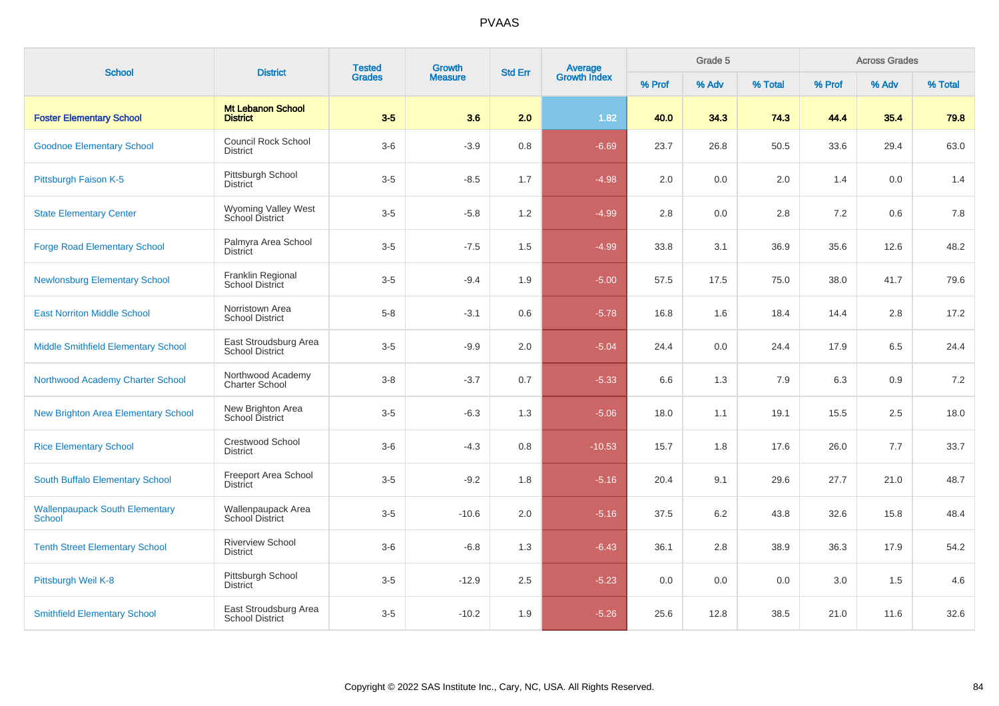| <b>School</b>                                   | <b>District</b>                                 | <b>Tested</b> | Growth         | <b>Std Err</b> |                                |        | Grade 5 |         |         | <b>Across Grades</b> |         |
|-------------------------------------------------|-------------------------------------------------|---------------|----------------|----------------|--------------------------------|--------|---------|---------|---------|----------------------|---------|
|                                                 |                                                 | <b>Grades</b> | <b>Measure</b> |                | <b>Average</b><br>Growth Index | % Prof | % Adv   | % Total | % Prof  | % Adv                | % Total |
| <b>Foster Elementary School</b>                 | <b>Mt Lebanon School</b><br><b>District</b>     | $3-5$         | 3.6            | 2.0            | 1.82                           | 40.0   | 34.3    | 74.3    | 44.4    | 35.4                 | 79.8    |
| <b>Goodnoe Elementary School</b>                | <b>Council Rock School</b><br><b>District</b>   | $3-6$         | $-3.9$         | 0.8            | $-6.69$                        | 23.7   | 26.8    | 50.5    | 33.6    | 29.4                 | 63.0    |
| Pittsburgh Faison K-5                           | Pittsburgh School<br><b>District</b>            | $3-5$         | $-8.5$         | 1.7            | $-4.98$                        | 2.0    | 0.0     | 2.0     | 1.4     | 0.0                  | 1.4     |
| <b>State Elementary Center</b>                  | Wyoming Valley West<br>School District          | $3-5$         | $-5.8$         | 1.2            | $-4.99$                        | 2.8    | 0.0     | 2.8     | 7.2     | 0.6                  | 7.8     |
| <b>Forge Road Elementary School</b>             | Palmyra Area School<br><b>District</b>          | $3-5$         | $-7.5$         | 1.5            | $-4.99$                        | 33.8   | 3.1     | 36.9    | 35.6    | 12.6                 | 48.2    |
| <b>Newlonsburg Elementary School</b>            | Franklin Regional<br>School District            | $3-5$         | $-9.4$         | 1.9            | $-5.00$                        | 57.5   | 17.5    | 75.0    | 38.0    | 41.7                 | 79.6    |
| <b>East Norriton Middle School</b>              | Norristown Area<br><b>School District</b>       | $5-8$         | $-3.1$         | 0.6            | $-5.78$                        | 16.8   | 1.6     | 18.4    | 14.4    | 2.8                  | 17.2    |
| Middle Smithfield Elementary School             | East Stroudsburg Area<br><b>School District</b> | $3-5$         | $-9.9$         | 2.0            | $-5.04$                        | 24.4   | 0.0     | 24.4    | 17.9    | 6.5                  | 24.4    |
| Northwood Academy Charter School                | Northwood Academy<br><b>Charter School</b>      | $3-8$         | $-3.7$         | 0.7            | $-5.33$                        | 6.6    | 1.3     | 7.9     | 6.3     | 0.9                  | 7.2     |
| <b>New Brighton Area Elementary School</b>      | New Brighton Area<br>School District            | $3-5$         | $-6.3$         | 1.3            | $-5.06$                        | 18.0   | 1.1     | 19.1    | 15.5    | 2.5                  | 18.0    |
| <b>Rice Elementary School</b>                   | <b>Crestwood School</b><br><b>District</b>      | $3-6$         | $-4.3$         | 0.8            | $-10.53$                       | 15.7   | 1.8     | 17.6    | 26.0    | 7.7                  | 33.7    |
| South Buffalo Elementary School                 | Freeport Area School<br><b>District</b>         | $3-5$         | $-9.2$         | 1.8            | $-5.16$                        | 20.4   | 9.1     | 29.6    | 27.7    | 21.0                 | 48.7    |
| <b>Wallenpaupack South Elementary</b><br>School | Wallenpaupack Area<br>School District           | $3-5$         | $-10.6$        | 2.0            | $-5.16$                        | 37.5   | 6.2     | 43.8    | 32.6    | 15.8                 | 48.4    |
| <b>Tenth Street Elementary School</b>           | <b>Riverview School</b><br><b>District</b>      | $3-6$         | $-6.8$         | 1.3            | $-6.43$                        | 36.1   | 2.8     | 38.9    | 36.3    | 17.9                 | 54.2    |
| Pittsburgh Weil K-8                             | Pittsburgh School<br><b>District</b>            | $3-5$         | $-12.9$        | 2.5            | $-5.23$                        | 0.0    | 0.0     | 0.0     | $3.0\,$ | 1.5                  | 4.6     |
| <b>Smithfield Elementary School</b>             | East Stroudsburg Area<br><b>School District</b> | $3-5$         | $-10.2$        | 1.9            | $-5.26$                        | 25.6   | 12.8    | 38.5    | 21.0    | 11.6                 | 32.6    |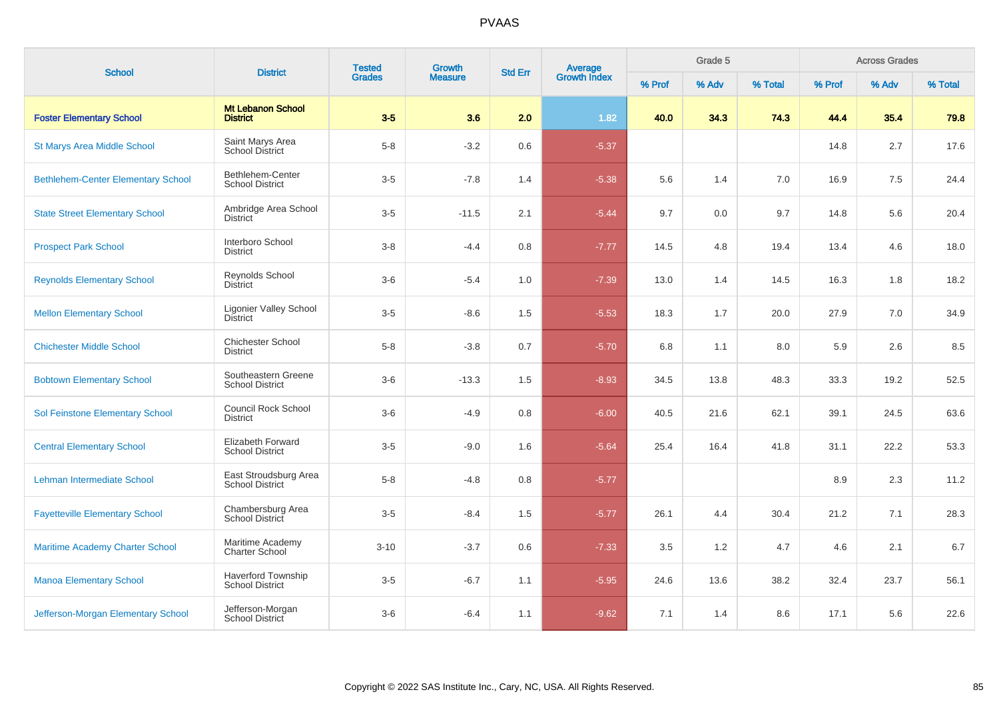| <b>School</b>                             | <b>District</b>                                     | <b>Tested</b> | Growth         | <b>Std Err</b> |                                |        | Grade 5 |         | <b>Across Grades</b> |       |         |  |
|-------------------------------------------|-----------------------------------------------------|---------------|----------------|----------------|--------------------------------|--------|---------|---------|----------------------|-------|---------|--|
|                                           |                                                     | <b>Grades</b> | <b>Measure</b> |                | <b>Average</b><br>Growth Index | % Prof | % Adv   | % Total | % Prof               | % Adv | % Total |  |
| <b>Foster Elementary School</b>           | <b>Mt Lebanon School</b><br><b>District</b>         | $3-5$         | 3.6            | 2.0            | 1.82                           | 40.0   | 34.3    | 74.3    | 44.4                 | 35.4  | 79.8    |  |
| <b>St Marys Area Middle School</b>        | Saint Marys Area<br><b>School District</b>          | $5 - 8$       | $-3.2$         | 0.6            | $-5.37$                        |        |         |         | 14.8                 | 2.7   | 17.6    |  |
| <b>Bethlehem-Center Elementary School</b> | Bethlehem-Center<br><b>School District</b>          | $3-5$         | $-7.8$         | 1.4            | $-5.38$                        | 5.6    | 1.4     | 7.0     | 16.9                 | 7.5   | 24.4    |  |
| <b>State Street Elementary School</b>     | Ambridge Area School<br><b>District</b>             | $3-5$         | $-11.5$        | 2.1            | $-5.44$                        | 9.7    | 0.0     | 9.7     | 14.8                 | 5.6   | 20.4    |  |
| <b>Prospect Park School</b>               | Interboro School<br>District                        | $3-8$         | $-4.4$         | 0.8            | $-7.77$                        | 14.5   | 4.8     | 19.4    | 13.4                 | 4.6   | 18.0    |  |
| <b>Reynolds Elementary School</b>         | Reynolds School<br><b>District</b>                  | $3-6$         | $-5.4$         | 1.0            | $-7.39$                        | 13.0   | 1.4     | 14.5    | 16.3                 | 1.8   | 18.2    |  |
| <b>Mellon Elementary School</b>           | <b>Ligonier Valley School</b><br><b>District</b>    | $3-5$         | $-8.6$         | 1.5            | $-5.53$                        | 18.3   | 1.7     | 20.0    | 27.9                 | 7.0   | 34.9    |  |
| <b>Chichester Middle School</b>           | <b>Chichester School</b><br><b>District</b>         | $5 - 8$       | $-3.8$         | 0.7            | $-5.70$                        | 6.8    | 1.1     | 8.0     | 5.9                  | 2.6   | 8.5     |  |
| <b>Bobtown Elementary School</b>          | Southeastern Greene<br><b>School District</b>       | $3-6$         | $-13.3$        | 1.5            | $-8.93$                        | 34.5   | 13.8    | 48.3    | 33.3                 | 19.2  | 52.5    |  |
| Sol Feinstone Elementary School           | <b>Council Rock School</b><br><b>District</b>       | $3-6$         | $-4.9$         | 0.8            | $-6.00$                        | 40.5   | 21.6    | 62.1    | 39.1                 | 24.5  | 63.6    |  |
| <b>Central Elementary School</b>          | Elizabeth Forward<br><b>School District</b>         | $3-5$         | $-9.0$         | 1.6            | $-5.64$                        | 25.4   | 16.4    | 41.8    | 31.1                 | 22.2  | 53.3    |  |
| Lehman Intermediate School                | East Stroudsburg Area<br><b>School District</b>     | $5-8$         | $-4.8$         | 0.8            | $-5.77$                        |        |         |         | 8.9                  | 2.3   | 11.2    |  |
| <b>Fayetteville Elementary School</b>     | Chambersburg Area<br>School District                | $3-5$         | $-8.4$         | 1.5            | $-5.77$                        | 26.1   | 4.4     | 30.4    | 21.2                 | 7.1   | 28.3    |  |
| <b>Maritime Academy Charter School</b>    | Maritime Academy<br><b>Charter School</b>           | $3 - 10$      | $-3.7$         | 0.6            | $-7.33$                        | 3.5    | 1.2     | 4.7     | 4.6                  | 2.1   | 6.7     |  |
| <b>Manoa Elementary School</b>            | <b>Haverford Township</b><br><b>School District</b> | $3-5$         | $-6.7$         | 1.1            | $-5.95$                        | 24.6   | 13.6    | 38.2    | 32.4                 | 23.7  | 56.1    |  |
| Jefferson-Morgan Elementary School        | Jefferson-Morgan<br>School District                 | $3-6$         | $-6.4$         | 1.1            | $-9.62$                        | 7.1    | 1.4     | 8.6     | 17.1                 | 5.6   | 22.6    |  |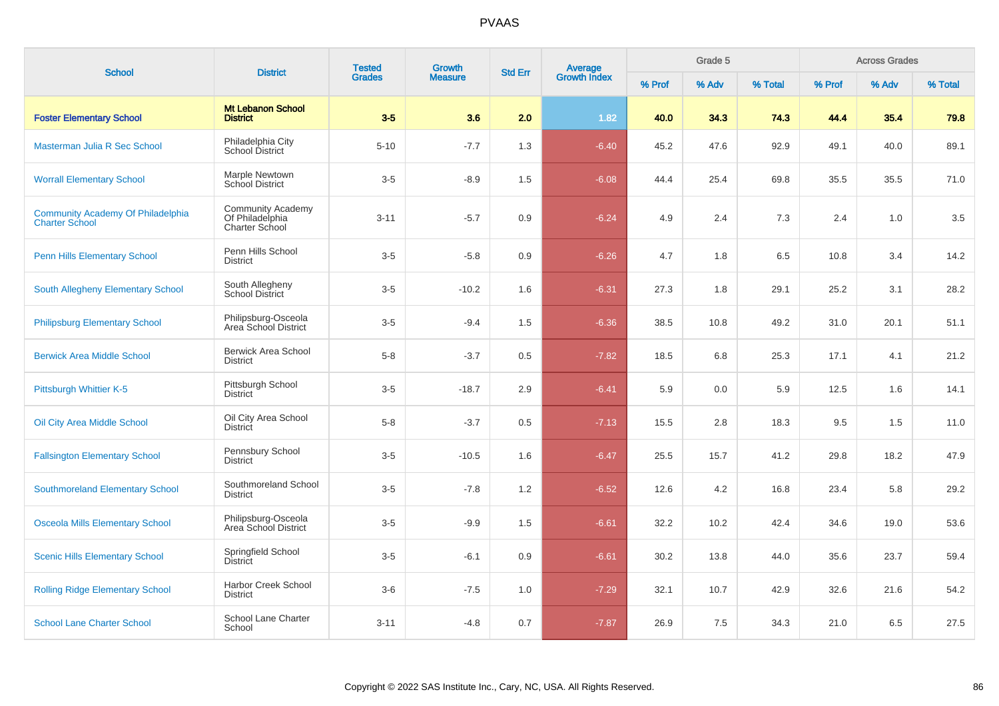| <b>School</b>                                                     | <b>District</b>                                               | <b>Tested</b> | <b>Growth</b>  | <b>Std Err</b> | <b>Average</b><br>Growth Index |        | Grade 5 |         | <b>Across Grades</b> |       |         |  |
|-------------------------------------------------------------------|---------------------------------------------------------------|---------------|----------------|----------------|--------------------------------|--------|---------|---------|----------------------|-------|---------|--|
|                                                                   |                                                               | <b>Grades</b> | <b>Measure</b> |                |                                | % Prof | % Adv   | % Total | % Prof               | % Adv | % Total |  |
| <b>Foster Elementary School</b>                                   | <b>Mt Lebanon School</b><br><b>District</b>                   | $3-5$         | 3.6            | 2.0            | 1.82                           | 40.0   | 34.3    | 74.3    | 44.4                 | 35.4  | 79.8    |  |
| Masterman Julia R Sec School                                      | Philadelphia City<br>School District                          | $5 - 10$      | $-7.7$         | 1.3            | $-6.40$                        | 45.2   | 47.6    | 92.9    | 49.1                 | 40.0  | 89.1    |  |
| <b>Worrall Elementary School</b>                                  | Marple Newtown<br><b>School District</b>                      | $3-5$         | $-8.9$         | 1.5            | $-6.08$                        | 44.4   | 25.4    | 69.8    | 35.5                 | 35.5  | 71.0    |  |
| <b>Community Academy Of Philadelphia</b><br><b>Charter School</b> | <b>Community Academy</b><br>Of Philadelphia<br>Charter School | $3 - 11$      | $-5.7$         | 0.9            | $-6.24$                        | 4.9    | 2.4     | 7.3     | 2.4                  | 1.0   | 3.5     |  |
| <b>Penn Hills Elementary School</b>                               | Penn Hills School<br><b>District</b>                          | $3-5$         | $-5.8$         | 0.9            | $-6.26$                        | 4.7    | 1.8     | 6.5     | 10.8                 | 3.4   | 14.2    |  |
| South Allegheny Elementary School                                 | South Allegheny<br>School District                            | $3-5$         | $-10.2$        | 1.6            | $-6.31$                        | 27.3   | 1.8     | 29.1    | 25.2                 | 3.1   | 28.2    |  |
| <b>Philipsburg Elementary School</b>                              | Philipsburg-Osceola<br>Area School District                   | $3-5$         | $-9.4$         | 1.5            | $-6.36$                        | 38.5   | 10.8    | 49.2    | 31.0                 | 20.1  | 51.1    |  |
| <b>Berwick Area Middle School</b>                                 | <b>Berwick Area School</b><br><b>District</b>                 | $5-8$         | $-3.7$         | 0.5            | $-7.82$                        | 18.5   | 6.8     | 25.3    | 17.1                 | 4.1   | 21.2    |  |
| Pittsburgh Whittier K-5                                           | Pittsburgh School<br><b>District</b>                          | $3-5$         | $-18.7$        | 2.9            | $-6.41$                        | 5.9    | 0.0     | 5.9     | 12.5                 | 1.6   | 14.1    |  |
| Oil City Area Middle School                                       | Oil City Area School<br><b>District</b>                       | $5-8$         | $-3.7$         | 0.5            | $-7.13$                        | 15.5   | 2.8     | 18.3    | 9.5                  | 1.5   | 11.0    |  |
| <b>Fallsington Elementary School</b>                              | Pennsbury School<br><b>District</b>                           | $3-5$         | $-10.5$        | 1.6            | $-6.47$                        | 25.5   | 15.7    | 41.2    | 29.8                 | 18.2  | 47.9    |  |
| <b>Southmoreland Elementary School</b>                            | Southmoreland School<br><b>District</b>                       | $3-5$         | $-7.8$         | 1.2            | $-6.52$                        | 12.6   | 4.2     | 16.8    | 23.4                 | 5.8   | 29.2    |  |
| <b>Osceola Mills Elementary School</b>                            | Philipsburg-Osceola<br>Area School District                   | $3-5$         | $-9.9$         | 1.5            | $-6.61$                        | 32.2   | 10.2    | 42.4    | 34.6                 | 19.0  | 53.6    |  |
| <b>Scenic Hills Elementary School</b>                             | Springfield School<br><b>District</b>                         | $3-5$         | $-6.1$         | 0.9            | $-6.61$                        | 30.2   | 13.8    | 44.0    | 35.6                 | 23.7  | 59.4    |  |
| <b>Rolling Ridge Elementary School</b>                            | <b>Harbor Creek School</b><br><b>District</b>                 | $3-6$         | $-7.5$         | 1.0            | $-7.29$                        | 32.1   | 10.7    | 42.9    | 32.6                 | 21.6  | 54.2    |  |
| <b>School Lane Charter School</b>                                 | School Lane Charter<br>School                                 | $3 - 11$      | $-4.8$         | 0.7            | $-7.87$                        | 26.9   | 7.5     | 34.3    | 21.0                 | 6.5   | 27.5    |  |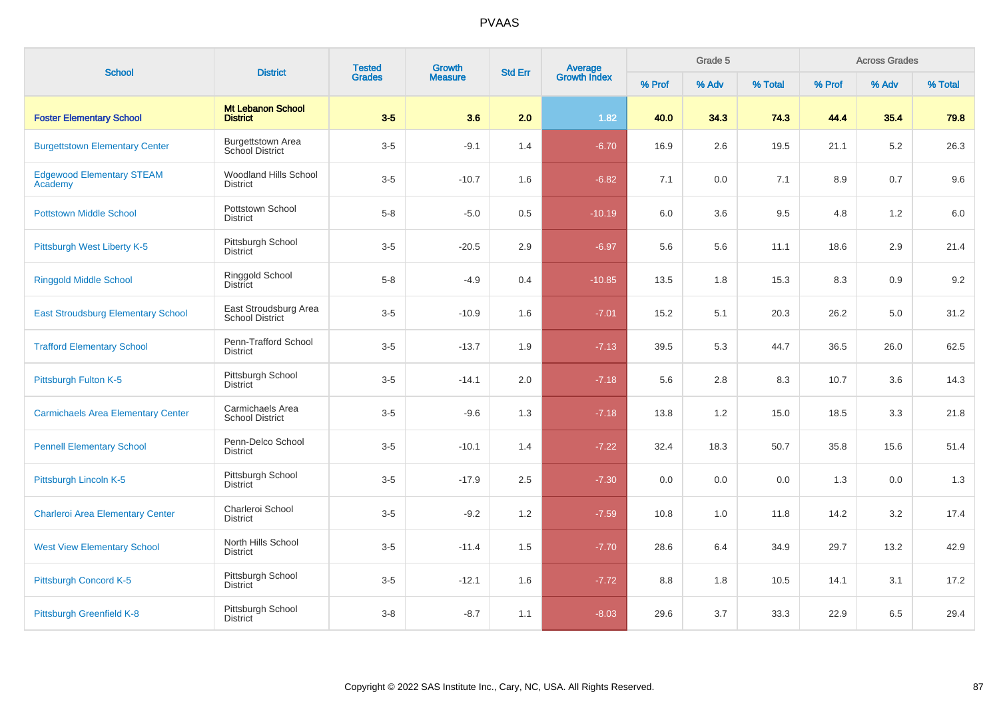| <b>School</b>                               | <b>District</b>                                 | <b>Tested</b> | Growth<br><b>Measure</b> | <b>Std Err</b> |                                |        | Grade 5 |         | <b>Across Grades</b> |       |         |  |
|---------------------------------------------|-------------------------------------------------|---------------|--------------------------|----------------|--------------------------------|--------|---------|---------|----------------------|-------|---------|--|
|                                             |                                                 | <b>Grades</b> |                          |                | <b>Average</b><br>Growth Index | % Prof | % Adv   | % Total | % Prof               | % Adv | % Total |  |
| <b>Foster Elementary School</b>             | <b>Mt Lebanon School</b><br><b>District</b>     | $3-5$         | 3.6                      | 2.0            | 1.82                           | 40.0   | 34.3    | 74.3    | 44.4                 | 35.4  | 79.8    |  |
| <b>Burgettstown Elementary Center</b>       | <b>Burgettstown Area</b><br>School District     | $3-5$         | $-9.1$                   | 1.4            | $-6.70$                        | 16.9   | 2.6     | 19.5    | 21.1                 | 5.2   | 26.3    |  |
| <b>Edgewood Elementary STEAM</b><br>Academy | <b>Woodland Hills School</b><br><b>District</b> | $3-5$         | $-10.7$                  | 1.6            | $-6.82$                        | 7.1    | 0.0     | 7.1     | 8.9                  | 0.7   | 9.6     |  |
| <b>Pottstown Middle School</b>              | Pottstown School<br><b>District</b>             | $5-8$         | $-5.0$                   | 0.5            | $-10.19$                       | 6.0    | 3.6     | 9.5     | 4.8                  | 1.2   | 6.0     |  |
| Pittsburgh West Liberty K-5                 | Pittsburgh School<br><b>District</b>            | $3-5$         | $-20.5$                  | 2.9            | $-6.97$                        | 5.6    | 5.6     | 11.1    | 18.6                 | 2.9   | 21.4    |  |
| <b>Ringgold Middle School</b>               | Ringgold School<br><b>District</b>              | $5-8$         | $-4.9$                   | 0.4            | $-10.85$                       | 13.5   | 1.8     | 15.3    | 8.3                  | 0.9   | 9.2     |  |
| <b>East Stroudsburg Elementary School</b>   | East Stroudsburg Area<br><b>School District</b> | $3-5$         | $-10.9$                  | 1.6            | $-7.01$                        | 15.2   | 5.1     | 20.3    | 26.2                 | 5.0   | 31.2    |  |
| <b>Trafford Elementary School</b>           | Penn-Trafford School<br><b>District</b>         | $3-5$         | $-13.7$                  | 1.9            | $-7.13$                        | 39.5   | 5.3     | 44.7    | 36.5                 | 26.0  | 62.5    |  |
| Pittsburgh Fulton K-5                       | Pittsburgh School<br><b>District</b>            | $3-5$         | $-14.1$                  | 2.0            | $-7.18$                        | 5.6    | 2.8     | 8.3     | 10.7                 | 3.6   | 14.3    |  |
| <b>Carmichaels Area Elementary Center</b>   | Carmichaels Area<br><b>School District</b>      | $3-5$         | $-9.6$                   | 1.3            | $-7.18$                        | 13.8   | 1.2     | 15.0    | 18.5                 | 3.3   | 21.8    |  |
| <b>Pennell Elementary School</b>            | Penn-Delco School<br><b>District</b>            | $3-5$         | $-10.1$                  | 1.4            | $-7.22$                        | 32.4   | 18.3    | 50.7    | 35.8                 | 15.6  | 51.4    |  |
| Pittsburgh Lincoln K-5                      | Pittsburgh School<br><b>District</b>            | $3-5$         | $-17.9$                  | 2.5            | $-7.30$                        | 0.0    | 0.0     | 0.0     | 1.3                  | 0.0   | 1.3     |  |
| <b>Charleroi Area Elementary Center</b>     | Charleroi School<br><b>District</b>             | $3-5$         | $-9.2$                   | 1.2            | $-7.59$                        | 10.8   | 1.0     | 11.8    | 14.2                 | 3.2   | 17.4    |  |
| <b>West View Elementary School</b>          | North Hills School<br><b>District</b>           | $3-5$         | $-11.4$                  | 1.5            | $-7.70$                        | 28.6   | 6.4     | 34.9    | 29.7                 | 13.2  | 42.9    |  |
| Pittsburgh Concord K-5                      | Pittsburgh School<br><b>District</b>            | $3-5$         | $-12.1$                  | 1.6            | $-7.72$                        | 8.8    | 1.8     | 10.5    | 14.1                 | 3.1   | 17.2    |  |
| Pittsburgh Greenfield K-8                   | Pittsburgh School<br><b>District</b>            | $3 - 8$       | $-8.7$                   | 1.1            | $-8.03$                        | 29.6   | 3.7     | 33.3    | 22.9                 | 6.5   | 29.4    |  |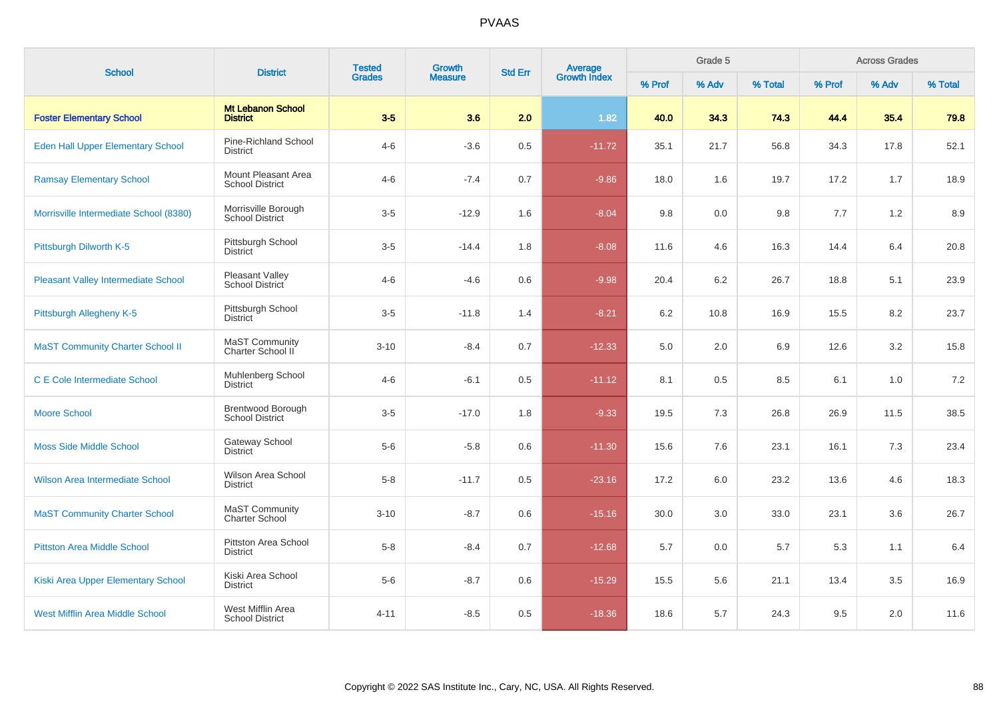| <b>School</b>                              | <b>District</b>                               | <b>Tested</b> | Growth         | <b>Std Err</b> |                                |         | Grade 5 |         | <b>Across Grades</b> |       |         |  |
|--------------------------------------------|-----------------------------------------------|---------------|----------------|----------------|--------------------------------|---------|---------|---------|----------------------|-------|---------|--|
|                                            |                                               | <b>Grades</b> | <b>Measure</b> |                | <b>Average</b><br>Growth Index | % Prof  | % Adv   | % Total | % Prof               | % Adv | % Total |  |
| <b>Foster Elementary School</b>            | <b>Mt Lebanon School</b><br><b>District</b>   | $3-5$         | 3.6            | 2.0            | 1.82                           | 40.0    | 34.3    | 74.3    | 44.4                 | 35.4  | 79.8    |  |
| <b>Eden Hall Upper Elementary School</b>   | Pine-Richland School<br><b>District</b>       | $4 - 6$       | $-3.6$         | 0.5            | $-11.72$                       | 35.1    | 21.7    | 56.8    | 34.3                 | 17.8  | 52.1    |  |
| <b>Ramsay Elementary School</b>            | Mount Pleasant Area<br><b>School District</b> | $4 - 6$       | $-7.4$         | 0.7            | $-9.86$                        | 18.0    | 1.6     | 19.7    | 17.2                 | 1.7   | 18.9    |  |
| Morrisville Intermediate School (8380)     | Morrisville Borough<br><b>School District</b> | $3-5$         | $-12.9$        | 1.6            | $-8.04$                        | 9.8     | 0.0     | 9.8     | 7.7                  | 1.2   | 8.9     |  |
| Pittsburgh Dilworth K-5                    | Pittsburgh School<br><b>District</b>          | $3-5$         | $-14.4$        | 1.8            | $-8.08$                        | 11.6    | 4.6     | 16.3    | 14.4                 | 6.4   | 20.8    |  |
| <b>Pleasant Valley Intermediate School</b> | Pleasant Valley<br>School District            | $4 - 6$       | $-4.6$         | 0.6            | $-9.98$                        | 20.4    | 6.2     | 26.7    | 18.8                 | 5.1   | 23.9    |  |
| Pittsburgh Allegheny K-5                   | Pittsburgh School<br><b>District</b>          | $3-5$         | $-11.8$        | 1.4            | $-8.21$                        | $6.2\,$ | 10.8    | 16.9    | 15.5                 | 8.2   | 23.7    |  |
| <b>MaST Community Charter School II</b>    | MaST Community<br>Charter School II           | $3 - 10$      | $-8.4$         | 0.7            | $-12.33$                       | 5.0     | 2.0     | 6.9     | 12.6                 | 3.2   | 15.8    |  |
| <b>C E Cole Intermediate School</b>        | Muhlenberg School<br><b>District</b>          | $4 - 6$       | $-6.1$         | 0.5            | $-11.12$                       | 8.1     | 0.5     | 8.5     | 6.1                  | 1.0   | 7.2     |  |
| <b>Moore School</b>                        | Brentwood Borough<br><b>School District</b>   | $3-5$         | $-17.0$        | 1.8            | $-9.33$                        | 19.5    | 7.3     | 26.8    | 26.9                 | 11.5  | 38.5    |  |
| <b>Moss Side Middle School</b>             | <b>Gateway School</b><br><b>District</b>      | $5-6$         | $-5.8$         | 0.6            | $-11.30$                       | 15.6    | 7.6     | 23.1    | 16.1                 | 7.3   | 23.4    |  |
| <b>Wilson Area Intermediate School</b>     | Wilson Area School<br><b>District</b>         | $5-8$         | $-11.7$        | 0.5            | $-23.16$                       | 17.2    | 6.0     | 23.2    | 13.6                 | 4.6   | 18.3    |  |
| <b>MaST Community Charter School</b>       | MaST Community<br><b>Charter School</b>       | $3 - 10$      | $-8.7$         | 0.6            | $-15.16$                       | 30.0    | 3.0     | 33.0    | 23.1                 | 3.6   | 26.7    |  |
| <b>Pittston Area Middle School</b>         | Pittston Area School<br><b>District</b>       | $5-8$         | $-8.4$         | 0.7            | $-12.68$                       | 5.7     | 0.0     | 5.7     | 5.3                  | 1.1   | 6.4     |  |
| Kiski Area Upper Elementary School         | Kiski Area School<br><b>District</b>          | $5-6$         | $-8.7$         | 0.6            | $-15.29$                       | 15.5    | 5.6     | 21.1    | 13.4                 | 3.5   | 16.9    |  |
| <b>West Mifflin Area Middle School</b>     | West Mifflin Area<br><b>School District</b>   | $4 - 11$      | $-8.5$         | 0.5            | $-18.36$                       | 18.6    | 5.7     | 24.3    | 9.5                  | 2.0   | 11.6    |  |